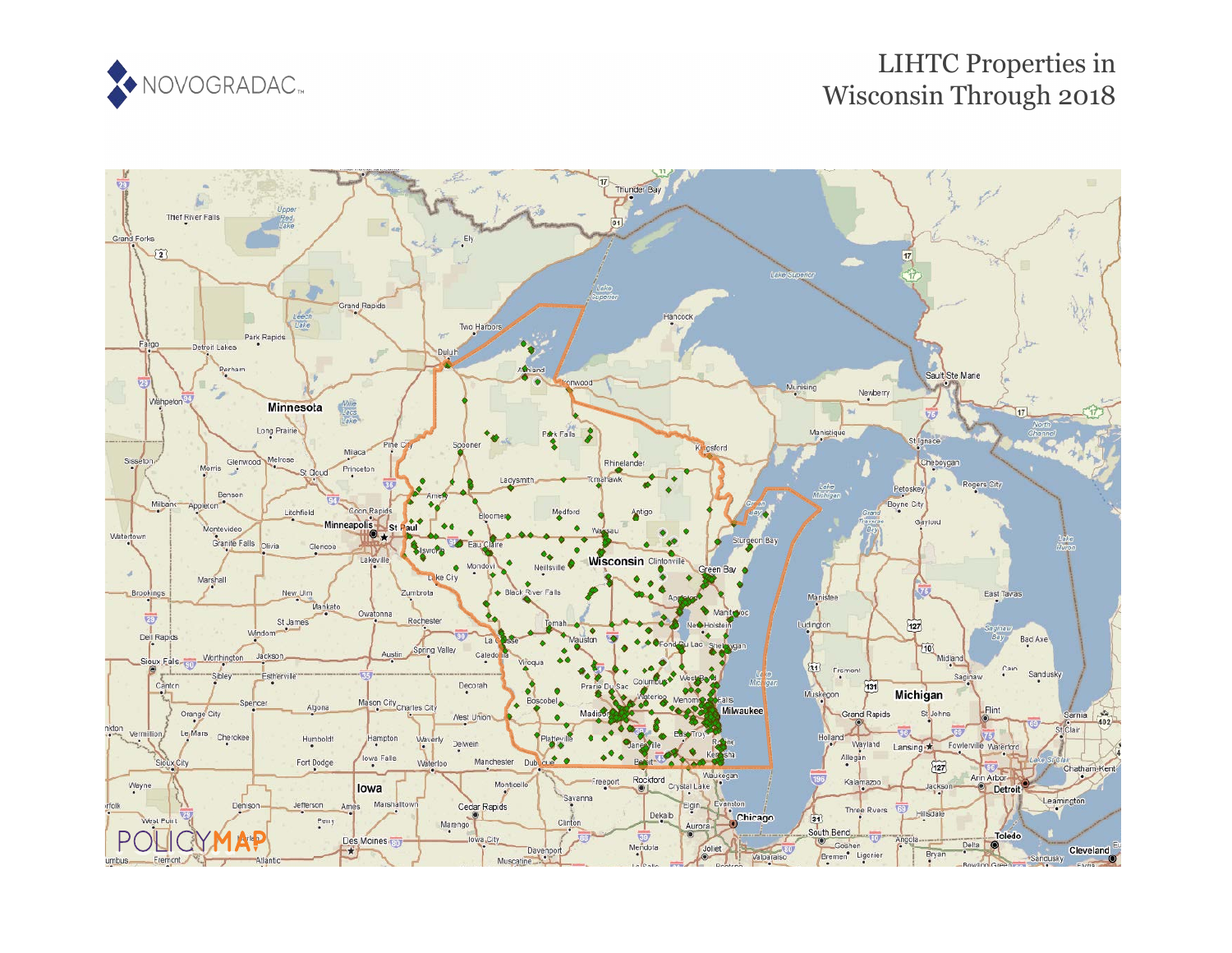

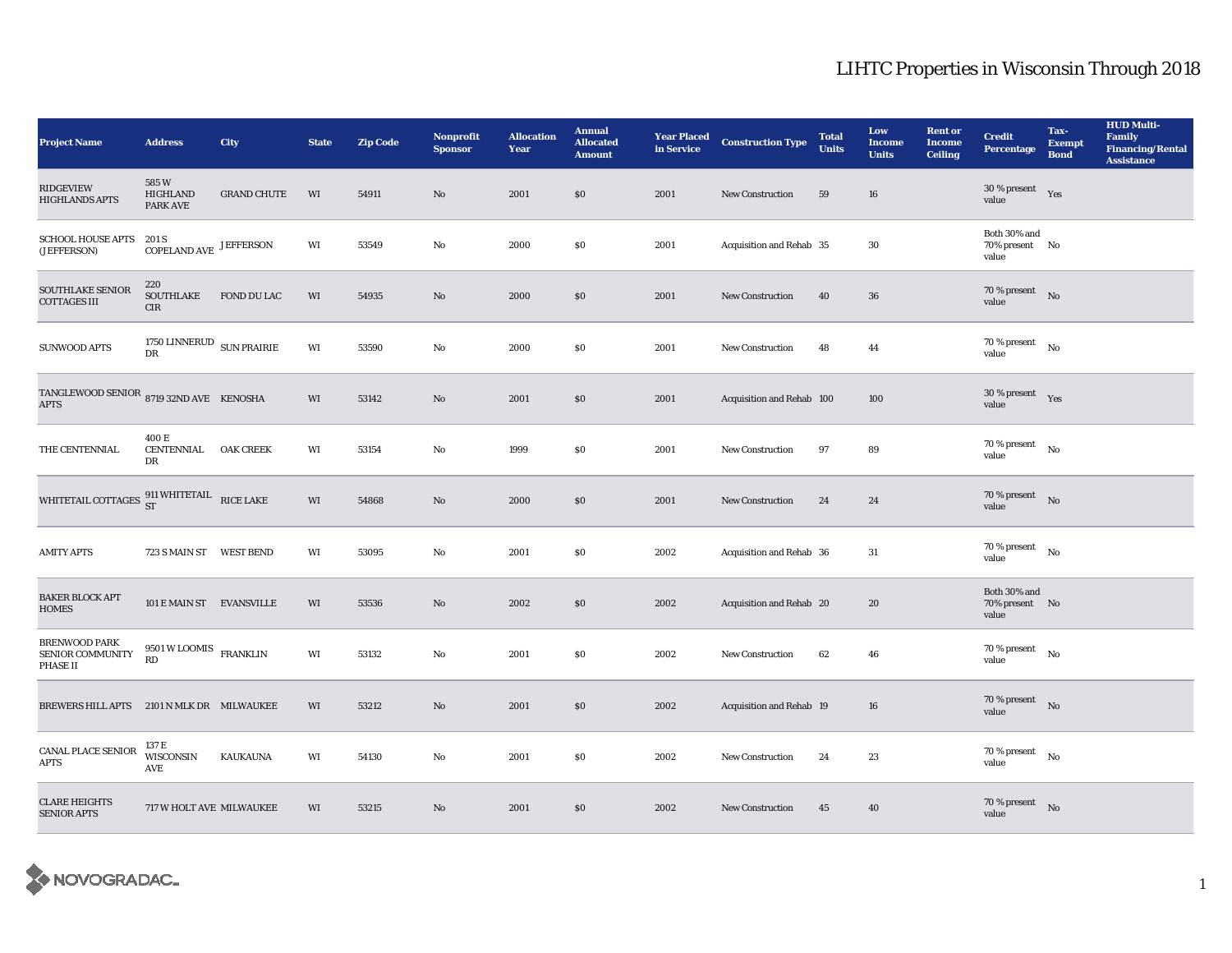| <b>Project Name</b>                                                                         | <b>Address</b>                                         | City               | <b>State</b> | <b>Zip Code</b> | Nonprofit<br><b>Sponsor</b> | <b>Allocation</b><br>Year | <b>Annual</b><br><b>Allocated</b><br><b>Amount</b> | <b>Year Placed<br/>in Service</b> | <b>Construction Type</b>  | <b>Total</b><br><b>Units</b> | Low<br><b>Income</b><br><b>Units</b> | <b>Rent or</b><br><b>Income</b><br><b>Ceiling</b> | <b>Credit</b><br><b>Percentage</b>          | Tax-<br><b>Exempt</b><br><b>Bond</b> | <b>HUD Multi-</b><br><b>Family</b><br><b>Financing/Rental</b><br><b>Assistance</b> |
|---------------------------------------------------------------------------------------------|--------------------------------------------------------|--------------------|--------------|-----------------|-----------------------------|---------------------------|----------------------------------------------------|-----------------------------------|---------------------------|------------------------------|--------------------------------------|---------------------------------------------------|---------------------------------------------|--------------------------------------|------------------------------------------------------------------------------------|
| <b>RIDGEVIEW</b><br><b>HIGHLANDS APTS</b>                                                   | 585W<br>HIGHLAND<br><b>PARK AVE</b>                    | <b>GRAND CHUTE</b> | WI           | 54911           | $\mathbf{No}$               | 2001                      | \$0                                                | 2001                              | New Construction          | 59                           | ${\bf 16}$                           |                                                   | $30\%$ present $Yes$<br>value               |                                      |                                                                                    |
| SCHOOL HOUSE APTS 201 S<br>(JEFFERSON)                                                      | $\mathop{\mathrm{COPELAND\,AVE}\,}\nolimits$ JEFFERSON |                    | WI           | 53549           | $\mathbf{No}$               | 2000                      | $\$0$                                              | 2001                              | Acquisition and Rehab 35  |                              | 30                                   |                                                   | Both 30% and<br>70% present No<br>value     |                                      |                                                                                    |
| SOUTHLAKE SENIOR<br><b>COTTAGES III</b>                                                     | 220<br>SOUTHLAKE<br>CIR                                | FOND DU LAC        | WI           | 54935           | $\mathbf{No}$               | 2000                      | \$0                                                | 2001                              | <b>New Construction</b>   | 40                           | 36                                   |                                                   | $70\%$ present No<br>value                  |                                      |                                                                                    |
| <b>SUNWOOD APTS</b>                                                                         | 1750 LINNERUD $\,$ SUN PRAIRIE<br>DR                   |                    | WI           | 53590           | No                          | 2000                      | $\$0$                                              | 2001                              | <b>New Construction</b>   | 48                           | 44                                   |                                                   | $70$ % present $$N{\rm o}$$<br>value        |                                      |                                                                                    |
| TANGLEWOOD SENIOR 8719 32ND AVE KENOSHA<br><b>APTS</b>                                      |                                                        |                    | WI           | 53142           | No                          | 2001                      | \$0                                                | 2001                              | Acquisition and Rehab 100 |                              | 100                                  |                                                   | 30 % present $Yes$<br>value                 |                                      |                                                                                    |
| THE CENTENNIAL                                                                              | 400 E<br>CENTENNIAL<br>DR                              | <b>OAK CREEK</b>   | WI           | 53154           | No                          | 1999                      | $\$0$                                              | 2001                              | <b>New Construction</b>   | 97                           | 89                                   |                                                   | 70 % present<br>value                       | No                                   |                                                                                    |
| WHITETAIL COTTAGES $\begin{array}{cc} 911 \text{ WHITETAIL} & \text{RICE LAKE} \end{array}$ |                                                        |                    | WI           | 54868           | No                          | 2000                      | $\$0$                                              | 2001                              | <b>New Construction</b>   | 24                           | 24                                   |                                                   | $70\%$ present No<br>value                  |                                      |                                                                                    |
| <b>AMITY APTS</b>                                                                           | 723 S MAIN ST WEST BEND                                |                    | WI           | 53095           | No                          | 2001                      | $\$0$                                              | 2002                              | Acquisition and Rehab 36  |                              | 31                                   |                                                   | $70$ % present $\quad$ $_{\rm No}$<br>value |                                      |                                                                                    |
| <b>BAKER BLOCK APT</b><br><b>HOMES</b>                                                      | 101 E MAIN ST EVANSVILLE                               |                    | WI           | 53536           | $\mathbf{N}\mathbf{o}$      | 2002                      | \$0                                                | 2002                              | Acquisition and Rehab 20  |                              | 20                                   |                                                   | Both 30% and<br>70% present No<br>value     |                                      |                                                                                    |
| <b>BRENWOOD PARK</b><br>SENIOR COMMUNITY<br>PHASE II                                        | 9501 W LOOMIS FRANKLIN<br>RD                           |                    | WI           | 53132           | No                          | 2001                      | $\$0$                                              | 2002                              | New Construction          | 62                           | 46                                   |                                                   | $70$ % present $\quad$ $_{\rm No}$<br>value |                                      |                                                                                    |
| BREWERS HILL APTS 2101 N MLK DR MILWAUKEE                                                   |                                                        |                    | WI           | 53212           | No                          | 2001                      | \$0                                                | 2002                              | Acquisition and Rehab 19  |                              | 16                                   |                                                   | $70\%$ present No<br>value                  |                                      |                                                                                    |
| <b>CANAL PLACE SENIOR</b><br><b>APTS</b>                                                    | 137 E<br>WISCONSIN<br>AVE                              | KAUKAUNA           | WI           | 54130           | No                          | 2001                      | <b>SO</b>                                          | 2002                              | New Construction          | 24                           | 23                                   |                                                   | 70 % present<br>value                       | $\mathbf{N}\mathbf{o}$               |                                                                                    |
| <b>CLARE HEIGHTS</b><br><b>SENIOR APTS</b>                                                  | 717 W HOLT AVE MILWAUKEE                               |                    | WI           | 53215           | No                          | 2001                      | \$0                                                | 2002                              | <b>New Construction</b>   | 45                           | 40                                   |                                                   | $70$ % present $$\rm{No}$$<br>value         |                                      |                                                                                    |

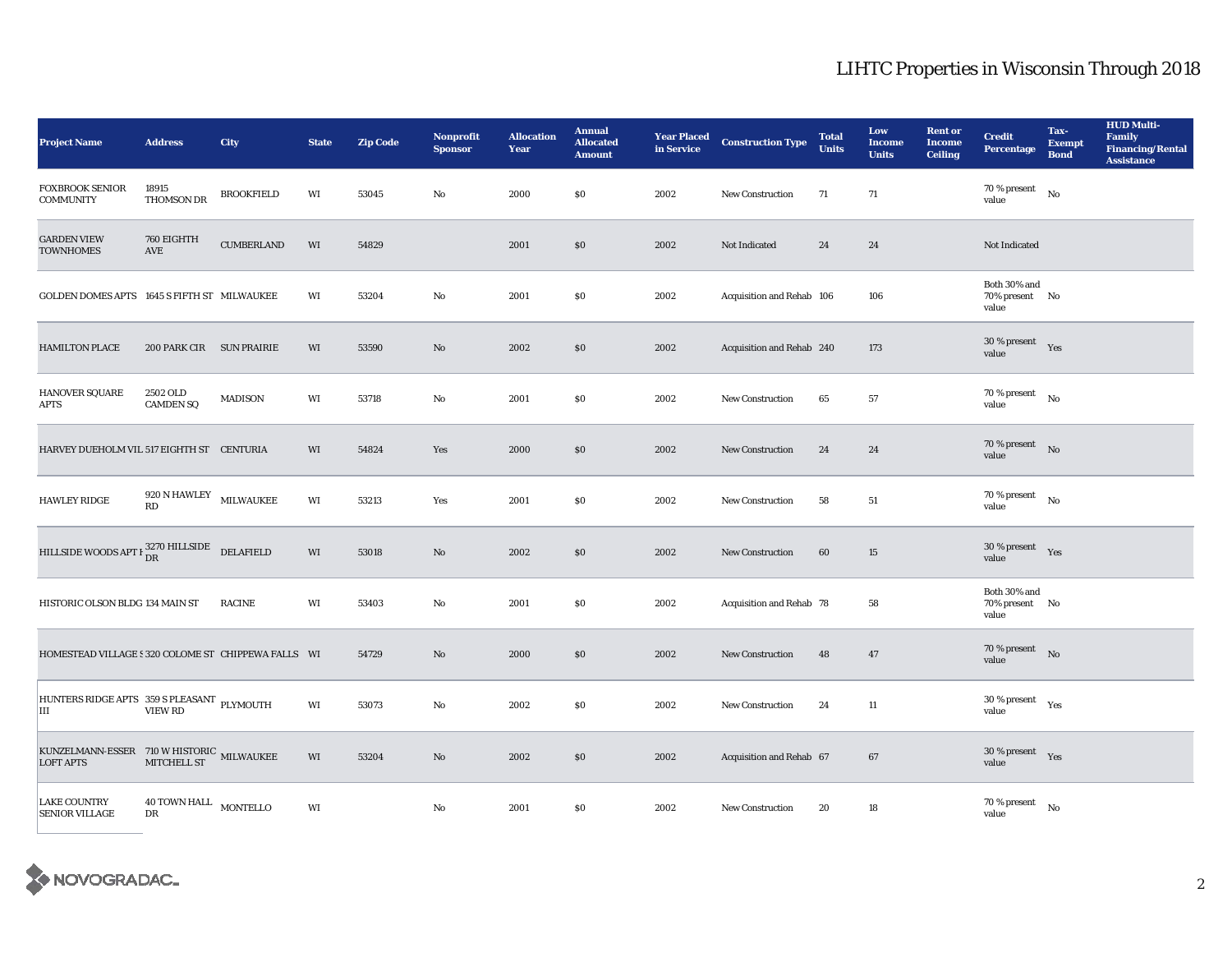| <b>Project Name</b>                                                                                                                                                         | <b>Address</b>                                | City              | <b>State</b> | <b>Zip Code</b> | Nonprofit<br><b>Sponsor</b> | <b>Allocation</b><br>Year | <b>Annual</b><br><b>Allocated</b><br><b>Amount</b> | <b>Year Placed</b><br>in Service | <b>Construction Type</b>  | <b>Total</b><br><b>Units</b> | Low<br><b>Income</b><br><b>Units</b> | <b>Rent or</b><br><b>Income</b><br><b>Ceiling</b> | <b>Credit</b><br><b>Percentage</b>         | Tax-<br><b>Exempt</b><br><b>Bond</b> | <b>HUD Multi-</b><br><b>Family</b><br><b>Financing/Rental</b><br><b>Assistance</b> |
|-----------------------------------------------------------------------------------------------------------------------------------------------------------------------------|-----------------------------------------------|-------------------|--------------|-----------------|-----------------------------|---------------------------|----------------------------------------------------|----------------------------------|---------------------------|------------------------------|--------------------------------------|---------------------------------------------------|--------------------------------------------|--------------------------------------|------------------------------------------------------------------------------------|
| <b>FOXBROOK SENIOR</b><br><b>COMMUNITY</b>                                                                                                                                  | 18915<br>THOMSON DR                           | <b>BROOKFIELD</b> | WI           | 53045           | No                          | 2000                      | \$0                                                | 2002                             | <b>New Construction</b>   | 71                           | 71                                   |                                                   | 70 % present<br>value                      | No                                   |                                                                                    |
| <b>GARDEN VIEW</b><br><b>TOWNHOMES</b>                                                                                                                                      | 760 EIGHTH<br>AVE                             | <b>CUMBERLAND</b> | WI           | 54829           |                             | 2001                      | \$0                                                | 2002                             | Not Indicated             | 24                           | 24                                   |                                                   | Not Indicated                              |                                      |                                                                                    |
| GOLDEN DOMES APTS 1645 S FIFTH ST MILWAUKEE                                                                                                                                 |                                               |                   | WI           | 53204           | $\rm No$                    | 2001                      | $\$0$                                              | 2002                             | Acquisition and Rehab 106 |                              | 106                                  |                                                   | Both 30% and<br>70% present No<br>value    |                                      |                                                                                    |
| <b>HAMILTON PLACE</b>                                                                                                                                                       | 200 PARK CIR SUN PRAIRIE                      |                   | WI           | 53590           | No                          | 2002                      | $\$0$                                              | 2002                             | Acquisition and Rehab 240 |                              | 173                                  |                                                   | 30 % present $Yes$<br>value                |                                      |                                                                                    |
| <b>HANOVER SQUARE</b><br><b>APTS</b>                                                                                                                                        | 2502 OLD<br><b>CAMDEN SQ</b>                  | MADISON           | WI           | 53718           | No                          | 2001                      | \$0                                                | 2002                             | <b>New Construction</b>   | 65                           | 57                                   |                                                   | $70$ % present $\quad$ No $\quad$<br>value |                                      |                                                                                    |
| HARVEY DUEHOLM VIL 517 EIGHTH ST CENTURIA                                                                                                                                   |                                               |                   | WI           | 54824           | Yes                         | 2000                      | \$0                                                | 2002                             | New Construction          | 24                           | 24                                   |                                                   | $70$ % present $\quad$ No<br>value         |                                      |                                                                                    |
| <b>HAWLEY RIDGE</b>                                                                                                                                                         | 920 N HAWLEY MILWAUKEE<br><b>RD</b>           |                   | WI           | 53213           | Yes                         | 2001                      | $\$0$                                              | 2002                             | <b>New Construction</b>   | 58                           | 51                                   |                                                   | 70 % present<br>value                      | No                                   |                                                                                    |
| HILLSIDE WOODS APT F $^{3270}_{\rm DR}$ HILLSIDE DELAFIELD                                                                                                                  |                                               |                   | WI           | 53018           | No                          | 2002                      | $\$0$                                              | 2002                             | <b>New Construction</b>   | 60                           | 15                                   |                                                   | $30\,\%$ present $\quad$ Yes<br>value      |                                      |                                                                                    |
| HISTORIC OLSON BLDG 134 MAIN ST                                                                                                                                             |                                               | <b>RACINE</b>     | WI           | 53403           | No                          | 2001                      | \$0\$                                              | 2002                             | Acquisition and Rehab 78  |                              | 58                                   |                                                   | Both 30% and<br>70% present No<br>value    |                                      |                                                                                    |
| HOMESTEAD VILLAGE S 320 COLOME ST CHIPPEWA FALLS WI                                                                                                                         |                                               |                   |              | 54729           | No                          | 2000                      | \$0                                                | 2002                             | <b>New Construction</b>   | 48                           | 47                                   |                                                   | $70\%$ present No<br>value                 |                                      |                                                                                    |
| HUNTERS RIDGE APTS 359 S PLEASANT PLYMOUTH<br>IШ                                                                                                                            | <b>VIEW RD</b>                                |                   | WI           | 53073           | No                          | 2002                      | $\$0$                                              | 2002                             | <b>New Construction</b>   | 24                           | 11                                   |                                                   | 30 % present $\rm_{Yes}$<br>value          |                                      |                                                                                    |
| $\begin{array}{lll} \textsc{KUNZELMANN-ESSER} & \textit{710 W HISTORIC} & \textsc{MILWAUKEE} \\ \textsc{LOFT APTS} & \textsc{MITCHELL ST} & \textsc{MILWAUKEE} \end{array}$ |                                               |                   | WI           | 53204           | No                          | 2002                      | \$0\$                                              | 2002                             | Acquisition and Rehab 67  |                              | 67                                   |                                                   | 30 % present $Yes$<br>value                |                                      |                                                                                    |
| <b>LAKE COUNTRY</b><br><b>SENIOR VILLAGE</b>                                                                                                                                | $40$ TOWN HALL $\quad$ MONTELLO $\quad$<br>DR |                   | WI           |                 | No                          | 2001                      | \$0                                                | 2002                             | <b>New Construction</b>   | 20                           | 18                                   |                                                   | 70 % present<br>value                      | No                                   |                                                                                    |

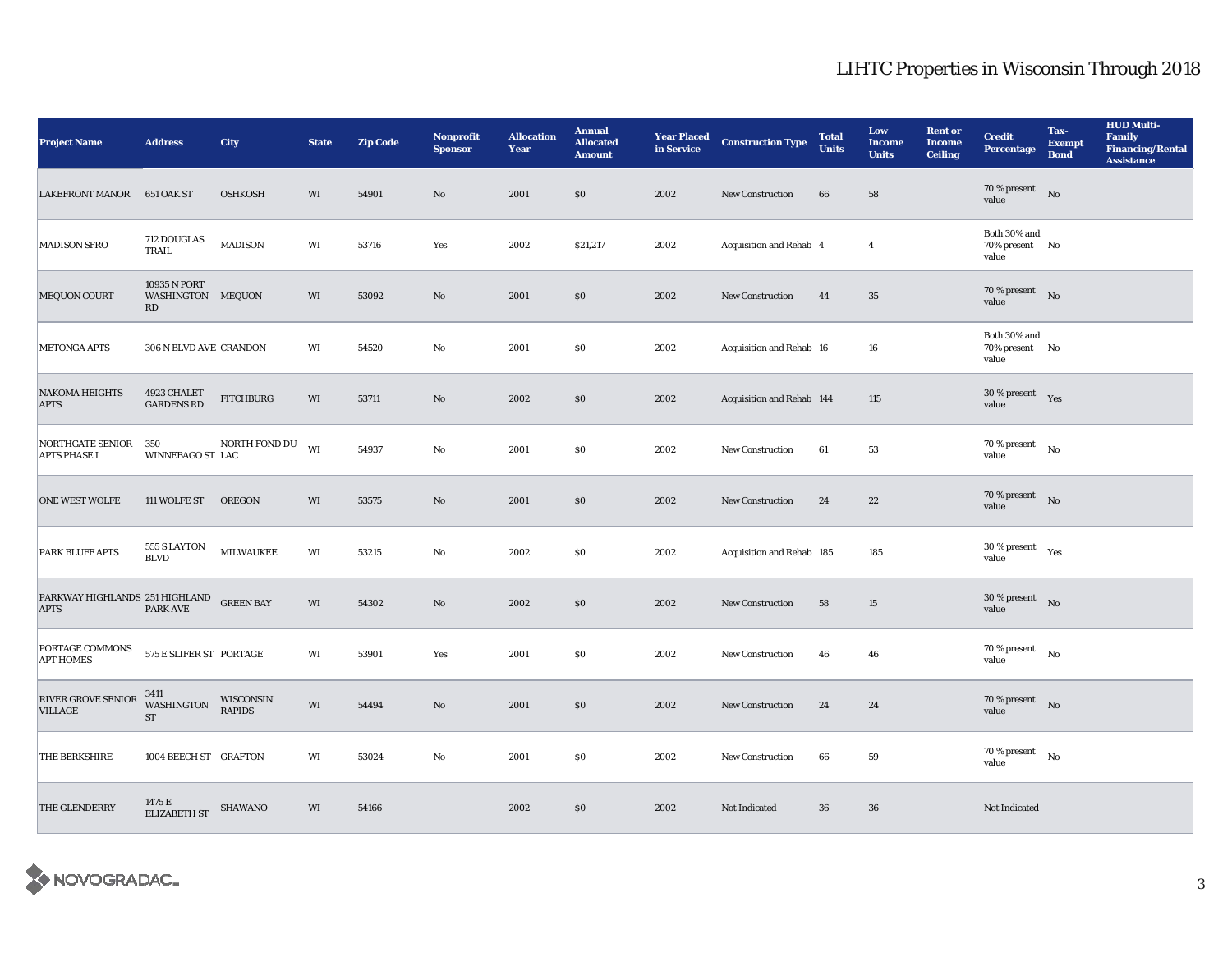| <b>Project Name</b>                                     | <b>Address</b>                                 | City                       | <b>State</b> | <b>Zip Code</b> | <b>Nonprofit</b><br><b>Sponsor</b> | <b>Allocation</b><br>Year | <b>Annual</b><br><b>Allocated</b><br><b>Amount</b> | <b>Year Placed<br/>in Service</b> | <b>Construction Type</b>  | <b>Total</b><br><b>Units</b> | Low<br><b>Income</b><br><b>Units</b> | <b>Rent or</b><br><b>Income</b><br><b>Ceiling</b> | <b>Credit</b><br><b>Percentage</b>      | Tax-<br><b>Exempt</b><br><b>Bond</b> | <b>HUD Multi-</b><br>Family<br><b>Financing/Rental</b><br><b>Assistance</b> |
|---------------------------------------------------------|------------------------------------------------|----------------------------|--------------|-----------------|------------------------------------|---------------------------|----------------------------------------------------|-----------------------------------|---------------------------|------------------------------|--------------------------------------|---------------------------------------------------|-----------------------------------------|--------------------------------------|-----------------------------------------------------------------------------|
| <b>LAKEFRONT MANOR</b>                                  | <b>651 OAK ST</b>                              | <b>OSHKOSH</b>             | WI           | 54901           | No                                 | 2001                      | \$0                                                | 2002                              | <b>New Construction</b>   | 66                           | 58                                   |                                                   | 70 % present $\qquad$ No<br>value       |                                      |                                                                             |
| <b>MADISON SFRO</b>                                     | 712 DOUGLAS<br>TRAIL                           | <b>MADISON</b>             | WI           | 53716           | Yes                                | 2002                      | \$21,217                                           | 2002                              | Acquisition and Rehab 4   |                              | $\overline{4}$                       |                                                   | Both 30% and<br>70% present No<br>value |                                      |                                                                             |
| MEQUON COURT                                            | 10935 N PORT<br>WASHINGTON MEQUON<br><b>RD</b> |                            | WI           | 53092           | No                                 | 2001                      | \$0                                                | 2002                              | New Construction          | 44                           | $35\,$                               |                                                   | 70 % present $\qquad$ No<br>value       |                                      |                                                                             |
| <b>METONGA APTS</b>                                     | 306 N BLVD AVE CRANDON                         |                            | WI           | 54520           | No                                 | 2001                      | \$0                                                | 2002                              | Acquisition and Rehab 16  |                              | 16                                   |                                                   | Both 30% and<br>70% present No<br>value |                                      |                                                                             |
| <b>NAKOMA HEIGHTS</b><br><b>APTS</b>                    | 4923 CHALET<br><b>GARDENS RD</b>               | <b>FITCHBURG</b>           | WI           | 53711           | No                                 | 2002                      | \$0                                                | 2002                              | Acquisition and Rehab 144 |                              | 115                                  |                                                   | $30\,\%$ present $\quad$ Yes<br>value   |                                      |                                                                             |
| NORTHGATE SENIOR 350<br><b>APTS PHASE I</b>             | WINNEBAGO ST LAC                               | NORTH FOND DU              | WI           | 54937           | No                                 | 2001                      | \$0                                                | 2002                              | New Construction          | 61                           | 53                                   |                                                   | 70 % present<br>value                   | No                                   |                                                                             |
| <b>ONE WEST WOLFE</b>                                   | 111 WOLFE ST                                   | OREGON                     | WI           | 53575           | No                                 | 2001                      | \$0                                                | 2002                              | New Construction          | 24                           | $22\,$                               |                                                   | 70 % present $\hbox{No}$<br>value       |                                      |                                                                             |
| PARK BLUFF APTS                                         | 555 S LAYTON<br><b>BLVD</b>                    | MILWAUKEE                  | WI           | 53215           | No                                 | 2002                      | \$0                                                | 2002                              | Acquisition and Rehab 185 |                              | 185                                  |                                                   | $30$ % present $\quad$ Yes<br>value     |                                      |                                                                             |
| PARKWAY HIGHLANDS 251 HIGHLAND GREEN BAY<br><b>APTS</b> | <b>PARK AVE</b>                                |                            | WI           | 54302           | No                                 | 2002                      | \$0                                                | 2002                              | <b>New Construction</b>   | 58                           | 15                                   |                                                   | $30$ % present $$\rm{No}$$<br>value     |                                      |                                                                             |
| PORTAGE COMMONS<br><b>APT HOMES</b>                     | 575 E SLIFER ST PORTAGE                        |                            | WI           | 53901           | Yes                                | 2001                      | \$0                                                | 2002                              | New Construction          | 46                           | 46                                   |                                                   | 70 % present $\qquad$ No<br>value       |                                      |                                                                             |
| <b>RIVER GROVE SENIOR</b><br><b>VILLAGE</b>             | 3411<br>WASHINGTON<br>$\operatorname{ST}$      | WISCONSIN<br><b>RAPIDS</b> | WI           | 54494           | No                                 | 2001                      | \$0                                                | 2002                              | <b>New Construction</b>   | 24                           | 24                                   |                                                   | $70\%$ present No<br>value              |                                      |                                                                             |
| <b>THE BERKSHIRE</b>                                    | 1004 BEECH ST GRAFTON                          |                            | WI           | 53024           | No                                 | 2001                      | \$0                                                | 2002                              | <b>New Construction</b>   | 66                           | 59                                   |                                                   | 70 % present<br>value                   | No                                   |                                                                             |
| <b>THE GLENDERRY</b>                                    | 1475 E<br><b>ELIZABETH ST</b>                  | SHAWANO                    | WI           | 54166           |                                    | 2002                      | \$0                                                | 2002                              | Not Indicated             | 36                           | 36                                   |                                                   | Not Indicated                           |                                      |                                                                             |

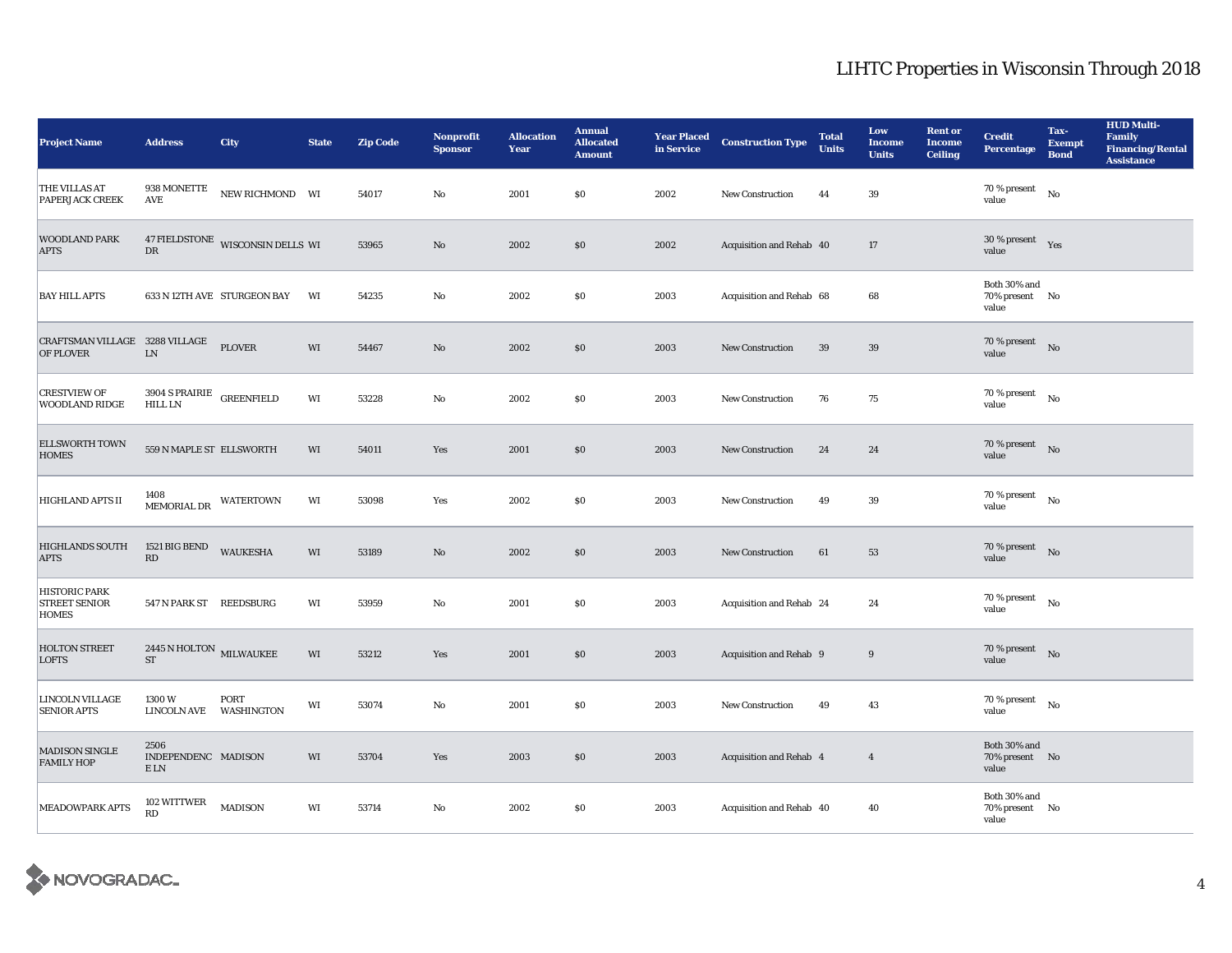| <b>Project Name</b>                                          | <b>Address</b>                              | City                             | <b>State</b>           | <b>Zip Code</b> | Nonprofit<br><b>Sponsor</b> | <b>Allocation</b><br>Year | <b>Annual</b><br><b>Allocated</b><br><b>Amount</b> | <b>Year Placed<br/>in Service</b> | <b>Construction Type</b> | <b>Total</b><br><b>Units</b> | Low<br><b>Income</b><br><b>Units</b> | <b>Rent or</b><br><b>Income</b><br><b>Ceiling</b> | <b>Credit</b><br><b>Percentage</b>          | Tax-<br><b>Exempt</b><br><b>Bond</b> | <b>HUD Multi-</b><br>Family<br><b>Financing/Rental</b><br><b>Assistance</b> |
|--------------------------------------------------------------|---------------------------------------------|----------------------------------|------------------------|-----------------|-----------------------------|---------------------------|----------------------------------------------------|-----------------------------------|--------------------------|------------------------------|--------------------------------------|---------------------------------------------------|---------------------------------------------|--------------------------------------|-----------------------------------------------------------------------------|
| THE VILLAS AT<br>PAPERJACK CREEK                             | 938 MONETTE<br>AVE                          | NEW RICHMOND WI                  |                        | 54017           | No                          | 2001                      | $\$0$                                              | 2002                              | <b>New Construction</b>  | 44                           | $\bf 39$                             |                                                   | 70 % present<br>value                       | No                                   |                                                                             |
| <b>WOODLAND PARK</b><br><b>APTS</b>                          | DR                                          | 47 FIELDSTONE WISCONSIN DELLS WI |                        | 53965           | No                          | 2002                      | $\$0$                                              | 2002                              | Acquisition and Rehab 40 |                              | 17                                   |                                                   | $30$ % present $\quad$ Yes<br>value         |                                      |                                                                             |
| <b>BAY HILL APTS</b>                                         |                                             | 633 N 12TH AVE STURGEON BAY      | WI                     | 54235           | No                          | 2002                      | $\$0$                                              | 2003                              | Acquisition and Rehab 68 |                              | 68                                   |                                                   | Both 30% and<br>70% present No<br>value     |                                      |                                                                             |
| CRAFTSMAN VILLAGE 3288 VILLAGE<br><b>OF PLOVER</b>           | ${\rm LN}$                                  | <b>PLOVER</b>                    | WI                     | 54467           | $\mathbf{N}\mathbf{o}$      | 2002                      | $\$0$                                              | 2003                              | <b>New Construction</b>  | 39                           | $39\,$                               |                                                   | 70 % present $\qquad$ No<br>value           |                                      |                                                                             |
| <b>CRESTVIEW OF</b><br><b>WOODLAND RIDGE</b>                 | 3904 S PRAIRIE GREENFIELD<br><b>HILL LN</b> |                                  | WI                     | 53228           | No                          | 2002                      | $\$0$                                              | 2003                              | <b>New Construction</b>  | 76                           | $75\,$                               |                                                   | $70$ % present $\quad$ $_{\rm No}$<br>value |                                      |                                                                             |
| <b>ELLSWORTH TOWN</b><br><b>HOMES</b>                        | 559 N MAPLE ST ELLSWORTH                    |                                  | WI                     | 54011           | Yes                         | 2001                      | \$0                                                | 2003                              | New Construction         | 24                           | 24                                   |                                                   | $70\%$ present No<br>value                  |                                      |                                                                             |
| HIGHLAND APTS II                                             | 1408<br>MEMORIAL DR                         | <b>WATERTOWN</b>                 | WI                     | 53098           | Yes                         | 2002                      | $\$0$                                              | 2003                              | New Construction         | 49                           | $39\,$                               |                                                   | 70 % present<br>value                       | No                                   |                                                                             |
| <b>HIGHLANDS SOUTH</b><br><b>APTS</b>                        | 1521 BIG BEND<br>RD                         | <b>WAUKESHA</b>                  | WI                     | 53189           | No                          | 2002                      | $\$0$                                              | 2003                              | <b>New Construction</b>  | 61                           | 53                                   |                                                   | 70 % present $\qquad$ No<br>value           |                                      |                                                                             |
| <b>HISTORIC PARK</b><br><b>STREET SENIOR</b><br><b>HOMES</b> | 547 N PARK ST REEDSBURG                     |                                  | WI                     | 53959           | No                          | 2001                      | $\$0$                                              | 2003                              | Acquisition and Rehab 24 |                              | 24                                   |                                                   | 70 % present<br>value                       | No                                   |                                                                             |
| <b>HOLTON STREET</b><br><b>LOFTS</b>                         | 2445 N HOLTON MILWAUKEE<br>ST               |                                  | $\mathbf{W}\mathbf{I}$ | 53212           | Yes                         | 2001                      | $\$0$                                              | 2003                              | Acquisition and Rehab 9  |                              | $\boldsymbol{9}$                     |                                                   | $70$ % present $$\rm{No}$$<br>value         |                                      |                                                                             |
| LINCOLN VILLAGE<br><b>SENIOR APTS</b>                        | 1300W<br><b>LINCOLN AVE</b>                 | PORT<br>WASHINGTON               | WI                     | 53074           | No                          | 2001                      | $\$0$                                              | 2003                              | New Construction         | 49                           | 43                                   |                                                   | 70 % present<br>value                       | $\mathbf{N}\mathbf{o}$               |                                                                             |
| <b>MADISON SINGLE</b><br><b>FAMILY HOP</b>                   | 2506<br>INDEPENDENC MADISON<br>E LN         |                                  | WI                     | 53704           | Yes                         | 2003                      | $\$0$                                              | 2003                              | Acquisition and Rehab 4  |                              | $\overline{4}$                       |                                                   | Both 30% and<br>70% present No<br>value     |                                      |                                                                             |
| <b>MEADOWPARK APTS</b>                                       | 102 WITTWER<br>RD                           | <b>MADISON</b>                   | WI                     | 53714           | No                          | 2002                      | $\$0$                                              | 2003                              | Acquisition and Rehab 40 |                              | 40                                   |                                                   | Both 30% and<br>70% present No<br>value     |                                      |                                                                             |

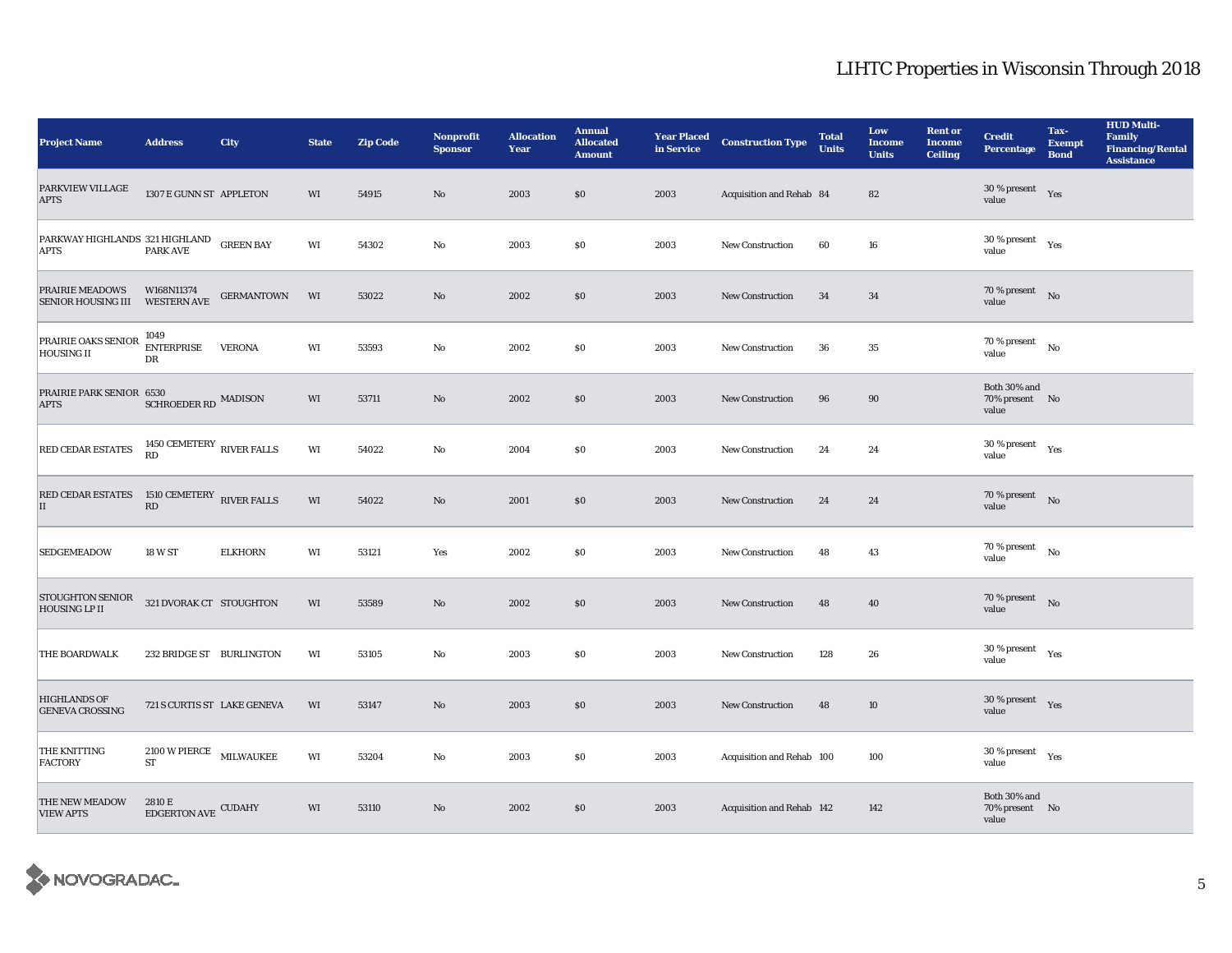| <b>Project Name</b>                                      | <b>Address</b>                                           | City              | <b>State</b> | <b>Zip Code</b> | Nonprofit<br><b>Sponsor</b> | <b>Allocation</b><br>Year | <b>Annual</b><br><b>Allocated</b><br><b>Amount</b> | <b>Year Placed<br/>in Service</b> | <b>Construction Type</b>  | <b>Total</b><br><b>Units</b> | Low<br><b>Income</b><br><b>Units</b> | <b>Rent or</b><br><b>Income</b><br><b>Ceiling</b> | <b>Credit</b><br><b>Percentage</b>      | Tax-<br><b>Exempt</b><br><b>Bond</b> | <b>HUD Multi-</b><br>Family<br><b>Financing/Rental</b><br><b>Assistance</b> |
|----------------------------------------------------------|----------------------------------------------------------|-------------------|--------------|-----------------|-----------------------------|---------------------------|----------------------------------------------------|-----------------------------------|---------------------------|------------------------------|--------------------------------------|---------------------------------------------------|-----------------------------------------|--------------------------------------|-----------------------------------------------------------------------------|
| PARKVIEW VILLAGE<br><b>APTS</b>                          | 1307 E GUNN ST APPLETON                                  |                   | WI           | 54915           | No                          | 2003                      | \$0                                                | 2003                              | Acquisition and Rehab 84  |                              | 82                                   |                                                   | $30\,\%$ present $\quad$ Yes<br>value   |                                      |                                                                             |
| PARKWAY HIGHLANDS 321 HIGHLAND GREEN BAY<br><b>APTS</b>  | PARK AVE                                                 |                   | WI           | 54302           | No                          | 2003                      | $\$0$                                              | 2003                              | New Construction          | 60                           | 16                                   |                                                   | $30$ % present $\quad$ Yes<br>value     |                                      |                                                                             |
| <b>PRAIRIE MEADOWS</b><br>SENIOR HOUSING III WESTERN AVE | W168N11374                                               | <b>GERMANTOWN</b> | WI           | 53022           | No                          | 2002                      | \$0                                                | 2003                              | <b>New Construction</b>   | 34                           | 34                                   |                                                   | 70 % present<br>value                   | No                                   |                                                                             |
| PRAIRIE OAKS SENIOR<br><b>HOUSING II</b>                 | 1049<br><b>ENTERPRISE</b><br>DR                          | <b>VERONA</b>     | WI           | 53593           | No                          | 2002                      | \$0                                                | 2003                              | New Construction          | 36                           | 35                                   |                                                   | 70 % present<br>value                   | $\mathbf{N}\mathbf{o}$               |                                                                             |
| PRAIRIE PARK SENIOR 6530<br><b>APTS</b>                  | SCHROEDER RD MADISON                                     |                   | WI           | 53711           | No                          | 2002                      | \$0                                                | 2003                              | <b>New Construction</b>   | 96                           | 90                                   |                                                   | Both 30% and<br>70% present No<br>value |                                      |                                                                             |
| <b>RED CEDAR ESTATES</b>                                 | 1450 CEMETERY RIVER FALLS<br><b>RD</b>                   |                   | WI           | 54022           | No                          | 2004                      | \$0                                                | 2003                              | <b>New Construction</b>   | 24                           | 24                                   |                                                   | 30 % present<br>value                   | Yes                                  |                                                                             |
| RED CEDAR ESTATES 1510 CEMETERY RIVER FALLS<br>II        | RD                                                       |                   | WI           | 54022           | No                          | 2001                      | $\$0$                                              | 2003                              | New Construction          | 24                           | 24                                   |                                                   | 70 % present $\qquad$ No<br>value       |                                      |                                                                             |
| <b>SEDGEMEADOW</b>                                       | 18 W ST                                                  | <b>ELKHORN</b>    | WI           | 53121           | Yes                         | 2002                      | \$0                                                | 2003                              | <b>New Construction</b>   | 48                           | 43                                   |                                                   | $70$ % present<br>value                 | No                                   |                                                                             |
| <b>STOUGHTON SENIOR</b><br>HOUSING LP II                 | 321 DVORAK CT STOUGHTON                                  |                   | WI           | 53589           | No                          | 2002                      | \$0                                                | 2003                              | New Construction          | 48                           | 40                                   |                                                   | 70 % present $\qquad$ No<br>value       |                                      |                                                                             |
| THE BOARDWALK                                            | 232 BRIDGE ST BURLINGTON                                 |                   | WI           | 53105           | No                          | 2003                      | \$0                                                | 2003                              | <b>New Construction</b>   | 128                          | 26                                   |                                                   | 30 % present $\rm_{Yes}$<br>value       |                                      |                                                                             |
| <b>HIGHLANDS OF</b><br><b>GENEVA CROSSING</b>            | 721 S CURTIS ST LAKE GENEVA                              |                   | WI           | 53147           | No                          | 2003                      | \$0                                                | 2003                              | New Construction          | 48                           | 10                                   |                                                   | $30$ % present $\quad$ Yes<br>value     |                                      |                                                                             |
| THE KNITTING<br>FACTORY                                  | $2100\ \text{W}\ \text{PIERCE}$ MILWAUKEE<br>${\cal ST}$ |                   | WI           | 53204           | No                          | 2003                      | \$0                                                | 2003                              | Acquisition and Rehab 100 |                              | 100                                  |                                                   | 30 % present $\rm_{Yes}$<br>value       |                                      |                                                                             |
| <b>THE NEW MEADOW</b><br><b>VIEW APTS</b>                | 2810 E<br>EDGERTON AVE CUDAHY                            |                   | WI           | 53110           | No                          | 2002                      | \$0                                                | 2003                              | Acquisition and Rehab 142 |                              | 142                                  |                                                   | Both 30% and<br>70% present No<br>value |                                      |                                                                             |

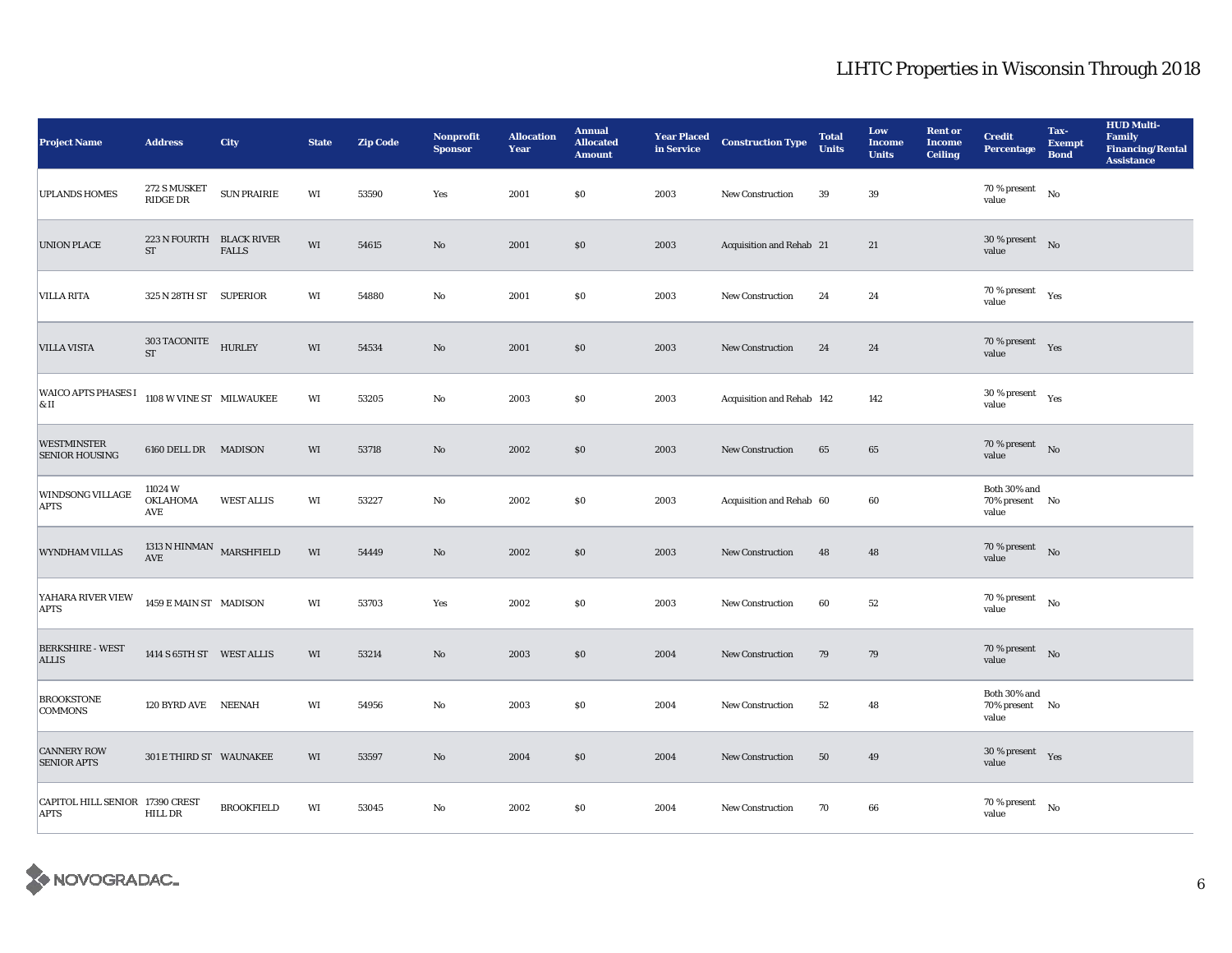| <b>Project Name</b>                            | <b>Address</b>                                   | <b>City</b>        | <b>State</b>           | <b>Zip Code</b> | Nonprofit<br><b>Sponsor</b> | <b>Allocation</b><br>Year | <b>Annual</b><br><b>Allocated</b><br><b>Amount</b> | <b>Year Placed<br/>in Service</b> | <b>Construction Type</b>  | <b>Total</b><br><b>Units</b> | Low<br><b>Income</b><br><b>Units</b> | <b>Rent or</b><br><b>Income</b><br><b>Ceiling</b> | <b>Credit</b><br><b>Percentage</b>         | Tax-<br><b>Exempt</b><br><b>Bond</b> | <b>HUD Multi-</b><br>Family<br><b>Financing/Rental</b><br><b>Assistance</b> |
|------------------------------------------------|--------------------------------------------------|--------------------|------------------------|-----------------|-----------------------------|---------------------------|----------------------------------------------------|-----------------------------------|---------------------------|------------------------------|--------------------------------------|---------------------------------------------------|--------------------------------------------|--------------------------------------|-----------------------------------------------------------------------------|
| <b>UPLANDS HOMES</b>                           | 272 S MUSKET<br><b>RIDGE DR</b>                  | <b>SUN PRAIRIE</b> | WI                     | 53590           | Yes                         | 2001                      | $\$0$                                              | 2003                              | <b>New Construction</b>   | 39                           | $\bf 39$                             |                                                   | 70 % present<br>value                      | No                                   |                                                                             |
| <b>UNION PLACE</b>                             | 223 N FOURTH BLACK RIVER<br><b>ST</b>            | <b>FALLS</b>       | WI                     | 54615           | No                          | 2001                      | \$0                                                | 2003                              | Acquisition and Rehab 21  |                              | 21                                   |                                                   | $30$ % present $\quad$ No $\quad$<br>value |                                      |                                                                             |
| <b>VILLA RITA</b>                              | 325 N 28TH ST SUPERIOR                           |                    | WI                     | 54880           | No                          | 2001                      | $\$0$                                              | 2003                              | <b>New Construction</b>   | 24                           | 24                                   |                                                   | 70 % present<br>value                      | Yes                                  |                                                                             |
| <b>VILLA VISTA</b>                             | 303 TACONITE<br>$\operatorname{ST}$              | <b>HURLEY</b>      | WI                     | 54534           | $\rm No$                    | 2001                      | $\$0$                                              | 2003                              | New Construction          | 24                           | 24                                   |                                                   | 70 % present $\rm_{Yes}$<br>value          |                                      |                                                                             |
| <b>WAICO APTS PHASES I</b><br>$\&$ II          | 1108 W VINE ST MILWAUKEE                         |                    | $\mathbf{W}\mathbf{I}$ | 53205           | No                          | 2003                      | $\$0$                                              | 2003                              | Acquisition and Rehab 142 |                              | 142                                  |                                                   | 30 % present $\rm_{Yes}$<br>value          |                                      |                                                                             |
| <b>WESTMINSTER</b><br><b>SENIOR HOUSING</b>    | 6160 DELL DR MADISON                             |                    | WI                     | 53718           | No                          | 2002                      | \$0                                                | 2003                              | <b>New Construction</b>   | 65                           | 65                                   |                                                   | $70\%$ present No<br>value                 |                                      |                                                                             |
| <b>WINDSONG VILLAGE</b><br><b>APTS</b>         | 11024W<br>OKLAHOMA<br>AVE                        | <b>WEST ALLIS</b>  | WI                     | 53227           | No                          | 2002                      | $\$0$                                              | 2003                              | Acquisition and Rehab 60  |                              | 60                                   |                                                   | Both 30% and<br>70% present No<br>value    |                                      |                                                                             |
| <b>WYNDHAM VILLAS</b>                          | $1313$ N HINMAN $$\tt MARSHFIELD$$<br><b>AVE</b> |                    | WI                     | 54449           | No                          | 2002                      | \$0                                                | 2003                              | <b>New Construction</b>   | 48                           | 48                                   |                                                   | 70 % present $\qquad$ No<br>value          |                                      |                                                                             |
| YAHARA RIVER VIEW<br><b>APTS</b>               | 1459 E MAIN ST MADISON                           |                    | $\mathbf{W}\mathbf{I}$ | 53703           | Yes                         | 2002                      | $\$0$                                              | 2003                              | New Construction          | 60                           | $^{\rm 52}$                          |                                                   | 70 % present<br>value                      | $_{\rm No}$                          |                                                                             |
| <b>BERKSHIRE - WEST</b><br><b>ALLIS</b>        | 1414 S 65TH ST WEST ALLIS                        |                    | WI                     | 53214           | No                          | 2003                      | \$0                                                | 2004                              | <b>New Construction</b>   | 79                           | 79                                   |                                                   | 70 % present $\qquad$ No<br>value          |                                      |                                                                             |
| <b>BROOKSTONE</b><br><b>COMMONS</b>            | 120 BYRD AVE NEENAH                              |                    | WI                     | 54956           | No                          | 2003                      | $\$0$                                              | 2004                              | New Construction          | 52                           | 48                                   |                                                   | Both 30% and<br>70% present No<br>value    |                                      |                                                                             |
| <b>CANNERY ROW</b><br><b>SENIOR APTS</b>       | 301 E THIRD ST WAUNAKEE                          |                    | WI                     | 53597           | No                          | 2004                      | \$0                                                | 2004                              | <b>New Construction</b>   | 50                           | 49                                   |                                                   | $30$ % present $\quad$ Yes<br>value        |                                      |                                                                             |
| CAPITOL HILL SENIOR 17390 CREST<br><b>APTS</b> | HILL DR                                          | <b>BROOKFIELD</b>  | WI                     | 53045           | No                          | 2002                      | \$0                                                | 2004                              | <b>New Construction</b>   | 70                           | 66                                   |                                                   | 70 % present<br>value                      | No                                   |                                                                             |

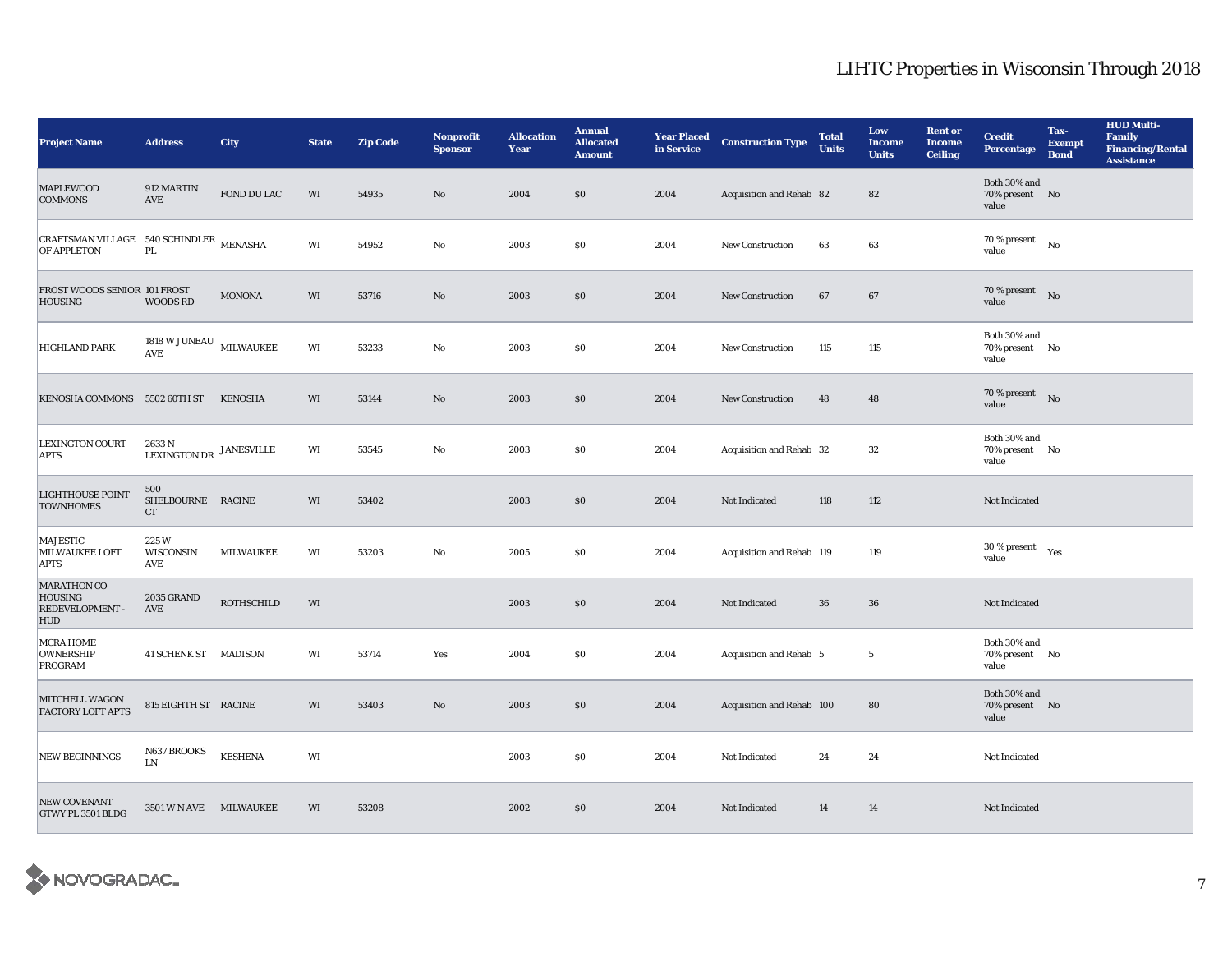| <b>Project Name</b>                                            | <b>Address</b>                                     | City              | <b>State</b> | <b>Zip Code</b> | Nonprofit<br><b>Sponsor</b> | <b>Allocation</b><br>Year | <b>Annual</b><br><b>Allocated</b><br><b>Amount</b> | <b>Year Placed</b><br>in Service | <b>Construction Type</b>  | <b>Total</b><br><b>Units</b> | Low<br><b>Income</b><br><b>Units</b> | <b>Rent or</b><br><b>Income</b><br><b>Ceiling</b> | <b>Credit</b><br><b>Percentage</b>      | Tax-<br><b>Exempt</b><br><b>Bond</b> | <b>HUD Multi-</b><br><b>Family</b><br><b>Financing/Rental</b><br><b>Assistance</b> |
|----------------------------------------------------------------|----------------------------------------------------|-------------------|--------------|-----------------|-----------------------------|---------------------------|----------------------------------------------------|----------------------------------|---------------------------|------------------------------|--------------------------------------|---------------------------------------------------|-----------------------------------------|--------------------------------------|------------------------------------------------------------------------------------|
| <b>MAPLEWOOD</b><br><b>COMMONS</b>                             | 912 MARTIN<br>AVE                                  | FOND DU LAC       | WI           | 54935           | $\mathbf{No}$               | 2004                      | \$0\$                                              | 2004                             | Acquisition and Rehab 82  |                              | 82                                   |                                                   | Both 30% and<br>70% present No<br>value |                                      |                                                                                    |
| CRAFTSMAN VILLAGE 540 SCHINDLER MENASHA<br>OF APPLETON         | PL.                                                |                   | WI           | 54952           | No                          | 2003                      | \$0\$                                              | 2004                             | <b>New Construction</b>   | 63                           | 63                                   |                                                   | 70 % present<br>value                   | $\mathbf{N}\mathbf{o}$               |                                                                                    |
| FROST WOODS SENIOR 101 FROST<br><b>HOUSING</b>                 | <b>WOODS RD</b>                                    | <b>MONONA</b>     | WI           | 53716           | $\mathbf{No}$               | 2003                      | $\$0$                                              | 2004                             | <b>New Construction</b>   | 67                           | 67                                   |                                                   | 70 % present<br>value                   | No                                   |                                                                                    |
| <b>HIGHLAND PARK</b>                                           | 1818 W JUNEAU<br>AVE                               | <b>MILWAUKEE</b>  | WI           | 53233           | No                          | 2003                      | $\$0$                                              | 2004                             | <b>New Construction</b>   | 115                          | 115                                  |                                                   | Both 30% and<br>70% present No<br>value |                                      |                                                                                    |
| KENOSHA COMMONS 5502 60TH ST                                   |                                                    | <b>KENOSHA</b>    | WI           | 53144           | No                          | 2003                      | \$0\$                                              | 2004                             | <b>New Construction</b>   | 48                           | 48                                   |                                                   | $70\%$ present No<br>value              |                                      |                                                                                    |
| LEXINGTON COURT<br><b>APTS</b>                                 | 2633 N<br>${\rm LEXINGTON\,DR}$ ${\rm JANESVILLE}$ |                   | WI           | 53545           | No                          | 2003                      | \$0                                                | 2004                             | Acquisition and Rehab 32  |                              | $32\,$                               |                                                   | Both 30% and<br>70% present No<br>value |                                      |                                                                                    |
| <b>LIGHTHOUSE POINT</b><br><b>TOWNHOMES</b>                    | 500<br>SHELBOURNE RACINE<br>CT                     |                   | WI           | 53402           |                             | 2003                      | $\$0$                                              | 2004                             | Not Indicated             | 118                          | 112                                  |                                                   | Not Indicated                           |                                      |                                                                                    |
| <b>MAJESTIC</b><br><b>MILWAUKEE LOFT</b><br><b>APTS</b>        | 225W<br><b>WISCONSIN</b><br>AVE                    | <b>MILWAUKEE</b>  | WI           | 53203           | No                          | 2005                      | \$0                                                | 2004                             | Acquisition and Rehab 119 |                              | 119                                  |                                                   | 30 % present<br>value                   | Yes                                  |                                                                                    |
| <b>MARATHON CO</b><br><b>HOUSING</b><br>REDEVELOPMENT -<br>HUD | 2035 GRAND<br>AVE                                  | <b>ROTHSCHILD</b> | WI           |                 |                             | 2003                      | \$0                                                | 2004                             | Not Indicated             | 36                           | 36                                   |                                                   | Not Indicated                           |                                      |                                                                                    |
| <b>MCRA HOME</b><br><b>OWNERSHIP</b><br>PROGRAM                | 41 SCHENK ST MADISON                               |                   | WI           | 53714           | Yes                         | 2004                      | $\$0$                                              | 2004                             | Acquisition and Rehab 5   |                              | $5\phantom{.0}$                      |                                                   | Both 30% and<br>70% present No<br>value |                                      |                                                                                    |
| <b>MITCHELL WAGON</b><br><b>FACTORY LOFT APTS</b>              | 815 EIGHTH ST RACINE                               |                   | WI           | 53403           | $\mathbf{No}$               | 2003                      | \$0                                                | 2004                             | Acquisition and Rehab 100 |                              | 80                                   |                                                   | Both 30% and<br>70% present No<br>value |                                      |                                                                                    |
| <b>NEW BEGINNINGS</b>                                          | N637 BROOKS<br>${\rm LN}$                          | <b>KESHENA</b>    | WI           |                 |                             | 2003                      | \$0                                                | 2004                             | Not Indicated             | 24                           | 24                                   |                                                   | Not Indicated                           |                                      |                                                                                    |
| <b>NEW COVENANT</b><br>GTWY PL 3501 BLDG                       | 3501 W N AVE MILWAUKEE                             |                   | WI           | 53208           |                             | 2002                      | \$0                                                | 2004                             | Not Indicated             | 14                           | 14                                   |                                                   | Not Indicated                           |                                      |                                                                                    |

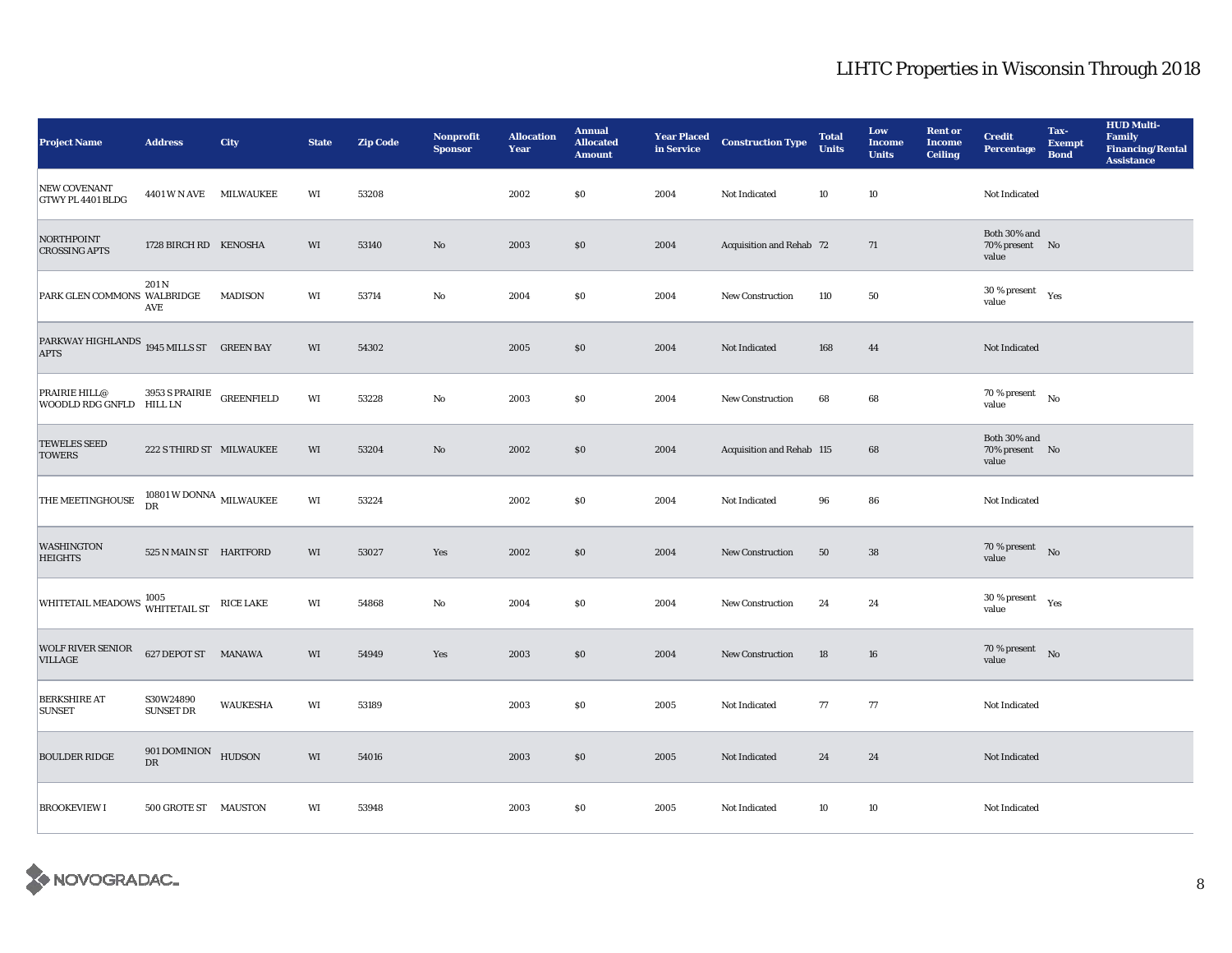| <b>Project Name</b>                                      | <b>Address</b>                           | City             | <b>State</b> | <b>Zip Code</b> | Nonprofit<br><b>Sponsor</b> | <b>Allocation</b><br>Year | <b>Annual</b><br><b>Allocated</b><br><b>Amount</b> | <b>Year Placed<br/>in Service</b> | <b>Construction Type</b>  | <b>Total</b><br><b>Units</b> | Low<br><b>Income</b><br><b>Units</b> | <b>Rent</b> or<br><b>Income</b><br><b>Ceiling</b> | <b>Credit</b><br><b>Percentage</b>      | Tax-<br><b>Exempt</b><br><b>Bond</b> | <b>HUD Multi-</b><br><b>Family</b><br><b>Financing/Rental</b><br><b>Assistance</b> |
|----------------------------------------------------------|------------------------------------------|------------------|--------------|-----------------|-----------------------------|---------------------------|----------------------------------------------------|-----------------------------------|---------------------------|------------------------------|--------------------------------------|---------------------------------------------------|-----------------------------------------|--------------------------------------|------------------------------------------------------------------------------------|
| NEW COVENANT<br>GTWY PL 4401 BLDG                        | 4401 W N AVE MILWAUKEE                   |                  | WI           | 53208           |                             | 2002                      | \$0                                                | 2004                              | Not Indicated             | 10                           | $10\,$                               |                                                   | Not Indicated                           |                                      |                                                                                    |
| <b>NORTHPOINT</b><br><b>CROSSING APTS</b>                | 1728 BIRCH RD KENOSHA                    |                  | WI           | 53140           | No                          | 2003                      | \$0                                                | 2004                              | Acquisition and Rehab 72  |                              | 71                                   |                                                   | Both 30% and<br>70% present No<br>value |                                      |                                                                                    |
| PARK GLEN COMMONS WALBRIDGE                              | 201 N<br>AVE                             | <b>MADISON</b>   | WI           | 53714           | No                          | 2004                      | $\$0$                                              | 2004                              | New Construction          | 110                          | 50                                   |                                                   | 30 % present<br>value                   | Yes                                  |                                                                                    |
| PARKWAY HIGHLANDS 1945 MILLS ST GREEN BAY<br><b>APTS</b> |                                          |                  | WI           | 54302           |                             | 2005                      | $\$0$                                              | 2004                              | Not Indicated             | 168                          | $\bf 44$                             |                                                   | Not Indicated                           |                                      |                                                                                    |
| PRAIRIE HILL@<br>WOODLD RDG GNFLD HILL LN                | 3953 S PRAIRIE GREENFIELD                |                  | WI           | 53228           | No                          | 2003                      | $\$0$                                              | 2004                              | <b>New Construction</b>   | 68                           | 68                                   |                                                   | $70$ % present $$\rm{No}$$<br>value     |                                      |                                                                                    |
| <b>TEWELES SEED</b><br><b>TOWERS</b>                     | 222 S THIRD ST MILWAUKEE                 |                  | WI           | 53204           | $\mathbf{No}$               | 2002                      | \$0                                                | 2004                              | Acquisition and Rehab 115 |                              | 68                                   |                                                   | Both 30% and<br>70% present No<br>value |                                      |                                                                                    |
| THE MEETINGHOUSE                                         | 10801 W DONNA $_{\rm \,MILWAUKEE}$<br>DR |                  | WI           | 53224           |                             | 2002                      | $\$0$                                              | 2004                              | Not Indicated             | 96                           | 86                                   |                                                   | Not Indicated                           |                                      |                                                                                    |
| <b>WASHINGTON</b><br><b>HEIGHTS</b>                      | 525 N MAIN ST HARTFORD                   |                  | WI           | 53027           | Yes                         | 2002                      | $\$0$                                              | 2004                              | New Construction          | 50                           | 38                                   |                                                   | $70\,\%$ present $$$ No $$$<br>value    |                                      |                                                                                    |
| WHITETAIL MEADOWS 1005<br>WHITETAIL ST                   |                                          | <b>RICE LAKE</b> | WI           | 54868           | No                          | 2004                      | \$0                                                | 2004                              | <b>New Construction</b>   | 24                           | 24                                   |                                                   | 30 % present<br>value                   | Yes                                  |                                                                                    |
| <b>WOLF RIVER SENIOR</b><br><b>VILLAGE</b>               | 627 DEPOT ST MANAWA                      |                  | WI           | 54949           | Yes                         | 2003                      | \$0                                                | 2004                              | <b>New Construction</b>   | 18                           | $16\,$                               |                                                   | $70\%$ present No<br>value              |                                      |                                                                                    |
| <b>BERKSHIRE AT</b><br><b>SUNSET</b>                     | S30W24890<br><b>SUNSET DR</b>            | <b>WAUKESHA</b>  | WI           | 53189           |                             | 2003                      | $\$0$                                              | 2005                              | Not Indicated             | 77                           | $77\,$                               |                                                   | Not Indicated                           |                                      |                                                                                    |
| <b>BOULDER RIDGE</b>                                     | 901 DOMINION<br>DR                       | <b>HUDSON</b>    | WI           | 54016           |                             | 2003                      | \$0                                                | 2005                              | Not Indicated             | 24                           | 24                                   |                                                   | Not Indicated                           |                                      |                                                                                    |
| <b>BROOKEVIEW I</b>                                      | 500 GROTE ST MAUSTON                     |                  | WI           | 53948           |                             | 2003                      | \$0                                                | 2005                              | Not Indicated             | 10                           | 10                                   |                                                   | Not Indicated                           |                                      |                                                                                    |

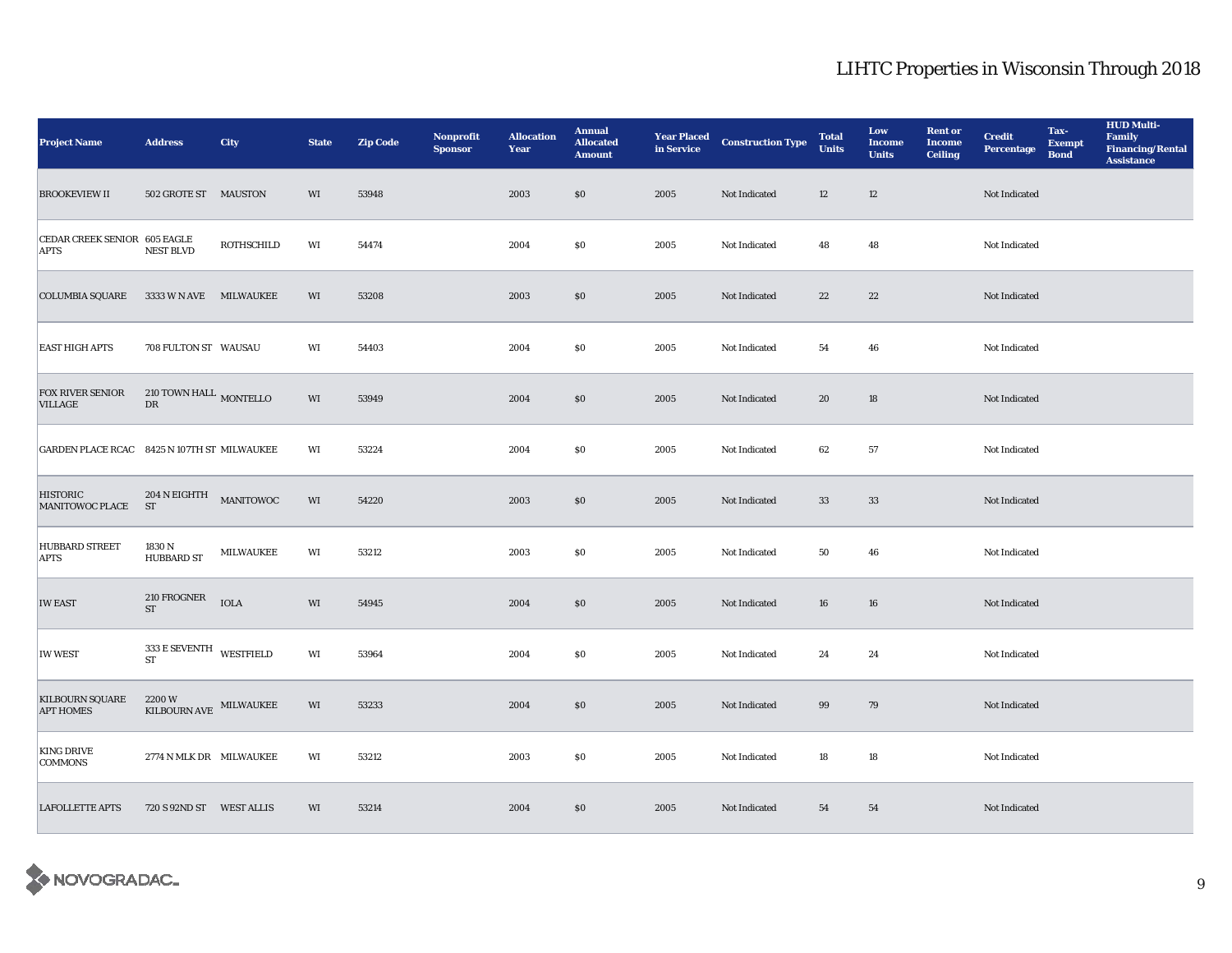| <b>Project Name</b>                         | <b>Address</b>                           | City             | <b>State</b> | <b>Zip Code</b> | Nonprofit<br><b>Sponsor</b> | <b>Allocation</b><br>Year | <b>Annual</b><br><b>Allocated</b><br><b>Amount</b> | <b>Year Placed<br/>in Service</b> | <b>Construction Type</b> | <b>Total</b><br><b>Units</b> | Low<br><b>Income</b><br><b>Units</b> | <b>Rent or</b><br><b>Income</b><br><b>Ceiling</b> | <b>Credit</b><br><b>Percentage</b> | Tax-<br><b>Exempt</b><br><b>Bond</b> | <b>HUD Multi-</b><br><b>Family</b><br><b>Financing/Rental</b><br><b>Assistance</b> |
|---------------------------------------------|------------------------------------------|------------------|--------------|-----------------|-----------------------------|---------------------------|----------------------------------------------------|-----------------------------------|--------------------------|------------------------------|--------------------------------------|---------------------------------------------------|------------------------------------|--------------------------------------|------------------------------------------------------------------------------------|
| <b>BROOKEVIEW II</b>                        | 502 GROTE ST MAUSTON                     |                  | WI           | 53948           |                             | 2003                      | $\$0$                                              | 2005                              | Not Indicated            | 12                           | $12\,$                               |                                                   | Not Indicated                      |                                      |                                                                                    |
| CEDAR CREEK SENIOR 605 EAGLE<br>APTS        | <b>NEST BLVD</b>                         | ROTHSCHILD       | WI           | 54474           |                             | 2004                      | \$0\$                                              | 2005                              | Not Indicated            | 48                           | 48                                   |                                                   | Not Indicated                      |                                      |                                                                                    |
| <b>COLUMBIA SQUARE</b>                      | 3333 W N AVE MILWAUKEE                   |                  | WI           | 53208           |                             | 2003                      | $\$0$                                              | 2005                              | Not Indicated            | $22\,$                       | 22                                   |                                                   | Not Indicated                      |                                      |                                                                                    |
| <b>EAST HIGH APTS</b>                       | 708 FULTON ST WAUSAU                     |                  | WI           | 54403           |                             | 2004                      | $\$0$                                              | 2005                              | Not Indicated            | 54                           | 46                                   |                                                   | Not Indicated                      |                                      |                                                                                    |
| <b>FOX RIVER SENIOR</b><br><b>VILLAGE</b>   | $210$ TOWN HALL $\,$ MONTELLO $\,$<br>DR |                  | WI           | 53949           |                             | 2004                      | $\$0$                                              | 2005                              | Not Indicated            | 20                           | 18                                   |                                                   | Not Indicated                      |                                      |                                                                                    |
| GARDEN PLACE RCAC 8425 N 107TH ST MILWAUKEE |                                          |                  | WI           | 53224           |                             | 2004                      | \$0\$                                              | 2005                              | Not Indicated            | 62                           | 57                                   |                                                   | Not Indicated                      |                                      |                                                                                    |
| <b>HISTORIC</b><br><b>MANITOWOC PLACE</b>   | 204 N EIGHTH<br>ST                       | MANITOWOC        | WI           | 54220           |                             | 2003                      | $\$0$                                              | 2005                              | Not Indicated            | 33                           | 33                                   |                                                   | Not Indicated                      |                                      |                                                                                    |
| <b>HUBBARD STREET</b><br><b>APTS</b>        | 1830 N<br><b>HUBBARD ST</b>              | <b>MILWAUKEE</b> | WI           | 53212           |                             | 2003                      | \$0                                                | 2005                              | Not Indicated            | 50                           | 46                                   |                                                   | Not Indicated                      |                                      |                                                                                    |
| <b>IW EAST</b>                              | 210 FROGNER<br>$\operatorname{ST}$       | <b>IOLA</b>      | WI           | 54945           |                             | 2004                      | \$0                                                | 2005                              | Not Indicated            | 16                           | 16                                   |                                                   | Not Indicated                      |                                      |                                                                                    |
| <b>IW WEST</b>                              | 333 E SEVENTH WESTFIELD<br>${\rm ST}$    |                  | WI           | 53964           |                             | 2004                      | $\$0$                                              | 2005                              | Not Indicated            | 24                           | 24                                   |                                                   | Not Indicated                      |                                      |                                                                                    |
| <b>KILBOURN SQUARE</b><br><b>APT HOMES</b>  | 2200W<br>KILBOURN AVE MILWAUKEE          |                  | WI           | 53233           |                             | 2004                      | \$0                                                | 2005                              | Not Indicated            | 99                           | 79                                   |                                                   | Not Indicated                      |                                      |                                                                                    |
| <b>KING DRIVE</b><br><b>COMMONS</b>         | 2774 N MLK DR MILWAUKEE                  |                  | WI           | 53212           |                             | 2003                      | $\$0$                                              | 2005                              | Not Indicated            | 18                           | 18                                   |                                                   | Not Indicated                      |                                      |                                                                                    |
| <b>LAFOLLETTE APTS</b>                      | 720 S 92ND ST WEST ALLIS                 |                  | WI           | 53214           |                             | 2004                      | \$0                                                | 2005                              | Not Indicated            | 54                           | 54                                   |                                                   | Not Indicated                      |                                      |                                                                                    |

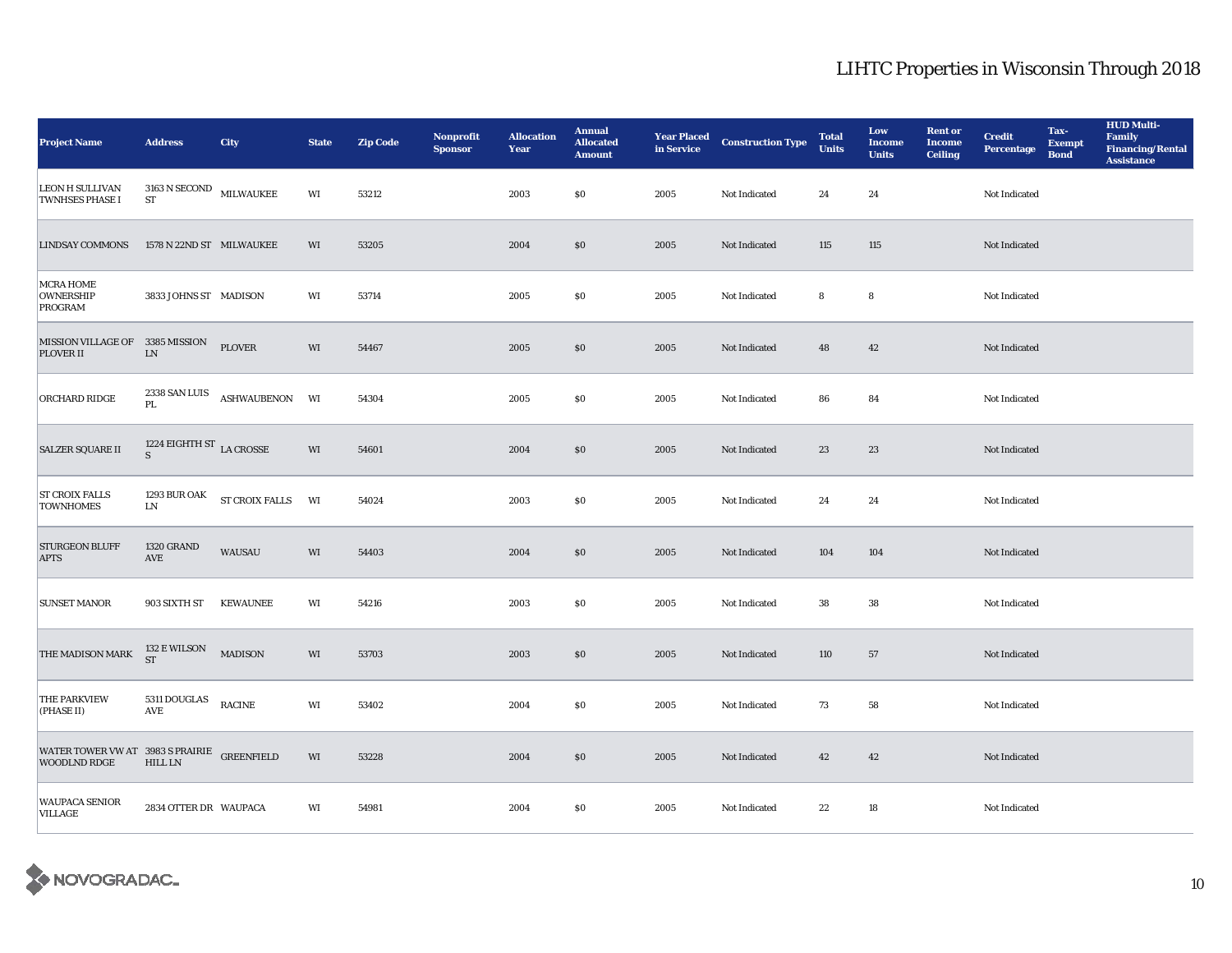| <b>Project Name</b>                                                | <b>Address</b>                                                       | City                                           | <b>State</b> | <b>Zip Code</b> | Nonprofit<br><b>Sponsor</b> | <b>Allocation</b><br>Year | <b>Annual</b><br><b>Allocated</b><br><b>Amount</b> | <b>Year Placed<br/>in Service</b> | <b>Construction Type</b> | <b>Total</b><br><b>Units</b> | Low<br><b>Income</b><br><b>Units</b> | <b>Rent or</b><br><b>Income</b><br><b>Ceiling</b> | <b>Credit</b><br><b>Percentage</b> | Tax-<br><b>Exempt</b><br><b>Bond</b> | <b>HUD Multi-</b><br>Family<br><b>Financing/Rental</b><br><b>Assistance</b> |
|--------------------------------------------------------------------|----------------------------------------------------------------------|------------------------------------------------|--------------|-----------------|-----------------------------|---------------------------|----------------------------------------------------|-----------------------------------|--------------------------|------------------------------|--------------------------------------|---------------------------------------------------|------------------------------------|--------------------------------------|-----------------------------------------------------------------------------|
| <b>LEON H SULLIVAN</b><br><b>TWNHSES PHASE I</b>                   | 3163 N SECOND<br>ST                                                  | MILWAUKEE                                      | WI           | 53212           |                             | 2003                      | $\$0$                                              | 2005                              | Not Indicated            | 24                           | $\bf 24$                             |                                                   | Not Indicated                      |                                      |                                                                             |
| <b>LINDSAY COMMONS</b>                                             | 1578 N 22ND ST MILWAUKEE                                             |                                                | WI           | 53205           |                             | 2004                      | $\$0$                                              | 2005                              | Not Indicated            | 115                          | 115                                  |                                                   | Not Indicated                      |                                      |                                                                             |
| <b>MCRA HOME</b><br><b>OWNERSHIP</b><br>PROGRAM                    | 3833 JOHNS ST MADISON                                                |                                                | WI           | 53714           |                             | 2005                      | $\$0$                                              | 2005                              | Not Indicated            | 8                            | 8                                    |                                                   | Not Indicated                      |                                      |                                                                             |
| MISSION VILLAGE OF $\;$ 3385 MISSION<br>PLOVER II                  | ${\rm LN}$                                                           | <b>PLOVER</b>                                  | WI           | 54467           |                             | 2005                      | $\$0$                                              | 2005                              | Not Indicated            | 48                           | 42                                   |                                                   | Not Indicated                      |                                      |                                                                             |
| ORCHARD RIDGE                                                      | PL.                                                                  | $2338$ SAN LUIS $\quad$ ASHWAUBENON $\quad$ WI |              | 54304           |                             | 2005                      | \$0                                                | 2005                              | Not Indicated            | 86                           | 84                                   |                                                   | Not Indicated                      |                                      |                                                                             |
| <b>SALZER SQUARE II</b>                                            | 1224 EIGHTH ST $_{\rm LA}$ CROSSE<br>S                               |                                                | WI           | 54601           |                             | 2004                      | \$0                                                | 2005                              | Not Indicated            | 23                           | 23                                   |                                                   | Not Indicated                      |                                      |                                                                             |
| <b>ST CROIX FALLS</b><br><b>TOWNHOMES</b>                          | 1293 BUR OAK<br>${\rm LN}$                                           | ST CROIX FALLS WI                              |              | 54024           |                             | 2003                      | $\$0$                                              | 2005                              | Not Indicated            | 24                           | 24                                   |                                                   | Not Indicated                      |                                      |                                                                             |
| <b>STURGEON BLUFF</b><br><b>APTS</b>                               | 1320 GRAND<br>AVE                                                    | WAUSAU                                         | WI           | 54403           |                             | 2004                      | $\$0$                                              | 2005                              | Not Indicated            | 104                          | 104                                  |                                                   | Not Indicated                      |                                      |                                                                             |
| <b>SUNSET MANOR</b>                                                | 903 SIXTH ST                                                         | <b>KEWAUNEE</b>                                | WI           | 54216           |                             | 2003                      | \$0                                                | 2005                              | Not Indicated            | 38                           | 38                                   |                                                   | Not Indicated                      |                                      |                                                                             |
| THE MADISON MARK                                                   | 132 E WILSON<br><b>ST</b>                                            | <b>MADISON</b>                                 | WI           | 53703           |                             | 2003                      | \$0                                                | 2005                              | Not Indicated            | 110                          | 57                                   |                                                   | Not Indicated                      |                                      |                                                                             |
| <b>THE PARKVIEW</b><br>(PHASE II)                                  | $5311\, \mathsf{D}\mathsf{O}\mathsf{U}\mathsf{GL}\mathsf{AS}$<br>AVE | <b>RACINE</b>                                  | WI           | 53402           |                             | 2004                      | \$0                                                | 2005                              | Not Indicated            | 73                           | 58                                   |                                                   | Not Indicated                      |                                      |                                                                             |
| WATER TOWER VW AT 3983 S PRAIRIE GREENFIELD<br><b>WOODLND RDGE</b> | <b>HILL LN</b>                                                       |                                                | WI           | 53228           |                             | 2004                      | \$0                                                | 2005                              | Not Indicated            | 42                           | 42                                   |                                                   | Not Indicated                      |                                      |                                                                             |
| <b>WAUPACA SENIOR</b><br><b>VILLAGE</b>                            | 2834 OTTER DR WAUPACA                                                |                                                | WI           | 54981           |                             | 2004                      | $\$0$                                              | 2005                              | Not Indicated            | $22\,$                       | 18                                   |                                                   | Not Indicated                      |                                      |                                                                             |

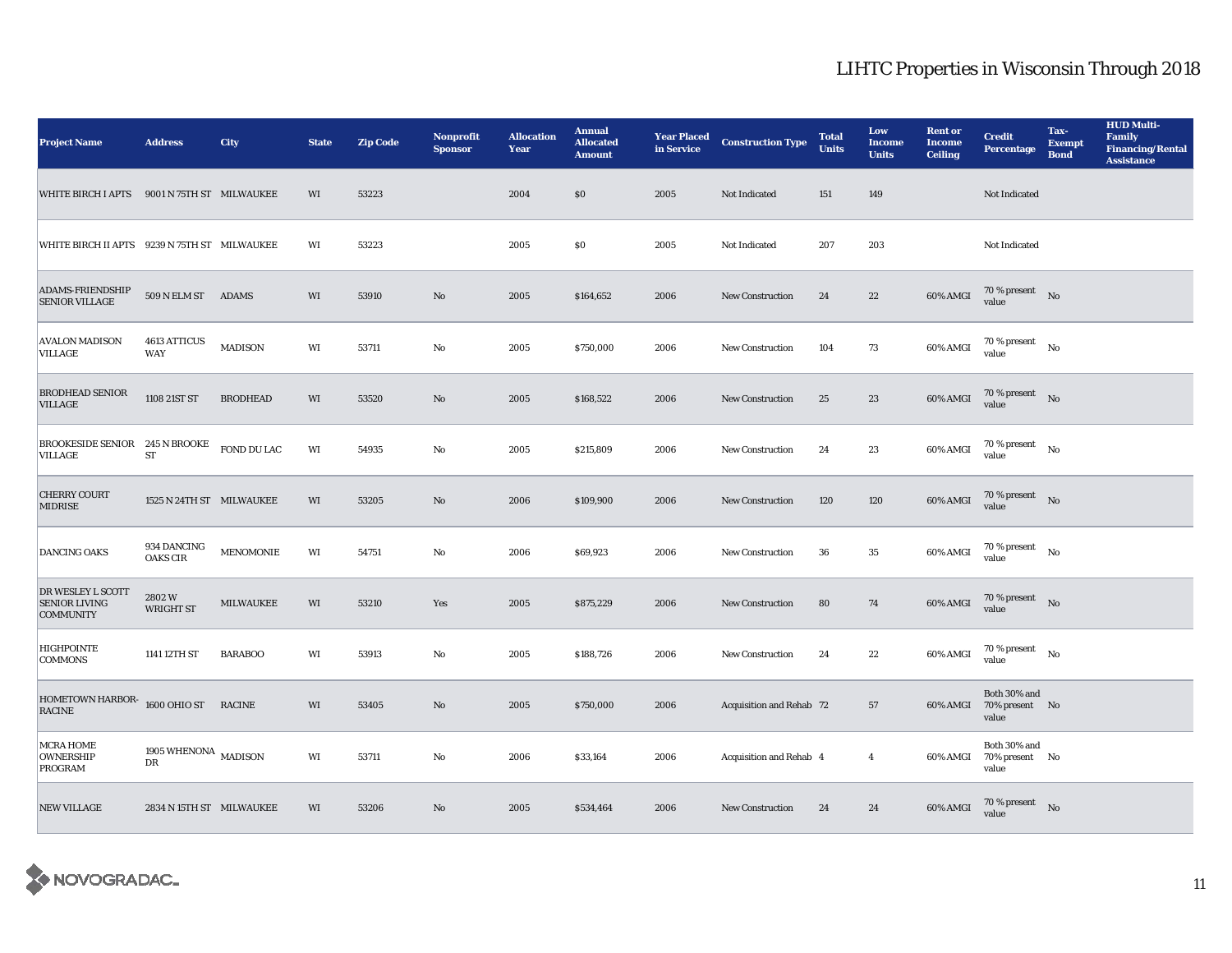| <b>Project Name</b>                                           | <b>Address</b>                              | City             | <b>State</b> | <b>Zip Code</b> | <b>Nonprofit</b><br><b>Sponsor</b> | <b>Allocation</b><br>Year | <b>Annual</b><br><b>Allocated</b><br><b>Amount</b> | <b>Year Placed</b><br>in Service | <b>Construction Type</b>        | <b>Total</b><br><b>Units</b> | Low<br><b>Income</b><br><b>Units</b> | <b>Rent or</b><br><b>Income</b><br><b>Ceiling</b> | <b>Credit</b><br><b>Percentage</b>          | Tax-<br><b>Exempt</b><br><b>Bond</b> | <b>HUD Multi-</b><br>Family<br><b>Financing/Rental</b><br><b>Assistance</b> |
|---------------------------------------------------------------|---------------------------------------------|------------------|--------------|-----------------|------------------------------------|---------------------------|----------------------------------------------------|----------------------------------|---------------------------------|------------------------------|--------------------------------------|---------------------------------------------------|---------------------------------------------|--------------------------------------|-----------------------------------------------------------------------------|
| WHITE BIRCH I APTS 9001 N 75TH ST MILWAUKEE                   |                                             |                  | WI           | 53223           |                                    | 2004                      | \$0                                                | 2005                             | Not Indicated                   | 151                          | 149                                  |                                                   | Not Indicated                               |                                      |                                                                             |
| WHITE BIRCH II APTS 9239 N 75TH ST MILWAUKEE                  |                                             |                  | WI           | 53223           |                                    | 2005                      | \$0                                                | 2005                             | Not Indicated                   | 207                          | 203                                  |                                                   | Not Indicated                               |                                      |                                                                             |
| <b>ADAMS-FRIENDSHIP</b><br><b>SENIOR VILLAGE</b>              | 509 N ELM ST ADAMS                          |                  | WI           | 53910           | $\mathbf{No}$                      | 2005                      | \$164,652                                          | 2006                             | New Construction                | 24                           | 22                                   | 60% AMGI                                          | $70$ % present $$\rm{No}$$<br>value         |                                      |                                                                             |
| <b>AVALON MADISON</b><br><b>VILLAGE</b>                       | <b>4613 ATTICUS</b><br><b>WAY</b>           | <b>MADISON</b>   | WI           | 53711           | No                                 | 2005                      | \$750,000                                          | 2006                             | <b>New Construction</b>         | 104                          | 73                                   | 60% AMGI                                          | $70$ % present $$N{\rm o}$$<br>value        |                                      |                                                                             |
| <b>BRODHEAD SENIOR</b><br><b>VILLAGE</b>                      | 1108 21ST ST                                | <b>BRODHEAD</b>  | WI           | 53520           | No                                 | 2005                      | \$168,522                                          | 2006                             | <b>New Construction</b>         | 25                           | 23                                   | 60% AMGI                                          | $70\,\%$ present $$$ No $$$<br>value        |                                      |                                                                             |
| BROOKESIDE SENIOR 245 N BROOKE<br><b>VILLAGE</b>              | ${\rm ST}$                                  | FOND DU LAC      | WI           | 54935           | No                                 | 2005                      | \$215,809                                          | 2006                             | <b>New Construction</b>         | 24                           | 23                                   | 60% AMGI                                          | $70$ % present $\quad$ No<br>value          |                                      |                                                                             |
| <b>CHERRY COURT</b><br><b>MIDRISE</b>                         | 1525 N 24TH ST MILWAUKEE                    |                  | WI           | 53205           | No                                 | 2006                      | \$109,900                                          | 2006                             | <b>New Construction</b>         | 120                          | 120                                  | 60% AMGI                                          | 70 % present $\qquad$ No<br>value           |                                      |                                                                             |
| <b>DANCING OAKS</b>                                           | 934 DANCING<br><b>OAKS CIR</b>              | <b>MENOMONIE</b> | WI           | 54751           | No                                 | 2006                      | \$69,923                                           | 2006                             | New Construction                | 36                           | 35                                   | 60% AMGI                                          | $70$ % present $\quad$ $_{\rm No}$<br>value |                                      |                                                                             |
| DR WESLEY L SCOTT<br><b>SENIOR LIVING</b><br><b>COMMUNITY</b> | 2802W<br><b>WRIGHT ST</b>                   | MILWAUKEE        | WI           | 53210           | Yes                                | 2005                      | \$875,229                                          | 2006                             | <b>New Construction</b>         | 80                           | 74                                   | 60% AMGI                                          | $70\,\%$ present $$$ No $$$<br>value        |                                      |                                                                             |
| <b>HIGHPOINTE</b><br><b>COMMONS</b>                           | 1141 12TH ST                                | <b>BARABOO</b>   | WI           | 53913           | No                                 | 2005                      | \$188,726                                          | 2006                             | New Construction                | 24                           | $22\,$                               | 60% AMGI                                          | $70$ % present $$N{\rm o}$$<br>value        |                                      |                                                                             |
| HOMETOWN HARBOR-<br><b>RACINE</b>                             | 1600 OHIO ST RACINE                         |                  | WI           | 53405           | No                                 | 2005                      | \$750,000                                          | 2006                             | <b>Acquisition and Rehab 72</b> |                              | 57                                   | 60% AMGI                                          | Both 30% and<br>70% present No<br>value     |                                      |                                                                             |
| <b>MCRA HOME</b><br><b>OWNERSHIP</b><br>PROGRAM               | 1905 WHENONA $_{\rm MADISON}$<br>${\rm DR}$ |                  | WI           | 53711           | No                                 | 2006                      | \$33,164                                           | 2006                             | Acquisition and Rehab 4         |                              | $\overline{4}$                       | 60% AMGI                                          | Both 30% and<br>70% present No<br>value     |                                      |                                                                             |
| <b>NEW VILLAGE</b>                                            | 2834 N 15TH ST MILWAUKEE                    |                  | WI           | 53206           | No                                 | 2005                      | \$534,464                                          | 2006                             | <b>New Construction</b>         | 24                           | 24                                   | 60% AMGI                                          | $70\,\%$ present $$$ No value               |                                      |                                                                             |

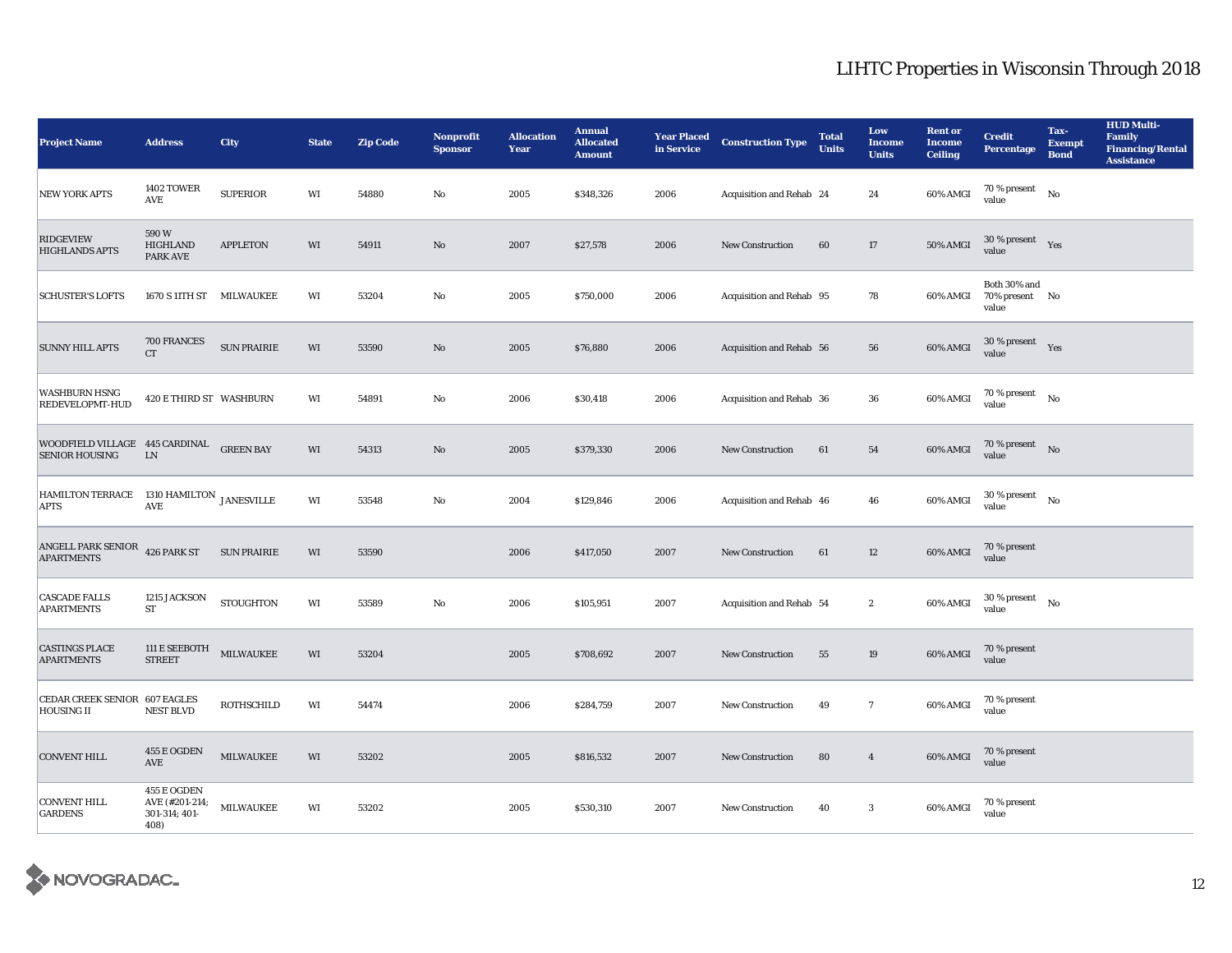| <b>Project Name</b>                                               | <b>Address</b>                                          | City               | <b>State</b>           | <b>Zip Code</b> | Nonprofit<br><b>Sponsor</b> | <b>Allocation</b><br>Year | <b>Annual</b><br><b>Allocated</b><br><b>Amount</b> | <b>Year Placed<br/>in Service</b> | <b>Construction Type</b> | <b>Total</b><br><b>Units</b> | Low<br><b>Income</b><br><b>Units</b> | <b>Rent</b> or<br><b>Income</b><br><b>Ceiling</b> | <b>Credit</b><br><b>Percentage</b>       | Tax-<br><b>Exempt</b><br><b>Bond</b> | <b>HUD Multi-</b><br>Family<br><b>Financing/Rental</b><br><b>Assistance</b> |
|-------------------------------------------------------------------|---------------------------------------------------------|--------------------|------------------------|-----------------|-----------------------------|---------------------------|----------------------------------------------------|-----------------------------------|--------------------------|------------------------------|--------------------------------------|---------------------------------------------------|------------------------------------------|--------------------------------------|-----------------------------------------------------------------------------|
| <b>NEW YORK APTS</b>                                              | <b>1402 TOWER</b><br>AVE                                | <b>SUPERIOR</b>    | WI                     | 54880           | No                          | 2005                      | \$348,326                                          | 2006                              | Acquisition and Rehab 24 |                              | 24                                   | 60% AMGI                                          | $70$ % present<br>value                  | No                                   |                                                                             |
| <b>RIDGEVIEW</b><br><b>HIGHLANDS APTS</b>                         | $590\,\mathrm{W}$<br><b>HIGHLAND</b><br><b>PARK AVE</b> | <b>APPLETON</b>    | WI                     | 54911           | No                          | 2007                      | \$27,578                                           | 2006                              | New Construction         | 60                           | 17                                   | <b>50% AMGI</b>                                   | 30 % present $\gamma_{\rm{ES}}$<br>value |                                      |                                                                             |
| <b>SCHUSTER'S LOFTS</b>                                           | 1670 S 11TH ST                                          | <b>MILWAUKEE</b>   | WI                     | 53204           | No                          | 2005                      | \$750,000                                          | 2006                              | Acquisition and Rehab 95 |                              | 78                                   | 60% AMGI                                          | Both 30% and<br>70% present No<br>value  |                                      |                                                                             |
| <b>SUNNY HILL APTS</b>                                            | 700 FRANCES<br><b>CT</b>                                | <b>SUN PRAIRIE</b> | WI                     | 53590           | $\mathbf{No}$               | 2005                      | \$76,880                                           | 2006                              | Acquisition and Rehab 56 |                              | 56                                   | 60% AMGI                                          | 30 % present $\gamma_{\rm{ES}}$<br>value |                                      |                                                                             |
| <b>WASHBURN HSNG</b><br>REDEVELOPMT-HUD                           | 420 E THIRD ST WASHBURN                                 |                    | WI                     | 54891           | No                          | 2006                      | \$30,418                                           | 2006                              | Acquisition and Rehab 36 |                              | 36                                   | 60% AMGI                                          | $70\%$ present $N_0$<br>value            |                                      |                                                                             |
| WOODFIELD VILLAGE 445 CARDINAL GREEN BAY<br><b>SENIOR HOUSING</b> | <b>LN</b>                                               |                    | WI                     | 54313           | No                          | 2005                      | \$379,330                                          | 2006                              | <b>New Construction</b>  | 61                           | 54                                   | 60% AMGI                                          | $70$ % present $\quad$ No<br>value       |                                      |                                                                             |
| HAMILTON TERRACE 1310 HAMILTON JANESVILLE<br><b>APTS</b>          | AVE                                                     |                    | WI                     | 53548           | No                          | 2004                      | \$129,846                                          | 2006                              | Acquisition and Rehab 46 |                              | 46                                   | 60% AMGI                                          | $30$ % present<br>value                  | No                                   |                                                                             |
| ANGELL PARK SENIOR 426 PARK ST<br><b>APARTMENTS</b>               |                                                         | <b>SUN PRAIRIE</b> | $\mathbf{W}\mathbf{I}$ | 53590           |                             | 2006                      | \$417,050                                          | 2007                              | New Construction         | 61                           | $12\,$                               | 60% AMGI                                          | 70 % present<br>value                    |                                      |                                                                             |
| <b>CASCADE FALLS</b><br><b>APARTMENTS</b>                         | 1215 JACKSON<br>ST                                      | <b>STOUGHTON</b>   | WI                     | 53589           | No                          | 2006                      | \$105,951                                          | 2007                              | Acquisition and Rehab 54 |                              | $\boldsymbol{2}$                     | 60% AMGI                                          | $30$ % present $$\rm{No}$$<br>value      |                                      |                                                                             |
| <b>CASTINGS PLACE</b><br><b>APARTMENTS</b>                        | 111 E SEEBOTH<br><b>STREET</b>                          | <b>MILWAUKEE</b>   | WI                     | 53204           |                             | 2005                      | \$708,692                                          | 2007                              | <b>New Construction</b>  | 55                           | 19                                   | 60% AMGI                                          | 70 % present<br>value                    |                                      |                                                                             |
| CEDAR CREEK SENIOR 607 EAGLES<br><b>HOUSING II</b>                | <b>NEST BLVD</b>                                        | <b>ROTHSCHILD</b>  | WI                     | 54474           |                             | 2006                      | \$284,759                                          | 2007                              | <b>New Construction</b>  | 49                           | $7\phantom{.0}$                      | 60% AMGI                                          | 70 % present<br>value                    |                                      |                                                                             |
| <b>CONVENT HILL</b>                                               | 455 E OGDEN<br>$\operatorname{AVE}$                     | <b>MILWAUKEE</b>   | WI                     | 53202           |                             | 2005                      | \$816,532                                          | 2007                              | <b>New Construction</b>  | 80                           | $\overline{4}$                       | 60% AMGI                                          | 70 % present<br>value                    |                                      |                                                                             |
| <b>CONVENT HILL</b><br><b>GARDENS</b>                             | 455 E OGDEN<br>AVE (#201-214;<br>301-314; 401-<br>408)  | MILWAUKEE          | WI                     | 53202           |                             | 2005                      | \$530,310                                          | 2007                              | <b>New Construction</b>  | 40                           | $\mathbf{3}$                         | 60% AMGI                                          | 70 % present<br>value                    |                                      |                                                                             |

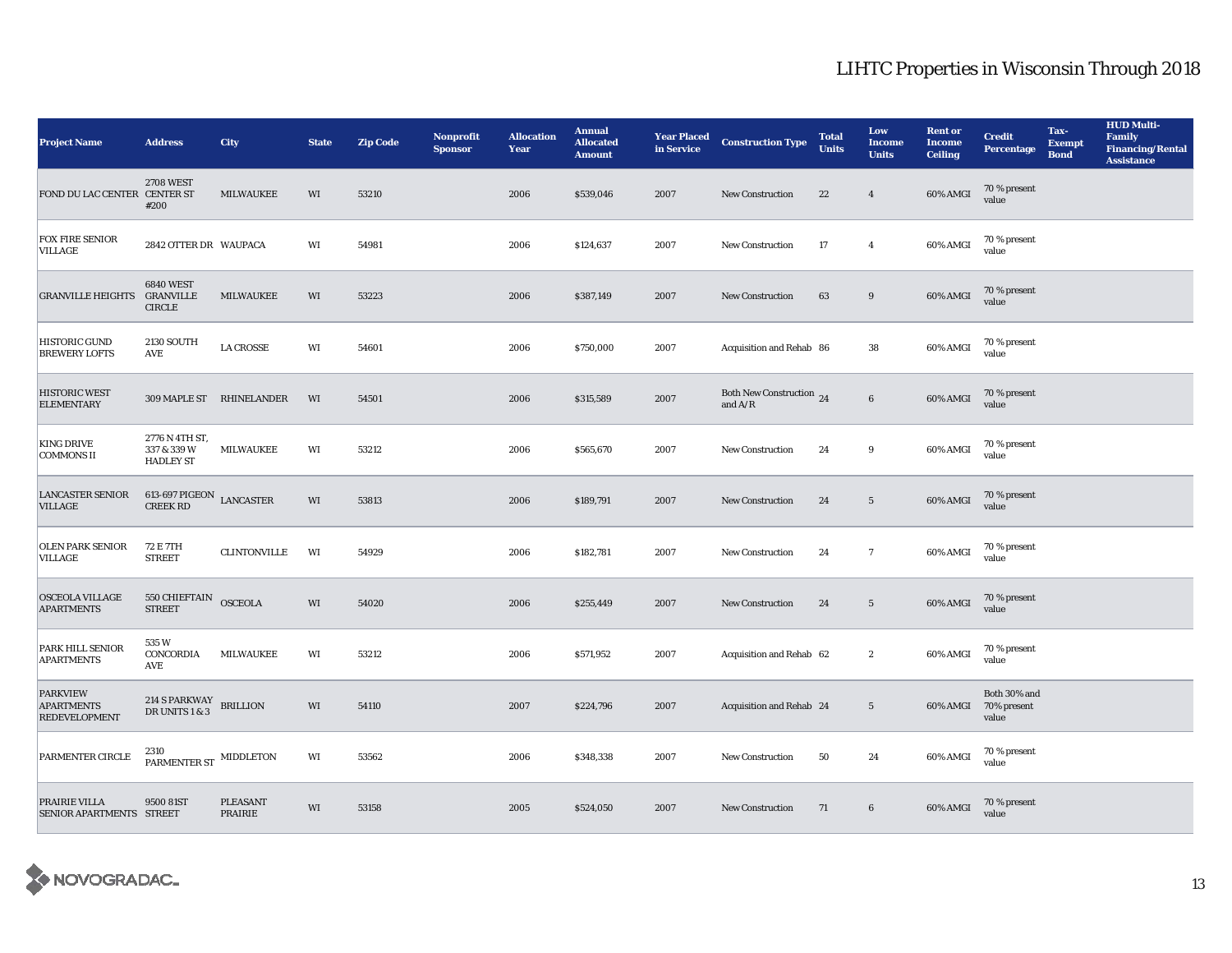| <b>Project Name</b>                                          | <b>Address</b>                                        | City                       | <b>State</b> | <b>Zip Code</b> | Nonprofit<br><b>Sponsor</b> | <b>Allocation</b><br>Year | <b>Annual</b><br><b>Allocated</b><br><b>Amount</b> | <b>Year Placed</b><br>in Service | <b>Construction Type</b>              | <b>Total</b><br><b>Units</b> | Low<br><b>Income</b><br><b>Units</b> | <b>Rent or</b><br><b>Income</b><br><b>Ceiling</b> | <b>Credit</b><br><b>Percentage</b>   | Tax-<br><b>Exempt</b><br><b>Bond</b> | <b>HUD Multi-</b><br>Family<br><b>Financing/Rental</b><br><b>Assistance</b> |
|--------------------------------------------------------------|-------------------------------------------------------|----------------------------|--------------|-----------------|-----------------------------|---------------------------|----------------------------------------------------|----------------------------------|---------------------------------------|------------------------------|--------------------------------------|---------------------------------------------------|--------------------------------------|--------------------------------------|-----------------------------------------------------------------------------|
| FOND DU LAC CENTER CENTER ST                                 | <b>2708 WEST</b><br>#200                              | MILWAUKEE                  | WI           | 53210           |                             | 2006                      | \$539,046                                          | 2007                             | <b>New Construction</b>               | $22\,$                       | $\overline{4}$                       | 60% AMGI                                          | 70 % present<br>value                |                                      |                                                                             |
| <b>FOX FIRE SENIOR</b><br><b>VILLAGE</b>                     | 2842 OTTER DR WAUPACA                                 |                            | WI           | 54981           |                             | 2006                      | \$124,637                                          | 2007                             | New Construction                      | 17                           | $\overline{4}$                       | 60% AMGI                                          | 70 % present<br>value                |                                      |                                                                             |
| <b>GRANVILLE HEIGHTS</b>                                     | <b>6840 WEST</b><br><b>GRANVILLE</b><br><b>CIRCLE</b> | <b>MILWAUKEE</b>           | WI           | 53223           |                             | 2006                      | \$387,149                                          | 2007                             | <b>New Construction</b>               | 63                           | $\boldsymbol{9}$                     | 60% AMGI                                          | 70 % present<br>value                |                                      |                                                                             |
| <b>HISTORIC GUND</b><br><b>BREWERY LOFTS</b>                 | <b>2130 SOUTH</b><br>AVE                              | <b>LA CROSSE</b>           | WI           | 54601           |                             | 2006                      | \$750,000                                          | 2007                             | Acquisition and Rehab 86              |                              | 38                                   | 60% AMGI                                          | 70 % present<br>value                |                                      |                                                                             |
| <b>HISTORIC WEST</b><br><b>ELEMENTARY</b>                    |                                                       | 309 MAPLE ST RHINELANDER   | WI           | 54501           |                             | 2006                      | \$315,589                                          | 2007                             | Both New Construction 24<br>and $A/R$ |                              | $6\phantom{.0}$                      | 60% AMGI                                          | 70 % present<br>value                |                                      |                                                                             |
| <b>KING DRIVE</b><br><b>COMMONS II</b>                       | 2776 N 4TH ST,<br>337 & 339 W<br><b>HADLEY ST</b>     | <b>MILWAUKEE</b>           | WI           | 53212           |                             | 2006                      | \$565,670                                          | 2007                             | <b>New Construction</b>               | 24                           | 9                                    | 60% AMGI                                          | 70 % present<br>value                |                                      |                                                                             |
| <b>LANCASTER SENIOR</b><br><b>VILLAGE</b>                    | 613-697 PIGEON LANCASTER<br><b>CREEK RD</b>           |                            | WI           | 53813           |                             | 2006                      | \$189,791                                          | 2007                             | <b>New Construction</b>               | 24                           | $5\phantom{.0}$                      | 60% AMGI                                          | 70 % present<br>value                |                                      |                                                                             |
| <b>OLEN PARK SENIOR</b><br><b>VILLAGE</b>                    | 72 E 7TH<br><b>STREET</b>                             | <b>CLINTONVILLE</b>        | WI           | 54929           |                             | 2006                      | \$182,781                                          | 2007                             | <b>New Construction</b>               | 24                           | $7\overline{ }$                      | 60% AMGI                                          | 70 % present<br>value                |                                      |                                                                             |
| <b>OSCEOLA VILLAGE</b><br><b>APARTMENTS</b>                  | 550 CHIEFTAIN<br><b>STREET</b>                        | <b>OSCEOLA</b>             | WI           | 54020           |                             | 2006                      | \$255,449                                          | 2007                             | New Construction                      | 24                           | $\sqrt{5}$                           | 60% AMGI                                          | 70 % present<br>value                |                                      |                                                                             |
| PARK HILL SENIOR<br><b>APARTMENTS</b>                        | 535W<br>CONCORDIA<br>AVE                              | <b>MILWAUKEE</b>           | WI           | 53212           |                             | 2006                      | \$571,952                                          | 2007                             | Acquisition and Rehab 62              |                              | $\boldsymbol{2}$                     | 60% AMGI                                          | 70 % present<br>value                |                                      |                                                                             |
| <b>PARKVIEW</b><br><b>APARTMENTS</b><br><b>REDEVELOPMENT</b> | 214 S PARKWAY BRILLION DR UNITS 1 & 3                 |                            | WI           | 54110           |                             | 2007                      | \$224,796                                          | 2007                             | Acquisition and Rehab 24              |                              | $5\overline{)}$                      | 60% AMGI                                          | Both 30% and<br>70% present<br>value |                                      |                                                                             |
| PARMENTER CIRCLE                                             | 2310<br>$\texttt{PARMENTER}$ ST $\,$ MIDDLETON        |                            | WI           | 53562           |                             | 2006                      | \$348,338                                          | 2007                             | <b>New Construction</b>               | 50                           | 24                                   | 60% AMGI                                          | 70 % present<br>value                |                                      |                                                                             |
| PRAIRIE VILLA<br>SENIOR APARTMENTS STREET                    | 9500 81ST                                             | <b>PLEASANT</b><br>PRAIRIE | WI           | 53158           |                             | 2005                      | \$524,050                                          | 2007                             | New Construction                      | 71                           | $6\phantom{.0}$                      | 60% AMGI                                          | 70 % present<br>value                |                                      |                                                                             |

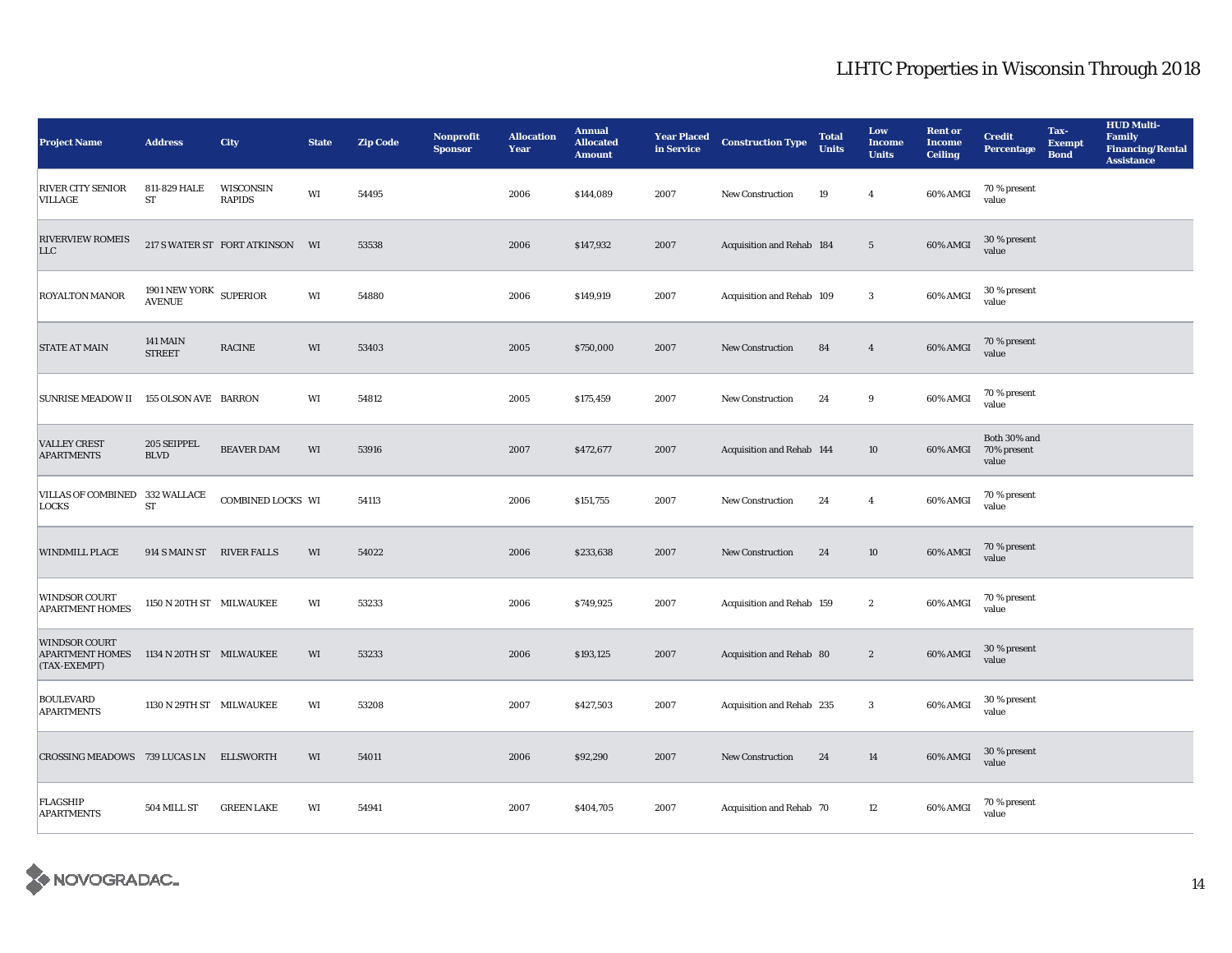| <b>Project Name</b>                                            | <b>Address</b>                          | City                            | <b>State</b> | <b>Zip Code</b> | Nonprofit<br><b>Sponsor</b> | <b>Allocation</b><br>Year | <b>Annual</b><br><b>Allocated</b><br><b>Amount</b> | <b>Year Placed</b><br>in Service | <b>Construction Type</b>  | <b>Total</b><br><b>Units</b> | Low<br><b>Income</b><br><b>Units</b> | <b>Rent or</b><br><b>Income</b><br><b>Ceiling</b> | <b>Credit</b><br><b>Percentage</b>   | Tax-<br><b>Exempt</b><br><b>Bond</b> | <b>HUD Multi-</b><br><b>Family</b><br><b>Financing/Rental</b><br><b>Assistance</b> |
|----------------------------------------------------------------|-----------------------------------------|---------------------------------|--------------|-----------------|-----------------------------|---------------------------|----------------------------------------------------|----------------------------------|---------------------------|------------------------------|--------------------------------------|---------------------------------------------------|--------------------------------------|--------------------------------------|------------------------------------------------------------------------------------|
| RIVER CITY SENIOR<br>VILLAGE                                   | 811-829 HALE<br>ST                      | WISCONSIN<br><b>RAPIDS</b>      | WI           | 54495           |                             | 2006                      | \$144,089                                          | 2007                             | <b>New Construction</b>   | 19                           | $\overline{4}$                       | 60% AMGI                                          | 70 % present<br>value                |                                      |                                                                                    |
| <b>RIVERVIEW ROMEIS</b><br><b>LLC</b>                          |                                         | 217 S WATER ST FORT ATKINSON WI |              | 53538           |                             | 2006                      | \$147,932                                          | 2007                             | Acquisition and Rehab 184 |                              | $5\phantom{.0}$                      | 60% AMGI                                          | 30 % present<br>value                |                                      |                                                                                    |
| ROYALTON MANOR                                                 | 1901 NEW YORK SUPERIOR<br><b>AVENUE</b> |                                 | WI           | 54880           |                             | 2006                      | \$149,919                                          | 2007                             | Acquisition and Rehab 109 |                              | $\boldsymbol{3}$                     | 60% AMGI                                          | 30 % present<br>value                |                                      |                                                                                    |
| <b>STATE AT MAIN</b>                                           | <b>141 MAIN</b><br><b>STREET</b>        | <b>RACINE</b>                   | WI           | 53403           |                             | 2005                      | \$750,000                                          | 2007                             | <b>New Construction</b>   | 84                           | $\overline{4}$                       | 60% AMGI                                          | 70 % present<br>value                |                                      |                                                                                    |
| <b>SUNRISE MEADOW II</b>                                       | 155 OLSON AVE BARRON                    |                                 | WI           | 54812           |                             | 2005                      | \$175,459                                          | 2007                             | <b>New Construction</b>   | 24                           | $\boldsymbol{9}$                     | 60% AMGI                                          | 70 % present<br>value                |                                      |                                                                                    |
| <b>VALLEY CREST</b><br><b>APARTMENTS</b>                       | 205 SEIPPEL<br><b>BLVD</b>              | <b>BEAVER DAM</b>               | WI           | 53916           |                             | 2007                      | \$472,677                                          | 2007                             | Acquisition and Rehab 144 |                              | 10                                   | 60% AMGI                                          | Both 30% and<br>70% present<br>value |                                      |                                                                                    |
| VILLAS OF COMBINED 332 WALLACE<br><b>LOCKS</b>                 | <b>ST</b>                               | <b>COMBINED LOCKS WI</b>        |              | 54113           |                             | 2006                      | \$151,755                                          | 2007                             | <b>New Construction</b>   | 24                           | $\overline{4}$                       | 60% AMGI                                          | 70 % present<br>value                |                                      |                                                                                    |
| <b>WINDMILL PLACE</b>                                          | 914 S MAIN ST RIVER FALLS               |                                 | WI           | 54022           |                             | 2006                      | \$233,638                                          | 2007                             | <b>New Construction</b>   | 24                           | 10                                   | 60% AMGI                                          | 70 % present<br>value                |                                      |                                                                                    |
| <b>WINDSOR COURT</b><br><b>APARTMENT HOMES</b>                 | 1150 N 20TH ST MILWAUKEE                |                                 | WI           | 53233           |                             | 2006                      | \$749,925                                          | 2007                             | Acquisition and Rehab 159 |                              | $\mathbf{2}$                         | 60% AMGI                                          | 70 % present<br>value                |                                      |                                                                                    |
| <b>WINDSOR COURT</b><br><b>APARTMENT HOMES</b><br>(TAX-EXEMPT) | 1134 N 20TH ST MILWAUKEE                |                                 | WI           | 53233           |                             | 2006                      | \$193,125                                          | 2007                             | Acquisition and Rehab 80  |                              | $\boldsymbol{2}$                     | 60% AMGI                                          | 30 % present<br>value                |                                      |                                                                                    |
| <b>BOULEVARD</b><br><b>APARTMENTS</b>                          | 1130 N 29TH ST MILWAUKEE                |                                 | WI           | 53208           |                             | 2007                      | \$427,503                                          | 2007                             | Acquisition and Rehab 235 |                              | $\mathbf{3}$                         | 60% AMGI                                          | 30 % present<br>value                |                                      |                                                                                    |
| CROSSING MEADOWS 739 LUCAS LN                                  |                                         | <b>ELLSWORTH</b>                | WI           | 54011           |                             | 2006                      | \$92,290                                           | 2007                             | <b>New Construction</b>   | 24                           | 14                                   | 60% AMGI                                          | 30 % present<br>value                |                                      |                                                                                    |
| <b>FLAGSHIP</b><br><b>APARTMENTS</b>                           | 504 MILL ST                             | <b>GREEN LAKE</b>               | WI           | 54941           |                             | 2007                      | \$404,705                                          | 2007                             | Acquisition and Rehab 70  |                              | 12                                   | 60% AMGI                                          | 70 % present<br>value                |                                      |                                                                                    |

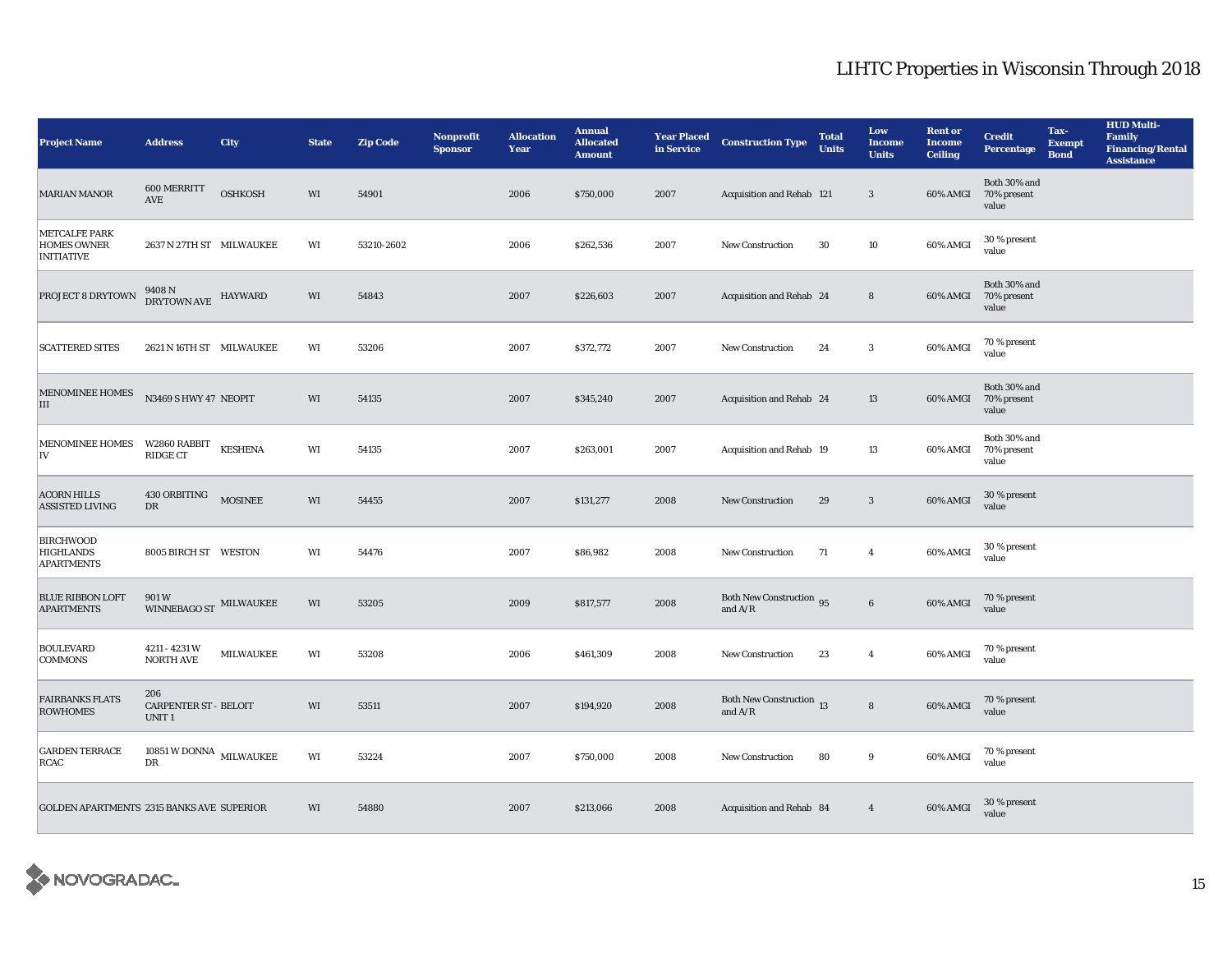| <b>Project Name</b>                                             | <b>Address</b>                                           | City             | <b>State</b> | <b>Zip Code</b> | <b>Nonprofit</b><br><b>Sponsor</b> | <b>Allocation</b><br>Year | <b>Annual</b><br><b>Allocated</b><br><b>Amount</b> | <b>Year Placed</b><br>in Service | <b>Construction Type</b>                        | <b>Total</b><br><b>Units</b> | Low<br><b>Income</b><br><b>Units</b> | <b>Rent or</b><br><b>Income</b><br><b>Ceiling</b> | <b>Credit</b><br><b>Percentage</b>   | Tax-<br><b>Exempt</b><br><b>Bond</b> | <b>HUD Multi-</b><br><b>Family</b><br><b>Financing/Rental</b><br><b>Assistance</b> |
|-----------------------------------------------------------------|----------------------------------------------------------|------------------|--------------|-----------------|------------------------------------|---------------------------|----------------------------------------------------|----------------------------------|-------------------------------------------------|------------------------------|--------------------------------------|---------------------------------------------------|--------------------------------------|--------------------------------------|------------------------------------------------------------------------------------|
| <b>MARIAN MANOR</b>                                             | 600 MERRITT<br>$\operatorname{AVE}$                      | <b>OSHKOSH</b>   | WI           | 54901           |                                    | 2006                      | \$750,000                                          | 2007                             | Acquisition and Rehab 121                       |                              | $\mathbf{3}$                         | 60% AMGI                                          | Both 30% and<br>70% present<br>value |                                      |                                                                                    |
| <b>METCALFE PARK</b><br><b>HOMES OWNER</b><br><b>INITIATIVE</b> | 2637 N 27TH ST MILWAUKEE                                 |                  | WI           | 53210-2602      |                                    | 2006                      | \$262,536                                          | 2007                             | <b>New Construction</b>                         | 30                           | 10                                   | 60% AMGI                                          | 30 % present<br>value                |                                      |                                                                                    |
| PROJECT 8 DRYTOWN                                               | $9408$ N $$\tt DRYTOWN\ AVE$$ HAYWARD                    |                  | WI           | 54843           |                                    | 2007                      | \$226,603                                          | 2007                             | Acquisition and Rehab 24                        |                              | 8                                    | 60% AMGI                                          | Both 30% and<br>70% present<br>value |                                      |                                                                                    |
| <b>SCATTERED SITES</b>                                          | 2621 N 16TH ST MILWAUKEE                                 |                  | WI           | 53206           |                                    | 2007                      | \$372,772                                          | 2007                             | <b>New Construction</b>                         | 24                           | $\boldsymbol{3}$                     | 60% AMGI                                          | 70 % present<br>value                |                                      |                                                                                    |
| MENOMINEE HOMES<br>$\mathbf{III}$                               | N3469 S HWY 47 NEOPIT                                    |                  | WI           | 54135           |                                    | 2007                      | \$345,240                                          | 2007                             | Acquisition and Rehab 24                        |                              | 13                                   | 60% AMGI                                          | Both 30% and<br>70% present<br>value |                                      |                                                                                    |
| <b>MENOMINEE HOMES</b><br>IV                                    | W2860 RABBIT<br><b>RIDGE CT</b>                          | <b>KESHENA</b>   | WI           | 54135           |                                    | 2007                      | \$263,001                                          | 2007                             | Acquisition and Rehab 19                        |                              | 13                                   | 60% AMGI                                          | Both 30% and<br>70% present<br>value |                                      |                                                                                    |
| <b>ACORN HILLS</b><br><b>ASSISTED LIVING</b>                    | 430 ORBITING<br>DR                                       | <b>MOSINEE</b>   | WI           | 54455           |                                    | 2007                      | \$131,277                                          | 2008                             | <b>New Construction</b>                         | 29                           | $\boldsymbol{3}$                     | 60% AMGI                                          | 30 % present<br>value                |                                      |                                                                                    |
| <b>BIRCHWOOD</b><br><b>HIGHLANDS</b><br><b>APARTMENTS</b>       | 8005 BIRCH ST WESTON                                     |                  | WI           | 54476           |                                    | 2007                      | \$86,982                                           | 2008                             | New Construction                                | 71                           | $\overline{4}$                       | 60% AMGI                                          | 30 % present<br>value                |                                      |                                                                                    |
| <b>BLUE RIBBON LOFT</b><br><b>APARTMENTS</b>                    | 901W<br>WINNEBAGO ST MILWAUKEE                           |                  | WI           | 53205           |                                    | 2009                      | \$817,577                                          | 2008                             | Both New Construction 95<br>and $\rm{A/R}$      |                              | $\bf 6$                              | 60% AMGI                                          | 70 % present<br>value                |                                      |                                                                                    |
| <b>BOULEVARD</b><br><b>COMMONS</b>                              | 4211 - 4231 W<br><b>NORTH AVE</b>                        | <b>MILWAUKEE</b> | WI           | 53208           |                                    | 2006                      | \$461,309                                          | 2008                             | <b>New Construction</b>                         | 23                           | $\overline{4}$                       | 60% AMGI                                          | 70 % present<br>value                |                                      |                                                                                    |
| <b>FAIRBANKS FLATS</b><br><b>ROWHOMES</b>                       | 206<br><b>CARPENTER ST - BELOIT</b><br>UNIT <sub>1</sub> |                  | WI           | 53511           |                                    | 2007                      | \$194,920                                          | 2008                             | Both New Construction $\,$ 13 $\,$<br>and $A/R$ |                              | ${\bf 8}$                            | 60% AMGI                                          | 70 % present<br>value                |                                      |                                                                                    |
| <b>GARDEN TERRACE</b><br>RCAC                                   | 10851 W DONNA $\,$ MILWAUKEE<br>DR                       |                  | WI           | 53224           |                                    | 2007                      | \$750,000                                          | 2008                             | <b>New Construction</b>                         | 80                           | 9                                    | 60% AMGI                                          | 70 % present<br>value                |                                      |                                                                                    |
| <b>GOLDEN APARTMENTS 2315 BANKS AVE SUPERIOR</b>                |                                                          |                  | WI           | 54880           |                                    | 2007                      | \$213,066                                          | 2008                             | Acquisition and Rehab 84                        |                              | $\overline{4}$                       | 60% AMGI                                          | 30 % present<br>value                |                                      |                                                                                    |

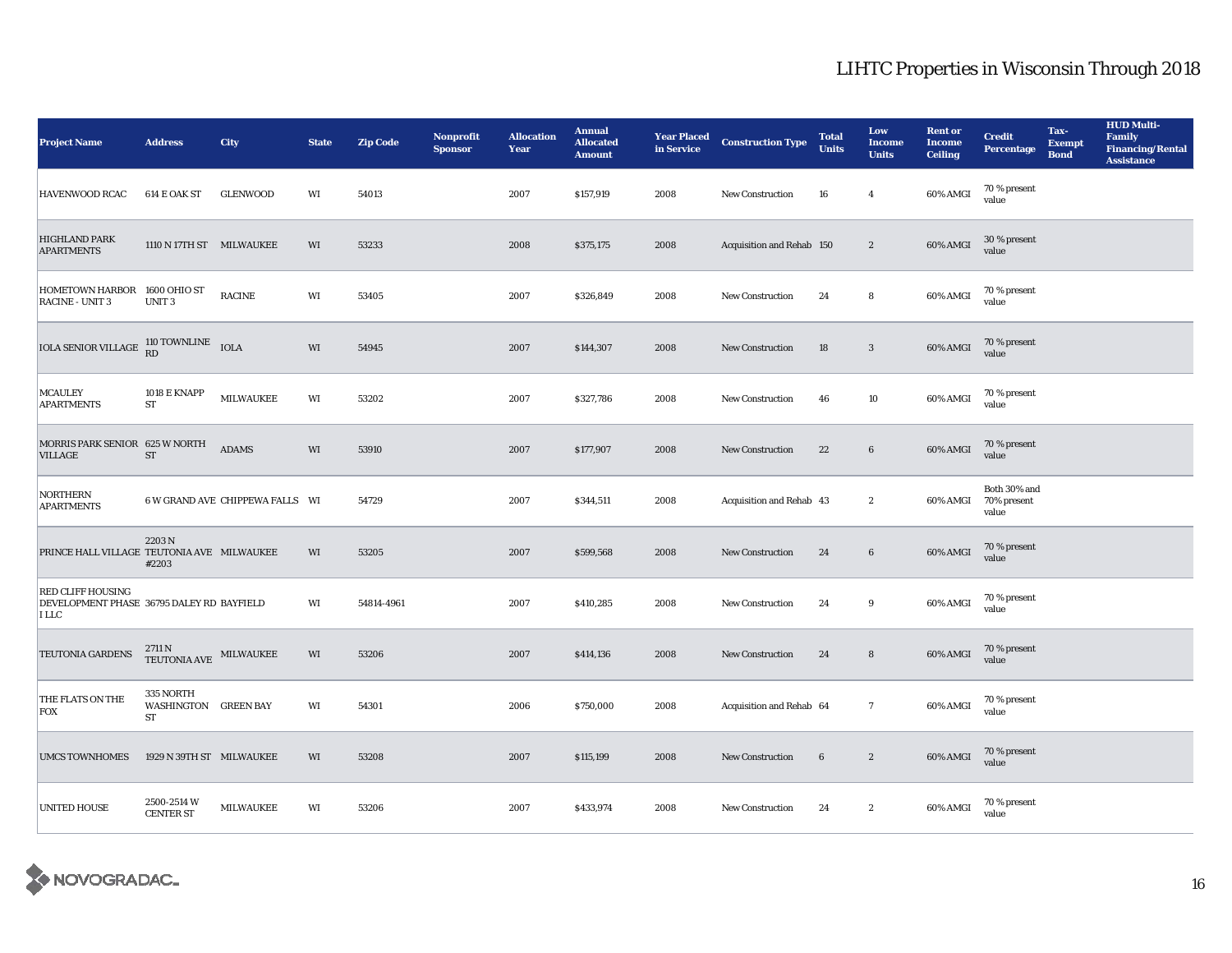| <b>Project Name</b>                                                            | <b>Address</b>                            | City                            | <b>State</b> | <b>Zip Code</b> | Nonprofit<br><b>Sponsor</b> | <b>Allocation</b><br>Year | <b>Annual</b><br><b>Allocated</b><br><b>Amount</b> | <b>Year Placed<br/>in Service</b> | <b>Construction Type</b>  | <b>Total</b><br><b>Units</b> | Low<br><b>Income</b><br><b>Units</b> | <b>Rent or</b><br><b>Income</b><br><b>Ceiling</b> | <b>Credit</b><br><b>Percentage</b>   | Tax-<br><b>Exempt</b><br><b>Bond</b> | <b>HUD Multi-</b><br>Family<br><b>Financing/Rental</b><br><b>Assistance</b> |
|--------------------------------------------------------------------------------|-------------------------------------------|---------------------------------|--------------|-----------------|-----------------------------|---------------------------|----------------------------------------------------|-----------------------------------|---------------------------|------------------------------|--------------------------------------|---------------------------------------------------|--------------------------------------|--------------------------------------|-----------------------------------------------------------------------------|
| <b>HAVENWOOD RCAC</b>                                                          | 614 E OAK ST                              | <b>GLENWOOD</b>                 | WI           | 54013           |                             | 2007                      | \$157,919                                          | 2008                              | <b>New Construction</b>   | 16                           | $\overline{4}$                       | 60% AMGI                                          | 70 % present<br>value                |                                      |                                                                             |
| <b>HIGHLAND PARK</b><br><b>APARTMENTS</b>                                      | 1110 N 17TH ST MILWAUKEE                  |                                 | WI           | 53233           |                             | 2008                      | \$375,175                                          | 2008                              | Acquisition and Rehab 150 |                              | $\boldsymbol{2}$                     | 60% AMGI                                          | 30 % present<br>value                |                                      |                                                                             |
| HOMETOWN HARBOR 1600 OHIO ST<br><b>RACINE - UNIT 3</b>                         | UNIT <sub>3</sub>                         | <b>RACINE</b>                   | WI           | 53405           |                             | 2007                      | \$326,849                                          | 2008                              | New Construction          | 24                           | 8                                    | 60% AMGI                                          | 70 % present<br>value                |                                      |                                                                             |
| IOLA SENIOR VILLAGE RD TOWNLINE IOLA                                           |                                           |                                 | WI           | 54945           |                             | 2007                      | \$144,307                                          | 2008                              | New Construction          | 18                           | $\mathbf{3}$                         | 60% AMGI                                          | 70 % present<br>value                |                                      |                                                                             |
| <b>MCAULEY</b><br><b>APARTMENTS</b>                                            | 1018 E KNAPP<br>${\rm ST}$                | <b>MILWAUKEE</b>                | WI           | 53202           |                             | 2007                      | \$327,786                                          | 2008                              | New Construction          | 46                           | 10                                   | 60% AMGI                                          | 70 % present<br>value                |                                      |                                                                             |
| MORRIS PARK SENIOR 625 W NORTH<br><b>VILLAGE</b>                               | ${\rm ST}$                                | <b>ADAMS</b>                    | WI           | 53910           |                             | 2007                      | \$177,907                                          | 2008                              | <b>New Construction</b>   | 22                           | 6                                    | 60% AMGI                                          | 70 % present<br>value                |                                      |                                                                             |
| <b>NORTHERN</b><br><b>APARTMENTS</b>                                           |                                           | 6 W GRAND AVE CHIPPEWA FALLS WI |              | 54729           |                             | 2007                      | \$344,511                                          | 2008                              | Acquisition and Rehab 43  |                              | $\mathbf{2}$                         | 60% AMGI                                          | Both 30% and<br>70% present<br>value |                                      |                                                                             |
| PRINCE HALL VILLAGE TEUTONIA AVE MILWAUKEE                                     | 2203N<br>#2203                            |                                 | WI           | 53205           |                             | 2007                      | \$599,568                                          | 2008                              | New Construction          | 24                           | 6                                    | 60% AMGI                                          | 70 % present<br>value                |                                      |                                                                             |
| <b>RED CLIFF HOUSING</b><br>DEVELOPMENT PHASE 36795 DALEY RD BAYFIELD<br>I LLC |                                           |                                 | WI           | 54814-4961      |                             | 2007                      | \$410,285                                          | 2008                              | New Construction          | 24                           | 9                                    | 60% AMGI                                          | 70 % present<br>value                |                                      |                                                                             |
| <b>TEUTONIA GARDENS</b>                                                        | $2711\,\mathrm{N}$ TEUTONIA AVE MILWAUKEE |                                 | WI           | 53206           |                             | 2007                      | \$414,136                                          | 2008                              | <b>New Construction</b>   | 24                           | 8                                    | 60% AMGI                                          | 70 % present<br>value                |                                      |                                                                             |
| THE FLATS ON THE<br><b>FOX</b>                                                 | 335 NORTH<br>WASHINGTON GREEN BAY<br>ST   |                                 | WI           | 54301           |                             | 2006                      | \$750,000                                          | 2008                              | Acquisition and Rehab 64  |                              | $7\overline{ }$                      | 60% AMGI                                          | 70 % present<br>value                |                                      |                                                                             |
| <b>UMCS TOWNHOMES</b>                                                          | 1929 N 39TH ST MILWAUKEE                  |                                 | WI           | 53208           |                             | 2007                      | \$115,199                                          | 2008                              | New Construction          | 6                            | $\boldsymbol{2}$                     | 60% AMGI                                          | 70 % present<br>value                |                                      |                                                                             |
| <b>UNITED HOUSE</b>                                                            | 2500-2514 W<br><b>CENTER ST</b>           | MILWAUKEE                       | WI           | 53206           |                             | 2007                      | \$433,974                                          | 2008                              | New Construction          | 24                           | $\boldsymbol{2}$                     | 60% AMGI                                          | 70 % present<br>value                |                                      |                                                                             |

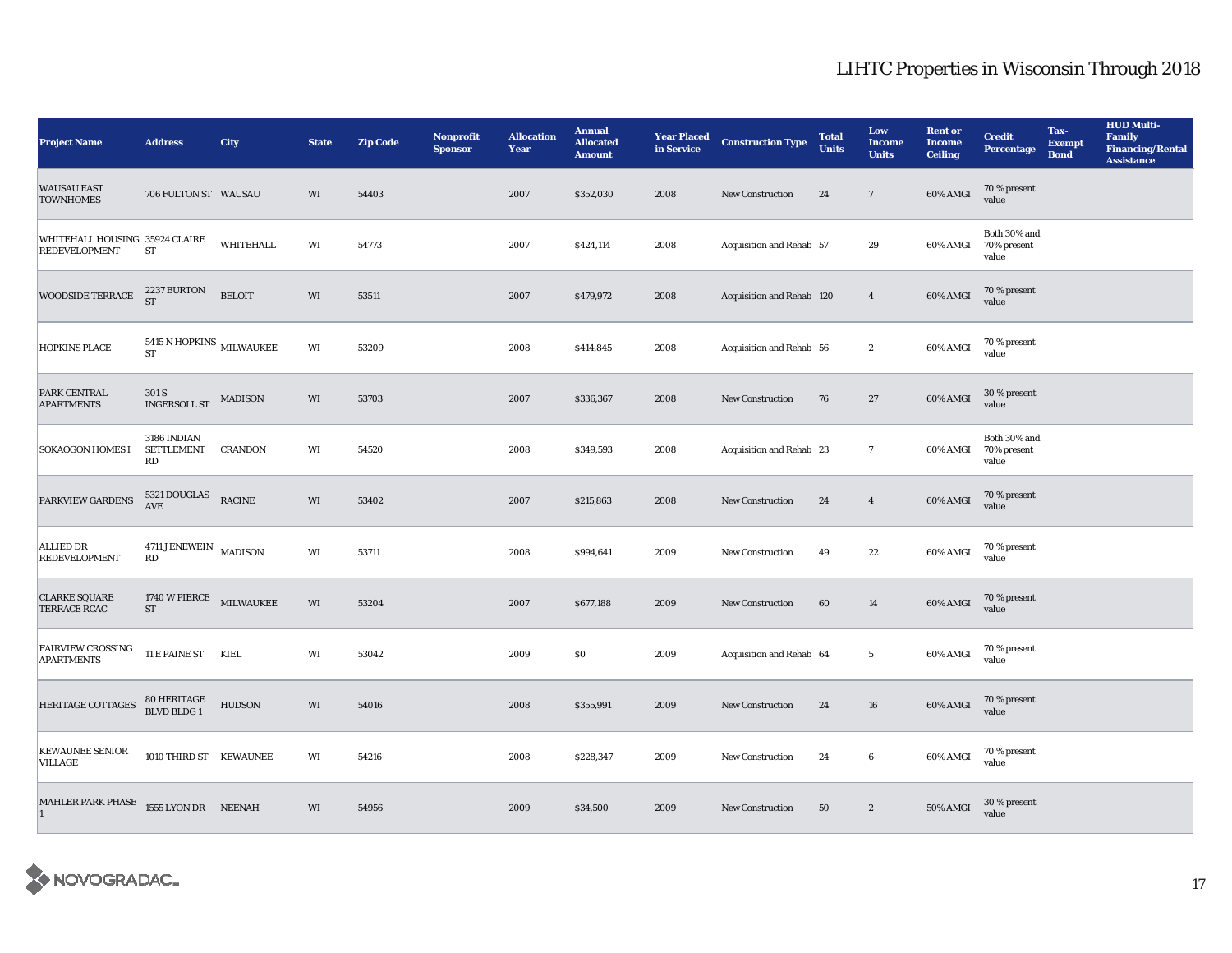| <b>Project Name</b>                                    | <b>Address</b>                                  | City           | <b>State</b>           | <b>Zip Code</b> | Nonprofit<br><b>Sponsor</b> | <b>Allocation</b><br>Year | <b>Annual</b><br><b>Allocated</b><br><b>Amount</b> | <b>Year Placed<br/>in Service</b> | <b>Construction Type</b>  | <b>Total</b><br><b>Units</b> | Low<br><b>Income</b><br><b>Units</b> | <b>Rent or</b><br><b>Income</b><br><b>Ceiling</b> | <b>Credit</b><br><b>Percentage</b>   | Tax-<br><b>Exempt</b><br><b>Bond</b> | <b>HUD Multi-</b><br>Family<br><b>Financing/Rental</b><br><b>Assistance</b> |
|--------------------------------------------------------|-------------------------------------------------|----------------|------------------------|-----------------|-----------------------------|---------------------------|----------------------------------------------------|-----------------------------------|---------------------------|------------------------------|--------------------------------------|---------------------------------------------------|--------------------------------------|--------------------------------------|-----------------------------------------------------------------------------|
| <b>WAUSAU EAST</b><br><b>TOWNHOMES</b>                 | 706 FULTON ST WAUSAU                            |                | WI                     | 54403           |                             | 2007                      | \$352,030                                          | 2008                              | <b>New Construction</b>   | 24                           | $7\phantom{.0}$                      | 60% AMGI                                          | 70 % present<br>value                |                                      |                                                                             |
| WHITEHALL HOUSING 35924 CLAIRE<br><b>REDEVELOPMENT</b> | <b>ST</b>                                       | WHITEHALL      | WI                     | 54773           |                             | 2007                      | \$424,114                                          | 2008                              | Acquisition and Rehab 57  |                              | 29                                   | 60% AMGI                                          | Both 30% and<br>70% present<br>value |                                      |                                                                             |
| <b>WOODSIDE TERRACE</b>                                | 2237 BURTON<br><b>ST</b>                        | <b>BELOIT</b>  | WI                     | 53511           |                             | 2007                      | \$479,972                                          | 2008                              | Acquisition and Rehab 120 |                              | $\overline{4}$                       | 60% AMGI                                          | 70 % present<br>value                |                                      |                                                                             |
| <b>HOPKINS PLACE</b>                                   | 5415 N HOPKINS $_{\rm MLWAUKEE}$<br>${\cal ST}$ |                | WI                     | 53209           |                             | 2008                      | \$414,845                                          | 2008                              | Acquisition and Rehab 56  |                              | $\boldsymbol{2}$                     | 60% AMGI                                          | 70 % present<br>value                |                                      |                                                                             |
| PARK CENTRAL<br><b>APARTMENTS</b>                      | 301 S<br>INGERSOLL ST                           | <b>MADISON</b> | WI                     | 53703           |                             | 2007                      | \$336,367                                          | 2008                              | New Construction          | 76                           | 27                                   | 60% AMGI                                          | 30 % present<br>value                |                                      |                                                                             |
| <b>SOKAOGON HOMES I</b>                                | 3186 INDIAN<br>SETTLEMENT<br>RD                 | <b>CRANDON</b> | WI                     | 54520           |                             | 2008                      | \$349,593                                          | 2008                              | Acquisition and Rehab 23  |                              | $7\phantom{.0}$                      | 60% AMGI                                          | Both 30% and<br>70% present<br>value |                                      |                                                                             |
| <b>PARKVIEW GARDENS</b>                                | $5321\,$ DOUGLAS<br>$\operatorname{AVE}$        | <b>RACINE</b>  | WI                     | 53402           |                             | 2007                      | \$215,863                                          | 2008                              | <b>New Construction</b>   | 24                           | $\overline{4}$                       | 60% AMGI                                          | 70 % present<br>value                |                                      |                                                                             |
| ALLIED DR<br><b>REDEVELOPMENT</b>                      | 4711 JENEWEIN MADISON<br>RD                     |                | WI                     | 53711           |                             | 2008                      | \$994,641                                          | 2009                              | New Construction          | 49                           | 22                                   | 60% AMGI                                          | 70 % present<br>value                |                                      |                                                                             |
| <b>CLARKE SQUARE</b><br><b>TERRACE RCAC</b>            | 1740 W PIERCE MILWAUKEE<br>${\rm ST}$           |                | $\mathbf{W}\mathbf{I}$ | 53204           |                             | 2007                      | \$677,188                                          | 2009                              | <b>New Construction</b>   | 60                           | 14                                   | 60% AMGI                                          | 70 % present<br>value                |                                      |                                                                             |
| <b>FAIRVIEW CROSSING</b><br><b>APARTMENTS</b>          | 11 E PAINE ST KIEL                              |                | WI                     | 53042           |                             | 2009                      | $\$0$                                              | 2009                              | Acquisition and Rehab 64  |                              | $5\phantom{.0}$                      | 60% AMGI                                          | 70 % present<br>value                |                                      |                                                                             |
| HERITAGE COTTAGES                                      | 80 HERITAGE<br>BLVD BLDG 1                      | <b>HUDSON</b>  | WI                     | 54016           |                             | 2008                      | \$355,991                                          | 2009                              | <b>New Construction</b>   | 24                           | 16                                   | 60% AMGI                                          | 70 % present<br>value                |                                      |                                                                             |
| <b>KEWAUNEE SENIOR</b><br><b>VILLAGE</b>               | 1010 THIRD ST KEWAUNEE                          |                | WI                     | 54216           |                             | 2008                      | \$228,347                                          | 2009                              | <b>New Construction</b>   | 24                           | 6                                    | 60% AMGI                                          | 70 % present<br>value                |                                      |                                                                             |
| MAHLER PARK PHASE $1555$ LYON DR NEENAH                |                                                 |                | WI                     | 54956           |                             | 2009                      | \$34,500                                           | 2009                              | <b>New Construction</b>   | 50                           | $\boldsymbol{2}$                     | 50% AMGI                                          | 30 % present<br>value                |                                      |                                                                             |

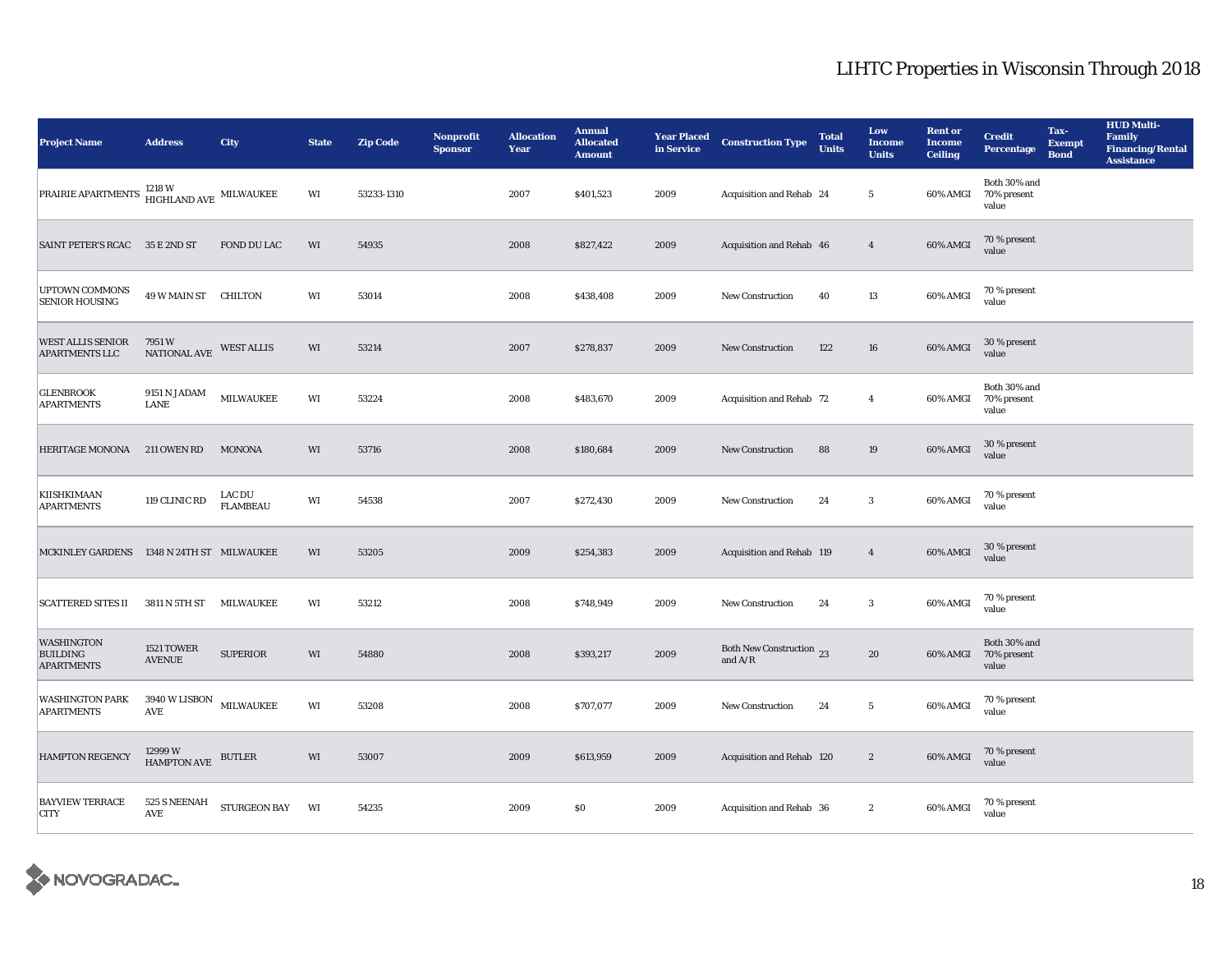| <b>Project Name</b>                                       | <b>Address</b>                              | City                             | <b>State</b> | <b>Zip Code</b> | <b>Nonprofit</b><br><b>Sponsor</b> | <b>Allocation</b><br>Year | <b>Annual</b><br><b>Allocated</b><br><b>Amount</b> | <b>Year Placed<br/>in Service</b> | <b>Construction Type</b>                  | <b>Total</b><br><b>Units</b> | Low<br><b>Income</b><br><b>Units</b> | <b>Rent or</b><br><b>Income</b><br><b>Ceiling</b> | <b>Credit</b><br><b>Percentage</b>   | Tax-<br><b>Exempt</b><br><b>Bond</b> | <b>HUD Multi-</b><br><b>Family</b><br><b>Financing/Rental</b><br><b>Assistance</b> |
|-----------------------------------------------------------|---------------------------------------------|----------------------------------|--------------|-----------------|------------------------------------|---------------------------|----------------------------------------------------|-----------------------------------|-------------------------------------------|------------------------------|--------------------------------------|---------------------------------------------------|--------------------------------------|--------------------------------------|------------------------------------------------------------------------------------|
| PRAIRIE APARTMENTS                                        | 1218 W<br>$$\,$ HIGHLAND AVE $\,$ MILWAUKEE |                                  | WI           | 53233-1310      |                                    | 2007                      | \$401,523                                          | 2009                              | Acquisition and Rehab 24                  |                              | $5\phantom{.0}$                      | 60% AMGI                                          | Both 30% and<br>70% present<br>value |                                      |                                                                                    |
| SAINT PETER'S RCAC 35 E 2ND ST                            |                                             | FOND DU LAC                      | WI           | 54935           |                                    | 2008                      | \$827,422                                          | 2009                              | Acquisition and Rehab 46                  |                              | $\overline{4}$                       | 60% AMGI                                          | 70 % present<br>value                |                                      |                                                                                    |
| <b>UPTOWN COMMONS</b><br><b>SENIOR HOUSING</b>            | 49 W MAIN ST CHILTON                        |                                  | WI           | 53014           |                                    | 2008                      | \$438,408                                          | 2009                              | New Construction                          | 40                           | $13\,$                               | 60% AMGI                                          | 70 % present<br>value                |                                      |                                                                                    |
| <b>WEST ALLIS SENIOR</b><br>APARTMENTS LLC                | 7951W<br>NATIONAL AVE                       | <b>WEST ALLIS</b>                | WI           | 53214           |                                    | 2007                      | \$278,837                                          | 2009                              | <b>New Construction</b>                   | 122                          | 16                                   | 60% AMGI                                          | 30 % present<br>value                |                                      |                                                                                    |
| <b>GLENBROOK</b><br><b>APARTMENTS</b>                     | 9151 N JADAM<br>LANE                        | <b>MILWAUKEE</b>                 | WI           | 53224           |                                    | 2008                      | \$483,670                                          | 2009                              | Acquisition and Rehab 72                  |                              | $\overline{4}$                       | 60% AMGI                                          | Both 30% and<br>70% present<br>value |                                      |                                                                                    |
| HERITAGE MONONA 211 OWEN RD                               |                                             | <b>MONONA</b>                    | WI           | 53716           |                                    | 2008                      | \$180,684                                          | 2009                              | <b>New Construction</b>                   | 88                           | $19\,$                               | 60% AMGI                                          | 30 % present<br>value                |                                      |                                                                                    |
| KIISHKIMAAN<br><b>APARTMENTS</b>                          | 119 CLINIC RD                               | <b>LAC DU</b><br><b>FLAMBEAU</b> | WI           | 54538           |                                    | 2007                      | \$272,430                                          | 2009                              | <b>New Construction</b>                   | 24                           | $\mathbf{3}$                         | 60% AMGI                                          | 70 % present<br>value                |                                      |                                                                                    |
| MCKINLEY GARDENS 1348 N 24TH ST MILWAUKEE                 |                                             |                                  | WI           | 53205           |                                    | 2009                      | \$254,383                                          | 2009                              | Acquisition and Rehab 119                 |                              | $\overline{4}$                       | 60% AMGI                                          | 30 % present<br>value                |                                      |                                                                                    |
| <b>SCATTERED SITES II</b>                                 | 3811 N 5TH ST                               | <b>MILWAUKEE</b>                 | WI           | 53212           |                                    | 2008                      | \$748,949                                          | 2009                              | <b>New Construction</b>                   | 24                           | $\mathbf{3}$                         | 60% AMGI                                          | 70 % present<br>value                |                                      |                                                                                    |
| <b>WASHINGTON</b><br><b>BUILDING</b><br><b>APARTMENTS</b> | <b>1521 TOWER</b><br><b>AVENUE</b>          | <b>SUPERIOR</b>                  | WI           | 54880           |                                    | 2008                      | \$393,217                                          | 2009                              | Both New Construction 23<br>and $\rm A/R$ |                              | 20                                   | 60% AMGI                                          | Both 30% and<br>70% present<br>value |                                      |                                                                                    |
| <b>WASHINGTON PARK</b><br><b>APARTMENTS</b>               | $3940\,\rm{W}\,LISBON$ MILWAUKEE<br>AVE     |                                  | WI           | 53208           |                                    | 2008                      | \$707,077                                          | 2009                              | <b>New Construction</b>                   | 24                           | 5                                    | 60% AMGI                                          | 70 % present<br>value                |                                      |                                                                                    |
| <b>HAMPTON REGENCY</b>                                    | 12999 W<br><b>HAMPTON AVE</b>               | <b>BUTLER</b>                    | WI           | 53007           |                                    | 2009                      | \$613,959                                          | 2009                              | Acquisition and Rehab 120                 |                              | $\boldsymbol{2}$                     | 60% AMGI                                          | 70 % present<br>value                |                                      |                                                                                    |
| <b>BAYVIEW TERRACE</b><br><b>CITY</b>                     | 525 S NEENAH<br><b>AVE</b>                  | <b>STURGEON BAY</b>              | WI           | 54235           |                                    | 2009                      | \$0                                                | 2009                              | Acquisition and Rehab 36                  |                              | $\mathbf{2}$                         | 60% AMGI                                          | 70 % present<br>value                |                                      |                                                                                    |

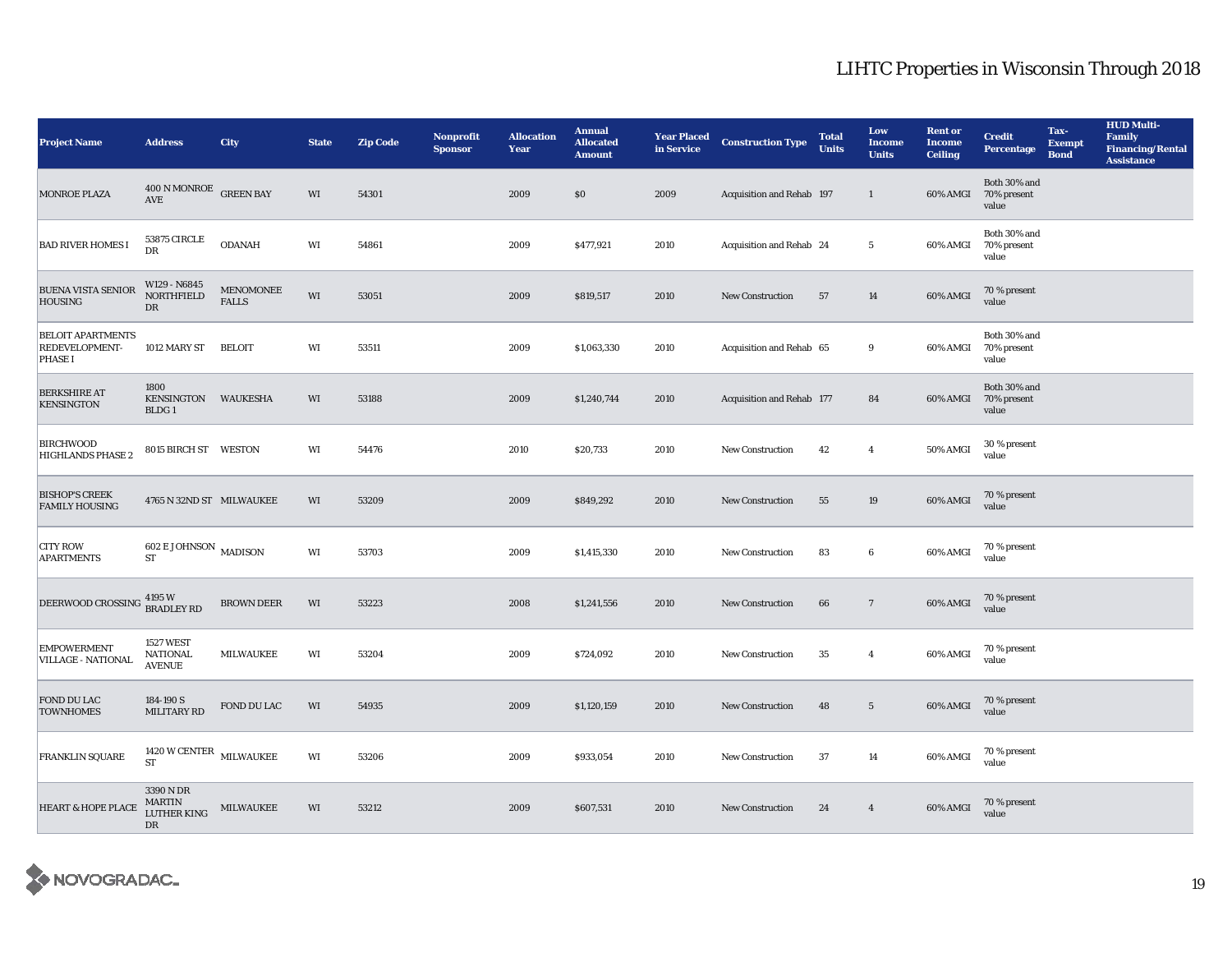| <b>Project Name</b>                                   | <b>Address</b>                                         | <b>City</b>                      | <b>State</b> | <b>Zip Code</b> | Nonprofit<br><b>Sponsor</b> | <b>Allocation</b><br>Year | <b>Annual</b><br><b>Allocated</b><br><b>Amount</b> | <b>Year Placed<br/>in Service</b> | <b>Construction Type</b>  | <b>Total</b><br><b>Units</b> | Low<br><b>Income</b><br><b>Units</b> | <b>Rent or</b><br><b>Income</b><br><b>Ceiling</b> | <b>Credit</b><br><b>Percentage</b>   | Tax-<br><b>Exempt</b><br><b>Bond</b> | <b>HUD Multi-</b><br><b>Family</b><br><b>Financing/Rental</b><br><b>Assistance</b> |
|-------------------------------------------------------|--------------------------------------------------------|----------------------------------|--------------|-----------------|-----------------------------|---------------------------|----------------------------------------------------|-----------------------------------|---------------------------|------------------------------|--------------------------------------|---------------------------------------------------|--------------------------------------|--------------------------------------|------------------------------------------------------------------------------------|
| <b>MONROE PLAZA</b>                                   | $400$ N MONROE $\,$ GREEN BAY<br><b>AVE</b>            |                                  | WI           | 54301           |                             | 2009                      | \$0\$                                              | 2009                              | Acquisition and Rehab 197 |                              | $\mathbf{1}$                         | 60% AMGI                                          | Both 30% and<br>70% present<br>value |                                      |                                                                                    |
| <b>BAD RIVER HOMES I</b>                              | <b>53875 CIRCLE</b><br>${\rm DR}$                      | <b>ODANAH</b>                    | WI           | 54861           |                             | 2009                      | \$477,921                                          | 2010                              | Acquisition and Rehab 24  |                              | $5\phantom{.0}$                      | 60% AMGI                                          | Both 30% and<br>70% present<br>value |                                      |                                                                                    |
| <b>BUENA VISTA SENIOR</b><br><b>HOUSING</b>           | W129 - N6845<br><b>NORTHFIELD</b><br>DR                | <b>MENOMONEE</b><br><b>FALLS</b> | WI           | 53051           |                             | 2009                      | \$819,517                                          | 2010                              | New Construction          | 57                           | 14                                   | 60% AMGI                                          | 70 % present<br>value                |                                      |                                                                                    |
| <b>BELOIT APARTMENTS</b><br>REDEVELOPMENT-<br>PHASE I | 1012 MARY ST                                           | <b>BELOIT</b>                    | WI           | 53511           |                             | 2009                      | \$1,063,330                                        | 2010                              | Acquisition and Rehab 65  |                              | 9                                    | 60% AMGI                                          | Both 30% and<br>70% present<br>value |                                      |                                                                                    |
| <b>BERKSHIRE AT</b><br><b>KENSINGTON</b>              | 1800<br>KENSINGTON WAUKESHA<br>BLDG1                   |                                  | WI           | 53188           |                             | 2009                      | \$1,240,744                                        | 2010                              | Acquisition and Rehab 177 |                              | 84                                   | 60% AMGI                                          | Both 30% and<br>70% present<br>value |                                      |                                                                                    |
| <b>BIRCHWOOD</b><br><b>HIGHLANDS PHASE 2</b>          | 8015 BIRCH ST WESTON                                   |                                  | WI           | 54476           |                             | 2010                      | \$20,733                                           | 2010                              | New Construction          | 42                           | $\overline{4}$                       | 50% AMGI                                          | 30 % present<br>value                |                                      |                                                                                    |
| <b>BISHOP'S CREEK</b><br><b>FAMILY HOUSING</b>        | 4765 N 32ND ST MILWAUKEE                               |                                  | WI           | 53209           |                             | 2009                      | \$849,292                                          | 2010                              | <b>New Construction</b>   | 55                           | $19\,$                               | 60% AMGI                                          | 70 % present<br>value                |                                      |                                                                                    |
| <b>CITY ROW</b><br><b>APARTMENTS</b>                  | $602$ E JOHNSON $\,$ MADISON $\,$<br><b>ST</b>         |                                  | WI           | 53703           |                             | 2009                      | \$1,415,330                                        | 2010                              | <b>New Construction</b>   | 83                           | 6                                    | 60% AMGI                                          | 70 % present<br>value                |                                      |                                                                                    |
| DEERWOOD CROSSING                                     | 4195 W<br>BRADLEY RD                                   | <b>BROWN DEER</b>                | WI           | 53223           |                             | 2008                      | \$1,241,556                                        | 2010                              | <b>New Construction</b>   | 66                           | $7\phantom{.0}$                      | 60% AMGI                                          | 70 % present<br>value                |                                      |                                                                                    |
| <b>EMPOWERMENT</b><br><b>VILLAGE - NATIONAL</b>       | <b>1527 WEST</b><br><b>NATIONAL</b><br><b>AVENUE</b>   | <b>MILWAUKEE</b>                 | WI           | 53204           |                             | 2009                      | \$724,092                                          | 2010                              | <b>New Construction</b>   | 35                           | $\overline{4}$                       | 60% AMGI                                          | 70 % present<br>value                |                                      |                                                                                    |
| <b>FOND DU LAC</b><br><b>TOWNHOMES</b>                | 184-190 S<br>MILITARY RD                               | FOND DU LAC                      | WI           | 54935           |                             | 2009                      | \$1,120,159                                        | 2010                              | <b>New Construction</b>   | 48                           | $5\phantom{.0}$                      | 60% AMGI                                          | 70 % present<br>value                |                                      |                                                                                    |
| <b>FRANKLIN SQUARE</b>                                | 1420 W CENTER MILWAUKEE<br><b>ST</b>                   |                                  | WI           | 53206           |                             | 2009                      | \$933,054                                          | 2010                              | <b>New Construction</b>   | 37                           | 14                                   | 60% AMGI                                          | 70 % present<br>value                |                                      |                                                                                    |
| <b>HEART &amp; HOPE PLACE</b>                         | 3390 N DR<br><b>MARTIN</b><br><b>LUTHER KING</b><br>DR | MILWAUKEE                        | WI           | 53212           |                             | 2009                      | \$607,531                                          | 2010                              | <b>New Construction</b>   | 24                           | $\overline{4}$                       | 60% AMGI                                          | 70 % present<br>value                |                                      |                                                                                    |

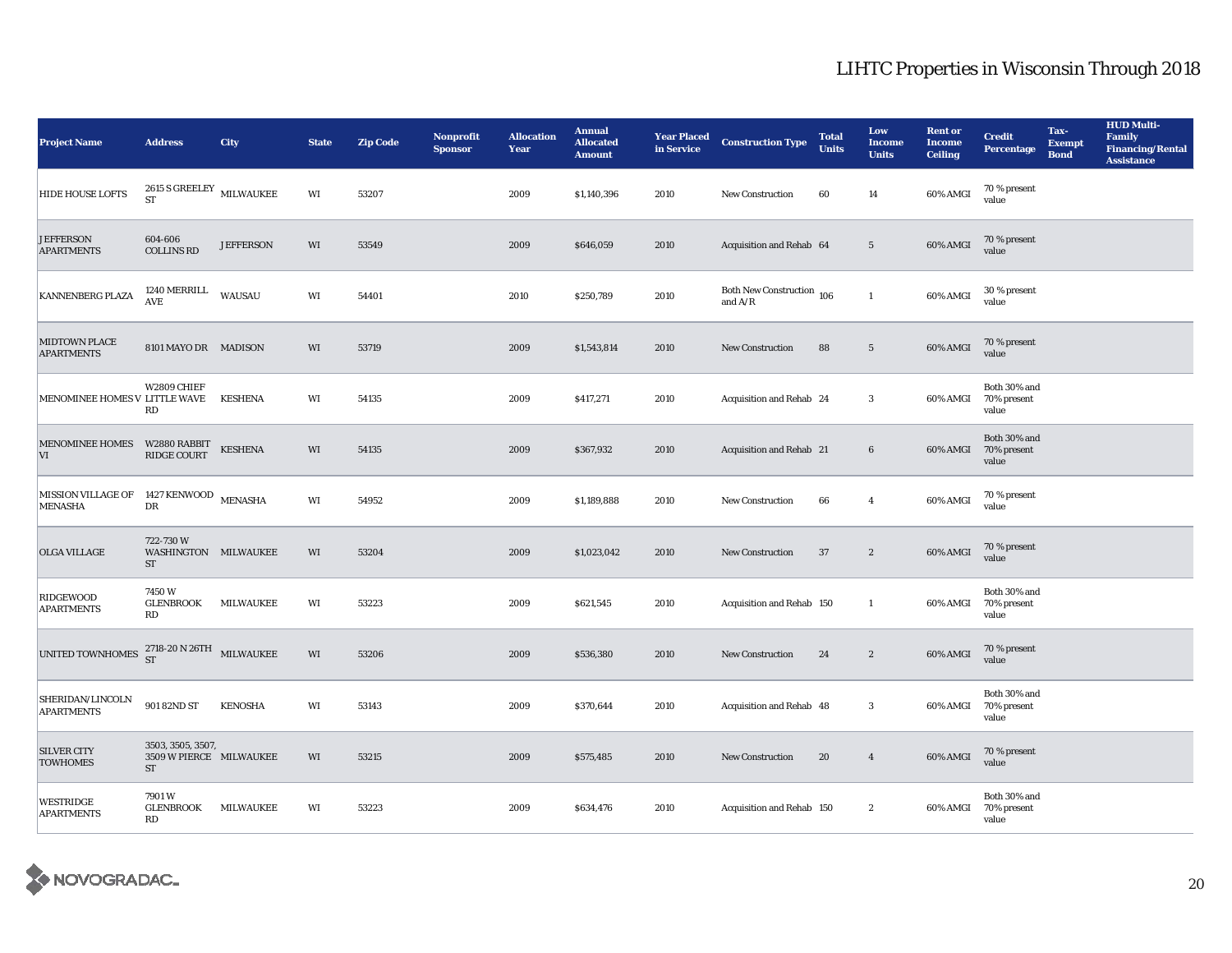| <b>Project Name</b>                                | <b>Address</b>                                            | City             | <b>State</b>           | <b>Zip Code</b> | Nonprofit<br><b>Sponsor</b> | <b>Allocation</b><br>Year | <b>Annual</b><br><b>Allocated</b><br><b>Amount</b> | <b>Year Placed</b><br>in Service | <b>Construction Type</b>               | <b>Total</b><br><b>Units</b> | Low<br><b>Income</b><br><b>Units</b> | <b>Rent or</b><br><b>Income</b><br><b>Ceiling</b> | <b>Credit</b><br><b>Percentage</b>   | Tax-<br><b>Exempt</b><br><b>Bond</b> | <b>HUD Multi-</b><br>Family<br><b>Financing/Rental</b><br><b>Assistance</b> |
|----------------------------------------------------|-----------------------------------------------------------|------------------|------------------------|-----------------|-----------------------------|---------------------------|----------------------------------------------------|----------------------------------|----------------------------------------|------------------------------|--------------------------------------|---------------------------------------------------|--------------------------------------|--------------------------------------|-----------------------------------------------------------------------------|
| <b>HIDE HOUSE LOFTS</b>                            | 2615 S GREELEY $$\tt MILWAUKEE$$<br><b>ST</b>             |                  | WI                     | 53207           |                             | 2009                      | \$1,140,396                                        | 2010                             | <b>New Construction</b>                | 60                           | 14                                   | 60% AMGI                                          | 70 % present<br>value                |                                      |                                                                             |
| <b>JEFFERSON</b><br><b>APARTMENTS</b>              | 604-606<br><b>COLLINS RD</b>                              | <b>JEFFERSON</b> | $\mathbf{W}\mathbf{I}$ | 53549           |                             | 2009                      | \$646,059                                          | 2010                             | Acquisition and Rehab 64               |                              | $5\phantom{.0}$                      | 60% AMGI                                          | 70 % present<br>value                |                                      |                                                                             |
| KANNENBERG PLAZA                                   | 1240 MERRILL<br>AVE                                       | WAUSAU           | $\mathbf{W}\mathbf{I}$ | 54401           |                             | 2010                      | \$250,789                                          | 2010                             | Both New Construction 106<br>and $A/R$ |                              | $\mathbf{1}$                         | 60% AMGI                                          | 30 % present<br>value                |                                      |                                                                             |
| <b>MIDTOWN PLACE</b><br><b>APARTMENTS</b>          | 8101 MAYO DR MADISON                                      |                  | WI                     | 53719           |                             | 2009                      | \$1,543,814                                        | 2010                             | <b>New Construction</b>                | 88                           | $5\phantom{.0}$                      | $60\%$ AMGI                                       | 70 % present<br>value                |                                      |                                                                             |
| MENOMINEE HOMES V LITTLE WAVE                      | W2809 CHIEF<br>$\mathbf{R}\mathbf{D}$                     | <b>KESHENA</b>   | WI                     | 54135           |                             | 2009                      | \$417,271                                          | 2010                             | Acquisition and Rehab 24               |                              | 3                                    | 60% AMGI                                          | Both 30% and<br>70% present<br>value |                                      |                                                                             |
| MENOMINEE HOMES   W2880 RABBIT<br>VI   RIDGE COURT |                                                           | <b>KESHENA</b>   | WI                     | 54135           |                             | 2009                      | \$367,932                                          | 2010                             | Acquisition and Rehab 21               |                              | 6                                    | 60% AMGI                                          | Both 30% and<br>70% present<br>value |                                      |                                                                             |
| <b>MISSION VILLAGE OF</b><br><b>MENASHA</b>        | 1427 KENWOOD MENASHA<br>DR                                |                  | WI                     | 54952           |                             | 2009                      | \$1,189,888                                        | 2010                             | <b>New Construction</b>                | 66                           | $\overline{4}$                       | 60% AMGI                                          | 70 % present<br>value                |                                      |                                                                             |
| <b>OLGA VILLAGE</b>                                | 722-730W<br>WASHINGTON MILWAUKEE<br>${\rm ST}$            |                  | WI                     | 53204           |                             | 2009                      | \$1,023,042                                        | 2010                             | <b>New Construction</b>                | 37                           | $\boldsymbol{2}$                     | 60% AMGI                                          | 70 % present<br>value                |                                      |                                                                             |
| RIDGEWOOD<br><b>APARTMENTS</b>                     | 7450W<br><b>GLENBROOK</b><br>RD                           | MILWAUKEE        | WI                     | 53223           |                             | 2009                      | \$621,545                                          | 2010                             | Acquisition and Rehab 150              |                              | 1                                    | 60% AMGI                                          | Both 30% and<br>70% present<br>value |                                      |                                                                             |
| UNITED TOWNHOMES                                   | $2718\text{-}20\,\mathrm{N}\,26\mathrm{TH}$ MILWAUKEE ST  |                  | $\mathbf{W}\mathbf{I}$ | 53206           |                             | 2009                      | \$536,380                                          | 2010                             | <b>New Construction</b>                | 24                           | $\boldsymbol{2}$                     | 60% AMGI                                          | 70 % present<br>value                |                                      |                                                                             |
| SHERIDAN/LINCOLN<br><b>APARTMENTS</b>              | 901 82ND ST                                               | <b>KENOSHA</b>   | WI                     | 53143           |                             | 2009                      | \$370,644                                          | 2010                             | Acquisition and Rehab 48               |                              | $\mathbf{3}$                         | 60% AMGI                                          | Both 30% and<br>70% present<br>value |                                      |                                                                             |
| <b>SILVER CITY</b><br><b>TOWHOMES</b>              | 3503, 3505, 3507,<br>3509 W PIERCE MILWAUKEE<br><b>ST</b> |                  | WI                     | 53215           |                             | 2009                      | \$575,485                                          | 2010                             | <b>New Construction</b>                | 20                           | $\overline{4}$                       | 60% AMGI                                          | 70 % present<br>value                |                                      |                                                                             |
| WESTRIDGE<br><b>APARTMENTS</b>                     | 7901W<br><b>GLENBROOK</b><br>RD                           | <b>MILWAUKEE</b> | WI                     | 53223           |                             | 2009                      | \$634,476                                          | 2010                             | Acquisition and Rehab 150              |                              | $\boldsymbol{2}$                     | 60% AMGI                                          | Both 30% and<br>70% present<br>value |                                      |                                                                             |

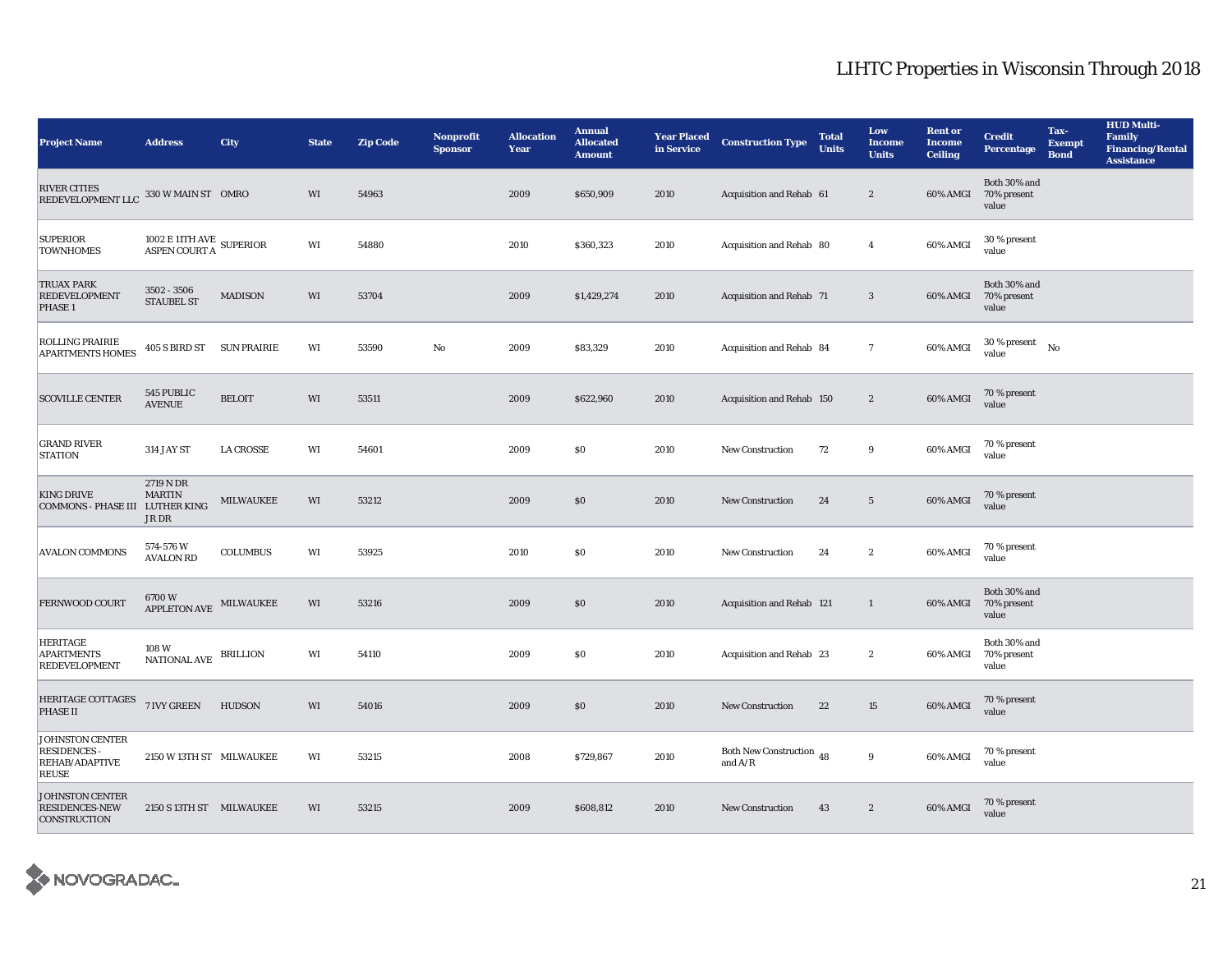| <b>Project Name</b>                                                            | <b>Address</b>                                     | City             | <b>State</b> | <b>Zip Code</b> | Nonprofit<br><b>Sponsor</b> | <b>Allocation</b><br>Year | <b>Annual</b><br><b>Allocated</b><br><b>Amount</b> | <b>Year Placed</b><br>in Service | <b>Construction Type</b>                   | <b>Total</b><br><b>Units</b> | Low<br><b>Income</b><br><b>Units</b> | <b>Rent or</b><br><b>Income</b><br><b>Ceiling</b> | <b>Credit</b><br><b>Percentage</b>   | Tax-<br><b>Exempt</b><br><b>Bond</b> | <b>HUD Multi-</b><br><b>Family</b><br><b>Financing/Rental</b><br><b>Assistance</b> |
|--------------------------------------------------------------------------------|----------------------------------------------------|------------------|--------------|-----------------|-----------------------------|---------------------------|----------------------------------------------------|----------------------------------|--------------------------------------------|------------------------------|--------------------------------------|---------------------------------------------------|--------------------------------------|--------------------------------------|------------------------------------------------------------------------------------|
| <b>RIVER CITIES</b><br>REDEVELOPMENT LLC 330 W MAIN ST OMRO                    |                                                    |                  | WI           | 54963           |                             | 2009                      | \$650,909                                          | 2010                             | Acquisition and Rehab 61                   |                              | $\boldsymbol{2}$                     | 60% AMGI                                          | Both 30% and<br>70% present<br>value |                                      |                                                                                    |
| <b>SUPERIOR</b><br><b>TOWNHOMES</b>                                            | $1002$ E 11TH AVE $\,$ SUPERIOR ASPEN COURT A $\,$ |                  | WI           | 54880           |                             | 2010                      | \$360,323                                          | 2010                             | Acquisition and Rehab 80                   |                              | $\overline{4}$                       | 60% AMGI                                          | 30 % present<br>value                |                                      |                                                                                    |
| <b>TRUAX PARK</b><br><b>REDEVELOPMENT</b><br>PHASE 1                           | 3502 - 3506<br><b>STAUBEL ST</b>                   | <b>MADISON</b>   | WI           | 53704           |                             | 2009                      | \$1,429,274                                        | 2010                             | Acquisition and Rehab 71                   |                              | 3                                    | 60% AMGI                                          | Both 30% and<br>70% present<br>value |                                      |                                                                                    |
| ROLLING PRAIRIE<br><b>APARTMENTS HOMES</b>                                     | 405 S BIRD ST SUN PRAIRIE                          |                  | WI           | 53590           | No                          | 2009                      | \$83,329                                           | 2010                             | Acquisition and Rehab 84                   |                              | $7\overline{ }$                      | 60% AMGI                                          | 30 % present<br>value                | No                                   |                                                                                    |
| <b>SCOVILLE CENTER</b>                                                         | 545 PUBLIC<br><b>AVENUE</b>                        | <b>BELOIT</b>    | WI           | 53511           |                             | 2009                      | \$622,960                                          | 2010                             | Acquisition and Rehab 150                  |                              | $\mathbf{2}$                         | 60% AMGI                                          | 70 % present<br>value                |                                      |                                                                                    |
| <b>GRAND RIVER</b><br><b>STATION</b>                                           | <b>314 JAY ST</b>                                  | <b>LA CROSSE</b> | WI           | 54601           |                             | 2009                      | \$0\$                                              | 2010                             | <b>New Construction</b>                    | 72                           | $\boldsymbol{9}$                     | 60% AMGI                                          | 70 % present<br>value                |                                      |                                                                                    |
| <b>KING DRIVE</b><br>COMMONS - PHASE III LUTHER KING                           | 2719 N DR<br><b>MARTIN</b><br>JR DR                | <b>MILWAUKEE</b> | WI           | 53212           |                             | 2009                      | \$0\$                                              | 2010                             | <b>New Construction</b>                    | 24                           | $\sqrt{5}$                           | 60% AMGI                                          | 70 % present<br>value                |                                      |                                                                                    |
| <b>AVALON COMMONS</b>                                                          | 574-576 W<br><b>AVALON RD</b>                      | <b>COLUMBUS</b>  | WI           | 53925           |                             | 2010                      | \$0\$                                              | 2010                             | <b>New Construction</b>                    | 24                           | $\boldsymbol{2}$                     | $60\%$ AMGI                                       | 70 % present<br>value                |                                      |                                                                                    |
| FERNWOOD COURT                                                                 | 6700W<br><b>APPLETON AVE</b>                       | MILWAUKEE        | WI           | 53216           |                             | 2009                      | \$0\$                                              | 2010                             | Acquisition and Rehab 121                  |                              | $\mathbf{1}$                         | 60% AMGI                                          | Both 30% and<br>70% present<br>value |                                      |                                                                                    |
| <b>HERITAGE</b><br><b>APARTMENTS</b><br><b>REDEVELOPMENT</b>                   | 108W<br><b>NATIONAL AVE</b>                        | BRILLION         | WI           | 54110           |                             | 2009                      | $\$0$                                              | 2010                             | Acquisition and Rehab 23                   |                              | $\boldsymbol{2}$                     | 60% AMGI                                          | Both 30% and<br>70% present<br>value |                                      |                                                                                    |
| HERITAGE COTTAGES<br><b>PHASE II</b>                                           | 7 IVY GREEN                                        | <b>HUDSON</b>    | WI           | 54016           |                             | 2009                      | $\$0$                                              | 2010                             | <b>New Construction</b>                    | 22                           | $15\,$                               | 60% AMGI                                          | 70 % present<br>value                |                                      |                                                                                    |
| <b>JOHNSTON CENTER</b><br><b>RESIDENCES-</b><br>REHAB/ADAPTIVE<br><b>REUSE</b> | 2150 W 13TH ST MILWAUKEE                           |                  | WI           | 53215           |                             | 2008                      | \$729,867                                          | 2010                             | Both New Construction $\,$ 48<br>and $A/R$ |                              | $\boldsymbol{9}$                     | 60% AMGI                                          | 70 % present<br>value                |                                      |                                                                                    |
| <b>JOHNSTON CENTER</b><br><b>RESIDENCES-NEW</b><br><b>CONSTRUCTION</b>         | 2150 S 13TH ST MILWAUKEE                           |                  | WI           | 53215           |                             | 2009                      | \$608,812                                          | 2010                             | <b>New Construction</b>                    | 43                           | $\mathbf{2}$                         | 60% AMGI                                          | 70 % present<br>value                |                                      |                                                                                    |

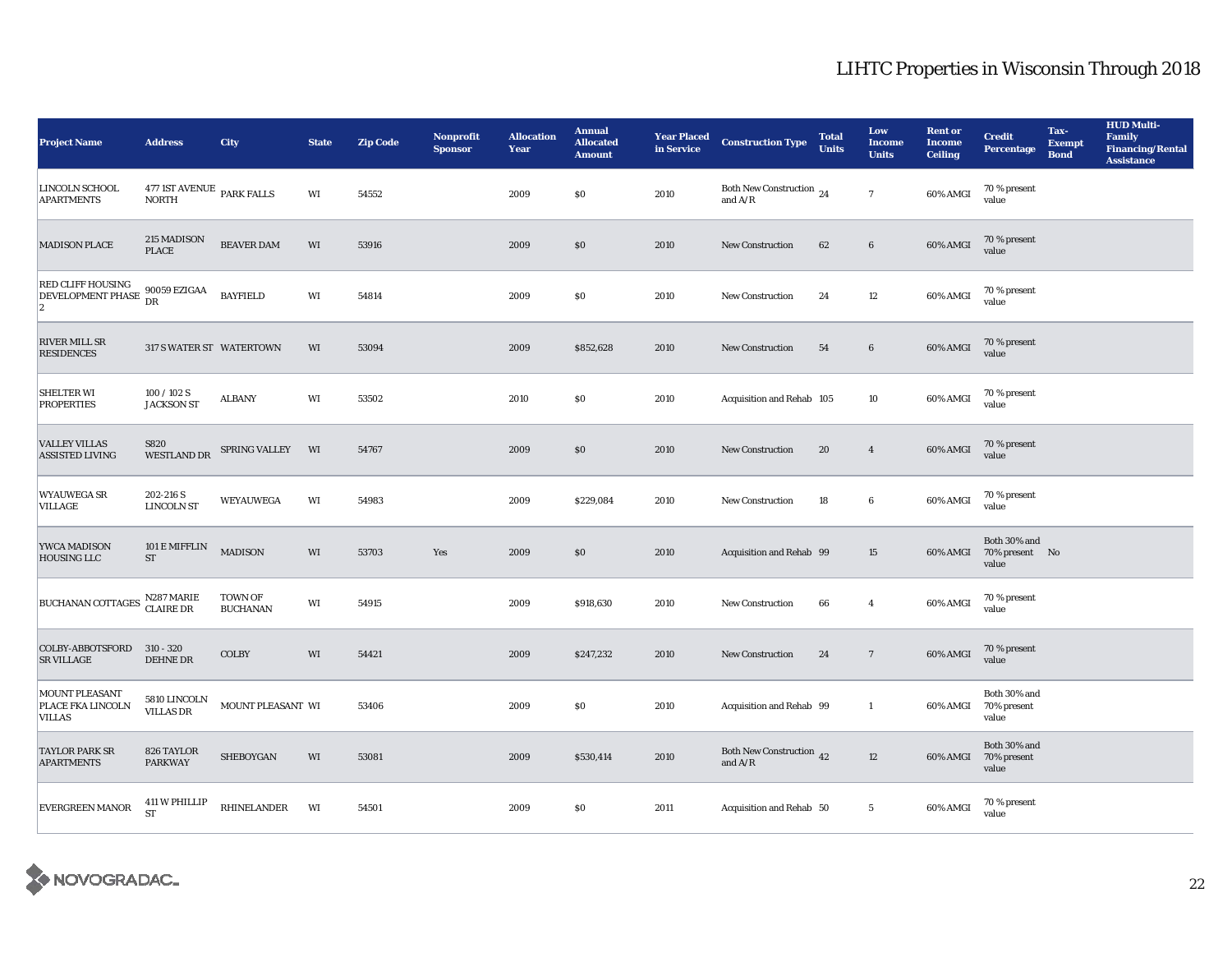| <b>Project Name</b>                                                | <b>Address</b>                            | City                       | <b>State</b> | <b>Zip Code</b> | <b>Nonprofit</b><br><b>Sponsor</b> | <b>Allocation</b><br>Year | <b>Annual</b><br><b>Allocated</b><br><b>Amount</b> | <b>Year Placed</b><br>in Service | <b>Construction Type</b>                  | <b>Total</b><br><b>Units</b> | Low<br><b>Income</b><br><b>Units</b> | <b>Rent or</b><br><b>Income</b><br><b>Ceiling</b> | <b>Credit</b><br><b>Percentage</b>      | Tax-<br><b>Exempt</b><br><b>Bond</b> | <b>HUD Multi-</b><br>Family<br><b>Financing/Rental</b><br><b>Assistance</b> |
|--------------------------------------------------------------------|-------------------------------------------|----------------------------|--------------|-----------------|------------------------------------|---------------------------|----------------------------------------------------|----------------------------------|-------------------------------------------|------------------------------|--------------------------------------|---------------------------------------------------|-----------------------------------------|--------------------------------------|-----------------------------------------------------------------------------|
| <b>LINCOLN SCHOOL</b><br><b>APARTMENTS</b>                         | 477 IST AVENUE PARK FALLS<br><b>NORTH</b> |                            | WI           | 54552           |                                    | 2009                      | \$0\$                                              | 2010                             | Both New Construction 24<br>and $A/R$     |                              | $\overline{7}$                       | 60% AMGI                                          | 70 % present<br>value                   |                                      |                                                                             |
| <b>MADISON PLACE</b>                                               | 215 MADISON<br><b>PLACE</b>               | <b>BEAVER DAM</b>          | WI           | 53916           |                                    | 2009                      | $\$0$                                              | 2010                             | <b>New Construction</b>                   | 62                           | $6\phantom{.0}$                      | 60% AMGI                                          | 70 % present<br>value                   |                                      |                                                                             |
| <b>RED CLIFF HOUSING</b><br>DEVELOPMENT PHASE DR<br>$\overline{2}$ | $90059$ EZIGAA                            | <b>BAYFIELD</b>            | WI           | 54814           |                                    | 2009                      | \$0\$                                              | 2010                             | <b>New Construction</b>                   | 24                           | $12\,$                               | 60% AMGI                                          | 70 % present<br>value                   |                                      |                                                                             |
| <b>RIVER MILL SR</b><br><b>RESIDENCES</b>                          | 317 S WATER ST WATERTOWN                  |                            | WI           | 53094           |                                    | 2009                      | \$852,628                                          | 2010                             | <b>New Construction</b>                   | 54                           | 6                                    | 60% AMGI                                          | 70 % present<br>value                   |                                      |                                                                             |
| <b>SHELTER WI</b><br><b>PROPERTIES</b>                             | 100 / 102 S<br><b>JACKSON ST</b>          | <b>ALBANY</b>              | WI           | 53502           |                                    | 2010                      | $\$0$                                              | 2010                             | Acquisition and Rehab 105                 |                              | 10                                   | 60% AMGI                                          | 70 % present<br>value                   |                                      |                                                                             |
| <b>VALLEY VILLAS</b><br><b>ASSISTED LIVING</b>                     | <b>S820</b><br><b>WESTLAND DR</b>         | SPRING VALLEY WI           |              | 54767           |                                    | 2009                      | \$0\$                                              | 2010                             | <b>New Construction</b>                   | 20                           | $\overline{4}$                       | 60% AMGI                                          | 70 % present<br>value                   |                                      |                                                                             |
| <b>WYAUWEGA SR</b><br>VILLAGE                                      | 202-216 S<br><b>LINCOLN ST</b>            | WEYAUWEGA                  | WI           | 54983           |                                    | 2009                      | \$229,084                                          | 2010                             | <b>New Construction</b>                   | 18                           | 6                                    | 60% AMGI                                          | 70 % present<br>value                   |                                      |                                                                             |
| YWCA MADISON<br><b>HOUSING LLC</b>                                 | 101 E MIFFLIN<br><b>ST</b>                | <b>MADISON</b>             | WI           | 53703           | Yes                                | 2009                      | \$0\$                                              | 2010                             | Acquisition and Rehab 99                  |                              | $15\,$                               | 60% AMGI                                          | Both 30% and<br>70% present No<br>value |                                      |                                                                             |
| <b>BUCHANAN COTTAGES</b>                                           | N287 MARIE<br><b>CLAIRE DR</b>            | TOWN OF<br><b>BUCHANAN</b> | WI           | 54915           |                                    | 2009                      | \$918,630                                          | 2010                             | <b>New Construction</b>                   | 66                           | $\overline{4}$                       | 60% AMGI                                          | 70 % present<br>value                   |                                      |                                                                             |
| COLBY-ABBOTSFORD 310 - 320<br><b>SR VILLAGE</b>                    | DEHNE DR                                  | <b>COLBY</b>               | WI           | 54421           |                                    | 2009                      | \$247,232                                          | 2010                             | <b>New Construction</b>                   | 24                           | $7\phantom{.0}$                      | 60% AMGI                                          | 70 % present<br>value                   |                                      |                                                                             |
| <b>MOUNT PLEASANT</b><br>PLACE FKA LINCOLN<br><b>VILLAS</b>        | 5810 LINCOLN<br><b>VILLAS DR</b>          | MOUNT PLEASANT WI          |              | 53406           |                                    | 2009                      | $\$0$                                              | 2010                             | Acquisition and Rehab 99                  |                              | $\mathbf{1}$                         | 60% AMGI                                          | Both 30% and<br>70% present<br>value    |                                      |                                                                             |
| <b>TAYLOR PARK SR</b><br><b>APARTMENTS</b>                         | 826 TAYLOR<br><b>PARKWAY</b>              | <b>SHEBOYGAN</b>           | WI           | 53081           |                                    | 2009                      | \$530,414                                          | 2010                             | Both New Construction 42<br>and $\rm A/R$ |                              | $12\,$                               | 60% AMGI                                          | Both 30% and<br>70% present<br>value    |                                      |                                                                             |
| <b>EVERGREEN MANOR</b>                                             | 411 W PHILLIP<br><b>ST</b>                | RHINELANDER                | WI           | 54501           |                                    | 2009                      | \$0\$                                              | 2011                             | Acquisition and Rehab 50                  |                              | $5\phantom{.0}$                      | 60% AMGI                                          | 70 % present<br>value                   |                                      |                                                                             |

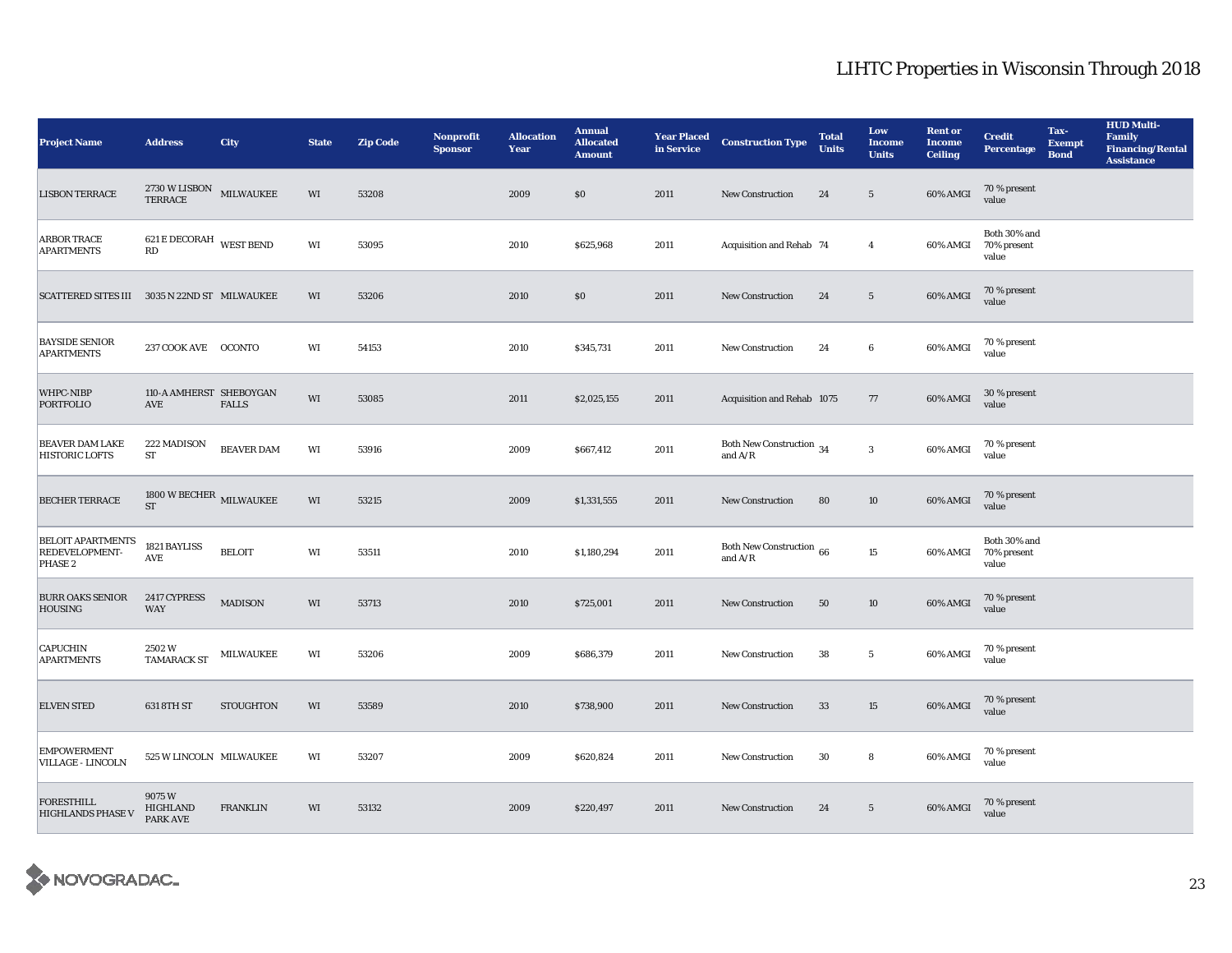| <b>Project Name</b>                                   | <b>Address</b>                                                          | City              | <b>State</b>           | <b>Zip Code</b> | Nonprofit<br><b>Sponsor</b> | <b>Allocation</b><br>Year | <b>Annual</b><br><b>Allocated</b><br><b>Amount</b> | <b>Year Placed<br/>in Service</b> | <b>Construction Type</b>                                                                    | <b>Total</b><br><b>Units</b> | Low<br><b>Income</b><br><b>Units</b> | <b>Rent or</b><br><b>Income</b><br><b>Ceiling</b> | <b>Credit</b><br><b>Percentage</b>   | Tax-<br><b>Exempt</b><br><b>Bond</b> | <b>HUD Multi-</b><br>Family<br><b>Financing/Rental</b><br><b>Assistance</b> |
|-------------------------------------------------------|-------------------------------------------------------------------------|-------------------|------------------------|-----------------|-----------------------------|---------------------------|----------------------------------------------------|-----------------------------------|---------------------------------------------------------------------------------------------|------------------------------|--------------------------------------|---------------------------------------------------|--------------------------------------|--------------------------------------|-----------------------------------------------------------------------------|
| <b>LISBON TERRACE</b>                                 | $2730\,\rm{W}\,LISBON$ MILWAUKEE<br><b>TERRACE</b>                      |                   | WI                     | 53208           |                             | 2009                      | $\$0$                                              | 2011                              | <b>New Construction</b>                                                                     | 24                           | $\sqrt{5}$                           | 60% AMGI                                          | 70 % present<br>value                |                                      |                                                                             |
| <b>ARBOR TRACE</b><br><b>APARTMENTS</b>               | $621\,\mathrm{E}\,\mathrm{DECORAH}$ WEST BEND<br>$\mathbf{R}\mathbf{D}$ |                   | $\mathbf{W}\mathbf{I}$ | 53095           |                             | 2010                      | \$625,968                                          | 2011                              | Acquisition and Rehab 74                                                                    |                              | $\overline{4}$                       | 60% AMGI                                          | Both 30% and<br>70% present<br>value |                                      |                                                                             |
| <b>SCATTERED SITES III</b>                            | 3035 N 22ND ST MILWAUKEE                                                |                   | WI                     | 53206           |                             | 2010                      | \$0                                                | 2011                              | New Construction                                                                            | 24                           | $\sqrt{5}$                           | 60% AMGI                                          | 70 % present<br>value                |                                      |                                                                             |
| <b>BAYSIDE SENIOR</b><br><b>APARTMENTS</b>            | 237 COOK AVE OCONTO                                                     |                   | WI                     | 54153           |                             | 2010                      | \$345,731                                          | 2011                              | New Construction                                                                            | 24                           | 6                                    | 60% AMGI                                          | 70 % present<br>value                |                                      |                                                                             |
| WHPC-NIBP<br><b>PORTFOLIO</b>                         | 110-A AMHERST SHEBOYGAN<br>AVE                                          | <b>FALLS</b>      | $\mathbf{W}\mathbf{I}$ | 53085           |                             | 2011                      | \$2,025,155                                        | 2011                              | Acquisition and Rehab 1075                                                                  |                              | $77\,$                               | 60% AMGI                                          | 30 % present<br>value                |                                      |                                                                             |
| <b>BEAVER DAM LAKE</b><br><b>HISTORIC LOFTS</b>       | 222 MADISON<br>${\cal ST}$                                              | <b>BEAVER DAM</b> | WI                     | 53916           |                             | 2009                      | \$667,412                                          | 2011                              | Both New Construction $\,$ 34 $\,$<br>and $\ensuremath{\mathrm{A}}/\ensuremath{\mathrm{R}}$ |                              | $\bf 3$                              | 60% AMGI                                          | 70 % present<br>value                |                                      |                                                                             |
| <b>BECHER TERRACE</b>                                 | 1800 W BECHER $_{\rm MLWAUKEE}$<br><b>ST</b>                            |                   | WI                     | 53215           |                             | 2009                      | \$1,331,555                                        | 2011                              | New Construction                                                                            | 80                           | $10\,$                               | 60% AMGI                                          | 70 % present<br>value                |                                      |                                                                             |
| <b>BELOIT APARTMENTS</b><br>REDEVELOPMENT-<br>PHASE 2 | 1821 BAYLISS<br>AVE                                                     | <b>BELOIT</b>     | WI                     | 53511           |                             | 2010                      | \$1,180,294                                        | 2011                              | Both New Construction $\,66$<br>and $A/R$                                                   |                              | $15\,$                               | 60% AMGI                                          | Both 30% and<br>70% present<br>value |                                      |                                                                             |
| <b>BURR OAKS SENIOR</b><br><b>HOUSING</b>             | 2417 CYPRESS<br><b>WAY</b>                                              | <b>MADISON</b>    | WI                     | 53713           |                             | 2010                      | \$725,001                                          | 2011                              | New Construction                                                                            | 50                           | $10\,$                               | 60% AMGI                                          | 70 % present<br>value                |                                      |                                                                             |
| <b>CAPUCHIN</b><br><b>APARTMENTS</b>                  | 2502W<br><b>TAMARACK ST</b>                                             | MILWAUKEE         | WI                     | 53206           |                             | 2009                      | \$686,379                                          | 2011                              | <b>New Construction</b>                                                                     | ${\bf 38}$                   | $5\phantom{.0}$                      | 60% AMGI                                          | 70 % present<br>value                |                                      |                                                                             |
| <b>ELVEN STED</b>                                     | 631 8TH ST                                                              | <b>STOUGHTON</b>  | WI                     | 53589           |                             | 2010                      | \$738,900                                          | 2011                              | New Construction                                                                            | 33                           | $15\,$                               | 60% AMGI                                          | 70 % present<br>value                |                                      |                                                                             |
| <b>EMPOWERMENT</b><br><b>VILLAGE - LINCOLN</b>        | 525 W LINCOLN MILWAUKEE                                                 |                   | WI                     | 53207           |                             | 2009                      | \$620,824                                          | 2011                              | <b>New Construction</b>                                                                     | $30\,$                       | 8                                    | 60% AMGI                                          | 70 % present<br>value                |                                      |                                                                             |
| <b>FORESTHILL</b><br><b>HIGHLANDS PHASE V</b>         | 9075W<br>HIGHLAND<br>PARK AVE                                           | <b>FRANKLIN</b>   | WI                     | 53132           |                             | 2009                      | \$220,497                                          | 2011                              | <b>New Construction</b>                                                                     | 24                           | $5\phantom{.0}$                      | 60% AMGI                                          | 70 % present<br>value                |                                      |                                                                             |

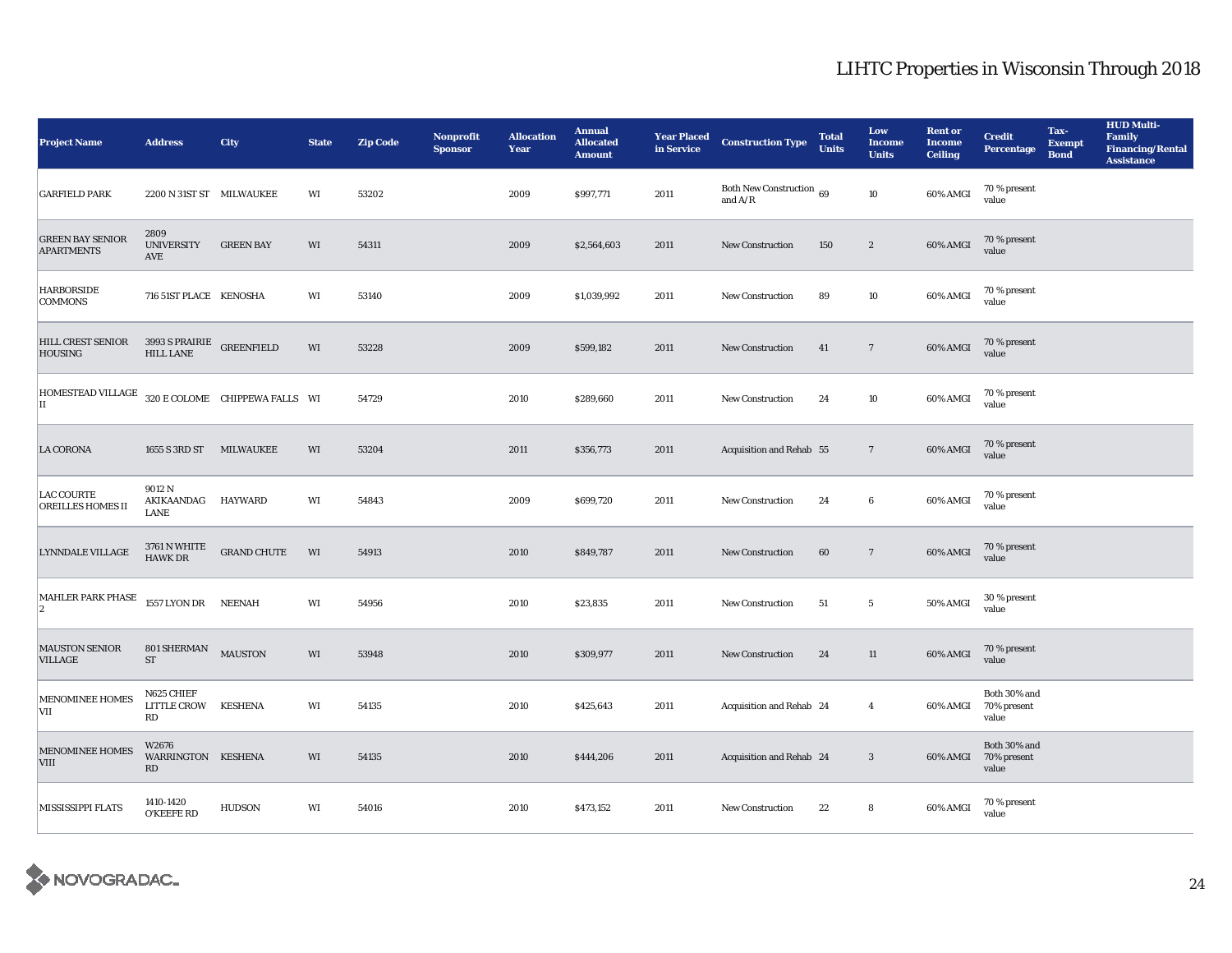| <b>Project Name</b>                           | <b>Address</b>                                              | City                           | <b>State</b>           | <b>Zip Code</b> | Nonprofit<br><b>Sponsor</b> | <b>Allocation</b><br>Year | <b>Annual</b><br><b>Allocated</b><br><b>Amount</b> | <b>Year Placed</b><br>in Service | <b>Construction Type</b>                                                              | <b>Total</b><br><b>Units</b> | Low<br><b>Income</b><br><b>Units</b> | <b>Rent or</b><br><b>Income</b><br><b>Ceiling</b> | <b>Credit</b><br><b>Percentage</b>            | Tax-<br><b>Exempt</b><br><b>Bond</b> | <b>HUD Multi-</b><br>Family<br><b>Financing/Rental</b><br><b>Assistance</b> |
|-----------------------------------------------|-------------------------------------------------------------|--------------------------------|------------------------|-----------------|-----------------------------|---------------------------|----------------------------------------------------|----------------------------------|---------------------------------------------------------------------------------------|------------------------------|--------------------------------------|---------------------------------------------------|-----------------------------------------------|--------------------------------------|-----------------------------------------------------------------------------|
| <b>GARFIELD PARK</b>                          | 2200 N 31ST ST MILWAUKEE                                    |                                | WI                     | 53202           |                             | 2009                      | \$997,771                                          | 2011                             | Both New Construction $\,69$<br>and $\ensuremath{\mathrm{A}}/\ensuremath{\mathrm{R}}$ |                              | $10\,$                               | 60% AMGI                                          | 70 % present<br>value                         |                                      |                                                                             |
| <b>GREEN BAY SENIOR</b><br><b>APARTMENTS</b>  | 2809<br><b>UNIVERSITY</b><br>AVE                            | <b>GREEN BAY</b>               | WI                     | 54311           |                             | 2009                      | \$2,564,603                                        | 2011                             | New Construction                                                                      | 150                          | $\boldsymbol{2}$                     | 60% AMGI                                          | 70 % present<br>value                         |                                      |                                                                             |
| <b>HARBORSIDE</b><br><b>COMMONS</b>           | 716 51ST PLACE KENOSHA                                      |                                | WI                     | 53140           |                             | 2009                      | \$1,039,992                                        | 2011                             | <b>New Construction</b>                                                               | 89                           | 10                                   | 60% AMGI                                          | 70 % present<br>value                         |                                      |                                                                             |
| <b>HILL CREST SENIOR</b><br><b>HOUSING</b>    | $3993$ S PRAIRIE $$\sf{G}\textsc{REENFI}\xspace$ GREENFIELD |                                | WI                     | 53228           |                             | 2009                      | \$599,182                                          | 2011                             | New Construction                                                                      | 41                           | $7\phantom{.0}$                      | 60% AMGI                                          | 70 % present<br>value                         |                                      |                                                                             |
| <b>HOMESTEAD VILLAGE</b><br>IІ                |                                                             | 320 E COLOME CHIPPEWA FALLS WI |                        | 54729           |                             | 2010                      | \$289,660                                          | 2011                             | <b>New Construction</b>                                                               | 24                           | 10                                   | 60% AMGI                                          | 70 % present<br>value                         |                                      |                                                                             |
| <b>LA CORONA</b>                              | 1655 S 3RD ST MILWAUKEE                                     |                                | WI                     | 53204           |                             | 2011                      | \$356,773                                          | 2011                             | Acquisition and Rehab 55                                                              |                              | $7\phantom{.0}$                      | 60% AMGI                                          | 70 % present<br>value                         |                                      |                                                                             |
| <b>LAC COURTE</b><br><b>OREILLES HOMES II</b> | 9012N<br>AKIKAANDAG<br>LANE                                 | HAYWARD                        | WI                     | 54843           |                             | 2009                      | \$699,720                                          | 2011                             | <b>New Construction</b>                                                               | 24                           | $6\phantom{.0}$                      | 60% AMGI                                          | 70 % present<br>value                         |                                      |                                                                             |
| <b>LYNNDALE VILLAGE</b>                       | <b>3761 N WHITE</b><br><b>HAWK DR</b>                       | <b>GRAND CHUTE</b>             | WI                     | 54913           |                             | 2010                      | \$849,787                                          | 2011                             | New Construction                                                                      | 60                           | $7\phantom{.0}$                      | 60% AMGI                                          | 70 % present<br>value                         |                                      |                                                                             |
| MAHLER PARK PHASE<br>$\vert$ 2                | 1557 LYON DR NEENAH                                         |                                | $\mathbf{W}\mathbf{I}$ | 54956           |                             | 2010                      | \$23,835                                           | 2011                             | New Construction                                                                      | 51                           | $5\phantom{.0}$                      | <b>50% AMGI</b>                                   | 30 % present<br>value                         |                                      |                                                                             |
| <b>MAUSTON SENIOR</b><br><b>VILLAGE</b>       | 801 SHERMAN<br>$\operatorname{ST}$                          | <b>MAUSTON</b>                 | WI                     | 53948           |                             | 2010                      | \$309,977                                          | 2011                             | New Construction                                                                      | 24                           | $11\,$                               | 60% AMGI                                          | 70 % present<br>value                         |                                      |                                                                             |
| <b>MENOMINEE HOMES</b><br>VII                 | N625 CHIEF<br><b>LITTLE CROW</b><br>RD                      | <b>KESHENA</b>                 | WI                     | 54135           |                             | 2010                      | \$425,643                                          | 2011                             | Acquisition and Rehab 24                                                              |                              | $\overline{4}$                       | 60% AMGI                                          | Both 30% and<br>70% present<br>value          |                                      |                                                                             |
| <b>MENOMINEE HOMES</b><br><b>VIII</b>         | W2676<br>WARRINGTON KESHENA<br>RD                           |                                | WI                     | 54135           |                             | 2010                      | \$444,206                                          | 2011                             | Acquisition and Rehab 24                                                              |                              | $\mathbf{3}$                         |                                                   | Both 30% and<br>60% AMGI 70% present<br>value |                                      |                                                                             |
| <b>MISSISSIPPI FLATS</b>                      | 1410-1420<br><b>O'KEEFE RD</b>                              | <b>HUDSON</b>                  | WI                     | 54016           |                             | 2010                      | \$473,152                                          | 2011                             | <b>New Construction</b>                                                               | 22                           | 8                                    | 60% AMGI                                          | 70 % present<br>value                         |                                      |                                                                             |

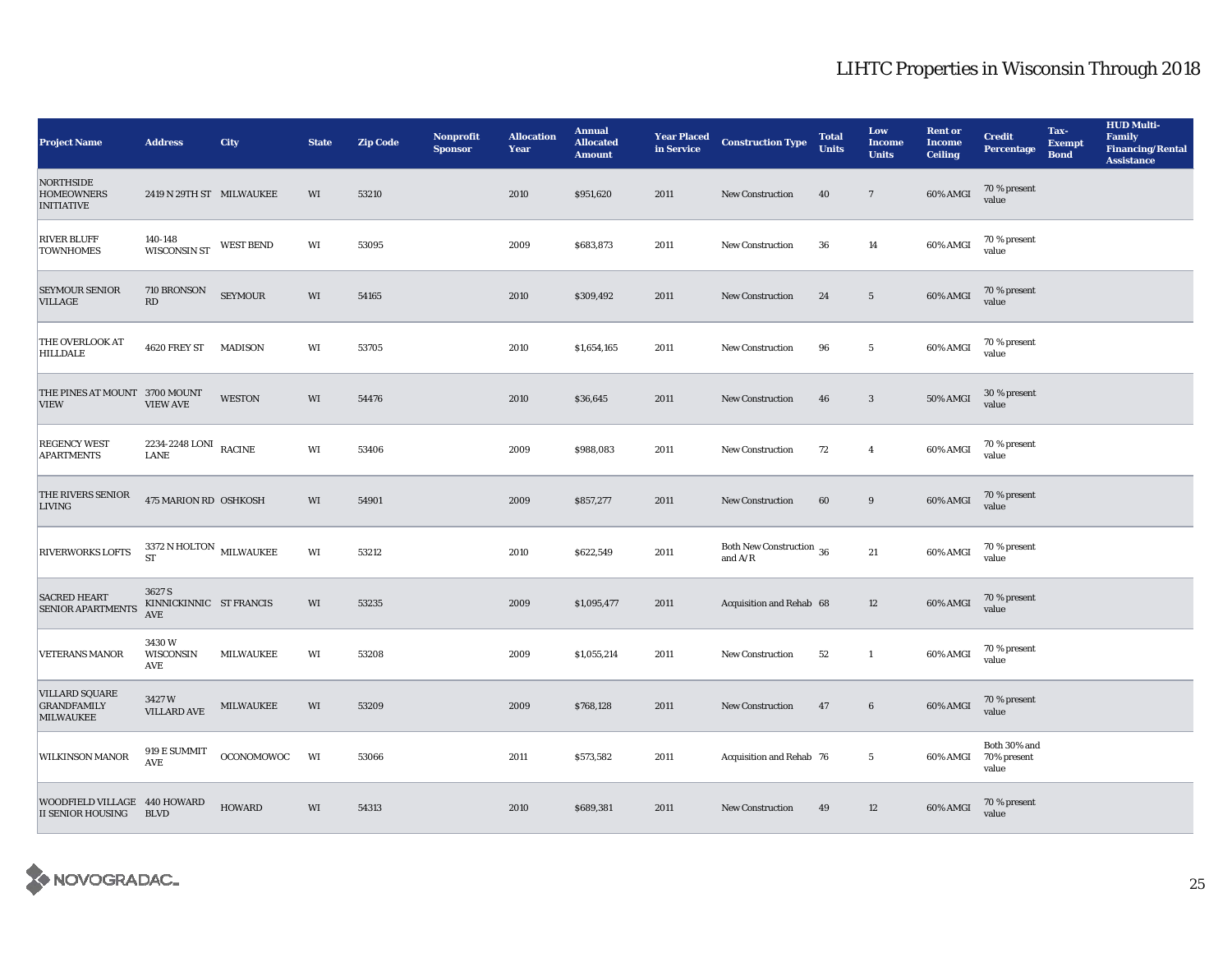| <b>Project Name</b>                                             | <b>Address</b>                                            | City             | <b>State</b> | <b>Zip Code</b> | Nonprofit<br><b>Sponsor</b> | <b>Allocation</b><br>Year | <b>Annual</b><br><b>Allocated</b><br><b>Amount</b> | <b>Year Placed</b><br>in Service | <b>Construction Type</b>              | <b>Total</b><br><b>Units</b> | Low<br><b>Income</b><br><b>Units</b> | <b>Rent or</b><br><b>Income</b><br><b>Ceiling</b> | <b>Credit</b><br><b>Percentage</b>            | Tax-<br><b>Exempt</b><br><b>Bond</b> | <b>HUD Multi-</b><br>Family<br><b>Financing/Rental</b><br><b>Assistance</b> |
|-----------------------------------------------------------------|-----------------------------------------------------------|------------------|--------------|-----------------|-----------------------------|---------------------------|----------------------------------------------------|----------------------------------|---------------------------------------|------------------------------|--------------------------------------|---------------------------------------------------|-----------------------------------------------|--------------------------------------|-----------------------------------------------------------------------------|
| <b>NORTHSIDE</b><br><b>HOMEOWNERS</b><br><b>INITIATIVE</b>      | 2419 N 29TH ST MILWAUKEE                                  |                  | WI           | 53210           |                             | 2010                      | \$951,620                                          | 2011                             | <b>New Construction</b>               | 40                           | $7\phantom{.0}$                      | 60% AMGI                                          | 70 % present<br>value                         |                                      |                                                                             |
| <b>RIVER BLUFF</b><br><b>TOWNHOMES</b>                          | 140-148<br><b>WISCONSIN ST</b>                            | <b>WEST BEND</b> | WI           | 53095           |                             | 2009                      | \$683,873                                          | 2011                             | New Construction                      | 36                           | 14                                   | 60% AMGI                                          | 70 % present<br>value                         |                                      |                                                                             |
| <b>SEYMOUR SENIOR</b><br><b>VILLAGE</b>                         | 710 BRONSON<br>RD                                         | <b>SEYMOUR</b>   | WI           | 54165           |                             | 2010                      | \$309,492                                          | 2011                             | <b>New Construction</b>               | 24                           | $5\phantom{.0}$                      | 60% AMGI                                          | 70 % present<br>value                         |                                      |                                                                             |
| THE OVERLOOK AT<br><b>HILLDALE</b>                              | 4620 FREY ST MADISON                                      |                  | WI           | 53705           |                             | 2010                      | \$1,654,165                                        | 2011                             | <b>New Construction</b>               | 96                           | $5\phantom{.0}$                      | 60% AMGI                                          | 70 % present<br>value                         |                                      |                                                                             |
| THE PINES AT MOUNT 3700 MOUNT<br><b>VIEW</b>                    | <b>VIEW AVE</b>                                           | <b>WESTON</b>    | WI           | 54476           |                             | 2010                      | \$36,645                                           | 2011                             | <b>New Construction</b>               | 46                           | $\mathbf{3}$                         | 50% AMGI                                          | 30 % present<br>value                         |                                      |                                                                             |
| <b>REGENCY WEST</b><br><b>APARTMENTS</b>                        | 2234-2248 LONI RACINE<br>LANE                             |                  | WI           | 53406           |                             | 2009                      | \$988,083                                          | 2011                             | <b>New Construction</b>               | 72                           | $\overline{4}$                       | 60% AMGI                                          | 70 % present<br>value                         |                                      |                                                                             |
| THE RIVERS SENIOR<br><b>LIVING</b>                              | 475 MARION RD OSHKOSH                                     |                  | WI           | 54901           |                             | 2009                      | \$857,277                                          | 2011                             | <b>New Construction</b>               | 60                           | $\boldsymbol{9}$                     | 60% AMGI                                          | 70 % present<br>value                         |                                      |                                                                             |
| <b>RIVERWORKS LOFTS</b>                                         | $3372$ N HOLTON $\quad$ MILWAUKEE<br><b>ST</b>            |                  | WI           | 53212           |                             | 2010                      | \$622,549                                          | 2011                             | Both New Construction 36<br>and $A/R$ |                              | 21                                   | 60% AMGI                                          | 70 % present<br>value                         |                                      |                                                                             |
| <b>SACRED HEART</b><br><b>SENIOR APARTMENTS</b>                 | 3627 S<br>KINNICKINNIC ST FRANCIS<br>$\operatorname{AVE}$ |                  | WI           | 53235           |                             | 2009                      | \$1,095,477                                        | 2011                             | Acquisition and Rehab 68              |                              | 12                                   | 60% AMGI                                          | 70 % present<br>value                         |                                      |                                                                             |
| <b>VETERANS MANOR</b>                                           | 3430W<br>WISCONSIN<br>AVE                                 | <b>MILWAUKEE</b> | WI           | 53208           |                             | 2009                      | \$1,055,214                                        | 2011                             | <b>New Construction</b>               | 52                           | $\mathbf{1}$                         | 60% AMGI                                          | 70 % present<br>value                         |                                      |                                                                             |
| <b>VILLARD SQUARE</b><br><b>GRANDFAMILY</b><br><b>MILWAUKEE</b> | 3427W<br><b>VILLARD AVE</b>                               | <b>MILWAUKEE</b> | WI           | 53209           |                             | 2009                      | \$768,128                                          | 2011                             | New Construction                      | 47                           | $6\phantom{.0}$                      | 60% AMGI                                          | 70 % present<br>value                         |                                      |                                                                             |
| <b>WILKINSON MANOR</b>                                          | $919\to \text{SUMMIT}$<br>$\operatorname{AVE}$            | OCONOMOWOC       | WI           | 53066           |                             | 2011                      | \$573,582                                          | 2011                             | Acquisition and Rehab 76              |                              | $5\phantom{.0}$                      |                                                   | Both 30% and<br>60% AMGI 70% present<br>value |                                      |                                                                             |
| WOODFIELD VILLAGE 440 HOWARD<br>II SENIOR HOUSING BLVD          |                                                           | <b>HOWARD</b>    | WI           | 54313           |                             | 2010                      | \$689,381                                          | 2011                             | New Construction                      | 49                           | 12                                   | 60% AMGI                                          | 70 % present<br>value                         |                                      |                                                                             |

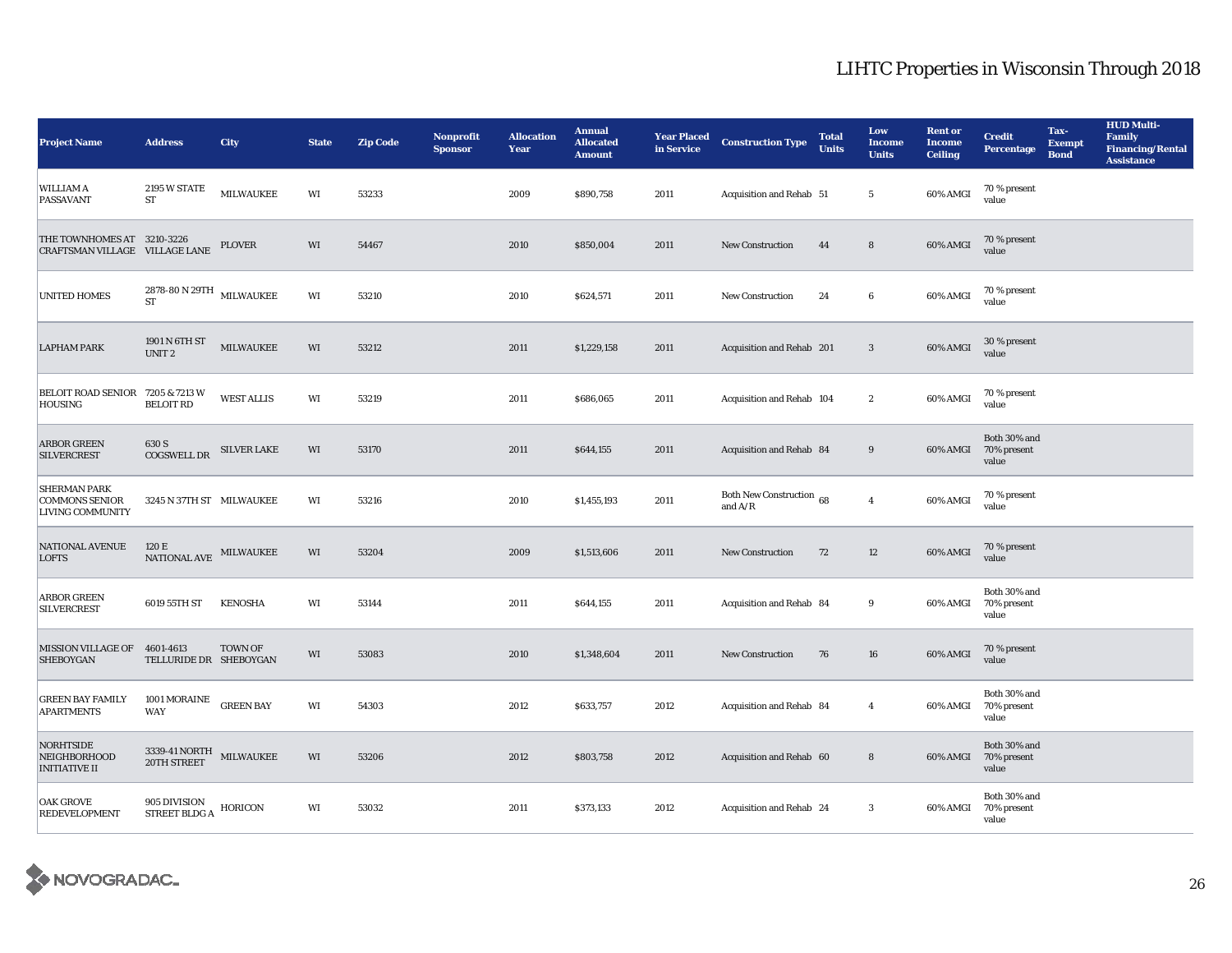| <b>Project Name</b>                                              | <b>Address</b>                                                   | City               | <b>State</b>           | <b>Zip Code</b> | Nonprofit<br><b>Sponsor</b> | <b>Allocation</b><br>Year | <b>Annual</b><br><b>Allocated</b><br><b>Amount</b> | <b>Year Placed</b><br>in Service | <b>Construction Type</b>              | <b>Total</b><br><b>Units</b> | Low<br><b>Income</b><br><b>Units</b> | <b>Rent or</b><br><b>Income</b><br><b>Ceiling</b> | <b>Credit</b><br><b>Percentage</b>   | Tax-<br><b>Exempt</b><br><b>Bond</b> | <b>HUD Multi-</b><br><b>Family</b><br><b>Financing/Rental</b><br><b>Assistance</b> |
|------------------------------------------------------------------|------------------------------------------------------------------|--------------------|------------------------|-----------------|-----------------------------|---------------------------|----------------------------------------------------|----------------------------------|---------------------------------------|------------------------------|--------------------------------------|---------------------------------------------------|--------------------------------------|--------------------------------------|------------------------------------------------------------------------------------|
| <b>WILLIAM A</b><br>PASSAVANT                                    | 2195 W STATE<br>${\cal ST}$                                      | <b>MILWAUKEE</b>   | WI                     | 53233           |                             | 2009                      | \$890,758                                          | 2011                             | Acquisition and Rehab 51              |                              | $5\phantom{.0}$                      | 60% AMGI                                          | 70 % present<br>value                |                                      |                                                                                    |
| THE TOWNHOMES AT 3210-3226<br>CRAFTSMAN VILLAGE VILLAGE LANE     |                                                                  | <b>PLOVER</b>      | WI                     | 54467           |                             | 2010                      | \$850,004                                          | 2011                             | <b>New Construction</b>               | 44                           | 8                                    | 60% AMGI                                          | 70 % present<br>value                |                                      |                                                                                    |
| <b>UNITED HOMES</b>                                              | $2878\text{-}80$ N $29\mathrm{TH}$ $_{\,$ MILWAUKEE<br><b>ST</b> |                    | WI                     | 53210           |                             | 2010                      | \$624,571                                          | 2011                             | <b>New Construction</b>               | 24                           | 6                                    | 60% AMGI                                          | 70 % present<br>value                |                                      |                                                                                    |
| <b>LAPHAM PARK</b>                                               | 1901 N 6TH ST<br>UNIT <sub>2</sub>                               | MILWAUKEE          | WI                     | 53212           |                             | 2011                      | \$1,229,158                                        | 2011                             | Acquisition and Rehab 201             |                              | 3                                    | 60% AMGI                                          | 30 % present<br>value                |                                      |                                                                                    |
| BELOIT ROAD SENIOR 7205 & 7213 W<br><b>HOUSING</b>               | <b>BELOIT RD</b>                                                 | <b>WEST ALLIS</b>  | WI                     | 53219           |                             | 2011                      | \$686,065                                          | 2011                             | Acquisition and Rehab 104             |                              | $\boldsymbol{2}$                     | 60% AMGI                                          | 70 % present<br>value                |                                      |                                                                                    |
| <b>ARBOR GREEN</b><br><b>SILVERCREST</b>                         | 630 S<br>${\bf COGSWELL}$ DR                                     | <b>SILVER LAKE</b> | WI                     | 53170           |                             | 2011                      | \$644,155                                          | 2011                             | Acquisition and Rehab 84              |                              | $9\,$                                | 60% AMGI                                          | Both 30% and<br>70% present<br>value |                                      |                                                                                    |
| <b>SHERMAN PARK</b><br><b>COMMONS SENIOR</b><br>LIVING COMMUNITY | 3245 N 37TH ST MILWAUKEE                                         |                    | WI                     | 53216           |                             | 2010                      | \$1,455,193                                        | 2011                             | Both New Construction 68<br>and $A/R$ |                              | $\overline{4}$                       | 60% AMGI                                          | 70 % present<br>value                |                                      |                                                                                    |
| <b>NATIONAL AVENUE</b><br><b>LOFTS</b>                           | 120 E<br>NATIONAL AVE                                            | MILWAUKEE          | WI                     | 53204           |                             | 2009                      | \$1,513,606                                        | 2011                             | <b>New Construction</b>               | 72                           | $12 \,$                              | 60% AMGI                                          | 70 % present<br>value                |                                      |                                                                                    |
| <b>ARBOR GREEN</b><br><b>SILVERCREST</b>                         | 6019 55TH ST                                                     | <b>KENOSHA</b>     | WI                     | 53144           |                             | 2011                      | \$644,155                                          | 2011                             | Acquisition and Rehab 84              |                              | 9                                    | 60% AMGI                                          | Both 30% and<br>70% present<br>value |                                      |                                                                                    |
| <b>MISSION VILLAGE OF</b><br><b>SHEBOYGAN</b>                    | 4601-4613<br>TELLURIDE DR SHEBOYGAN                              | TOWN OF            | WI                     | 53083           |                             | 2010                      | \$1,348,604                                        | 2011                             | <b>New Construction</b>               | 76                           | ${\bf 16}$                           | 60% AMGI                                          | 70 % present<br>value                |                                      |                                                                                    |
| <b>GREEN BAY FAMILY</b><br><b>APARTMENTS</b>                     | 1001 MORAINE $$\sf{G}\rm{REEN}$ BAY<br><b>WAY</b>                |                    | WI                     | 54303           |                             | 2012                      | \$633,757                                          | 2012                             | Acquisition and Rehab 84              |                              | $\overline{4}$                       | 60% AMGI                                          | Both 30% and<br>70% present<br>value |                                      |                                                                                    |
| <b>NORHTSIDE</b><br>NEIGHBORHOOD<br><b>INITIATIVE II</b>         | 3339-41 NORTH<br>20TH STREET                                     | MILWAUKEE          | WI                     | 53206           |                             | 2012                      | \$803,758                                          | 2012                             | Acquisition and Rehab 60              |                              | 8                                    | 60% AMGI                                          | Both 30% and<br>70% present<br>value |                                      |                                                                                    |
| <b>OAK GROVE</b><br><b>REDEVELOPMENT</b>                         | 905 DIVISION<br>STREET BLDG A                                    | <b>HORICON</b>     | $\mathbf{W}\mathbf{I}$ | 53032           |                             | 2011                      | \$373,133                                          | 2012                             | Acquisition and Rehab 24              |                              | $\mathbf{3}$                         | 60% AMGI                                          | Both 30% and<br>70% present<br>value |                                      |                                                                                    |

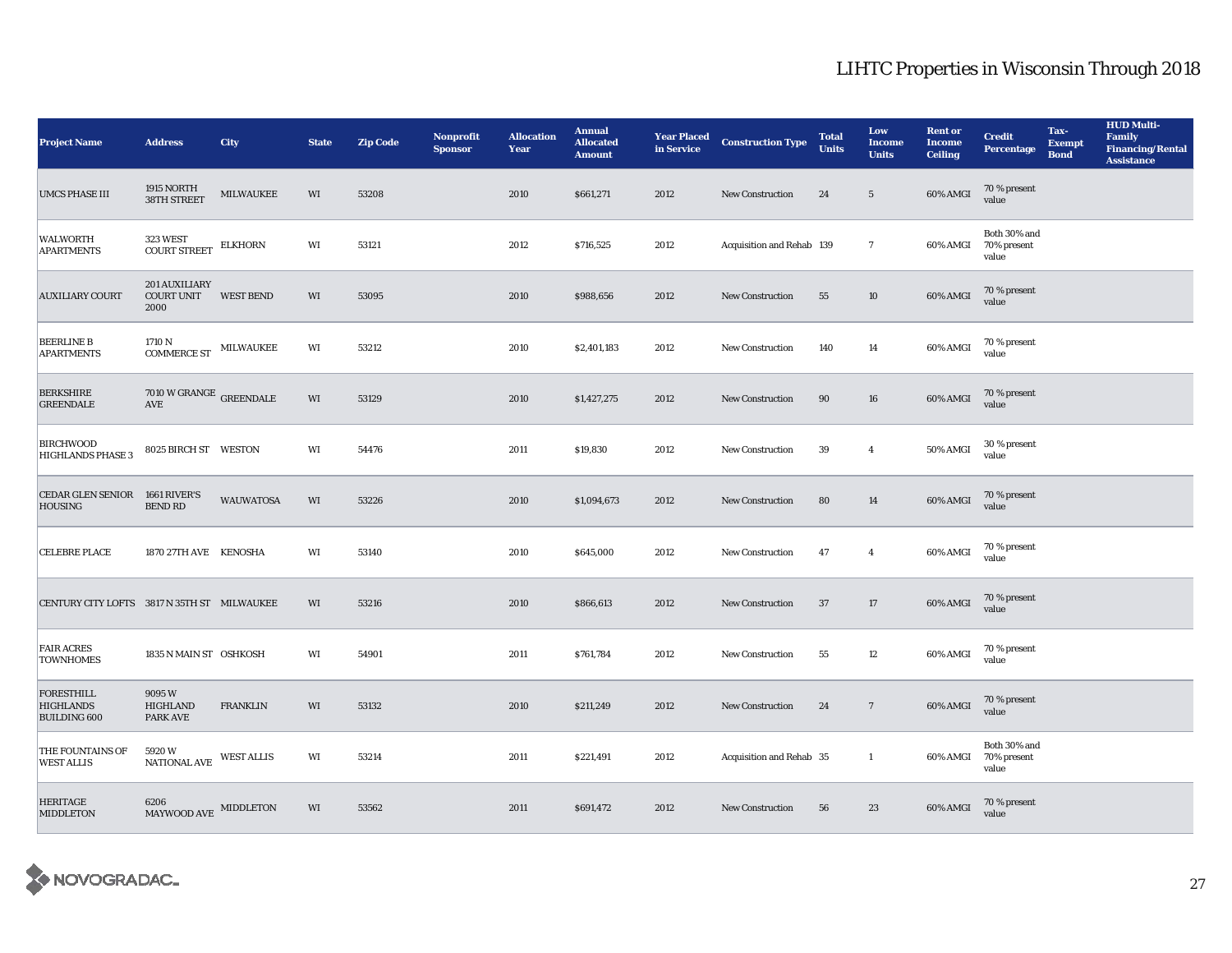| <b>Project Name</b>                                          | <b>Address</b>                                       | City              | <b>State</b> | <b>Zip Code</b> | <b>Nonprofit</b><br><b>Sponsor</b> | <b>Allocation</b><br>Year | <b>Annual</b><br><b>Allocated</b><br><b>Amount</b> | <b>Year Placed</b><br>in Service | <b>Construction Type</b>  | <b>Total</b><br><b>Units</b> | Low<br><b>Income</b><br><b>Units</b> | <b>Rent or</b><br><b>Income</b><br><b>Ceiling</b> | <b>Credit</b><br><b>Percentage</b>            | Tax-<br><b>Exempt</b><br><b>Bond</b> | <b>HUD Multi-</b><br>Family<br><b>Financing/Rental</b><br><b>Assistance</b> |
|--------------------------------------------------------------|------------------------------------------------------|-------------------|--------------|-----------------|------------------------------------|---------------------------|----------------------------------------------------|----------------------------------|---------------------------|------------------------------|--------------------------------------|---------------------------------------------------|-----------------------------------------------|--------------------------------------|-----------------------------------------------------------------------------|
| <b>UMCS PHASE III</b>                                        | 1915 NORTH<br>38TH STREET                            | <b>MILWAUKEE</b>  | WI           | 53208           |                                    | 2010                      | \$661,271                                          | 2012                             | <b>New Construction</b>   | 24                           | $5\phantom{.0}$                      | 60% AMGI                                          | 70 % present<br>value                         |                                      |                                                                             |
| <b>WALWORTH</b><br><b>APARTMENTS</b>                         | 323 WEST<br><b>COURT STREET</b>                      | <b>ELKHORN</b>    | WI           | 53121           |                                    | 2012                      | \$716,525                                          | 2012                             | Acquisition and Rehab 139 |                              | $7\phantom{.0}$                      | 60% AMGI                                          | Both 30% and<br>70% present<br>value          |                                      |                                                                             |
| <b>AUXILIARY COURT</b>                                       | 201 AUXILIARY<br><b>COURT UNIT</b><br>2000           | <b>WEST BEND</b>  | WI           | 53095           |                                    | 2010                      | \$988,656                                          | 2012                             | <b>New Construction</b>   | 55                           | 10                                   | 60% AMGI                                          | 70 % present<br>value                         |                                      |                                                                             |
| <b>BEERLINE B</b><br><b>APARTMENTS</b>                       | 1710 N<br><b>COMMERCE ST</b>                         | MILWAUKEE         | WI           | 53212           |                                    | 2010                      | \$2,401,183                                        | 2012                             | New Construction          | 140                          | $14\,$                               | 60% AMGI                                          | 70 % present<br>value                         |                                      |                                                                             |
| <b>BERKSHIRE</b><br><b>GREENDALE</b>                         | $7010\,\mathrm{W}\,\mathrm{GRANGE}$ GREENDALE<br>AVE |                   | WI           | 53129           |                                    | 2010                      | \$1,427,275                                        | 2012                             | New Construction          | 90                           | 16                                   | 60% AMGI                                          | 70 % present<br>value                         |                                      |                                                                             |
| <b>BIRCHWOOD</b><br><b>HIGHLANDS PHASE 3</b>                 | 8025 BIRCH ST WESTON                                 |                   | WI           | 54476           |                                    | 2011                      | \$19,830                                           | 2012                             | <b>New Construction</b>   | 39                           | $\overline{4}$                       | 50% AMGI                                          | 30 % present<br>value                         |                                      |                                                                             |
| CEDAR GLEN SENIOR 1661 RIVER'S<br><b>HOUSING</b>             | <b>BEND RD</b>                                       | <b>WAUWATOSA</b>  | WI           | 53226           |                                    | 2010                      | \$1,094,673                                        | 2012                             | <b>New Construction</b>   | 80                           | 14                                   | 60% AMGI                                          | 70 % present<br>value                         |                                      |                                                                             |
| <b>CELEBRE PLACE</b>                                         | 1870 27TH AVE KENOSHA                                |                   | WI           | 53140           |                                    | 2010                      | \$645,000                                          | 2012                             | New Construction          | 47                           | $\overline{4}$                       | 60% AMGI                                          | 70 % present<br>value                         |                                      |                                                                             |
| CENTURY CITY LOFTS 3817 N 35TH ST MILWAUKEE                  |                                                      |                   | WI           | 53216           |                                    | 2010                      | \$866,613                                          | 2012                             | New Construction          | 37                           | $17\,$                               | 60% AMGI                                          | 70 % present<br>value                         |                                      |                                                                             |
| <b>FAIR ACRES</b><br><b>TOWNHOMES</b>                        | 1835 N MAIN ST OSHKOSH                               |                   | WI           | 54901           |                                    | 2011                      | \$761,784                                          | 2012                             | New Construction          | 55                           | 12                                   | 60% AMGI                                          | 70 % present<br>value                         |                                      |                                                                             |
| <b>FORESTHILL</b><br><b>HIGHLANDS</b><br><b>BUILDING 600</b> | 9095W<br><b>HIGHLAND</b><br>PARK AVE                 | <b>FRANKLIN</b>   | WI           | 53132           |                                    | 2010                      | \$211,249                                          | 2012                             | <b>New Construction</b>   | 24                           | $7\phantom{.0}$                      | 60% AMGI                                          | 70 % present<br>value                         |                                      |                                                                             |
| <b>THE FOUNTAINS OF</b><br><b>WEST ALLIS</b>                 | 5920W<br><b>NATIONAL AVE</b>                         | <b>WEST ALLIS</b> | WI           | 53214           |                                    | 2011                      | \$221,491                                          | 2012                             | Acquisition and Rehab 35  |                              | $\mathbf{1}$                         |                                                   | Both 30% and<br>60% AMGI 70% present<br>value |                                      |                                                                             |
| <b>HERITAGE</b><br><b>MIDDLETON</b>                          | 6206<br>MAYWOOD AVE MIDDLETON                        |                   | WI           | 53562           |                                    | 2011                      | \$691,472                                          | 2012                             | <b>New Construction</b>   | 56                           | 23                                   | 60% AMGI                                          | 70 % present<br>value                         |                                      |                                                                             |

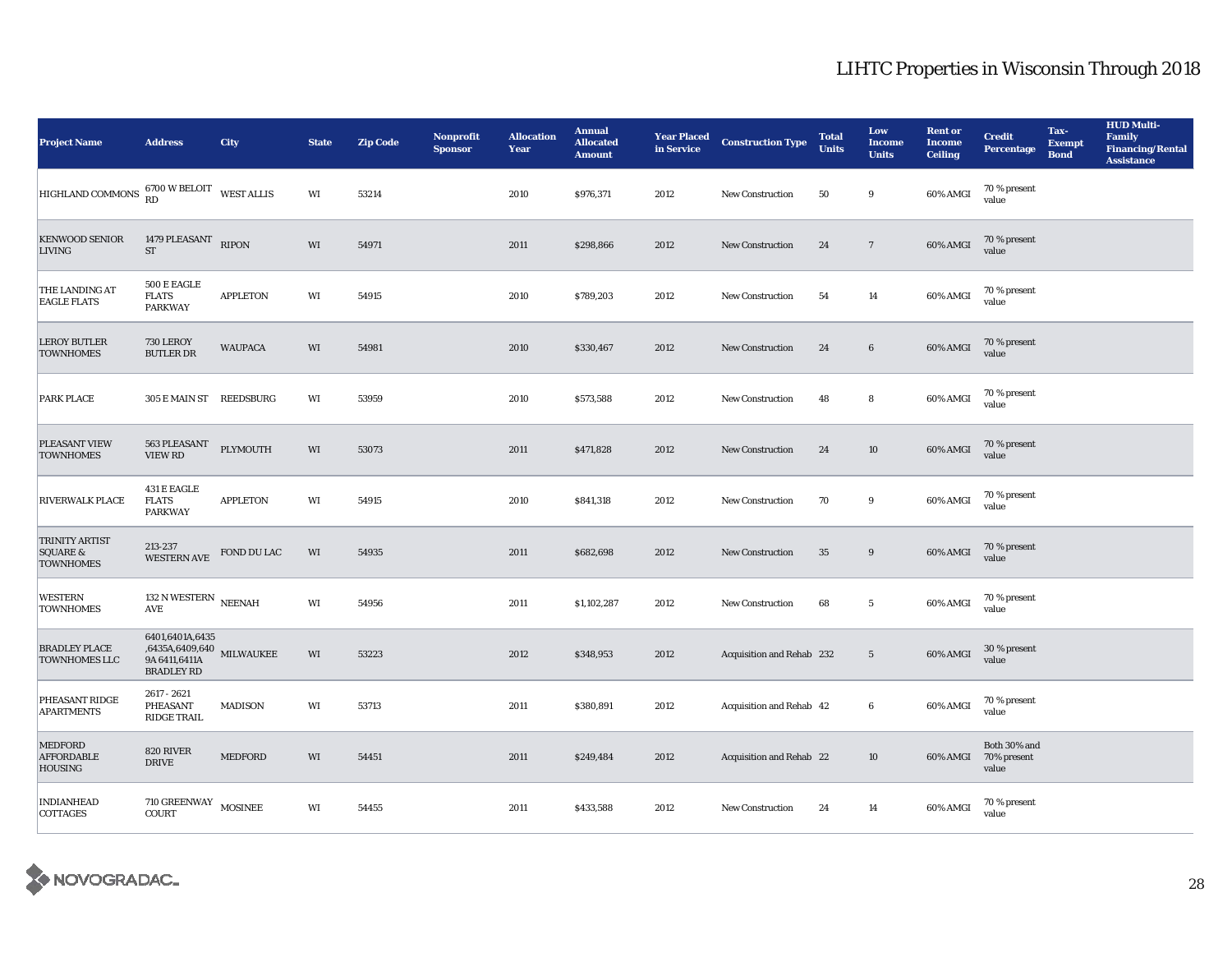| <b>Project Name</b>                                              | <b>Address</b>                                                                  | City            | <b>State</b> | <b>Zip Code</b> | Nonprofit<br><b>Sponsor</b> | <b>Allocation</b><br>Year | <b>Annual</b><br><b>Allocated</b><br><b>Amount</b> | <b>Year Placed<br/>in Service</b> | <b>Construction Type</b>        | <b>Total</b><br><b>Units</b> | Low<br><b>Income</b><br><b>Units</b> | <b>Rent or</b><br><b>Income</b><br><b>Ceiling</b> | <b>Credit</b><br><b>Percentage</b>            | Tax-<br><b>Exempt</b><br><b>Bond</b> | <b>HUD Multi-</b><br><b>Family</b><br><b>Financing/Rental</b><br><b>Assistance</b> |
|------------------------------------------------------------------|---------------------------------------------------------------------------------|-----------------|--------------|-----------------|-----------------------------|---------------------------|----------------------------------------------------|-----------------------------------|---------------------------------|------------------------------|--------------------------------------|---------------------------------------------------|-----------------------------------------------|--------------------------------------|------------------------------------------------------------------------------------|
| HIGHLAND COMMONS                                                 | $6700\,\mathrm{W}\,\mathrm{BELOIT}$ WEST ALLIS RD                               |                 | WI           | 53214           |                             | 2010                      | \$976,371                                          | 2012                              | New Construction                | 50                           | 9                                    | 60% AMGI                                          | 70 % present<br>value                         |                                      |                                                                                    |
| <b>KENWOOD SENIOR</b><br><b>LIVING</b>                           | 1479 PLEASANT RIPON<br>${\cal S}{\cal T}$                                       |                 | WI           | 54971           |                             | 2011                      | \$298,866                                          | 2012                              | <b>New Construction</b>         | 24                           | $7\overline{ }$                      | 60% AMGI                                          | 70 % present<br>value                         |                                      |                                                                                    |
| THE LANDING AT<br><b>EAGLE FLATS</b>                             | 500 E EAGLE<br><b>FLATS</b><br><b>PARKWAY</b>                                   | <b>APPLETON</b> | WI           | 54915           |                             | 2010                      | \$789,203                                          | 2012                              | <b>New Construction</b>         | 54                           | 14                                   | 60% AMGI                                          | 70 % present<br>value                         |                                      |                                                                                    |
| <b>LEROY BUTLER</b><br><b>TOWNHOMES</b>                          | 730 LEROY<br><b>BUTLER DR</b>                                                   | <b>WAUPACA</b>  | WI           | 54981           |                             | 2010                      | \$330,467                                          | 2012                              | <b>New Construction</b>         | 24                           | $6\phantom{.0}$                      | 60% AMGI                                          | 70 % present<br>value                         |                                      |                                                                                    |
| <b>PARK PLACE</b>                                                | 305 E MAIN ST REEDSBURG                                                         |                 | WI           | 53959           |                             | 2010                      | \$573,588                                          | 2012                              | <b>New Construction</b>         | 48                           | 8                                    | 60% AMGI                                          | 70 % present<br>value                         |                                      |                                                                                    |
| PLEASANT VIEW<br><b>TOWNHOMES</b>                                | 563 PLEASANT<br><b>VIEW RD</b>                                                  | PLYMOUTH        | WI           | 53073           |                             | 2011                      | \$471,828                                          | 2012                              | <b>New Construction</b>         | 24                           | 10                                   | 60% AMGI                                          | 70 % present<br>value                         |                                      |                                                                                    |
| <b>RIVERWALK PLACE</b>                                           | 431 E EAGLE<br><b>FLATS</b><br><b>PARKWAY</b>                                   | <b>APPLETON</b> | WI           | 54915           |                             | 2010                      | \$841,318                                          | 2012                              | New Construction                | 70                           | 9                                    | 60% AMGI                                          | 70 % present<br>value                         |                                      |                                                                                    |
| <b>TRINITY ARTIST</b><br><b>SQUARE &amp;</b><br><b>TOWNHOMES</b> | 213-237<br><b>WESTERN AVE</b>                                                   | FOND DU LAC     | WI           | 54935           |                             | 2011                      | \$682,698                                          | 2012                              | New Construction                | 35                           | 9                                    | 60% AMGI                                          | 70 % present<br>value                         |                                      |                                                                                    |
| <b>WESTERN</b><br><b>TOWNHOMES</b>                               | 132 N WESTERN NEENAH<br>$\operatorname{AVE}$                                    |                 | WI           | 54956           |                             | 2011                      | \$1,102,287                                        | 2012                              | <b>New Construction</b>         | 68                           | $5\phantom{.0}$                      | 60% AMGI                                          | 70 % present<br>value                         |                                      |                                                                                    |
| <b>BRADLEY PLACE</b><br><b>TOWNHOMES LLC</b>                     | 6401,6401A,6435<br>,6435A,6409,640 MILWAUKEE 9A 6411,6411A<br><b>BRADLEY RD</b> |                 | WI           | 53223           |                             | 2012                      | \$348,953                                          | 2012                              | Acquisition and Rehab 232       |                              | $5\phantom{.0}$                      | 60% AMGI                                          | 30 % present<br>value                         |                                      |                                                                                    |
| PHEASANT RIDGE<br><b>APARTMENTS</b>                              | 2617 - 2621<br>PHEASANT<br><b>RIDGE TRAIL</b>                                   | <b>MADISON</b>  | WI           | 53713           |                             | 2011                      | \$380,891                                          | 2012                              | Acquisition and Rehab 42        |                              | $6\phantom{.0}$                      | 60% AMGI                                          | 70 % present<br>value                         |                                      |                                                                                    |
| <b>MEDFORD</b><br><b>AFFORDABLE</b><br><b>HOUSING</b>            | 820 RIVER<br><b>DRIVE</b>                                                       | <b>MEDFORD</b>  | WI           | 54451           |                             | 2011                      | \$249,484                                          | 2012                              | <b>Acquisition and Rehab 22</b> |                              | 10                                   |                                                   | Both 30% and<br>60% AMGI 70% present<br>value |                                      |                                                                                    |
| <b>INDIANHEAD</b><br><b>COTTAGES</b>                             | $710$ GREENWAY $_{\rm{MOSINEE}}$<br>COURT                                       |                 | WI           | 54455           |                             | 2011                      | \$433,588                                          | 2012                              | <b>New Construction</b>         | 24                           | 14                                   | 60% AMGI                                          | 70 % present<br>value                         |                                      |                                                                                    |

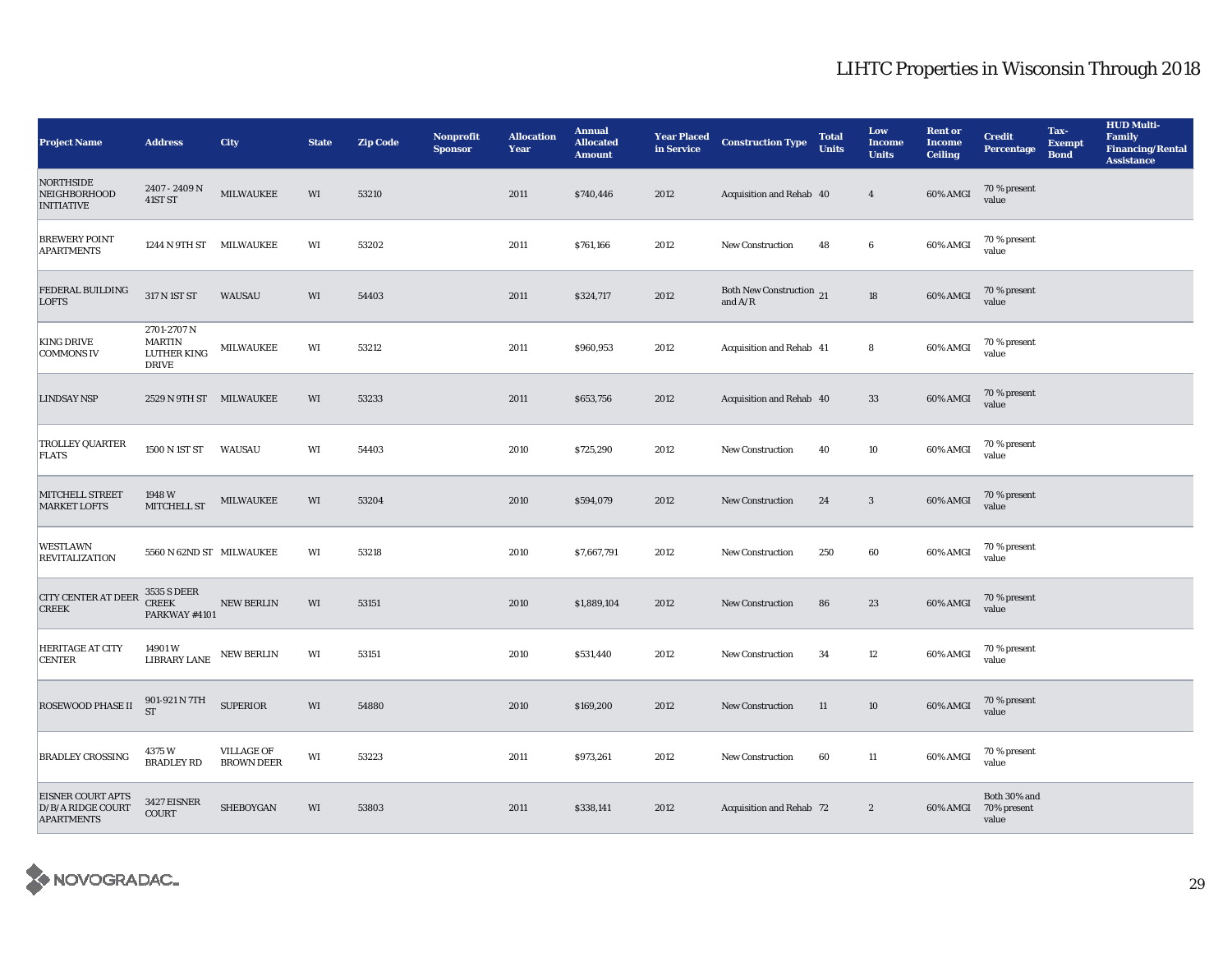| <b>Project Name</b>                                                | <b>Address</b>                                              | City                                   | <b>State</b> | <b>Zip Code</b> | Nonprofit<br><b>Sponsor</b> | <b>Allocation</b><br>Year | <b>Annual</b><br><b>Allocated</b><br><b>Amount</b> | <b>Year Placed<br/>in Service</b> | <b>Construction Type</b>                       | <b>Total</b><br><b>Units</b> | Low<br><b>Income</b><br><b>Units</b> | <b>Rent or</b><br><b>Income</b><br><b>Ceiling</b> | <b>Credit</b><br>Percentage          | Tax-<br><b>Exempt</b><br><b>Bond</b> | <b>HUD Multi-</b><br>Family<br><b>Financing/Rental</b><br><b>Assistance</b> |
|--------------------------------------------------------------------|-------------------------------------------------------------|----------------------------------------|--------------|-----------------|-----------------------------|---------------------------|----------------------------------------------------|-----------------------------------|------------------------------------------------|------------------------------|--------------------------------------|---------------------------------------------------|--------------------------------------|--------------------------------------|-----------------------------------------------------------------------------|
| <b>NORTHSIDE</b><br>NEIGHBORHOOD<br><b>INITIATIVE</b>              | 2407 - 2409 N<br>41ST ST                                    | MILWAUKEE                              | WI           | 53210           |                             | 2011                      | \$740,446                                          | 2012                              | Acquisition and Rehab 40                       |                              | $\overline{4}$                       | 60% AMGI                                          | 70 % present<br>value                |                                      |                                                                             |
| <b>BREWERY POINT</b><br><b>APARTMENTS</b>                          | 1244 N 9TH ST MILWAUKEE                                     |                                        | WI           | 53202           |                             | 2011                      | \$761,166                                          | 2012                              | New Construction                               | 48                           | 6                                    | 60% AMGI                                          | 70 % present<br>value                |                                      |                                                                             |
| <b>FEDERAL BUILDING</b><br><b>LOFTS</b>                            | 317 N 1ST ST                                                | WAUSAU                                 | WI           | 54403           |                             | 2011                      | \$324,717                                          | 2012                              | Both New Construction $_{21}$<br>and $\rm A/R$ |                              | 18                                   | 60% AMGI                                          | 70 % present<br>value                |                                      |                                                                             |
| <b>KING DRIVE</b><br><b>COMMONS IV</b>                             | 2701-2707 N<br><b>MARTIN</b><br>LUTHER KING<br><b>DRIVE</b> | MILWAUKEE                              | WI           | 53212           |                             | 2011                      | \$960,953                                          | 2012                              | Acquisition and Rehab 41                       |                              | 8                                    | 60% AMGI                                          | 70 % present<br>value                |                                      |                                                                             |
| <b>LINDSAY NSP</b>                                                 | 2529 N 9TH ST MILWAUKEE                                     |                                        | WI           | 53233           |                             | 2011                      | \$653,756                                          | 2012                              | Acquisition and Rehab 40                       |                              | $33\,$                               | 60% AMGI                                          | 70 % present<br>value                |                                      |                                                                             |
| <b>TROLLEY QUARTER</b><br><b>FLATS</b>                             | 1500 N 1ST ST                                               | WAUSAU                                 | WI           | 54403           |                             | 2010                      | \$725,290                                          | 2012                              | New Construction                               | 40                           | 10                                   | 60% AMGI                                          | 70 % present<br>value                |                                      |                                                                             |
| MITCHELL STREET<br><b>MARKET LOFTS</b>                             | 1948 W<br>MITCHELL ST                                       | MILWAUKEE                              | WI           | 53204           |                             | 2010                      | \$594,079                                          | 2012                              | <b>New Construction</b>                        | 24                           | $\mathbf{3}$                         | 60% AMGI                                          | 70 % present<br>value                |                                      |                                                                             |
| WESTLAWN<br><b>REVITALIZATION</b>                                  | 5560 N 62ND ST MILWAUKEE                                    |                                        | WI           | 53218           |                             | 2010                      | \$7,667,791                                        | 2012                              | <b>New Construction</b>                        | 250                          | 60                                   | 60% AMGI                                          | 70 % present<br>value                |                                      |                                                                             |
| <b>CITY CENTER AT DEER</b><br><b>CREEK</b>                         | 3535 S DEER<br><b>CREEK</b><br>PARKWAY #4101                | <b>NEW BERLIN</b>                      | WI           | 53151           |                             | 2010                      | \$1,889,104                                        | 2012                              | <b>New Construction</b>                        | 86                           | 23                                   | 60% AMGI                                          | 70 % present<br>value                |                                      |                                                                             |
| HERITAGE AT CITY<br><b>CENTER</b>                                  | 14901W<br><b>LIBRARY LANE</b>                               | NEW BERLIN                             | WI           | 53151           |                             | 2010                      | \$531,440                                          | 2012                              | <b>New Construction</b>                        | 34                           | $12\,$                               | 60% AMGI                                          | 70 % present<br>value                |                                      |                                                                             |
| <b>ROSEWOOD PHASE II</b>                                           | 901-921 N 7TH<br><b>ST</b>                                  | <b>SUPERIOR</b>                        | WI           | 54880           |                             | 2010                      | \$169,200                                          | 2012                              | <b>New Construction</b>                        | 11                           | 10                                   | 60% AMGI                                          | 70 % present<br>value                |                                      |                                                                             |
| <b>BRADLEY CROSSING</b>                                            | 4375W<br><b>BRADLEY RD</b>                                  | <b>VILLAGE OF</b><br><b>BROWN DEER</b> | WI           | 53223           |                             | 2011                      | \$973,261                                          | 2012                              | New Construction                               | 60                           | $11\,$                               | 60% AMGI                                          | 70 % present<br>value                |                                      |                                                                             |
| <b>EISNER COURT APTS</b><br>D/B/A RIDGE COURT<br><b>APARTMENTS</b> | 3427 EISNER<br><b>COURT</b>                                 | SHEBOYGAN                              | WI           | 53803           |                             | 2011                      | \$338,141                                          | 2012                              | Acquisition and Rehab 72                       |                              | $\boldsymbol{2}$                     | 60% AMGI                                          | Both 30% and<br>70% present<br>value |                                      |                                                                             |

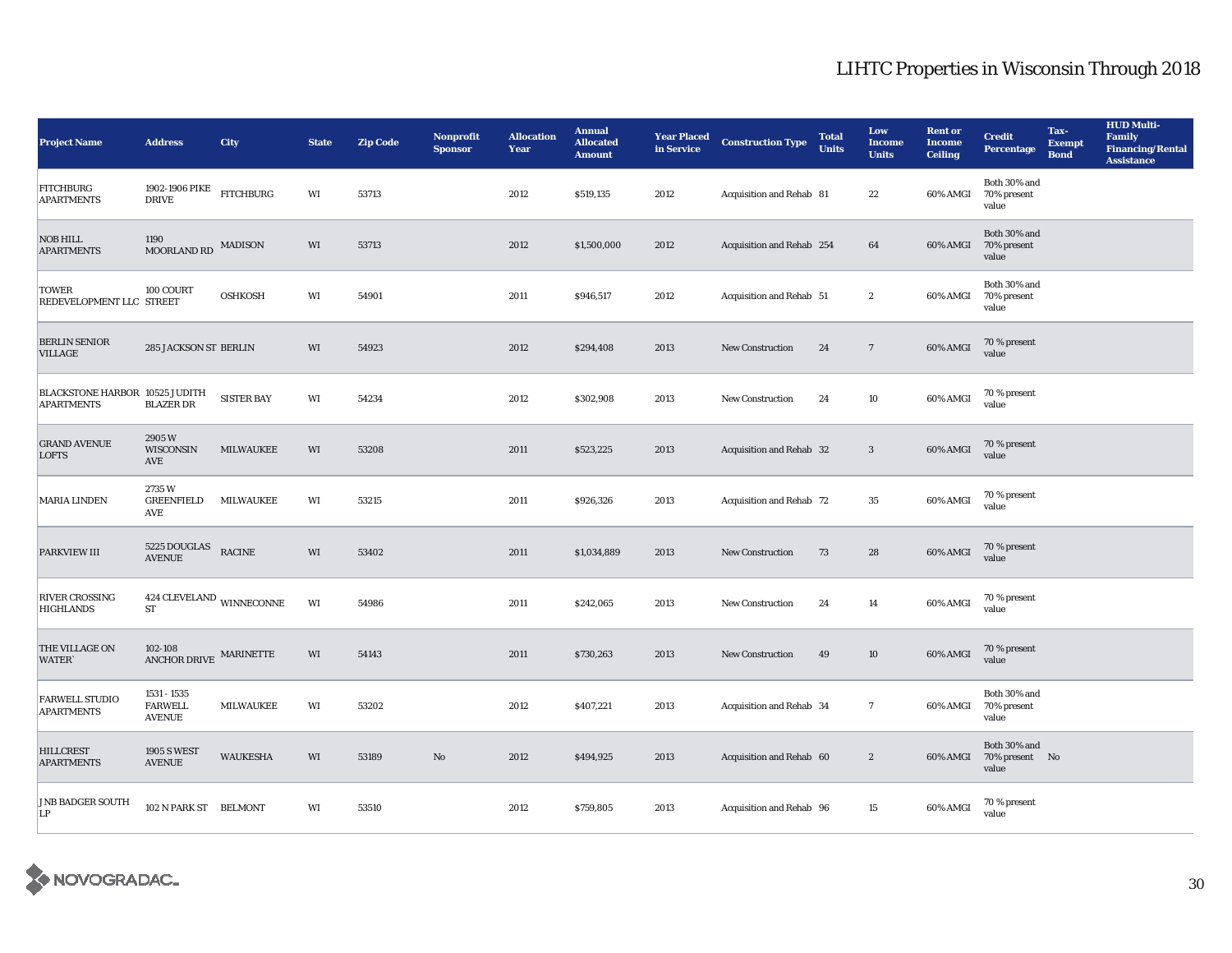| <b>Project Name</b>                                 | <b>Address</b>                                 | City                                | <b>State</b> | <b>Zip Code</b> | <b>Nonprofit</b><br><b>Sponsor</b> | <b>Allocation</b><br>Year | <b>Annual</b><br><b>Allocated</b><br><b>Amount</b> | <b>Year Placed</b><br>in Service | <b>Construction Type</b>  | <b>Total</b><br><b>Units</b> | Low<br><b>Income</b><br><b>Units</b> | <b>Rent or</b><br><b>Income</b><br><b>Ceiling</b> | <b>Credit</b><br><b>Percentage</b>      | Tax-<br><b>Exempt</b><br><b>Bond</b> | <b>HUD Multi-</b><br><b>Family</b><br><b>Financing/Rental</b><br><b>Assistance</b> |
|-----------------------------------------------------|------------------------------------------------|-------------------------------------|--------------|-----------------|------------------------------------|---------------------------|----------------------------------------------------|----------------------------------|---------------------------|------------------------------|--------------------------------------|---------------------------------------------------|-----------------------------------------|--------------------------------------|------------------------------------------------------------------------------------|
| <b>FITCHBURG</b><br><b>APARTMENTS</b>               | 1902-1906 PIKE<br><b>DRIVE</b>                 | <b>FITCHBURG</b>                    | WI           | 53713           |                                    | 2012                      | \$519,135                                          | 2012                             | Acquisition and Rehab 81  |                              | $22\,$                               | 60% AMGI                                          | Both 30% and<br>70% present<br>value    |                                      |                                                                                    |
| <b>NOB HILL</b><br><b>APARTMENTS</b>                | 1190<br>MOORLAND RD                            | <b>MADISON</b>                      | WI           | 53713           |                                    | 2012                      | \$1,500,000                                        | 2012                             | Acquisition and Rehab 254 |                              | 64                                   | 60% AMGI                                          | Both 30% and<br>70% present<br>value    |                                      |                                                                                    |
| <b>TOWER</b><br>REDEVELOPMENT LLC STREET            | 100 COURT                                      | <b>OSHKOSH</b>                      | WI           | 54901           |                                    | 2011                      | \$946,517                                          | 2012                             | Acquisition and Rehab 51  |                              | $\boldsymbol{2}$                     | 60% AMGI                                          | Both 30% and<br>70% present<br>value    |                                      |                                                                                    |
| <b>BERLIN SENIOR</b><br>VILLAGE                     | 285 JACKSON ST BERLIN                          |                                     | WI           | 54923           |                                    | 2012                      | \$294,408                                          | 2013                             | <b>New Construction</b>   | 24                           | $7\phantom{.0}$                      | 60% AMGI                                          | 70 % present<br>value                   |                                      |                                                                                    |
| BLACKSTONE HARBOR 10525 JUDITH<br><b>APARTMENTS</b> | <b>BLAZER DR</b>                               | <b>SISTER BAY</b>                   | WI           | 54234           |                                    | 2012                      | \$302,908                                          | 2013                             | <b>New Construction</b>   | 24                           | $10\,$                               | 60% AMGI                                          | 70 % present<br>value                   |                                      |                                                                                    |
| <b>GRAND AVENUE</b><br><b>LOFTS</b>                 | 2905W<br>WISCONSIN<br>AVE                      | <b>MILWAUKEE</b>                    | WI           | 53208           |                                    | 2011                      | \$523,225                                          | 2013                             | Acquisition and Rehab 32  |                              | $\mathbf{3}$                         | 60% AMGI                                          | 70 % present<br>value                   |                                      |                                                                                    |
| <b>MARIA LINDEN</b>                                 | 2735W<br><b>GREENFIELD</b><br>AVE              | <b>MILWAUKEE</b>                    | WI           | 53215           |                                    | 2011                      | \$926,326                                          | 2013                             | Acquisition and Rehab 72  |                              | $\bf 35$                             | 60% AMGI                                          | 70 % present<br>value                   |                                      |                                                                                    |
| PARKVIEW III                                        | 5225 DOUGLAS<br><b>AVENUE</b>                  | <b>RACINE</b>                       | WI           | 53402           |                                    | 2011                      | \$1,034,889                                        | 2013                             | New Construction          | 73                           | 28                                   | 60% AMGI                                          | 70 % present<br>value                   |                                      |                                                                                    |
| <b>RIVER CROSSING</b><br><b>HIGHLANDS</b>           | ${\rm ST}$                                     | $424$ CLEVELAND $_{\rm WINNECONNE}$ | WI           | 54986           |                                    | 2011                      | \$242,065                                          | 2013                             | <b>New Construction</b>   | 24                           | 14                                   | 60% AMGI                                          | 70 % present<br>value                   |                                      |                                                                                    |
| THE VILLAGE ON<br><b>WATER</b>                      | 102-108<br>ANCHOR DRIVE MARINETTE              |                                     | WI           | 54143           |                                    | 2011                      | \$730,263                                          | 2013                             | <b>New Construction</b>   | 49                           | 10                                   | 60% AMGI                                          | 70 % present<br>value                   |                                      |                                                                                    |
| <b>FARWELL STUDIO</b><br><b>APARTMENTS</b>          | 1531 - 1535<br><b>FARWELL</b><br><b>AVENUE</b> | <b>MILWAUKEE</b>                    | WI           | 53202           |                                    | 2012                      | \$407,221                                          | 2013                             | Acquisition and Rehab 34  |                              | $7\phantom{.0}$                      | 60% AMGI                                          | Both 30% and<br>70% present<br>value    |                                      |                                                                                    |
| <b>HILLCREST</b><br><b>APARTMENTS</b>               | <b>1905 S WEST</b><br><b>AVENUE</b>            | <b>WAUKESHA</b>                     | WI           | 53189           | No                                 | 2012                      | \$494,925                                          | 2013                             | Acquisition and Rehab 60  |                              | $\boldsymbol{2}$                     | 60% AMGI                                          | Both 30% and<br>70% present No<br>value |                                      |                                                                                    |
| JNB BADGER SOUTH<br>LP                              | 102 N PARK ST BELMONT                          |                                     | WI           | 53510           |                                    | 2012                      | \$759,805                                          | 2013                             | Acquisition and Rehab 96  |                              | 15                                   | 60% AMGI                                          | 70 % present<br>value                   |                                      |                                                                                    |

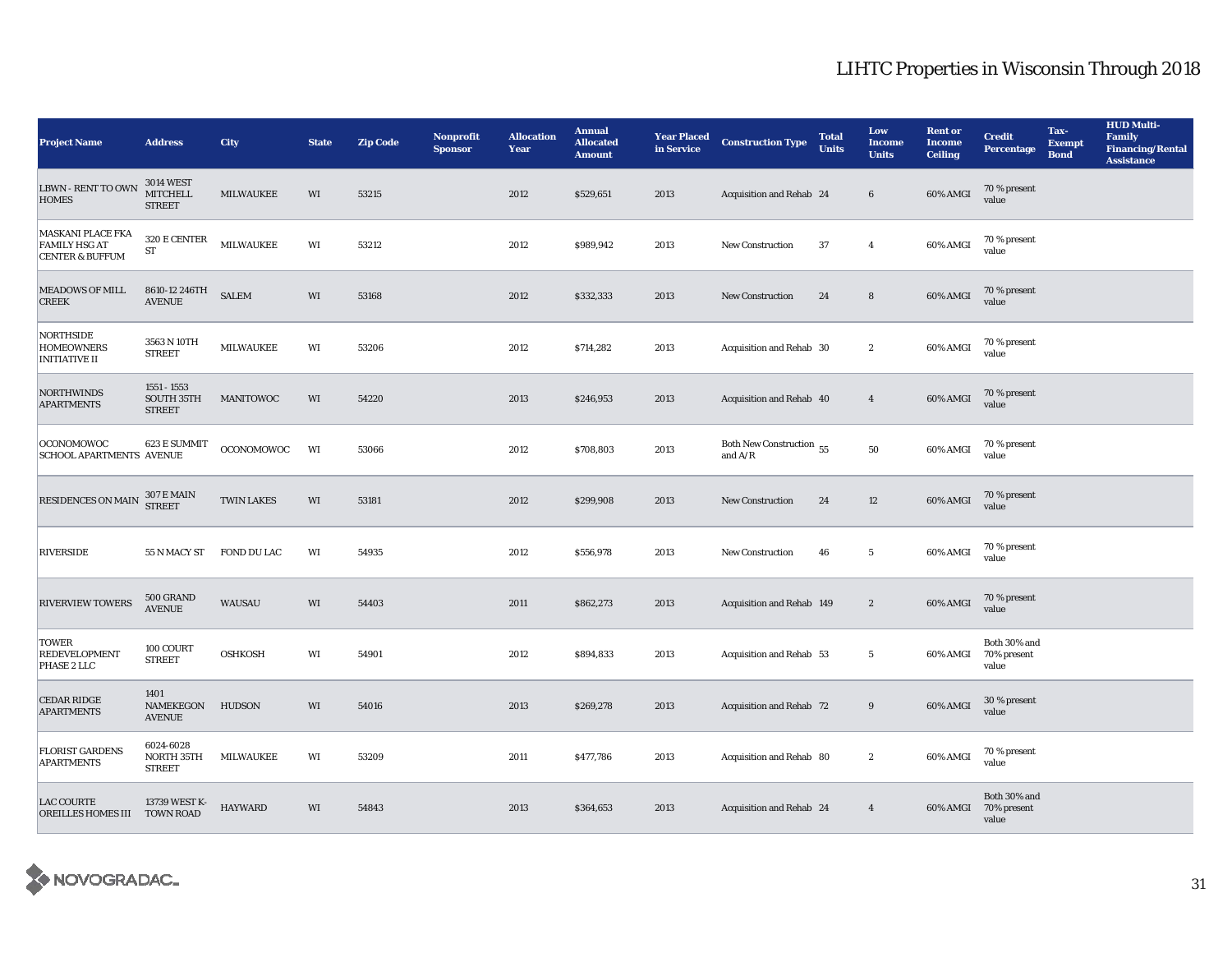| <b>Project Name</b>                                                     | <b>Address</b>                                       | City              | <b>State</b> | <b>Zip Code</b> | Nonprofit<br><b>Sponsor</b> | <b>Allocation</b><br>Year | <b>Annual</b><br><b>Allocated</b><br><b>Amount</b> | <b>Year Placed</b><br>in Service | <b>Construction Type</b>                | <b>Total</b><br><b>Units</b> | Low<br><b>Income</b><br><b>Units</b> | <b>Rent or</b><br><b>Income</b><br><b>Ceiling</b> | <b>Credit</b><br><b>Percentage</b>            | Tax-<br><b>Exempt</b><br><b>Bond</b> | <b>HUD Multi-</b><br><b>Family</b><br><b>Financing/Rental</b><br><b>Assistance</b> |
|-------------------------------------------------------------------------|------------------------------------------------------|-------------------|--------------|-----------------|-----------------------------|---------------------------|----------------------------------------------------|----------------------------------|-----------------------------------------|------------------------------|--------------------------------------|---------------------------------------------------|-----------------------------------------------|--------------------------------------|------------------------------------------------------------------------------------|
| <b>LBWN - RENT TO OWN</b><br><b>HOMES</b>                               | <b>3014 WEST</b><br><b>MITCHELL</b><br><b>STREET</b> | <b>MILWAUKEE</b>  | WI           | 53215           |                             | 2012                      | \$529,651                                          | 2013                             | Acquisition and Rehab 24                |                              | $6\phantom{.0}$                      | 60% AMGI                                          | 70 % present<br>value                         |                                      |                                                                                    |
| MASKANI PLACE FKA<br><b>FAMILY HSG AT</b><br><b>CENTER &amp; BUFFUM</b> | $320\,\mathrm{E}\,\mathrm{CENTER}$<br>${\rm ST}$     | <b>MILWAUKEE</b>  | WI           | 53212           |                             | 2012                      | \$989,942                                          | 2013                             | New Construction                        | 37                           | $\overline{4}$                       | 60% AMGI                                          | 70 % present<br>value                         |                                      |                                                                                    |
| <b>MEADOWS OF MILL</b><br><b>CREEK</b>                                  | 8610-12 246TH<br><b>AVENUE</b>                       | <b>SALEM</b>      | WI           | 53168           |                             | 2012                      | \$332,333                                          | 2013                             | New Construction                        | 24                           | $\bf 8$                              | 60% AMGI                                          | 70 % present<br>value                         |                                      |                                                                                    |
| <b>NORTHSIDE</b><br><b>HOMEOWNERS</b><br><b>INITIATIVE II</b>           | 3563 N 10TH<br><b>STREET</b>                         | MILWAUKEE         | WI           | 53206           |                             | 2012                      | \$714,282                                          | 2013                             | Acquisition and Rehab 30                |                              | $\boldsymbol{2}$                     | 60% AMGI                                          | 70 % present<br>value                         |                                      |                                                                                    |
| <b>NORTHWINDS</b><br><b>APARTMENTS</b>                                  | 1551 - 1553<br>SOUTH 35TH<br><b>STREET</b>           | MANITOWOC         | WI           | 54220           |                             | 2013                      | \$246,953                                          | 2013                             | Acquisition and Rehab 40                |                              | $\overline{4}$                       | 60% AMGI                                          | 70 % present<br>value                         |                                      |                                                                                    |
| OCONOMOWOC<br><b>SCHOOL APARTMENTS AVENUE</b>                           | 623 E SUMMIT                                         | OCONOMOWOC        | WI           | 53066           |                             | 2012                      | \$708,803                                          | 2013                             | Both New Construction $55$<br>and $A/R$ |                              | ${\bf 50}$                           | 60% AMGI                                          | 70 % present<br>value                         |                                      |                                                                                    |
| RESIDENCES ON MAIN                                                      | <b>307 E MAIN</b><br><b>STREET</b>                   | <b>TWIN LAKES</b> | WI           | 53181           |                             | 2012                      | \$299,908                                          | 2013                             | New Construction                        | 24                           | $12\,$                               | 60% AMGI                                          | 70 % present<br>value                         |                                      |                                                                                    |
| <b>RIVERSIDE</b>                                                        | 55 N MACY ST                                         | FOND DU LAC       | WI           | 54935           |                             | 2012                      | \$556,978                                          | 2013                             | <b>New Construction</b>                 | 46                           | $5\phantom{.0}$                      | 60% AMGI                                          | 70 % present<br>value                         |                                      |                                                                                    |
| <b>RIVERVIEW TOWERS</b>                                                 | 500 GRAND<br><b>AVENUE</b>                           | WAUSAU            | WI           | 54403           |                             | 2011                      | \$862,273                                          | 2013                             | Acquisition and Rehab 149               |                              | $\boldsymbol{2}$                     | 60% AMGI                                          | 70 % present<br>value                         |                                      |                                                                                    |
| <b>TOWER</b><br><b>REDEVELOPMENT</b><br>PHASE 2 LLC                     | 100 COURT<br><b>STREET</b>                           | <b>OSHKOSH</b>    | WI           | 54901           |                             | 2012                      | \$894,833                                          | 2013                             | Acquisition and Rehab 53                |                              | $5\phantom{.0}$                      | 60% AMGI                                          | Both 30% and<br>70% present<br>value          |                                      |                                                                                    |
| <b>CEDAR RIDGE</b><br><b>APARTMENTS</b>                                 | 1401<br>NAMEKEGON<br><b>AVENUE</b>                   | <b>HUDSON</b>     | WI           | 54016           |                             | 2013                      | \$269,278                                          | 2013                             | Acquisition and Rehab 72                |                              | $9\,$                                | 60% AMGI                                          | 30 % present<br>value                         |                                      |                                                                                    |
| <b>FLORIST GARDENS</b><br><b>APARTMENTS</b>                             | 6024-6028<br>NORTH 35TH<br><b>STREET</b>             | MILWAUKEE         | WI           | 53209           |                             | 2011                      | \$477,786                                          | 2013                             | Acquisition and Rehab 80                |                              | $\boldsymbol{2}$                     | 60% AMGI                                          | 70 % present<br>value                         |                                      |                                                                                    |
| <b>LAC COURTE</b><br>OREILLES HOMES III TOWN ROAD                       | 13739 WEST K-                                        | <b>HAYWARD</b>    | WI           | 54843           |                             | 2013                      | \$364,653                                          | 2013                             | Acquisition and Rehab 24                |                              | $\overline{4}$                       |                                                   | Both 30% and<br>60% AMGI 70% present<br>value |                                      |                                                                                    |

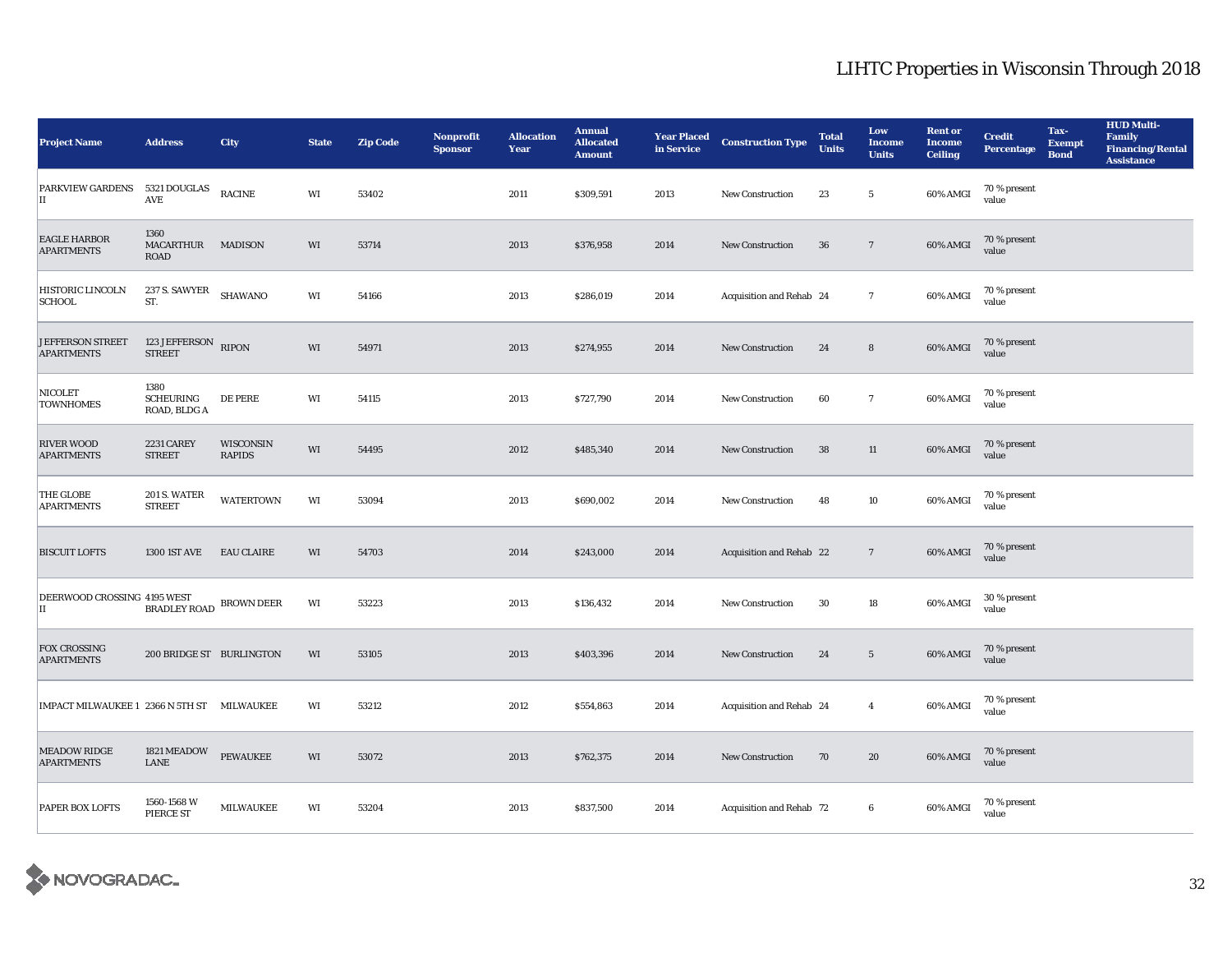| <b>Project Name</b>                          | <b>Address</b>                           | City                       | <b>State</b> | <b>Zip Code</b> | Nonprofit<br><b>Sponsor</b> | <b>Allocation</b><br>Year | <b>Annual</b><br><b>Allocated</b><br><b>Amount</b> | <b>Year Placed<br/>in Service</b> | <b>Construction Type</b> | <b>Total</b><br><b>Units</b> | Low<br><b>Income</b><br><b>Units</b> | <b>Rent or</b><br><b>Income</b><br><b>Ceiling</b> | <b>Credit</b><br><b>Percentage</b> | Tax-<br><b>Exempt</b><br><b>Bond</b> | <b>HUD Multi-</b><br>Family<br><b>Financing/Rental</b><br><b>Assistance</b> |
|----------------------------------------------|------------------------------------------|----------------------------|--------------|-----------------|-----------------------------|---------------------------|----------------------------------------------------|-----------------------------------|--------------------------|------------------------------|--------------------------------------|---------------------------------------------------|------------------------------------|--------------------------------------|-----------------------------------------------------------------------------|
| PARKVIEW GARDENS 5321 DOUGLAS<br>II          | $\operatorname{AVE}$                     | <b>RACINE</b>              | WI           | 53402           |                             | 2011                      | \$309,591                                          | 2013                              | New Construction         | 23                           | $5\,$                                | 60% AMGI                                          | 70 % present<br>value              |                                      |                                                                             |
| <b>EAGLE HARBOR</b><br><b>APARTMENTS</b>     | 1360<br>MACARTHUR MADISON<br><b>ROAD</b> |                            | WI           | 53714           |                             | 2013                      | \$376,958                                          | 2014                              | <b>New Construction</b>  | 36                           | $7\overline{ }$                      | 60% AMGI                                          | 70 % present<br>value              |                                      |                                                                             |
| HISTORIC LINCOLN<br><b>SCHOOL</b>            | 237 S. SAWYER<br>ST.                     | <b>SHAWANO</b>             | WI           | 54166           |                             | 2013                      | \$286,019                                          | 2014                              | Acquisition and Rehab 24 |                              | $7\overline{ }$                      | 60% AMGI                                          | 70 % present<br>value              |                                      |                                                                             |
| <b>JEFFERSON STREET</b><br><b>APARTMENTS</b> | 123 JEFFERSON<br><b>STREET</b>           | <b>RIPON</b>               | WI           | 54971           |                             | 2013                      | \$274,955                                          | 2014                              | <b>New Construction</b>  | 24                           | 8                                    | 60% AMGI                                          | 70 % present<br>value              |                                      |                                                                             |
| <b>NICOLET</b><br><b>TOWNHOMES</b>           | 1380<br><b>SCHEURING</b><br>ROAD, BLDG A | <b>DE PERE</b>             | WI           | 54115           |                             | 2013                      | \$727,790                                          | 2014                              | <b>New Construction</b>  | 60                           | $7\phantom{.0}$                      | 60% AMGI                                          | 70 % present<br>value              |                                      |                                                                             |
| <b>RIVER WOOD</b><br><b>APARTMENTS</b>       | 2231 CAREY<br><b>STREET</b>              | WISCONSIN<br><b>RAPIDS</b> | WI           | 54495           |                             | 2012                      | \$485,340                                          | 2014                              | <b>New Construction</b>  | 38                           | $11\,$                               | 60% AMGI                                          | 70 % present<br>value              |                                      |                                                                             |
| THE GLOBE<br><b>APARTMENTS</b>               | 201 S. WATER<br><b>STREET</b>            | <b>WATERTOWN</b>           | WI           | 53094           |                             | 2013                      | \$690,002                                          | 2014                              | <b>New Construction</b>  | 48                           | 10                                   | 60% AMGI                                          | 70 % present<br>value              |                                      |                                                                             |
| <b>BISCUIT LOFTS</b>                         | 1300 IST AVE                             | <b>EAU CLAIRE</b>          | WI           | 54703           |                             | 2014                      | \$243,000                                          | 2014                              | Acquisition and Rehab 22 |                              | $7\phantom{.0}$                      | 60% AMGI                                          | 70 % present<br>value              |                                      |                                                                             |
| DEERWOOD CROSSING 4195 WEST<br>II            | BRADLEY ROAD BROWN DEER                  |                            | WI           | 53223           |                             | 2013                      | \$136,432                                          | 2014                              | <b>New Construction</b>  | 30                           | 18                                   | $60\%$ AMGI                                       | 30 % present<br>value              |                                      |                                                                             |
| <b>FOX CROSSING</b><br><b>APARTMENTS</b>     | 200 BRIDGE ST BURLINGTON                 |                            | WI           | 53105           |                             | 2013                      | \$403,396                                          | 2014                              | <b>New Construction</b>  | 24                           | $5\phantom{.0}$                      | 60% AMGI                                          | 70 % present<br>value              |                                      |                                                                             |
| IMPACT MILWAUKEE 1 2366 N 5TH ST MILWAUKEE   |                                          |                            | WI           | 53212           |                             | 2012                      | \$554,863                                          | 2014                              | Acquisition and Rehab 24 |                              | $\overline{4}$                       | 60% AMGI                                          | 70 % present<br>value              |                                      |                                                                             |
| <b>MEADOW RIDGE</b><br><b>APARTMENTS</b>     | 1821 MEADOW<br>LANE                      | <b>PEWAUKEE</b>            | WI           | 53072           |                             | 2013                      | \$762,375                                          | 2014                              | New Construction         | 70                           | 20                                   | 60% AMGI                                          | 70 % present<br>value              |                                      |                                                                             |
| <b>PAPER BOX LOFTS</b>                       | 1560-1568 W<br>PIERCE ST                 | <b>MILWAUKEE</b>           | WI           | 53204           |                             | 2013                      | \$837,500                                          | 2014                              | Acquisition and Rehab 72 |                              | 6                                    | 60% AMGI                                          | 70 % present<br>value              |                                      |                                                                             |

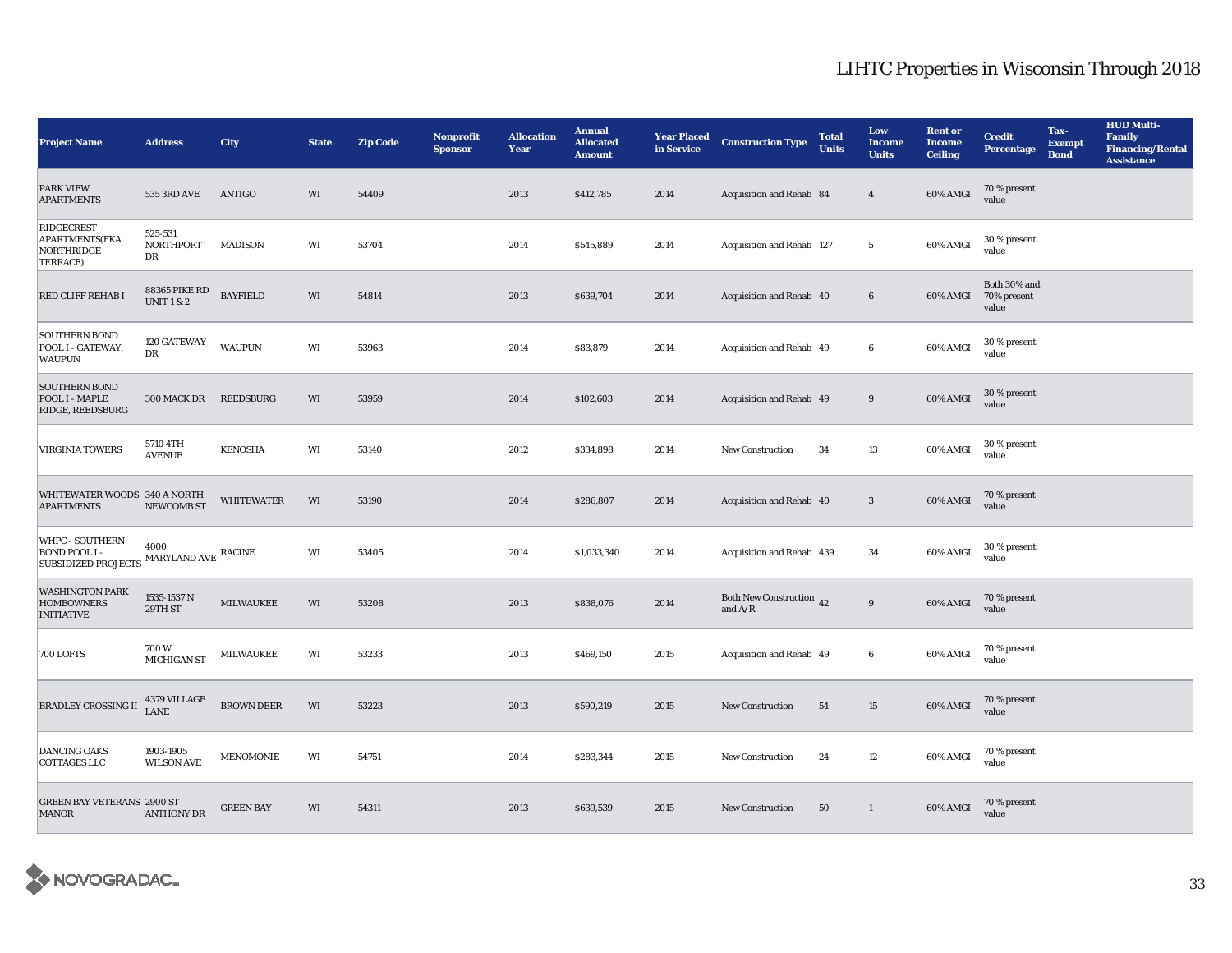| <b>Project Name</b>                                                   | <b>Address</b>                                | City              | <b>State</b> | <b>Zip Code</b> | Nonprofit<br><b>Sponsor</b> | <b>Allocation</b><br>Year | <b>Annual</b><br><b>Allocated</b><br><b>Amount</b> | <b>Year Placed</b><br>in Service | <b>Construction Type</b>              | <b>Total</b><br><b>Units</b> | Low<br><b>Income</b><br><b>Units</b> | <b>Rent or</b><br><b>Income</b><br><b>Ceiling</b> | <b>Credit</b><br><b>Percentage</b>   | Tax-<br><b>Exempt</b><br><b>Bond</b> | <b>HUD Multi-</b><br><b>Family</b><br><b>Financing/Rental</b><br><b>Assistance</b> |
|-----------------------------------------------------------------------|-----------------------------------------------|-------------------|--------------|-----------------|-----------------------------|---------------------------|----------------------------------------------------|----------------------------------|---------------------------------------|------------------------------|--------------------------------------|---------------------------------------------------|--------------------------------------|--------------------------------------|------------------------------------------------------------------------------------|
| <b>PARK VIEW</b><br><b>APARTMENTS</b>                                 | 535 3RD AVE                                   | <b>ANTIGO</b>     | WI           | 54409           |                             | 2013                      | \$412,785                                          | 2014                             | Acquisition and Rehab 84              |                              | $\overline{4}$                       | 60% AMGI                                          | 70 % present<br>value                |                                      |                                                                                    |
| <b>RIDGECREST</b><br><b>APARTMENTS(FKA</b><br>NORTHRIDGE<br>TERRACE)  | 525-531<br>NORTHPORT<br>DR                    | <b>MADISON</b>    | WI           | 53704           |                             | 2014                      | \$545,889                                          | 2014                             | Acquisition and Rehab 127             |                              | $5\phantom{.0}$                      | 60% AMGI                                          | 30 % present<br>value                |                                      |                                                                                    |
| RED CLIFF REHAB I                                                     | <b>88365 PIKE RD</b><br><b>UNIT1 &amp; 2</b>  | <b>BAYFIELD</b>   | WI           | 54814           |                             | 2013                      | \$639,704                                          | 2014                             | Acquisition and Rehab 40              |                              | 6                                    | 60% AMGI                                          | Both 30% and<br>70% present<br>value |                                      |                                                                                    |
| <b>SOUTHERN BOND</b><br>POOL I - GATEWAY,<br><b>WAUPUN</b>            | 120 GATEWAY<br>DR                             | <b>WAUPUN</b>     | WI           | 53963           |                             | 2014                      | \$83,879                                           | 2014                             | Acquisition and Rehab 49              |                              | 6                                    | 60% AMGI                                          | 30 % present<br>value                |                                      |                                                                                    |
| <b>SOUTHERN BOND</b><br>POOL I - MAPLE<br>RIDGE, REEDSBURG            | 300 MACK DR                                   | REEDSBURG         | WI           | 53959           |                             | 2014                      | \$102,603                                          | 2014                             | Acquisition and Rehab 49              |                              | $\boldsymbol{9}$                     | 60% AMGI                                          | 30 % present<br>value                |                                      |                                                                                    |
| <b>VIRGINIA TOWERS</b>                                                | 5710 4TH<br><b>AVENUE</b>                     | <b>KENOSHA</b>    | WI           | 53140           |                             | 2012                      | \$334,898                                          | 2014                             | New Construction                      | 34                           | $13\,$                               | 60% AMGI                                          | 30 % present<br>value                |                                      |                                                                                    |
| WHITEWATER WOODS 340 A NORTH<br><b>APARTMENTS</b>                     | <b>NEWCOMB ST</b>                             | <b>WHITEWATER</b> | WI           | 53190           |                             | 2014                      | \$286,807                                          | 2014                             | Acquisition and Rehab 40              |                              | $\mathbf{3}$                         | 60% AMGI                                          | 70 % present<br>value                |                                      |                                                                                    |
| <b>WHPC - SOUTHERN</b><br>BOND POOL I -<br><b>SUBSIDIZED PROJECTS</b> | 4000<br>$\mbox{MARYLAND}$ AVE $\mbox{RACINE}$ |                   | WI           | 53405           |                             | 2014                      | \$1,033,340                                        | 2014                             | Acquisition and Rehab 439             |                              | $\bf{34}$                            | 60% AMGI                                          | 30 % present<br>value                |                                      |                                                                                    |
| <b>WASHINGTON PARK</b><br><b>HOMEOWNERS</b><br><b>INITIATIVE</b>      | 1535-1537 N<br>29TH ST                        | <b>MILWAUKEE</b>  | WI           | 53208           |                             | 2013                      | \$838,076                                          | 2014                             | Both New Construction 42<br>and $A/R$ |                              | $\boldsymbol{9}$                     | 60% AMGI                                          | 70 % present<br>value                |                                      |                                                                                    |
| 700 LOFTS                                                             | 700W<br><b>MICHIGAN ST</b>                    | MILWAUKEE         | WI           | 53233           |                             | 2013                      | \$469,150                                          | 2015                             | Acquisition and Rehab 49              |                              | $6\phantom{.0}$                      | 60% AMGI                                          | 70 % present<br>value                |                                      |                                                                                    |
| <b>BRADLEY CROSSING II</b>                                            | 4379 VILLAGE<br>LANE                          | <b>BROWN DEER</b> | WI           | 53223           |                             | 2013                      | \$590,219                                          | 2015                             | <b>New Construction</b>               | 54                           | $15\,$                               | 60% AMGI                                          | 70 % present<br>value                |                                      |                                                                                    |
| <b>DANCING OAKS</b><br><b>COTTAGES LLC</b>                            | 1903-1905<br><b>WILSON AVE</b>                | <b>MENOMONIE</b>  | WI           | 54751           |                             | 2014                      | \$283,344                                          | 2015                             | <b>New Construction</b>               | 24                           | $12\,$                               | 60% AMGI                                          | 70 % present<br>value                |                                      |                                                                                    |
| <b>GREEN BAY VETERANS 2900 ST</b><br><b>MANOR</b>                     | <b>ANTHONY DR</b>                             | <b>GREEN BAY</b>  | WI           | 54311           |                             | 2013                      | \$639,539                                          | 2015                             | <b>New Construction</b>               | 50                           | $\mathbf{1}$                         | 60% AMGI                                          | 70 % present<br>value                |                                      |                                                                                    |

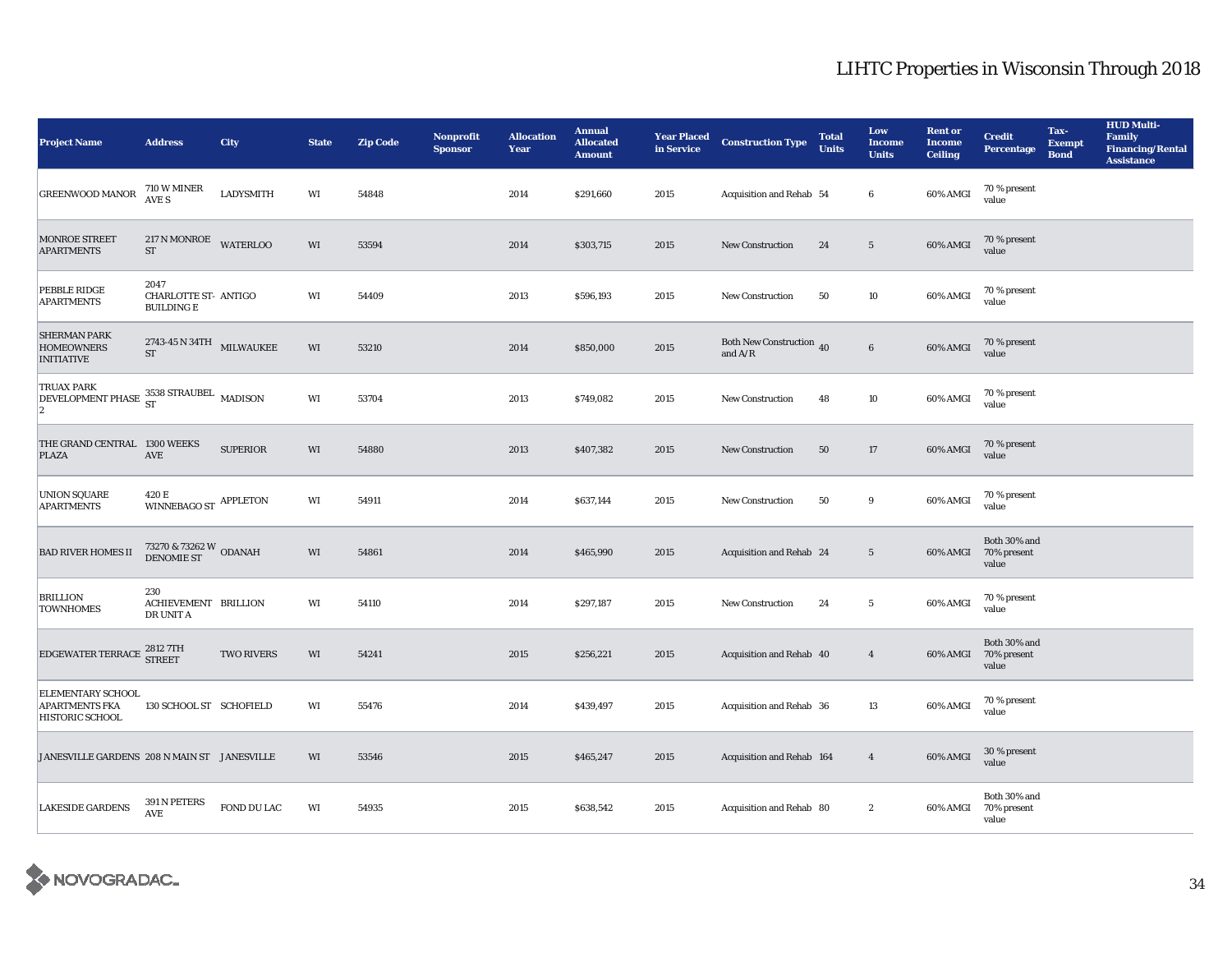| <b>Project Name</b>                                                         | <b>Address</b>                                           | City              | <b>State</b>           | <b>Zip Code</b> | Nonprofit<br><b>Sponsor</b> | <b>Allocation</b><br>Year | <b>Annual</b><br><b>Allocated</b><br><b>Amount</b> | <b>Year Placed<br/>in Service</b> | <b>Construction Type</b>                   | <b>Total</b><br><b>Units</b> | Low<br><b>Income</b><br><b>Units</b> | <b>Rent or</b><br><b>Income</b><br><b>Ceiling</b> | <b>Credit</b><br>Percentage          | Tax-<br><b>Exempt</b><br><b>Bond</b> | <b>HUD Multi-</b><br><b>Family</b><br><b>Financing/Rental</b><br><b>Assistance</b> |
|-----------------------------------------------------------------------------|----------------------------------------------------------|-------------------|------------------------|-----------------|-----------------------------|---------------------------|----------------------------------------------------|-----------------------------------|--------------------------------------------|------------------------------|--------------------------------------|---------------------------------------------------|--------------------------------------|--------------------------------------|------------------------------------------------------------------------------------|
| <b>GREENWOOD MANOR</b>                                                      | $710\text{ }W\text{ MINER}$<br>AVE S                     | <b>LADYSMITH</b>  | WI                     | 54848           |                             | 2014                      | \$291,660                                          | 2015                              | Acquisition and Rehab 54                   |                              | 6                                    | 60% AMGI                                          | 70 % present<br>value                |                                      |                                                                                    |
| MONROE STREET<br><b>APARTMENTS</b>                                          | 217 N MONROE WATERLOO<br><b>ST</b>                       |                   | WI                     | 53594           |                             | 2014                      | \$303,715                                          | 2015                              | New Construction                           | 24                           | $5\phantom{.0}$                      | 60% AMGI                                          | 70 % present<br>value                |                                      |                                                                                    |
| PEBBLE RIDGE<br><b>APARTMENTS</b>                                           | 2047<br><b>CHARLOTTE ST- ANTIGO</b><br><b>BUILDING E</b> |                   | WI                     | 54409           |                             | 2013                      | \$596,193                                          | 2015                              | <b>New Construction</b>                    | 50                           | 10                                   | 60% AMGI                                          | 70 % present<br>value                |                                      |                                                                                    |
| <b>SHERMAN PARK</b><br><b>HOMEOWNERS</b><br><b>INITIATIVE</b>               | 2743-45 N 34TH MILWAUKEE<br>${\rm ST}$                   |                   | WI                     | 53210           |                             | 2014                      | \$850,000                                          | 2015                              | Both New Construction 40<br>and $\rm{A/R}$ |                              | $6\phantom{.0}$                      | 60% AMGI                                          | 70 % present<br>value                |                                      |                                                                                    |
| <b>TRUAX PARK</b><br>DEVELOPMENT PHASE 3538 STRAUBEL MADISON<br>$ 2\rangle$ |                                                          |                   | $\mathbf{W}\mathbf{I}$ | 53704           |                             | 2013                      | \$749,082                                          | 2015                              | <b>New Construction</b>                    | 48                           | $10\,$                               | 60% AMGI                                          | 70 % present<br>value                |                                      |                                                                                    |
| THE GRAND CENTRAL 1300 WEEKS<br><b>PLAZA</b>                                | AVE                                                      | <b>SUPERIOR</b>   | WI                     | 54880           |                             | 2013                      | \$407,382                                          | 2015                              | New Construction                           | 50                           | $17\,$                               | 60% AMGI                                          | 70 % present<br>value                |                                      |                                                                                    |
| <b>UNION SQUARE</b><br><b>APARTMENTS</b>                                    | 420 E<br><b>WINNEBAGO ST</b>                             | <b>APPLETON</b>   | WI                     | 54911           |                             | 2014                      | \$637,144                                          | 2015                              | New Construction                           | 50                           | $\boldsymbol{9}$                     | 60% AMGI                                          | 70 % present<br>value                |                                      |                                                                                    |
| <b>BAD RIVER HOMES II</b>                                                   | $73270\text{ }@73262\text{ }W$ ODANAH DENOMIE ST         |                   | WI                     | 54861           |                             | 2014                      | \$465,990                                          | 2015                              | Acquisition and Rehab 24                   |                              | $5\phantom{.0}$                      | 60% AMGI                                          | Both 30% and<br>70% present<br>value |                                      |                                                                                    |
| <b>BRILLION</b><br><b>TOWNHOMES</b>                                         | 230<br>ACHIEVEMENT BRILLION<br>DR UNIT A                 |                   | WI                     | 54110           |                             | 2014                      | \$297,187                                          | 2015                              | New Construction                           | 24                           | $5\phantom{.0}$                      | 60% AMGI                                          | 70 % present<br>value                |                                      |                                                                                    |
| EDGEWATER TERRACE 2812 7TH                                                  |                                                          | <b>TWO RIVERS</b> | WI                     | 54241           |                             | 2015                      | \$256,221                                          | 2015                              | Acquisition and Rehab 40                   |                              | $\overline{4}$                       | 60% AMGI                                          | Both 30% and<br>70% present<br>value |                                      |                                                                                    |
| ELEMENTARY SCHOOL<br><b>APARTMENTS FKA</b><br><b>HISTORIC SCHOOL</b>        | 130 SCHOOL ST SCHOFIELD                                  |                   | WI                     | 55476           |                             | 2014                      | \$439,497                                          | 2015                              | Acquisition and Rehab 36                   |                              | 13                                   | 60% AMGI                                          | 70 % present<br>value                |                                      |                                                                                    |
| JANESVILLE GARDENS 208 N MAIN ST JANESVILLE                                 |                                                          |                   | WI                     | 53546           |                             | 2015                      | \$465,247                                          | 2015                              | Acquisition and Rehab 164                  |                              | $\boldsymbol{4}$                     | 60% AMGI                                          | 30 % present<br>value                |                                      |                                                                                    |
| <b>LAKESIDE GARDENS</b>                                                     | 391 N PETERS<br><b>AVE</b>                               | FOND DU LAC       | WI                     | 54935           |                             | 2015                      | \$638,542                                          | 2015                              | Acquisition and Rehab 80                   |                              | $\boldsymbol{2}$                     | 60% AMGI                                          | Both 30% and<br>70% present<br>value |                                      |                                                                                    |

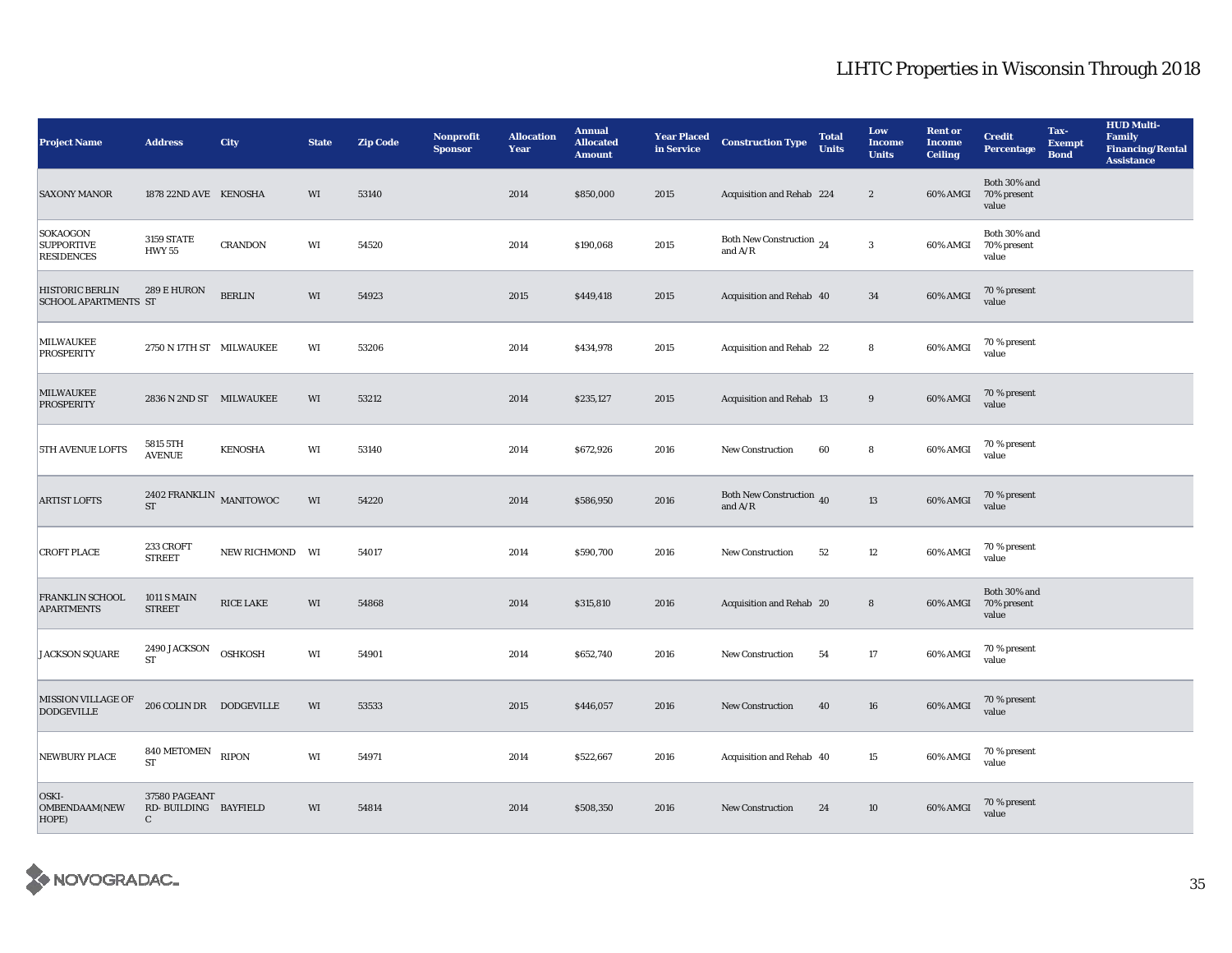| <b>Project Name</b>                                       | <b>Address</b>                                        | <b>City</b>      | <b>State</b> | <b>Zip Code</b> | Nonprofit<br><b>Sponsor</b> | <b>Allocation</b><br>Year | <b>Annual</b><br><b>Allocated</b><br><b>Amount</b> | <b>Year Placed<br/>in Service</b> | <b>Construction Type</b>                                                          | <b>Total</b><br><b>Units</b> | Low<br><b>Income</b><br><b>Units</b> | <b>Rent or</b><br><b>Income</b><br><b>Ceiling</b> | <b>Credit</b><br><b>Percentage</b>   | Tax-<br><b>Exempt</b><br><b>Bond</b> | <b>HUD Multi-</b><br><b>Family</b><br><b>Financing/Rental</b><br><b>Assistance</b> |
|-----------------------------------------------------------|-------------------------------------------------------|------------------|--------------|-----------------|-----------------------------|---------------------------|----------------------------------------------------|-----------------------------------|-----------------------------------------------------------------------------------|------------------------------|--------------------------------------|---------------------------------------------------|--------------------------------------|--------------------------------------|------------------------------------------------------------------------------------|
| <b>SAXONY MANOR</b>                                       | 1878 22ND AVE KENOSHA                                 |                  | WI           | 53140           |                             | 2014                      | \$850,000                                          | 2015                              | Acquisition and Rehab 224                                                         |                              | $\boldsymbol{2}$                     | 60% AMGI                                          | Both 30% and<br>70% present<br>value |                                      |                                                                                    |
| <b>SOKAOGON</b><br><b>SUPPORTIVE</b><br><b>RESIDENCES</b> | <b>3159 STATE</b><br><b>HWY 55</b>                    | <b>CRANDON</b>   | WI           | 54520           |                             | 2014                      | \$190,068                                          | 2015                              | Both New Construction 24<br>and $\ensuremath{\mathrm{A}}/\ensuremath{\mathrm{R}}$ |                              | $\bf{3}$                             | 60% AMGI                                          | Both 30% and<br>70% present<br>value |                                      |                                                                                    |
| <b>HISTORIC BERLIN</b><br><b>SCHOOL APARTMENTS ST</b>     | 289 E HURON                                           | <b>BERLIN</b>    | WI           | 54923           |                             | 2015                      | \$449,418                                          | 2015                              | Acquisition and Rehab 40                                                          |                              | 34                                   | 60% AMGI                                          | 70 % present<br>value                |                                      |                                                                                    |
| MILWAUKEE<br><b>PROSPERITY</b>                            | 2750 N 17TH ST MILWAUKEE                              |                  | WI           | 53206           |                             | 2014                      | \$434,978                                          | 2015                              | Acquisition and Rehab 22                                                          |                              | 8                                    | 60% AMGI                                          | 70 % present<br>value                |                                      |                                                                                    |
| <b>MILWAUKEE</b><br><b>PROSPERITY</b>                     | 2836 N 2ND ST MILWAUKEE                               |                  | WI           | 53212           |                             | 2014                      | \$235,127                                          | 2015                              | Acquisition and Rehab 13                                                          |                              | 9                                    | 60% AMGI                                          | 70 % present<br>value                |                                      |                                                                                    |
| <b>5TH AVENUE LOFTS</b>                                   | 5815 5TH<br><b>AVENUE</b>                             | <b>KENOSHA</b>   | WI           | 53140           |                             | 2014                      | \$672,926                                          | 2016                              | <b>New Construction</b>                                                           | 60                           | 8                                    | 60% AMGI                                          | 70 % present<br>value                |                                      |                                                                                    |
| <b>ARTIST LOFTS</b>                                       | 2402 FRANKLIN $\,$ MANITOWOC<br>$\operatorname{ST}$   |                  | WI           | 54220           |                             | 2014                      | \$586,950                                          | 2016                              | Both New Construction $\sqrt{40}$<br>and $A/R$                                    |                              | 13                                   | 60% AMGI                                          | 70 % present<br>value                |                                      |                                                                                    |
| <b>CROFT PLACE</b>                                        | 233 CROFT<br><b>STREET</b>                            | NEW RICHMOND WI  |              | 54017           |                             | 2014                      | \$590,700                                          | 2016                              | <b>New Construction</b>                                                           | 52                           | $12 \,$                              | 60% AMGI                                          | 70 % present<br>value                |                                      |                                                                                    |
| <b>FRANKLIN SCHOOL</b><br><b>APARTMENTS</b>               | <b>1011 S MAIN</b><br><b>STREET</b>                   | <b>RICE LAKE</b> | WI           | 54868           |                             | 2014                      | \$315,810                                          | 2016                              | Acquisition and Rehab 20                                                          |                              | 8                                    | 60% AMGI                                          | Both 30% and<br>70% present<br>value |                                      |                                                                                    |
| <b>JACKSON SQUARE</b>                                     | 2490 JACKSON<br>${\cal ST}$                           | <b>OSHKOSH</b>   | WI           | 54901           |                             | 2014                      | \$652,740                                          | 2016                              | <b>New Construction</b>                                                           | 54                           | 17                                   | 60% AMGI                                          | 70 % present<br>value                |                                      |                                                                                    |
| MISSION VILLAGE OF<br><b>DODGEVILLE</b>                   | 206 COLIN DR DODGEVILLE                               |                  | WI           | 53533           |                             | 2015                      | \$446,057                                          | 2016                              | <b>New Construction</b>                                                           | 40                           | ${\bf 16}$                           | 60% AMGI                                          | 70 % present<br>value                |                                      |                                                                                    |
| NEWBURY PLACE                                             | 840 METOMEN<br>${\cal ST}$                            | <b>RIPON</b>     | WI           | 54971           |                             | 2014                      | \$522,667                                          | 2016                              | Acquisition and Rehab 40                                                          |                              | 15                                   | 60% AMGI                                          | 70 % present<br>value                |                                      |                                                                                    |
| OSKI-<br>OMBENDAAM(NEW<br>HOPE)                           | 37580 PAGEANT<br>RD-BUILDING BAYFIELD<br>$\mathbf{C}$ |                  | WI           | 54814           |                             | 2014                      | \$508,350                                          | 2016                              | New Construction                                                                  | 24                           | $10\,$                               | 60% AMGI                                          | 70 % present<br>value                |                                      |                                                                                    |

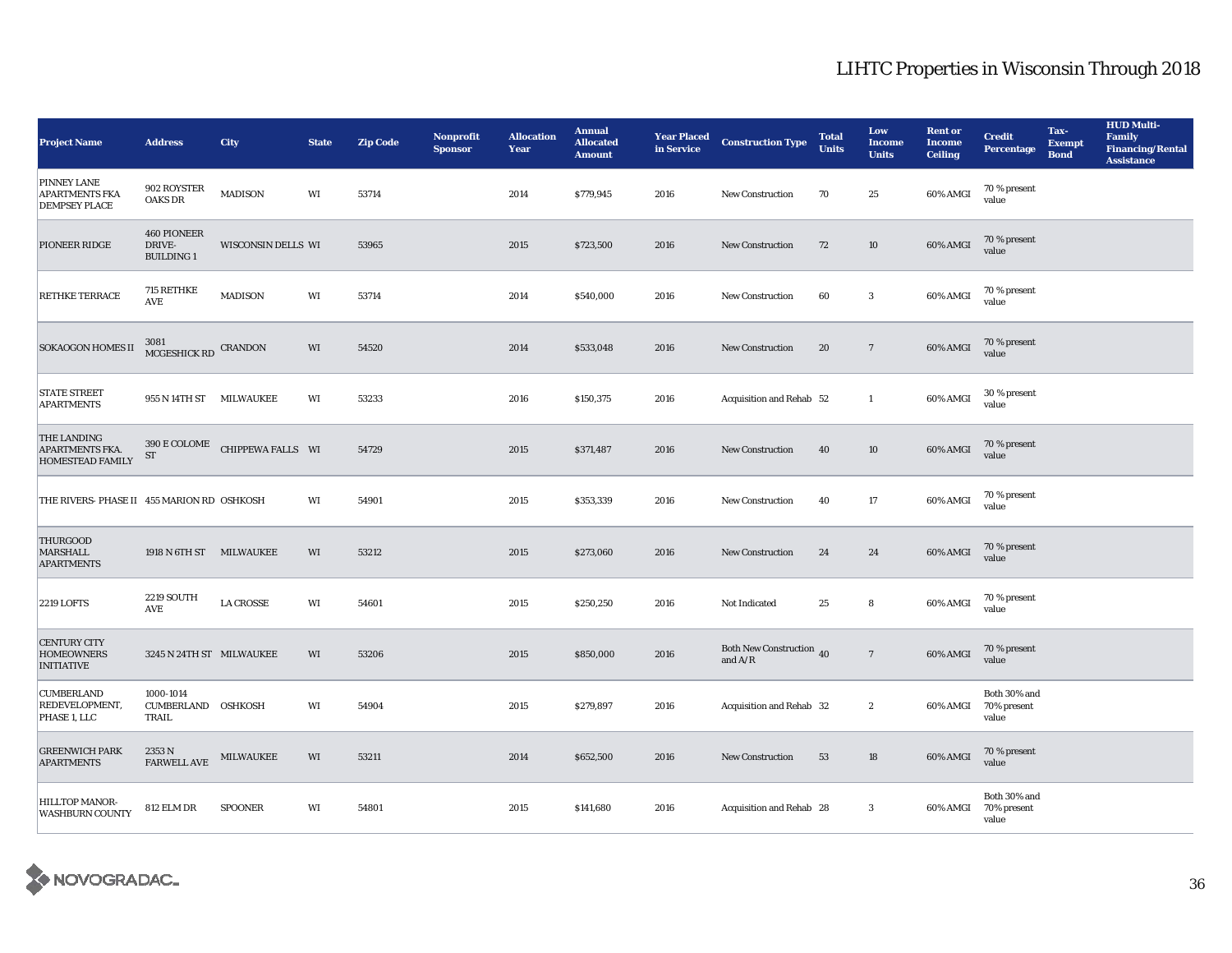| <b>Project Name</b>                                                 | <b>Address</b>                                   | City               | <b>State</b>           | <b>Zip Code</b> | Nonprofit<br><b>Sponsor</b> | <b>Allocation</b><br>Year | <b>Annual</b><br><b>Allocated</b><br><b>Amount</b> | <b>Year Placed</b><br>in Service | <b>Construction Type</b>                   | <b>Total</b><br><b>Units</b> | Low<br><b>Income</b><br><b>Units</b> | <b>Rent or</b><br><b>Income</b><br><b>Ceiling</b> | <b>Credit</b><br><b>Percentage</b>   | Tax-<br><b>Exempt</b><br><b>Bond</b> | <b>HUD Multi-</b><br><b>Family</b><br><b>Financing/Rental</b><br><b>Assistance</b> |
|---------------------------------------------------------------------|--------------------------------------------------|--------------------|------------------------|-----------------|-----------------------------|---------------------------|----------------------------------------------------|----------------------------------|--------------------------------------------|------------------------------|--------------------------------------|---------------------------------------------------|--------------------------------------|--------------------------------------|------------------------------------------------------------------------------------|
| <b>PINNEY LANE</b><br><b>APARTMENTS FKA</b><br><b>DEMPSEY PLACE</b> | 902 ROYSTER<br><b>OAKS DR</b>                    | <b>MADISON</b>     | WI                     | 53714           |                             | 2014                      | \$779,945                                          | 2016                             | <b>New Construction</b>                    | 70                           | 25                                   | 60% AMGI                                          | 70 % present<br>value                |                                      |                                                                                    |
| PIONEER RIDGE                                                       | <b>460 PIONEER</b><br>DRIVE-<br><b>BUILDING1</b> | WISCONSIN DELLS WI |                        | 53965           |                             | 2015                      | \$723,500                                          | 2016                             | <b>New Construction</b>                    | 72                           | 10                                   | 60% AMGI                                          | 70 % present<br>value                |                                      |                                                                                    |
| <b>RETHKE TERRACE</b>                                               | <b>715 RETHKE</b><br>AVE                         | <b>MADISON</b>     | WI                     | 53714           |                             | 2014                      | \$540,000                                          | 2016                             | <b>New Construction</b>                    | 60                           | $\overline{\mathbf{3}}$              | 60% AMGI                                          | 70 % present<br>value                |                                      |                                                                                    |
| <b>SOKAOGON HOMES II</b>                                            | 3081<br>MCGESHICK RD                             | CRANDON            | WI                     | 54520           |                             | 2014                      | \$533,048                                          | 2016                             | <b>New Construction</b>                    | 20                           | $7\phantom{.0}$                      | 60% AMGI                                          | 70 % present<br>value                |                                      |                                                                                    |
| <b>STATE STREET</b><br><b>APARTMENTS</b>                            | 955 N 14TH ST MILWAUKEE                          |                    | WI                     | 53233           |                             | 2016                      | \$150,375                                          | 2016                             | Acquisition and Rehab 52                   |                              | $\mathbf{1}$                         | 60% AMGI                                          | 30 % present<br>value                |                                      |                                                                                    |
| THE LANDING<br><b>APARTMENTS FKA.</b><br><b>HOMESTEAD FAMILY</b>    | $390\,\mathrm{E}$ COLOME<br>ST                   | CHIPPEWA FALLS WI  |                        | 54729           |                             | 2015                      | \$371,487                                          | 2016                             | <b>New Construction</b>                    | 40                           | 10                                   | 60% AMGI                                          | 70 % present<br>value                |                                      |                                                                                    |
| THE RIVERS-PHASE II 455 MARION RD OSHKOSH                           |                                                  |                    | WI                     | 54901           |                             | 2015                      | \$353,339                                          | 2016                             | <b>New Construction</b>                    | 40                           | 17                                   | 60% AMGI                                          | 70 % present<br>value                |                                      |                                                                                    |
| <b>THURGOOD</b><br><b>MARSHALL</b><br><b>APARTMENTS</b>             | 1918 N 6TH ST MILWAUKEE                          |                    | WI                     | 53212           |                             | 2015                      | \$273,060                                          | 2016                             | <b>New Construction</b>                    | 24                           | 24                                   | 60% AMGI                                          | 70 % present<br>value                |                                      |                                                                                    |
| <b>2219 LOFTS</b>                                                   | <b>2219 SOUTH</b><br>$\operatorname{AVE}$        | <b>LA CROSSE</b>   | WI                     | 54601           |                             | 2015                      | \$250,250                                          | 2016                             | Not Indicated                              | 25                           | 8                                    | 60% AMGI                                          | 70 % present<br>value                |                                      |                                                                                    |
| <b>CENTURY CITY</b><br><b>HOMEOWNERS</b><br><b>INITIATIVE</b>       | 3245 N 24TH ST MILWAUKEE                         |                    | $\mathbf{W}\mathbf{I}$ | 53206           |                             | 2015                      | \$850,000                                          | 2016                             | Both New Construction 40<br>and $\rm{A/R}$ |                              | $\overline{7}$                       | 60% AMGI                                          | 70 % present<br>value                |                                      |                                                                                    |
| <b>CUMBERLAND</b><br>REDEVELOPMENT,<br>PHASE 1, LLC                 | 1000-1014<br>CUMBERLAND OSHKOSH<br>TRAIL         |                    | WI                     | 54904           |                             | 2015                      | \$279,897                                          | 2016                             | Acquisition and Rehab 32                   |                              | $\boldsymbol{2}$                     | 60% AMGI                                          | Both 30% and<br>70% present<br>value |                                      |                                                                                    |
| <b>GREENWICH PARK</b><br><b>APARTMENTS</b>                          | 2353N<br><b>FARWELL AVE</b>                      | MILWAUKEE          | $\mathbf{W}\mathbf{I}$ | 53211           |                             | 2014                      | \$652,500                                          | 2016                             | <b>New Construction</b>                    | 53                           | $18\,$                               | 60% AMGI                                          | 70 % present<br>value                |                                      |                                                                                    |
| HILLTOP MANOR-<br><b>WASHBURN COUNTY</b>                            | <b>812 ELM DR</b>                                | <b>SPOONER</b>     | WI                     | 54801           |                             | 2015                      | \$141,680                                          | 2016                             | Acquisition and Rehab 28                   |                              | $\mathbf{3}$                         | 60% AMGI                                          | Both 30% and<br>70% present<br>value |                                      |                                                                                    |

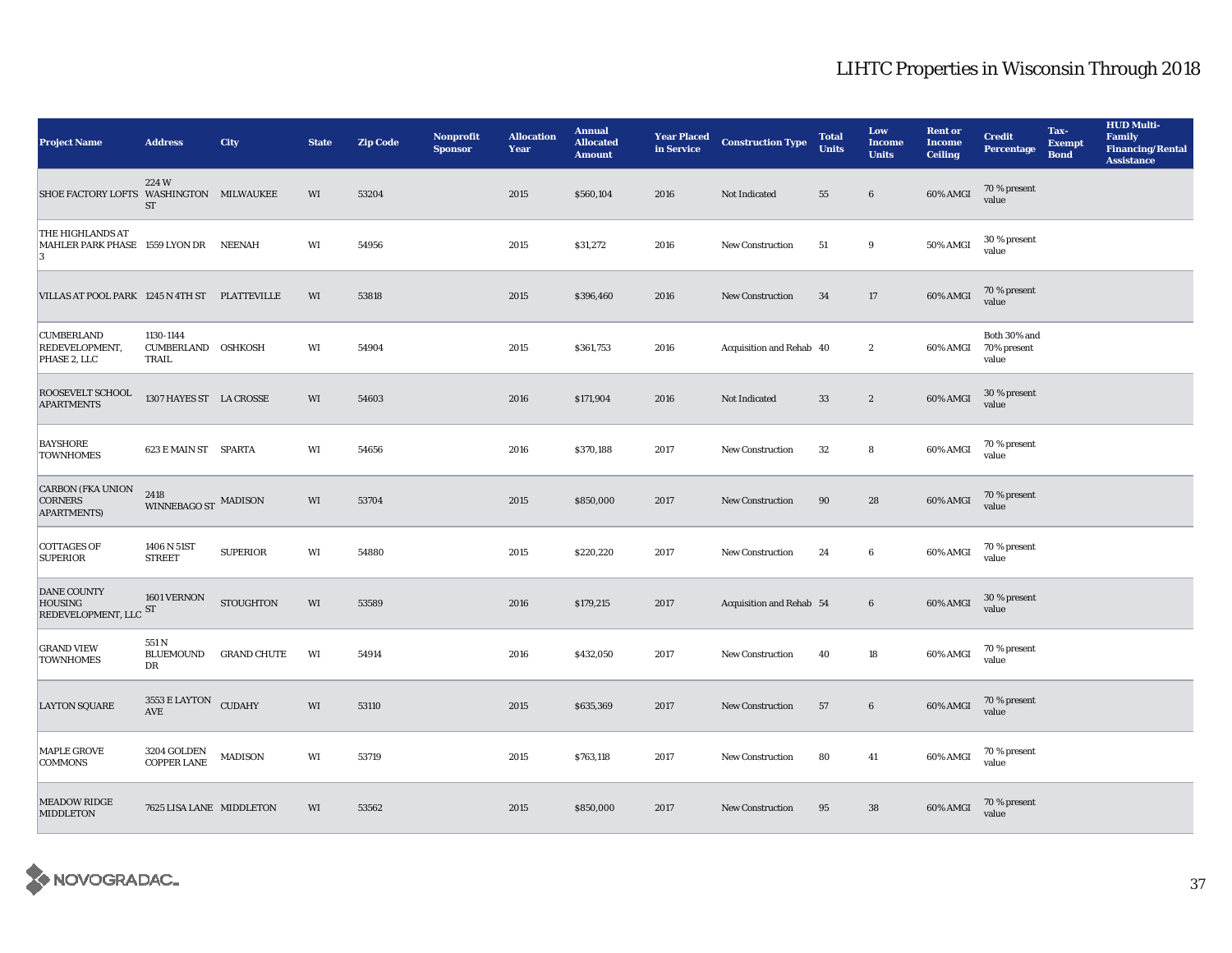| <b>Project Name</b>                                                    | <b>Address</b>                                  | City               | <b>State</b> | <b>Zip Code</b> | Nonprofit<br><b>Sponsor</b> | <b>Allocation</b><br>Year | <b>Annual</b><br><b>Allocated</b><br><b>Amount</b> | <b>Year Placed</b><br>in Service | <b>Construction Type</b> | <b>Total</b><br><b>Units</b> | Low<br><b>Income</b><br><b>Units</b> | <b>Rent or</b><br><b>Income</b><br><b>Ceiling</b> | <b>Credit</b><br><b>Percentage</b>   | Tax-<br><b>Exempt</b><br><b>Bond</b> | <b>HUD Multi-</b><br>Family<br><b>Financing/Rental</b><br><b>Assistance</b> |
|------------------------------------------------------------------------|-------------------------------------------------|--------------------|--------------|-----------------|-----------------------------|---------------------------|----------------------------------------------------|----------------------------------|--------------------------|------------------------------|--------------------------------------|---------------------------------------------------|--------------------------------------|--------------------------------------|-----------------------------------------------------------------------------|
| SHOE FACTORY LOFTS WASHINGTON MILWAUKEE                                | 224W<br>ST                                      |                    | WI           | 53204           |                             | 2015                      | \$560,104                                          | 2016                             | Not Indicated            | 55                           | 6                                    | 60% AMGI                                          | 70 % present<br>value                |                                      |                                                                             |
| THE HIGHLANDS AT<br>MAHLER PARK PHASE 1559 LYON DR NEENAH<br>3         |                                                 |                    | WI           | 54956           |                             | 2015                      | \$31,272                                           | 2016                             | New Construction         | 51                           | $\boldsymbol{9}$                     | 50% AMGI                                          | 30 % present<br>value                |                                      |                                                                             |
| VILLAS AT POOL PARK 1245 N 4TH ST PLATTEVILLE                          |                                                 |                    | WI           | 53818           |                             | 2015                      | \$396,460                                          | 2016                             | <b>New Construction</b>  | 34                           | 17                                   | 60% AMGI                                          | 70 % present<br>value                |                                      |                                                                             |
| <b>CUMBERLAND</b><br>REDEVELOPMENT,<br>PHASE 2, LLC                    | 1130-1144<br>CUMBERLAND OSHKOSH<br>TRAIL        |                    | WI           | 54904           |                             | 2015                      | \$361,753                                          | 2016                             | Acquisition and Rehab 40 |                              | $\boldsymbol{2}$                     | 60% AMGI                                          | Both 30% and<br>70% present<br>value |                                      |                                                                             |
| ROOSEVELT SCHOOL<br><b>APARTMENTS</b>                                  | 1307 HAYES ST LA CROSSE                         |                    | WI           | 54603           |                             | 2016                      | \$171,904                                          | 2016                             | Not Indicated            | 33                           | $\mathbf{2}$                         | 60% AMGI                                          | 30 % present<br>value                |                                      |                                                                             |
| <b>BAYSHORE</b><br><b>TOWNHOMES</b>                                    | <b>623 E MAIN ST SPARTA</b>                     |                    | WI           | 54656           |                             | 2016                      | \$370,188                                          | 2017                             | <b>New Construction</b>  | 32                           | 8                                    | 60% AMGI                                          | 70 % present<br>value                |                                      |                                                                             |
| <b>CARBON (FKA UNION</b><br><b>CORNERS</b><br><b>APARTMENTS</b> )      | 2418<br>WINNEBAGO ST MADISON                    |                    | WI           | 53704           |                             | 2015                      | \$850,000                                          | 2017                             | <b>New Construction</b>  | 90                           | 28                                   | 60% AMGI                                          | 70 % present<br>value                |                                      |                                                                             |
| <b>COTTAGES OF</b><br><b>SUPERIOR</b>                                  | 1406 N 51ST<br><b>STREET</b>                    | <b>SUPERIOR</b>    | WI           | 54880           |                             | 2015                      | \$220,220                                          | 2017                             | <b>New Construction</b>  | 24                           | 6                                    | 60% AMGI                                          | 70 % present<br>value                |                                      |                                                                             |
| <b>DANE COUNTY</b><br><b>HOUSING</b><br>REDEVELOPMENT, LLC $^{\rm ST}$ | 1601 VERNON                                     | <b>STOUGHTON</b>   | WI           | 53589           |                             | 2016                      | \$179,215                                          | 2017                             | Acquisition and Rehab 54 |                              | 6                                    | 60% AMGI                                          | 30 % present<br>value                |                                      |                                                                             |
| <b>GRAND VIEW</b><br><b>TOWNHOMES</b>                                  | 551 N<br>BLUEMOUND<br>DR                        | <b>GRAND CHUTE</b> | WI           | 54914           |                             | 2016                      | \$432,050                                          | 2017                             | <b>New Construction</b>  | 40                           | 18                                   | 60% AMGI                                          | 70 % present<br>value                |                                      |                                                                             |
| <b>LAYTON SQUARE</b>                                                   | $3553\,\mathrm{E\,LAYTON}$ CUDAHY<br><b>AVE</b> |                    | WI           | 53110           |                             | 2015                      | \$635,369                                          | 2017                             | New Construction         | 57                           | $6\phantom{.0}$                      | 60% AMGI                                          | 70 % present<br>value                |                                      |                                                                             |
| MAPLE GROVE<br><b>COMMONS</b>                                          | 3204 GOLDEN<br><b>COPPER LANE</b>               | MADISON            | WI           | 53719           |                             | 2015                      | \$763,118                                          | 2017                             | <b>New Construction</b>  | 80                           | 41                                   | 60% AMGI                                          | 70 % present<br>value                |                                      |                                                                             |
| <b>MEADOW RIDGE</b><br><b>MIDDLETON</b>                                | 7625 LISA LANE MIDDLETON                        |                    | WI           | 53562           |                             | 2015                      | \$850,000                                          | 2017                             | New Construction         | 95                           | 38                                   | 60% AMGI                                          | 70 % present<br>value                |                                      |                                                                             |

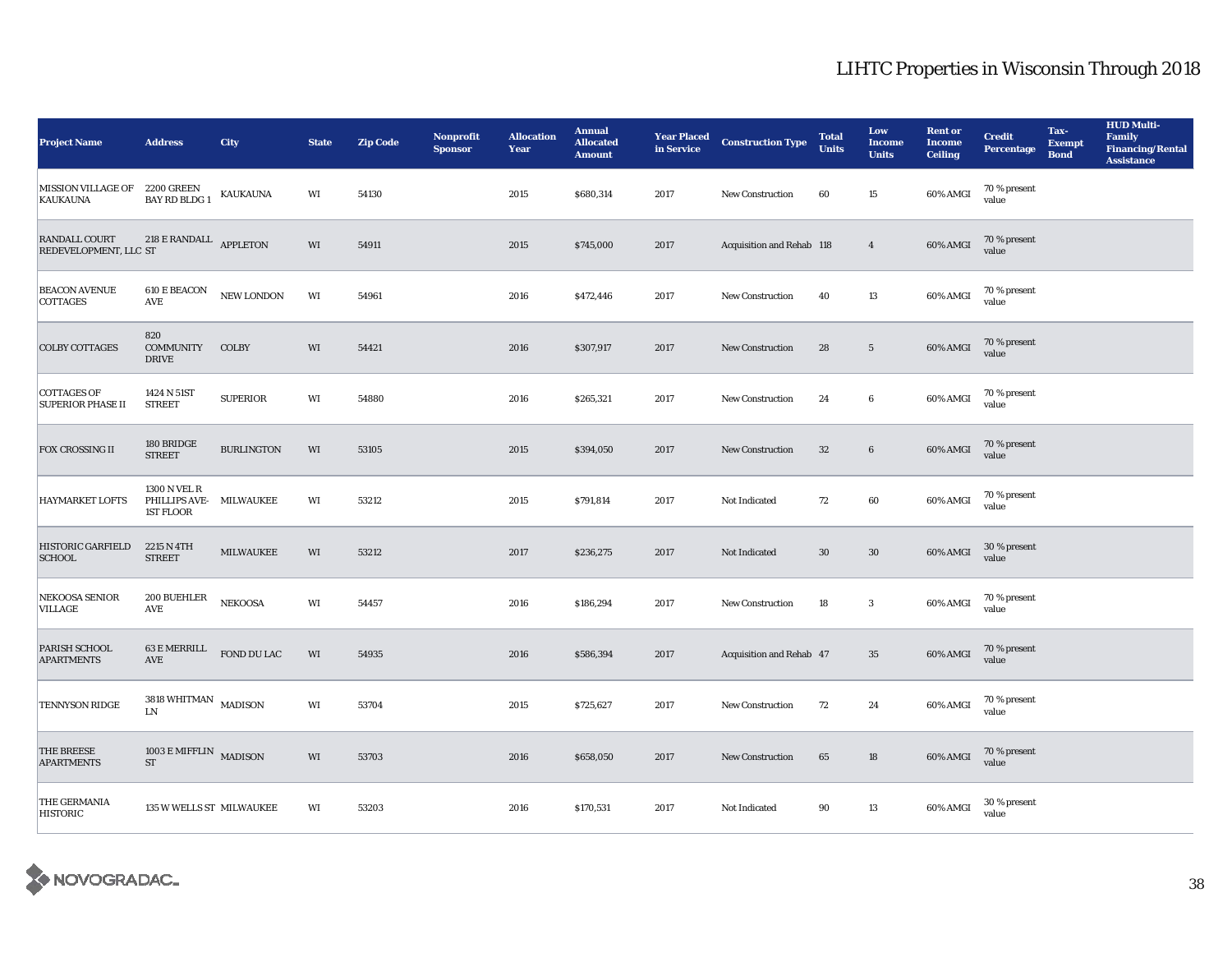| <b>Project Name</b>                            | <b>Address</b>                                              | City              | <b>State</b> | <b>Zip Code</b> | Nonprofit<br><b>Sponsor</b> | <b>Allocation</b><br>Year | <b>Annual</b><br><b>Allocated</b><br><b>Amount</b> | <b>Year Placed<br/>in Service</b> | <b>Construction Type</b>  | <b>Total</b><br><b>Units</b> | Low<br><b>Income</b><br><b>Units</b> | <b>Rent or</b><br><b>Income</b><br><b>Ceiling</b> | <b>Credit</b><br><b>Percentage</b> | Tax-<br><b>Exempt</b><br><b>Bond</b> | <b>HUD Multi-</b><br>Family<br><b>Financing/Rental</b><br><b>Assistance</b> |
|------------------------------------------------|-------------------------------------------------------------|-------------------|--------------|-----------------|-----------------------------|---------------------------|----------------------------------------------------|-----------------------------------|---------------------------|------------------------------|--------------------------------------|---------------------------------------------------|------------------------------------|--------------------------------------|-----------------------------------------------------------------------------|
| <b>MISSION VILLAGE OF</b><br><b>KAUKAUNA</b>   | <b>2200 GREEN</b><br><b>BAY RD BLDG 1</b>                   | KAUKAUNA          | WI           | 54130           |                             | 2015                      | \$680,314                                          | 2017                              | <b>New Construction</b>   | 60                           | $15\,$                               | 60% AMGI                                          | 70 % present<br>value              |                                      |                                                                             |
| RANDALL COURT<br>REDEVELOPMENT, LLC ST         | 218 E RANDALL APPLETON                                      |                   | WI           | 54911           |                             | 2015                      | \$745,000                                          | 2017                              | Acquisition and Rehab 118 |                              | $\overline{4}$                       | 60% AMGI                                          | 70 % present<br>value              |                                      |                                                                             |
| <b>BEACON AVENUE</b><br><b>COTTAGES</b>        | <b>610 E BEACON</b><br>$\operatorname{\mathsf{AVE}}$        | NEW LONDON        | WI           | 54961           |                             | 2016                      | \$472,446                                          | 2017                              | <b>New Construction</b>   | 40                           | 13                                   | 60% AMGI                                          | 70 % present<br>value              |                                      |                                                                             |
| <b>COLBY COTTAGES</b>                          | 820<br>COMMUNITY<br><b>DRIVE</b>                            | <b>COLBY</b>      | WI           | 54421           |                             | 2016                      | \$307,917                                          | 2017                              | New Construction          | 28                           | $5\,$                                | 60% AMGI                                          | 70 % present<br>value              |                                      |                                                                             |
| <b>COTTAGES OF</b><br><b>SUPERIOR PHASE II</b> | 1424 N 51ST<br><b>STREET</b>                                | <b>SUPERIOR</b>   | WI           | 54880           |                             | 2016                      | \$265,321                                          | 2017                              | New Construction          | 24                           | 6                                    | 60% AMGI                                          | 70 % present<br>value              |                                      |                                                                             |
| <b>FOX CROSSING II</b>                         | 180 BRIDGE<br><b>STREET</b>                                 | <b>BURLINGTON</b> | WI           | 53105           |                             | 2015                      | \$394,050                                          | 2017                              | New Construction          | $32\phantom{.0}$             | 6                                    | 60% AMGI                                          | 70 % present<br>value              |                                      |                                                                             |
| <b>HAYMARKET LOFTS</b>                         | 1300 N VEL R<br>PHILLIPS AVE- MILWAUKEE<br><b>1ST FLOOR</b> |                   | WI           | 53212           |                             | 2015                      | \$791,814                                          | 2017                              | Not Indicated             | 72                           | 60                                   | 60% AMGI                                          | 70 % present<br>value              |                                      |                                                                             |
| <b>HISTORIC GARFIELD</b><br><b>SCHOOL</b>      | 2215 N 4TH<br><b>STREET</b>                                 | MILWAUKEE         | WI           | 53212           |                             | 2017                      | \$236,275                                          | 2017                              | Not Indicated             | $30\,$                       | $30\,$                               | 60% AMGI                                          | 30 % present<br>value              |                                      |                                                                             |
| <b>NEKOOSA SENIOR</b><br><b>VILLAGE</b>        | 200 BUEHLER<br>$\operatorname{AVE}$                         | <b>NEKOOSA</b>    | WI           | 54457           |                             | 2016                      | \$186,294                                          | 2017                              | <b>New Construction</b>   | 18                           | $\boldsymbol{3}$                     | 60% AMGI                                          | 70 % present<br>value              |                                      |                                                                             |
| PARISH SCHOOL<br><b>APARTMENTS</b>             | 63 E MERRILL<br>$\operatorname{AVE}$                        | FOND DU LAC       | WI           | 54935           |                             | 2016                      | \$586,394                                          | 2017                              | Acquisition and Rehab 47  |                              | 35                                   | 60% AMGI                                          | 70 % present<br>value              |                                      |                                                                             |
| <b>TENNYSON RIDGE</b>                          | $3818\text{ WHITMAN}\quad\text{MADISON}$<br>LN              |                   | WI           | 53704           |                             | 2015                      | \$725,627                                          | 2017                              | New Construction          | 72                           | 24                                   | 60% AMGI                                          | 70 % present<br>value              |                                      |                                                                             |
| THE BREESE<br><b>APARTMENTS</b>                | $1003$ E MIFFLIN $\,$ MADISON<br>$\operatorname{ST}$        |                   | WI           | 53703           |                             | 2016                      | \$658,050                                          | 2017                              | <b>New Construction</b>   | 65                           | 18                                   | $60\%$ AMGI                                       | 70 % present<br>value              |                                      |                                                                             |
| THE GERMANIA<br><b>HISTORIC</b>                | 135 W WELLS ST MILWAUKEE                                    |                   | WI           | 53203           |                             | 2016                      | \$170,531                                          | 2017                              | Not Indicated             | 90                           | 13                                   | 60% AMGI                                          | 30 % present<br>value              |                                      |                                                                             |

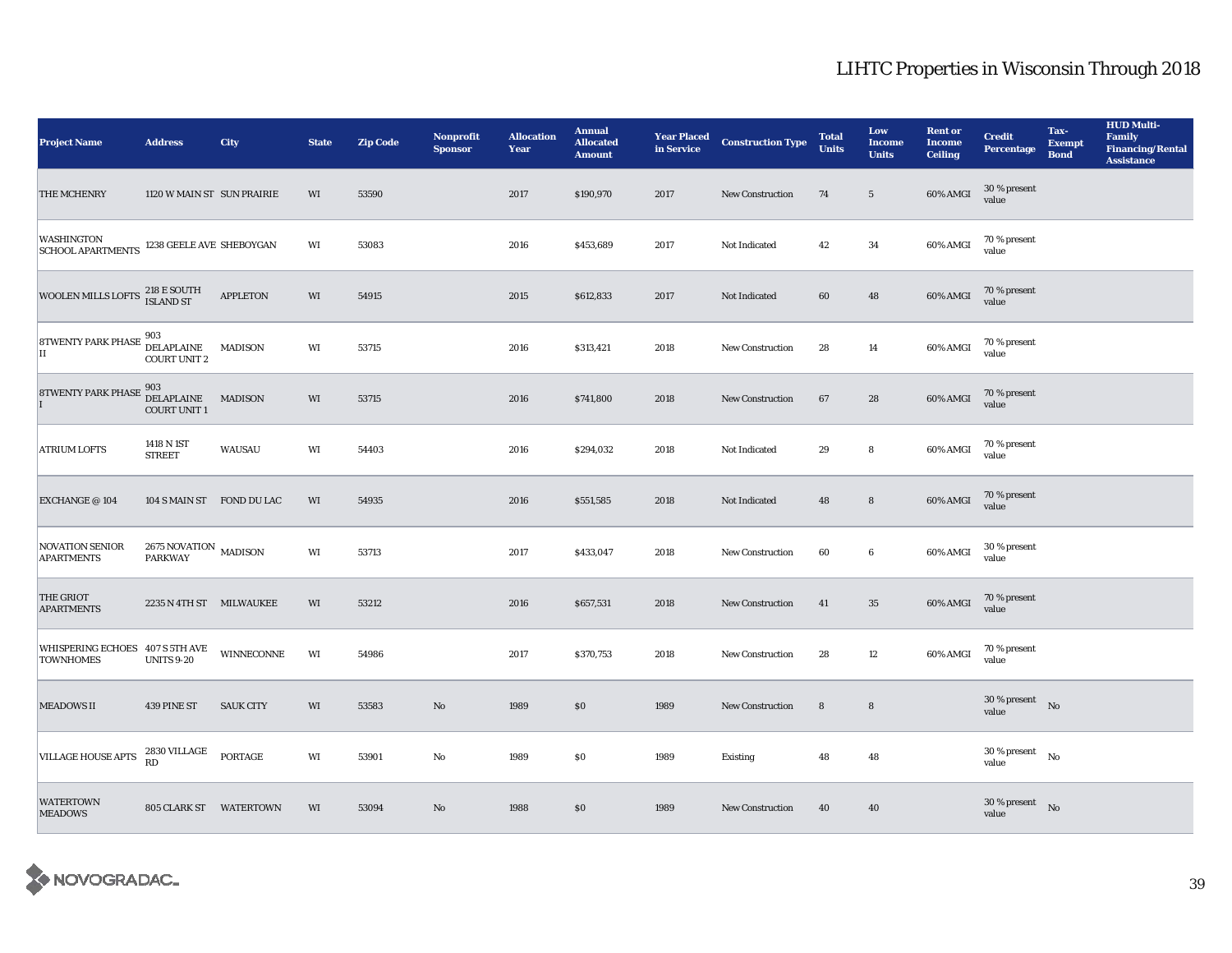| <b>Project Name</b>                                      | <b>Address</b>                                     | City              | <b>State</b> | <b>Zip Code</b> | <b>Nonprofit</b><br><b>Sponsor</b> | <b>Allocation</b><br>Year | <b>Annual</b><br><b>Allocated</b><br><b>Amount</b> | <b>Year Placed<br/>in Service</b> | <b>Construction Type</b> | <b>Total</b><br><b>Units</b> | Low<br><b>Income</b><br><b>Units</b> | <b>Rent or</b><br><b>Income</b><br><b>Ceiling</b> | <b>Credit</b><br><b>Percentage</b>          | Tax-<br><b>Exempt</b><br><b>Bond</b> | <b>HUD Multi-</b><br>Family<br><b>Financing/Rental</b><br><b>Assistance</b> |
|----------------------------------------------------------|----------------------------------------------------|-------------------|--------------|-----------------|------------------------------------|---------------------------|----------------------------------------------------|-----------------------------------|--------------------------|------------------------------|--------------------------------------|---------------------------------------------------|---------------------------------------------|--------------------------------------|-----------------------------------------------------------------------------|
| <b>THE MCHENRY</b>                                       | 1120 W MAIN ST SUN PRAIRIE                         |                   | WI           | 53590           |                                    | 2017                      | \$190,970                                          | 2017                              | <b>New Construction</b>  | 74                           | $5\phantom{.0}$                      | 60% AMGI                                          | 30 % present<br>value                       |                                      |                                                                             |
| WASHINGTON<br>SCHOOL APARTMENTS 1238 GEELE AVE SHEBOYGAN |                                                    |                   | WI           | 53083           |                                    | 2016                      | \$453,689                                          | 2017                              | Not Indicated            | 42                           | 34                                   | 60% AMGI                                          | 70 % present<br>value                       |                                      |                                                                             |
| WOOLEN MILLS LOFTS 218 E SOUTH                           |                                                    | <b>APPLETON</b>   | WI           | 54915           |                                    | 2015                      | \$612,833                                          | 2017                              | Not Indicated            | 60                           | 48                                   | 60% AMGI                                          | 70 % present<br>value                       |                                      |                                                                             |
| <b>8TWENTY PARK PHASE 903</b><br>ELAPLAINE<br>II         | <b>COURT UNIT 2</b>                                | <b>MADISON</b>    | WI           | 53715           |                                    | 2016                      | \$313,421                                          | 2018                              | <b>New Construction</b>  | 28                           | 14                                   | 60% AMGI                                          | 70 % present<br>value                       |                                      |                                                                             |
| <b>8TWENTY PARK PHASE</b>                                | 903<br><b>DELAPLAINE</b><br><b>COURT UNIT 1</b>    | <b>MADISON</b>    | WI           | 53715           |                                    | 2016                      | \$741,800                                          | 2018                              | <b>New Construction</b>  | 67                           | 28                                   | 60% AMGI                                          | 70 % present<br>value                       |                                      |                                                                             |
| <b>ATRIUM LOFTS</b>                                      | 1418 N 1ST<br><b>STREET</b>                        | WAUSAU            | WI           | 54403           |                                    | 2016                      | \$294,032                                          | 2018                              | Not Indicated            | 29                           | 8                                    | 60% AMGI                                          | 70 % present<br>value                       |                                      |                                                                             |
| EXCHANGE @ 104                                           | 104 S MAIN ST FOND DU LAC                          |                   | WI           | 54935           |                                    | 2016                      | \$551,585                                          | 2018                              | Not Indicated            | 48                           | 8                                    | 60% AMGI                                          | 70 % present<br>value                       |                                      |                                                                             |
| <b>NOVATION SENIOR</b><br><b>APARTMENTS</b>              | $2675\, \mbox{NOVATION}$ MADISON<br><b>PARKWAY</b> |                   | WI           | 53713           |                                    | 2017                      | \$433,047                                          | 2018                              | <b>New Construction</b>  | 60                           | 6                                    | 60% AMGI                                          | 30 % present<br>value                       |                                      |                                                                             |
| THE GRIOT<br><b>APARTMENTS</b>                           | 2235 N 4TH ST MILWAUKEE                            |                   | WI           | 53212           |                                    | 2016                      | \$657,531                                          | 2018                              | <b>New Construction</b>  | 41                           | 35                                   | 60% AMGI                                          | 70 % present<br>value                       |                                      |                                                                             |
| WHISPERING ECHOES 407 S 5TH AVE<br><b>TOWNHOMES</b>      | <b>UNITS 9-20</b>                                  | <b>WINNECONNE</b> | WI           | 54986           |                                    | 2017                      | \$370,753                                          | 2018                              | New Construction         | 28                           | $12\,$                               | 60% AMGI                                          | 70 % present<br>value                       |                                      |                                                                             |
| <b>MEADOWS II</b>                                        | 439 PINE ST                                        | <b>SAUK CITY</b>  | WI           | 53583           | No                                 | 1989                      | \$0\$                                              | 1989                              | <b>New Construction</b>  | 8                            | $\bf8$                               |                                                   | $30$ % present $\quad$ No $\quad$<br>value  |                                      |                                                                             |
| <b>VILLAGE HOUSE APTS</b>                                | $2830\rm~VILLAGE$<br>RD                            | PORTAGE           | WI           | 53901           | No                                 | 1989                      | $\$0$                                              | 1989                              | <b>Existing</b>          | 48                           | 48                                   |                                                   | $30$ % present $\quad$ $_{\rm No}$<br>value |                                      |                                                                             |
| <b>WATERTOWN</b><br><b>MEADOWS</b>                       | 805 CLARK ST WATERTOWN                             |                   | WI           | 53094           | No                                 | 1988                      | \$0\$                                              | 1989                              | <b>New Construction</b>  | 40                           | 40                                   |                                                   | $30\%$ present No<br>value                  |                                      |                                                                             |

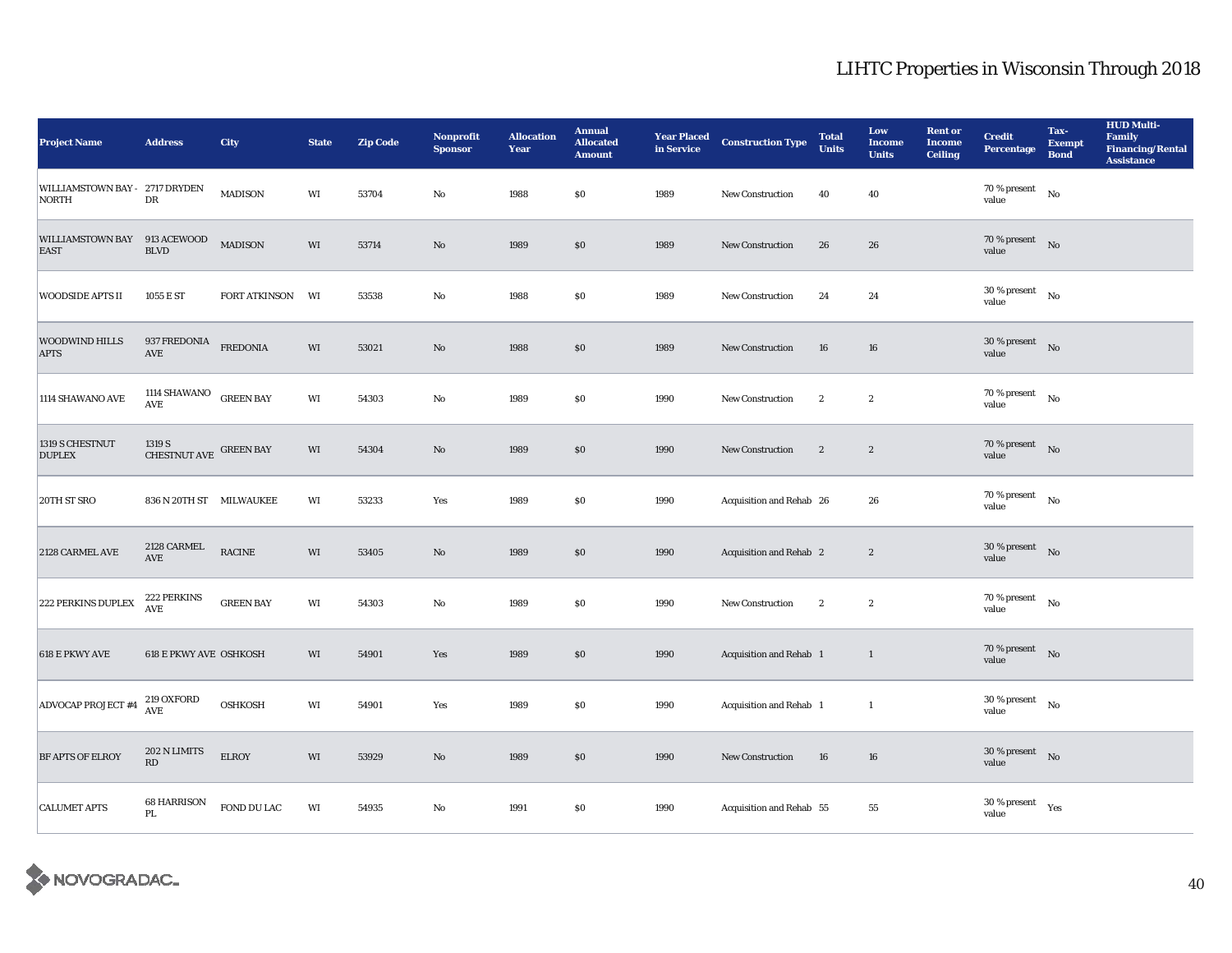| <b>Project Name</b>                         | <b>Address</b>                                  | City             | <b>State</b>           | <b>Zip Code</b> | <b>Nonprofit</b><br><b>Sponsor</b> | <b>Allocation</b><br>Year | <b>Annual</b><br><b>Allocated</b><br><b>Amount</b> | <b>Year Placed<br/>in Service</b> | <b>Construction Type</b> | <b>Total</b><br><b>Units</b> | Low<br><b>Income</b><br><b>Units</b> | <b>Rent or</b><br><b>Income</b><br><b>Ceiling</b> | <b>Credit</b><br><b>Percentage</b>          | Tax-<br><b>Exempt</b><br><b>Bond</b> | <b>HUD Multi-</b><br>Family<br><b>Financing/Rental</b><br><b>Assistance</b> |
|---------------------------------------------|-------------------------------------------------|------------------|------------------------|-----------------|------------------------------------|---------------------------|----------------------------------------------------|-----------------------------------|--------------------------|------------------------------|--------------------------------------|---------------------------------------------------|---------------------------------------------|--------------------------------------|-----------------------------------------------------------------------------|
| WILLIAMSTOWN BAY - 2717 DRYDEN<br>NORTH     | DR                                              | <b>MADISON</b>   | WI                     | 53704           | $\rm No$                           | 1988                      | \$0                                                | 1989                              | <b>New Construction</b>  | 40                           | 40                                   |                                                   | 70 % present<br>value                       | No                                   |                                                                             |
| WILLIAMSTOWN BAY 913 ACEWOOD<br><b>EAST</b> | <b>BLVD</b>                                     | <b>MADISON</b>   | WI                     | 53714           | $\mathbf{No}$                      | 1989                      | \$0                                                | 1989                              | <b>New Construction</b>  | 26                           | 26                                   |                                                   | 70 % present $\hbox{No}$<br>value           |                                      |                                                                             |
| <b>WOODSIDE APTS II</b>                     | 1055 E ST                                       | FORT ATKINSON    | WI                     | 53538           | $\rm No$                           | 1988                      | \$0                                                | 1989                              | New Construction         | 24                           | 24                                   |                                                   | 30 % present<br>value                       | No                                   |                                                                             |
| <b>WOODWIND HILLS</b><br><b>APTS</b>        | 937 FREDONIA<br>$\operatorname{AVE}$            | <b>FREDONIA</b>  | WI                     | 53021           | $\mathbf{No}$                      | 1988                      | \$0                                                | 1989                              | <b>New Construction</b>  | 16                           | 16                                   |                                                   | $30$ % present $$\rm{No}$$<br>value         |                                      |                                                                             |
| 1114 SHAWANO AVE                            | 1114 SHAWANO $$\sf{G}\rm{REEN}$ BAY             |                  | WI                     | 54303           | No                                 | 1989                      | \$0                                                | 1990                              | <b>New Construction</b>  | $\boldsymbol{2}$             | $\boldsymbol{2}$                     |                                                   | 70 % present $$\rm{No}$$<br>value           |                                      |                                                                             |
| 1319 S CHESTNUT<br><b>DUPLEX</b>            | 1319 S<br>CHESTNUT AVE GREEN BAY                |                  | WI                     | 54304           | $\mathbf{No}$                      | 1989                      | \$0                                                | 1990                              | New Construction         | $\overline{2}$               | $\boldsymbol{2}$                     |                                                   | 70 % present $\qquad$ No<br>value           |                                      |                                                                             |
| 20TH ST SRO                                 | 836 N 20TH ST MILWAUKEE                         |                  | $\mathbf{W}\mathbf{I}$ | 53233           | Yes                                | 1989                      | $\$0$                                              | 1990                              | Acquisition and Rehab 26 |                              | 26                                   |                                                   | 70 % present $$\rm{No}$$<br>value           |                                      |                                                                             |
| 2128 CARMEL AVE                             | 2128 CARMEL<br>$\operatorname{\mathbf{AVE}}$    | <b>RACINE</b>    | WI                     | 53405           | No                                 | 1989                      | \$0                                                | 1990                              | Acquisition and Rehab 2  |                              | $\boldsymbol{2}$                     |                                                   | $30$ % present $\hbox{~No}$<br>value        |                                      |                                                                             |
| 222 PERKINS DUPLEX                          | 222 PERKINS<br>$\mathbf{A}\mathbf{V}\mathbf{E}$ | <b>GREEN BAY</b> | WI                     | 54303           | No                                 | 1989                      | \$0                                                | 1990                              | <b>New Construction</b>  | $\mathbf{2}$                 | $\boldsymbol{2}$                     |                                                   | 70 % present $$\rm{No}$$<br>value           |                                      |                                                                             |
| <b>618 E PKWY AVE</b>                       | <b>618 E PKWY AVE OSHKOSH</b>                   |                  | WI                     | 54901           | Yes                                | 1989                      | $\$0$                                              | 1990                              | Acquisition and Rehab 1  |                              | $\mathbf{1}$                         |                                                   | $70\%$ present No<br>value                  |                                      |                                                                             |
| <b>ADVOCAP PROJECT #4</b>                   | $219$ OXFORD<br><b>AVE</b>                      | <b>OSHKOSH</b>   | WI                     | 54901           | Yes                                | 1989                      | $\$0$                                              | 1990                              | Acquisition and Rehab 1  |                              | -1                                   |                                                   | 30 % present<br>value                       | $\rm No$                             |                                                                             |
| <b>BF APTS OF ELROY</b>                     | 202 N LIMITS<br>$\mathbf{R}\mathbf{D}$          | <b>ELROY</b>     | WI                     | 53929           | No                                 | 1989                      | \$0                                                | 1990                              | New Construction         | 16                           | 16                                   |                                                   | $30$ % present $$\rm{No}$$<br>value         |                                      |                                                                             |
| <b>CALUMET APTS</b>                         | <b>68 HARRISON</b><br>PL                        | FOND DU LAC      | WI                     | 54935           | No                                 | 1991                      | \$0                                                | 1990                              | Acquisition and Rehab 55 |                              | 55                                   |                                                   | 30 % present $\rm \gamma_{\rm PS}$<br>value |                                      |                                                                             |

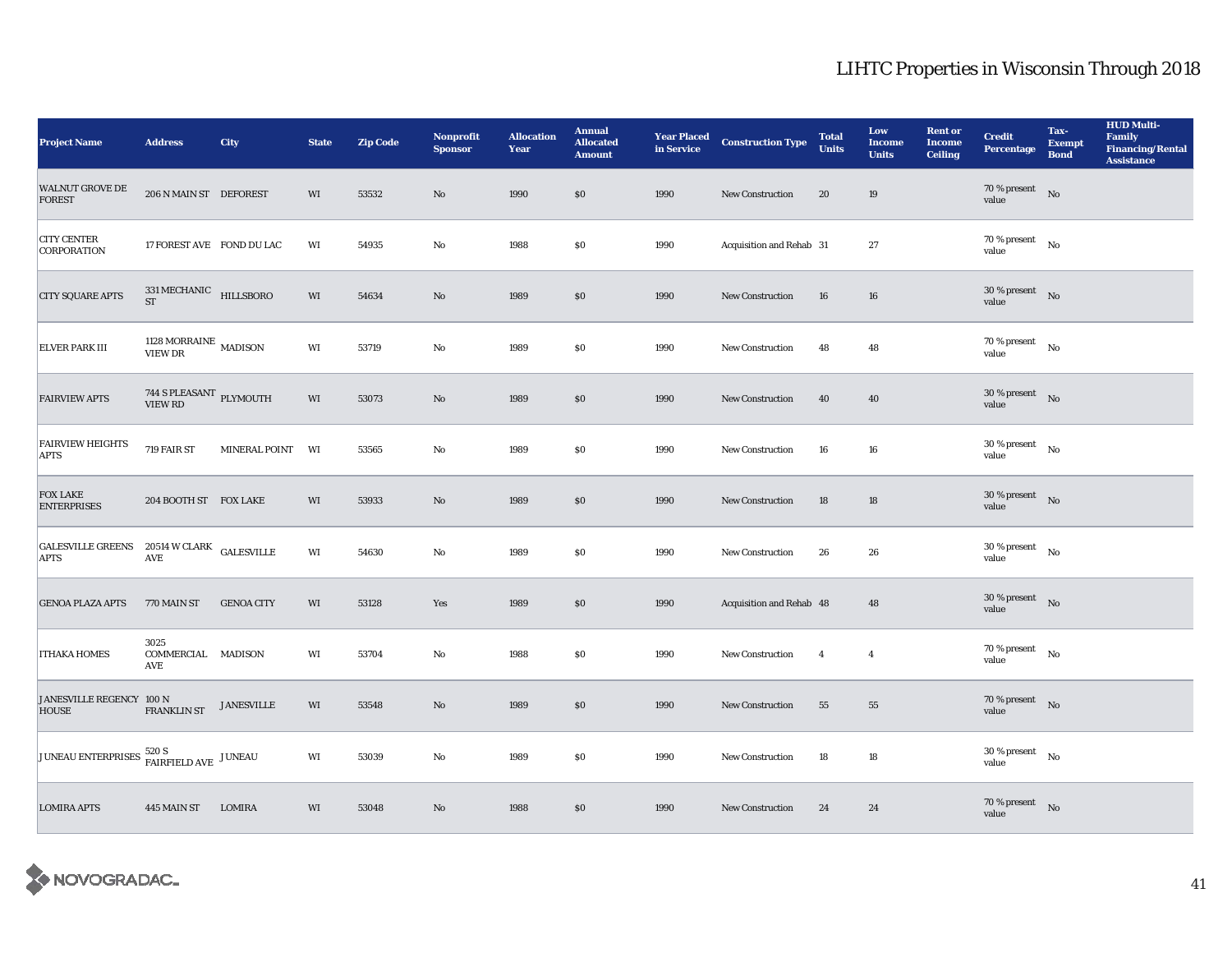| <b>Project Name</b>                                        | <b>Address</b>                                  | City              | <b>State</b>           | <b>Zip Code</b> | Nonprofit<br><b>Sponsor</b> | <b>Allocation</b><br>Year | <b>Annual</b><br><b>Allocated</b><br><b>Amount</b> | <b>Year Placed<br/>in Service</b> | <b>Construction Type</b> | <b>Total</b><br><b>Units</b> | Low<br><b>Income</b><br><b>Units</b> | <b>Rent or</b><br><b>Income</b><br><b>Ceiling</b> | <b>Credit</b><br><b>Percentage</b>       | Tax-<br><b>Exempt</b><br><b>Bond</b> | <b>HUD Multi-</b><br>Family<br><b>Financing/Rental</b><br><b>Assistance</b> |
|------------------------------------------------------------|-------------------------------------------------|-------------------|------------------------|-----------------|-----------------------------|---------------------------|----------------------------------------------------|-----------------------------------|--------------------------|------------------------------|--------------------------------------|---------------------------------------------------|------------------------------------------|--------------------------------------|-----------------------------------------------------------------------------|
| <b>WALNUT GROVE DE</b><br><b>FOREST</b>                    | 206 N MAIN ST DEFOREST                          |                   | WI                     | 53532           | No                          | 1990                      | \$0                                                | 1990                              | <b>New Construction</b>  | 20                           | 19                                   |                                                   | $70\%$ present No<br>value               |                                      |                                                                             |
| <b>CITY CENTER</b><br><b>CORPORATION</b>                   | 17 FOREST AVE FOND DU LAC                       |                   | WI                     | 54935           | No                          | 1988                      | \$0                                                | 1990                              | Acquisition and Rehab 31 |                              | 27                                   |                                                   | 70 % present $$\rm{No}$$<br>value        |                                      |                                                                             |
| <b>CITY SQUARE APTS</b>                                    | $331\,\mathrm{MECHANIC}$ HILLSBORO<br><b>ST</b> |                   | WI                     | 54634           | No                          | 1989                      | \$0                                                | 1990                              | <b>New Construction</b>  | 16                           | 16                                   |                                                   | $30$ % present $\;\;$ No $\;\;$<br>value |                                      |                                                                             |
| ELVER PARK III                                             | $1128$ MORRAINE $\,$ MADISON VIEW DR            |                   | WI                     | 53719           | $\rm No$                    | 1989                      | $\$0$                                              | 1990                              | New Construction         | 48                           | ${\bf 48}$                           |                                                   | 70 % present<br>value                    | No                                   |                                                                             |
| <b>FAIRVIEW APTS</b>                                       | $744$ S PLEASANT $\,$ PLYMOUTH VIEW RD          |                   | $\mathbf{W}\mathbf{I}$ | 53073           | $\mathbf{No}$               | 1989                      | $\$0$                                              | 1990                              | New Construction         | 40                           | 40                                   |                                                   | $30$ % present $$\rm{No}$$<br>value      |                                      |                                                                             |
| <b>FAIRVIEW HEIGHTS</b><br><b>APTS</b>                     | 719 FAIR ST                                     | MINERAL POINT WI  |                        | 53565           | No                          | 1989                      | $\$0$                                              | 1990                              | <b>New Construction</b>  | 16                           | 16                                   |                                                   | 30 % present<br>value                    | No                                   |                                                                             |
| <b>FOX LAKE</b><br><b>ENTERPRISES</b>                      | 204 BOOTH ST FOX LAKE                           |                   | WI                     | 53933           | No                          | 1989                      | \$0                                                | 1990                              | <b>New Construction</b>  | 18                           | 18                                   |                                                   | $30$ % present $$\rm{No}$$<br>value      |                                      |                                                                             |
| GALESVILLE GREENS 20514 W CLARK GALESVILLE<br><b>APTS</b>  | AVE                                             |                   | WI                     | 54630           | No                          | 1989                      | \$0                                                | 1990                              | New Construction         | 26                           | 26                                   |                                                   | 30 % present<br>value                    | No                                   |                                                                             |
| <b>GENOA PLAZA APTS</b>                                    | 770 MAIN ST                                     | <b>GENOA CITY</b> | WI                     | 53128           | Yes                         | 1989                      | \$0                                                | 1990                              | Acquisition and Rehab 48 |                              | 48                                   |                                                   | $30$ % present $$\rm{No}$$<br>value      |                                      |                                                                             |
| <b>ITHAKA HOMES</b>                                        | 3025<br>COMMERCIAL MADISON<br>AVE               |                   | WI                     | 53704           | No                          | 1988                      | $\$0$                                              | 1990                              | New Construction         | $\overline{4}$               | $\overline{4}$                       |                                                   | 70 % present $$\rm{No}$$<br>value        |                                      |                                                                             |
| JANESVILLE REGENCY 100 N<br><b>HOUSE</b>                   | FRANKLIN ST                                     | <b>JANESVILLE</b> | WI                     | 53548           | No                          | 1989                      | \$0                                                | 1990                              | <b>New Construction</b>  | 55                           | 55                                   |                                                   | 70 % present $\qquad$ No<br>value        |                                      |                                                                             |
| JUNEAU ENTERPRISES $^{520 \text{ S}}$ FAIRFIELD AVE JUNEAU |                                                 |                   | WI                     | 53039           | No                          | 1989                      | \$0                                                | 1990                              | New Construction         | 18                           | 18                                   |                                                   | 30 % present<br>value                    | No                                   |                                                                             |
| <b>LOMIRA APTS</b>                                         | 445 MAIN ST                                     | <b>LOMIRA</b>     | WI                     | 53048           | No                          | 1988                      | \$0                                                | 1990                              | <b>New Construction</b>  | 24                           | 24                                   |                                                   | $70$ % present $$\rm{No}$$<br>value      |                                      |                                                                             |

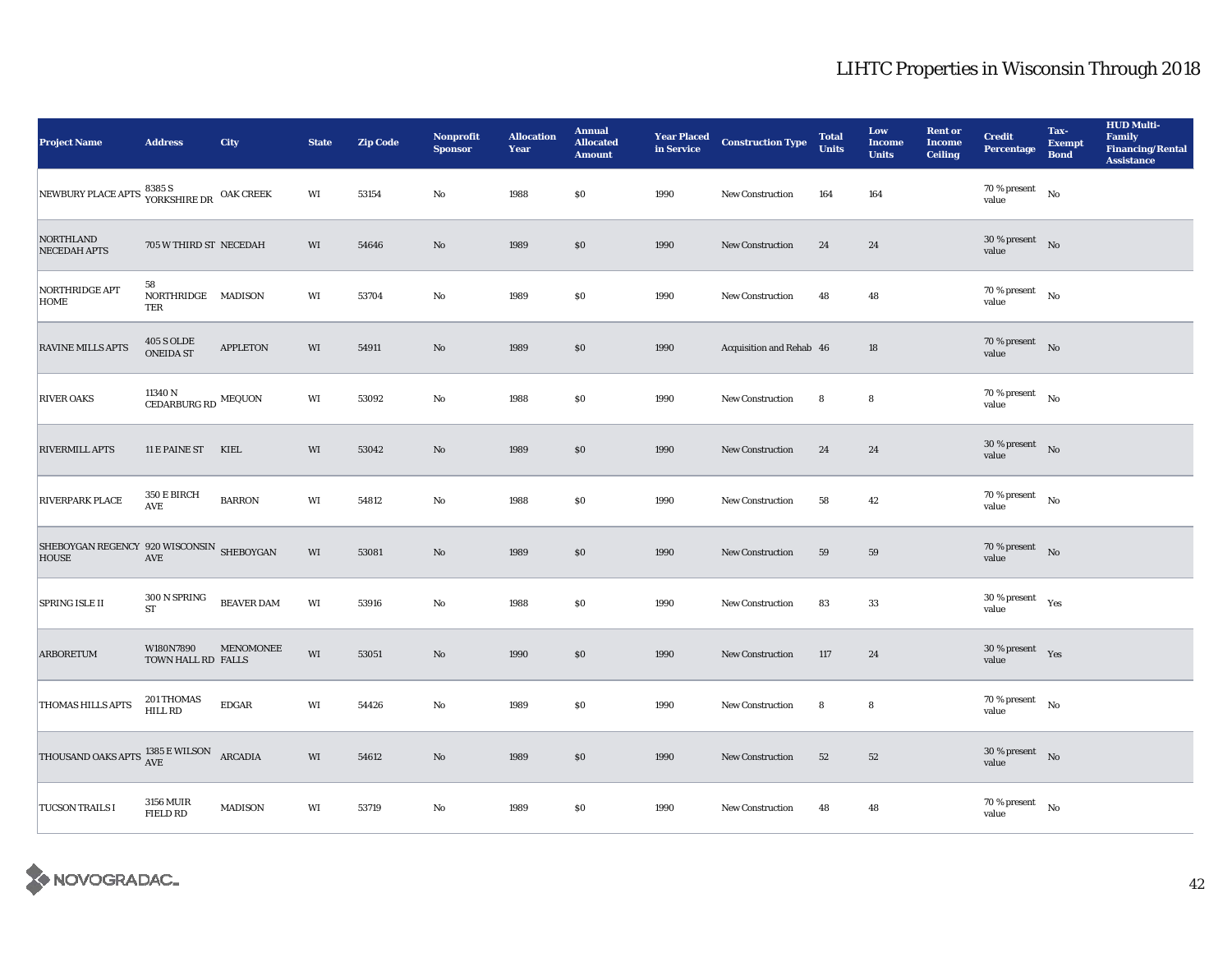| <b>Project Name</b>                                       | <b>Address</b>                          | City              | <b>State</b> | <b>Zip Code</b> | Nonprofit<br><b>Sponsor</b> | <b>Allocation</b><br>Year | <b>Annual</b><br><b>Allocated</b><br><b>Amount</b> | <b>Year Placed<br/>in Service</b> | <b>Construction Type</b> | <b>Total</b><br><b>Units</b> | Low<br><b>Income</b><br><b>Units</b> | <b>Rent or</b><br><b>Income</b><br><b>Ceiling</b> | <b>Credit</b><br><b>Percentage</b>          | Tax-<br><b>Exempt</b><br><b>Bond</b> | <b>HUD Multi-</b><br>Family<br><b>Financing/Rental</b><br><b>Assistance</b> |
|-----------------------------------------------------------|-----------------------------------------|-------------------|--------------|-----------------|-----------------------------|---------------------------|----------------------------------------------------|-----------------------------------|--------------------------|------------------------------|--------------------------------------|---------------------------------------------------|---------------------------------------------|--------------------------------------|-----------------------------------------------------------------------------|
| NEWBURY PLACE APTS 8385 S<br>YORKSHIRE DR                 |                                         | <b>OAK CREEK</b>  | WI           | 53154           | No                          | 1988                      | \$0                                                | 1990                              | <b>New Construction</b>  | 164                          | 164                                  |                                                   | 70 % present<br>value                       | No                                   |                                                                             |
| <b>NORTHLAND</b><br><b>NECEDAH APTS</b>                   | 705 W THIRD ST NECEDAH                  |                   | WI           | 54646           | No                          | 1989                      | \$0                                                | 1990                              | <b>New Construction</b>  | 24                           | 24                                   |                                                   | $30$ % present $\;\;$ No $\;$<br>value      |                                      |                                                                             |
| NORTHRIDGE APT<br><b>HOME</b>                             | 58<br>NORTHRIDGE MADISON<br>TER         |                   | WI           | 53704           | No                          | 1989                      | $\$0$                                              | 1990                              | New Construction         | 48                           | 48                                   |                                                   | $70$ % present $\quad$ $_{\rm No}$<br>value |                                      |                                                                             |
| <b>RAVINE MILLS APTS</b>                                  | <b>405 S OLDE</b><br><b>ONEIDA ST</b>   | <b>APPLETON</b>   | WI           | 54911           | No                          | 1989                      | $\$0$                                              | 1990                              | Acquisition and Rehab 46 |                              | 18                                   |                                                   | 70 % present $N_0$<br>value                 |                                      |                                                                             |
| <b>RIVER OAKS</b>                                         | 11340 N<br>CEDARBURG RD $^{\rm MEQUON}$ |                   | WI           | 53092           | No                          | 1988                      | \$0                                                | 1990                              | <b>New Construction</b>  | 8                            | 8                                    |                                                   | $70$ % present $$N{\rm o}$$<br>value        |                                      |                                                                             |
| <b>RIVERMILL APTS</b>                                     | 11 E PAINE ST KIEL                      |                   | WI           | 53042           | No                          | 1989                      | \$0                                                | 1990                              | New Construction         | 24                           | 24                                   |                                                   | $30\,\%$ present $$$ No $\,$<br>value       |                                      |                                                                             |
| RIVERPARK PLACE                                           | 350 E BIRCH<br>AVE                      | <b>BARRON</b>     | WI           | 54812           | No                          | 1988                      | $\$0$                                              | 1990                              | New Construction         | 58                           | 42                                   |                                                   | $70$ % present $$N{\rm o}$$<br>value        |                                      |                                                                             |
| SHEBOYGAN REGENCY 920 WISCONSIN SHEBOYGAN<br><b>HOUSE</b> | <b>AVE</b>                              |                   | WI           | 53081           | No                          | 1989                      | \$0                                                | 1990                              | New Construction         | 59                           | 59                                   |                                                   | $70\%$ present No<br>value                  |                                      |                                                                             |
| SPRING ISLE II                                            | 300 N SPRING<br><b>ST</b>               | <b>BEAVER DAM</b> | WI           | 53916           | No                          | 1988                      | \$0                                                | 1990                              | <b>New Construction</b>  | 83                           | 33                                   |                                                   | $30$ % present<br>value                     | Yes                                  |                                                                             |
| <b>ARBORETUM</b>                                          | W180N7890<br>TOWN HALL RD FALLS         | MENOMONEE         | WI           | 53051           | No                          | 1990                      | $\$0$                                              | 1990                              | New Construction         | 117                          | 24                                   |                                                   | 30 % present $Yes$<br>value                 |                                      |                                                                             |
| <b>THOMAS HILLS APTS</b>                                  | 201 THOMAS<br>HILL RD                   | ${\rm EDGAR}$     | WI           | 54426           | No                          | 1989                      | $\$0$                                              | 1990                              | <b>New Construction</b>  | 8                            | 8                                    |                                                   | $70$ % present $\quad$ $_{\rm No}$<br>value |                                      |                                                                             |
| THOUSAND OAKS APTS $^{1385}_{\rm{AVE}}$ E WILSON          |                                         | <b>ARCADIA</b>    | WI           | 54612           | No                          | 1989                      | $\$0$                                              | 1990                              | New Construction         | 52                           | 52                                   |                                                   | $30$ % present $\;\;$ No $\;$<br>value      |                                      |                                                                             |
| <b>TUCSON TRAILS I</b>                                    | <b>3156 MUIR</b><br><b>FIELD RD</b>     | <b>MADISON</b>    | WI           | 53719           | No                          | 1989                      | $\$0$                                              | 1990                              | <b>New Construction</b>  | 48                           | 48                                   |                                                   | $70$ % present $$N{\rm o}$$<br>value        |                                      |                                                                             |

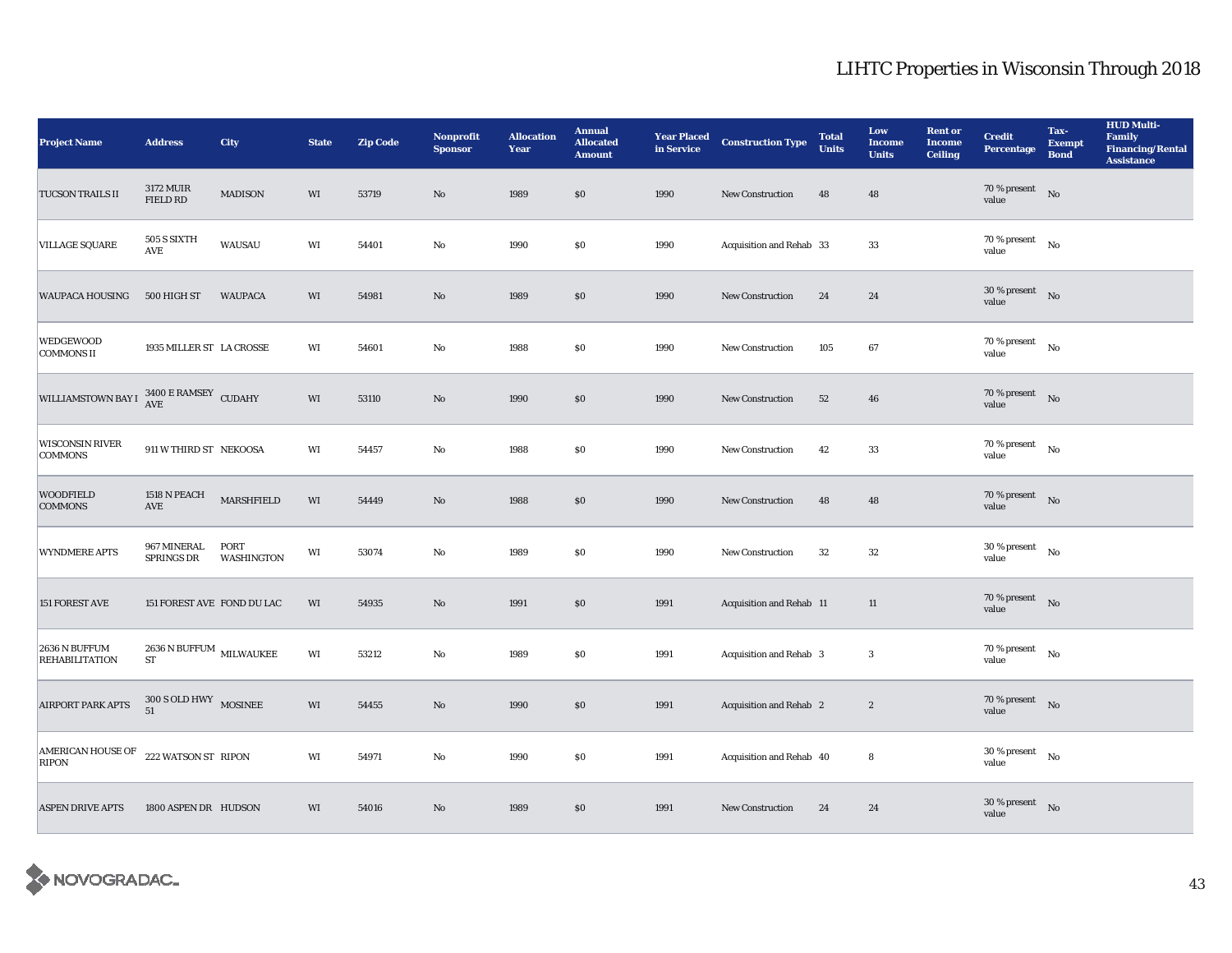| <b>Project Name</b>                                           | <b>Address</b>                          | City               | <b>State</b>           | <b>Zip Code</b> | Nonprofit<br><b>Sponsor</b> | <b>Allocation</b><br>Year | <b>Annual</b><br><b>Allocated</b><br><b>Amount</b> | <b>Year Placed<br/>in Service</b> | <b>Construction Type</b> | <b>Total</b><br><b>Units</b> | Low<br><b>Income</b><br><b>Units</b> | <b>Rent or</b><br><b>Income</b><br><b>Ceiling</b> | <b>Credit</b><br><b>Percentage</b>          | Tax-<br><b>Exempt</b><br><b>Bond</b> | <b>HUD Multi-</b><br>Family<br><b>Financing/Rental</b><br><b>Assistance</b> |
|---------------------------------------------------------------|-----------------------------------------|--------------------|------------------------|-----------------|-----------------------------|---------------------------|----------------------------------------------------|-----------------------------------|--------------------------|------------------------------|--------------------------------------|---------------------------------------------------|---------------------------------------------|--------------------------------------|-----------------------------------------------------------------------------|
| <b>TUCSON TRAILS II</b>                                       | 3172 MUIR<br><b>FIELD RD</b>            | <b>MADISON</b>     | WI                     | 53719           | $\mathbf{No}$               | 1989                      | $\$0$                                              | 1990                              | <b>New Construction</b>  | 48                           | 48                                   |                                                   | $70$ % present $$\rm{No}$$<br>value         |                                      |                                                                             |
| <b>VILLAGE SQUARE</b>                                         | 505 S SIXTH<br>AVE                      | WAUSAU             | WI                     | 54401           | No                          | 1990                      | \$0\$                                              | 1990                              | Acquisition and Rehab 33 |                              | 33                                   |                                                   | $70$ % present $\quad$ $_{\rm No}$<br>value |                                      |                                                                             |
| <b>WAUPACA HOUSING</b>                                        | 500 HIGH ST                             | <b>WAUPACA</b>     | WI                     | 54981           | $\rm No$                    | 1989                      | $\$0$                                              | 1990                              | New Construction         | 24                           | 24                                   |                                                   | $30\,\%$ present $$$ No $\,$<br>value       |                                      |                                                                             |
| <b>WEDGEWOOD</b><br><b>COMMONS II</b>                         | 1935 MILLER ST LA CROSSE                |                    | WI                     | 54601           | No                          | 1988                      | $\$0$                                              | 1990                              | <b>New Construction</b>  | 105                          | 67                                   |                                                   | $70$ % present $\quad$ $_{\rm No}$<br>value |                                      |                                                                             |
| WILLIAMSTOWN BAY I $^{3400}_{\Lambda \rm V E}$ ERAMSEY CUDAHY |                                         |                    | WI                     | 53110           | No                          | 1990                      | $\$0$                                              | 1990                              | <b>New Construction</b>  | 52                           | 46                                   |                                                   | $70$ % present $$\rm{No}$$<br>value         |                                      |                                                                             |
| <b>WISCONSIN RIVER</b><br><b>COMMONS</b>                      | 911 W THIRD ST NEKOOSA                  |                    | WI                     | 54457           | No                          | 1988                      | $\$0$                                              | 1990                              | New Construction         | 42                           | 33                                   |                                                   | 70 % present<br>value                       | No                                   |                                                                             |
| <b>WOODFIELD</b><br><b>COMMONS</b>                            | 1518 N PEACH<br>$\operatorname{AVE}$    | MARSHFIELD         | WI                     | 54449           | No                          | 1988                      | $\$0$                                              | 1990                              | New Construction         | 48                           | 48                                   |                                                   | 70 % present $\bar{N}$ o<br>value           |                                      |                                                                             |
| <b>WYNDMERE APTS</b>                                          | <b>967 MINERAL</b><br>SPRINGS DR        | PORT<br>WASHINGTON | WI                     | 53074           | No                          | 1989                      | $\$0$                                              | 1990                              | New Construction         | $32\phantom{.0}$             | 32                                   |                                                   | $30$ % present $$\rm{No}$$<br>value         |                                      |                                                                             |
| 151 FOREST AVE                                                | 151 FOREST AVE FOND DU LAC              |                    | WI                     | 54935           | No                          | 1991                      | $\$0$                                              | 1991                              | Acquisition and Rehab 11 |                              | 11                                   |                                                   | $70$ % present $$\rm{No}$$<br>value         |                                      |                                                                             |
| 2636 N BUFFUM<br><b>REHABILITATION</b>                        | $2636$ N BUFFUM $\,$ MILWAUKEE<br>ST    |                    | $\mathbf{W}\mathbf{I}$ | 53212           | $\rm No$                    | 1989                      | $\$0$                                              | 1991                              | Acquisition and Rehab 3  |                              | $\bf{3}$                             |                                                   | $70$ % present $$_{\rm No}$$<br>value       |                                      |                                                                             |
| AIRPORT PARK APTS                                             | $300$ S OLD HWY $_{\rm{MOSINEE}}$<br>51 |                    | WI                     | 54455           | $\mathbf{No}$               | 1990                      | $\$0$                                              | 1991                              | Acquisition and Rehab 2  |                              | $\boldsymbol{2}$                     |                                                   | $70\%$ present No<br>value                  |                                      |                                                                             |
| AMERICAN HOUSE OF<br><b>RIPON</b>                             | 222 WATSON ST RIPON                     |                    | WI                     | 54971           | No                          | 1990                      | $\$0$                                              | 1991                              | Acquisition and Rehab 40 |                              | 8                                    |                                                   | $30$ % present $$\rm{No}$$<br>value         |                                      |                                                                             |
| <b>ASPEN DRIVE APTS</b>                                       | 1800 ASPEN DR HUDSON                    |                    | WI                     | 54016           | No                          | 1989                      | \$0                                                | 1991                              | <b>New Construction</b>  | 24                           | 24                                   |                                                   | $30$ % present $$\rm{No}$$<br>value         |                                      |                                                                             |

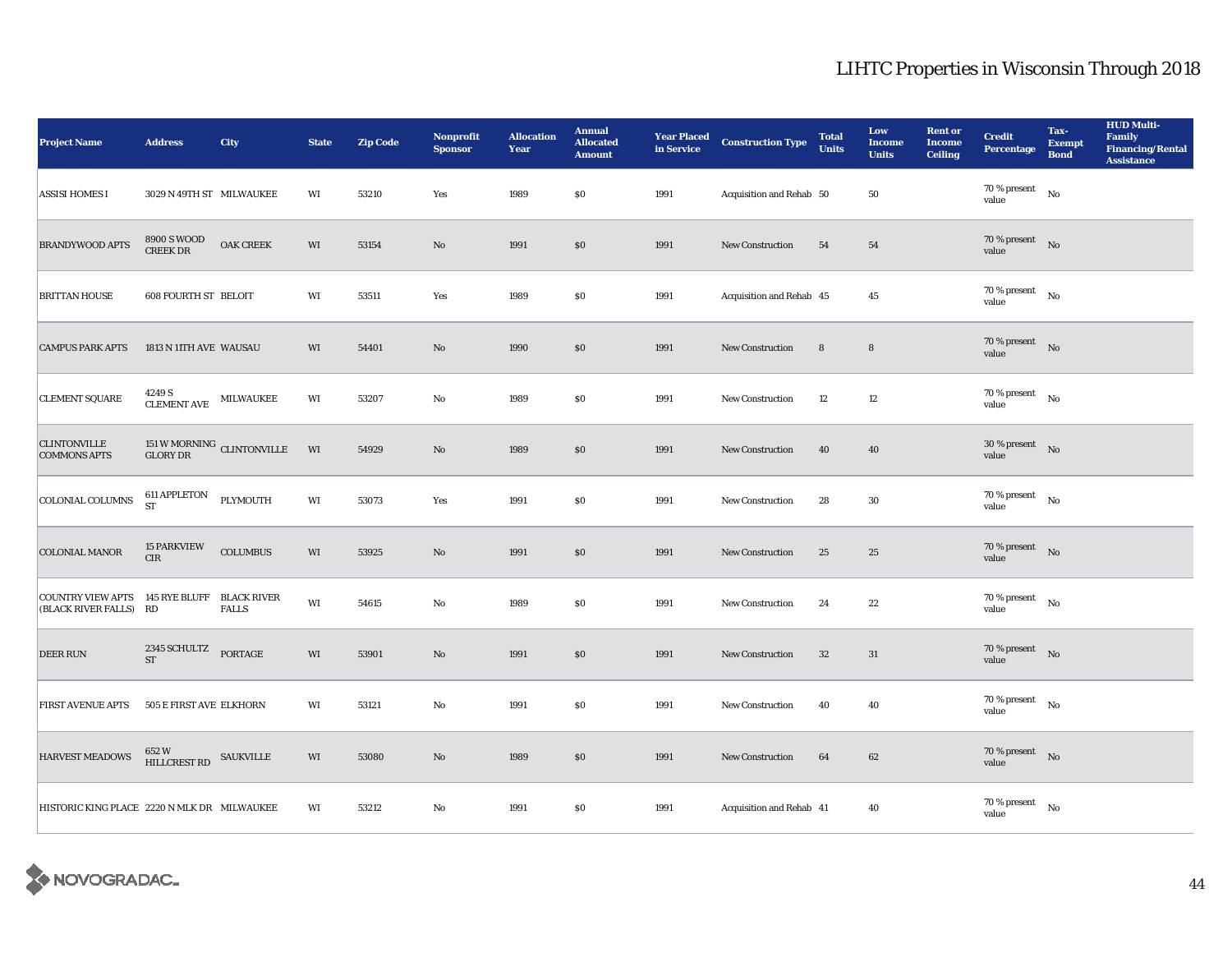| <b>Project Name</b>                                                | <b>Address</b>                                     | City                                                      | <b>State</b> | <b>Zip Code</b> | <b>Nonprofit</b><br><b>Sponsor</b> | <b>Allocation</b><br>Year | <b>Annual</b><br><b>Allocated</b><br><b>Amount</b> | <b>Year Placed<br/>in Service</b> | <b>Construction Type</b> | <b>Total</b><br><b>Units</b> | Low<br><b>Income</b><br><b>Units</b> | <b>Rent or</b><br><b>Income</b><br><b>Ceiling</b> | <b>Credit</b><br><b>Percentage</b>         | Tax-<br><b>Exempt</b><br><b>Bond</b> | <b>HUD Multi-</b><br>Family<br><b>Financing/Rental</b><br><b>Assistance</b> |
|--------------------------------------------------------------------|----------------------------------------------------|-----------------------------------------------------------|--------------|-----------------|------------------------------------|---------------------------|----------------------------------------------------|-----------------------------------|--------------------------|------------------------------|--------------------------------------|---------------------------------------------------|--------------------------------------------|--------------------------------------|-----------------------------------------------------------------------------|
| <b>ASSISI HOMES I</b>                                              | 3029 N 49TH ST MILWAUKEE                           |                                                           | WI           | 53210           | Yes                                | 1989                      | \$0                                                | 1991                              | Acquisition and Rehab 50 |                              | 50                                   |                                                   | 70 % present<br>value                      | No                                   |                                                                             |
| <b>BRANDYWOOD APTS</b>                                             | 8900 S WOOD<br>CREEK DR                            | OAK CREEK                                                 | WI           | 53154           | $\mathbf{No}$                      | 1991                      | \$0                                                | 1991                              | New Construction         | 54                           | 54                                   |                                                   | 70 % present $\hbox{No}$<br>value          |                                      |                                                                             |
| <b>BRITTAN HOUSE</b>                                               | <b>608 FOURTH ST BELOIT</b>                        |                                                           | WI           | 53511           | Yes                                | 1989                      | \$0                                                | 1991                              | Acquisition and Rehab 45 |                              | $\bf 45$                             |                                                   | $70$ % present $$\rm{No}$$<br>value        |                                      |                                                                             |
| <b>CAMPUS PARK APTS</b>                                            | 1813 N 11TH AVE WAUSAU                             |                                                           | WI           | 54401           | $\mathbf{No}$                      | 1990                      | \$0                                                | 1991                              | New Construction         | 8                            | $\bf8$                               |                                                   | 70 % present $\qquad$ No<br>value          |                                      |                                                                             |
| <b>CLEMENT SQUARE</b>                                              | $4249$ S $$\tt CLEMENT\ AVE$$ $$\tt MILWAUKEE$$    |                                                           | WI           | 53207           | No                                 | 1989                      | \$0                                                | 1991                              | <b>New Construction</b>  | 12                           | 12                                   |                                                   | $70$ % present $\quad$ No $\quad$<br>value |                                      |                                                                             |
| <b>CLINTONVILLE</b><br><b>COMMONS APTS</b>                         |                                                    | $151\,\mathrm{W}\,\mathrm{MORMING}$ CLINTONVILLE GLORY DR | WI           | 54929           | $\mathbf{No}$                      | 1989                      | \$0                                                | 1991                              | <b>New Construction</b>  | 40                           | 40                                   |                                                   | $30\,\%$ present $$$ No $\,$<br>value      |                                      |                                                                             |
| COLONIAL COLUMNS                                                   | 611 APPLETON<br>ST                                 | PLYMOUTH                                                  | WI           | 53073           | Yes                                | 1991                      | $\$0$                                              | 1991                              | <b>New Construction</b>  | 28                           | 30                                   |                                                   | 70 % present $$\rm{No}$$<br>value          |                                      |                                                                             |
| <b>COLONIAL MANOR</b>                                              | <b>15 PARKVIEW</b><br>$\rm CIR$                    | <b>COLUMBUS</b>                                           | WI           | 53925           | No                                 | 1991                      | \$0                                                | 1991                              | <b>New Construction</b>  | 25                           | 25                                   |                                                   | 70 % present $\qquad$ No<br>value          |                                      |                                                                             |
| COUNTRY VIEW APTS 145 RYE BLUFF BLACK RIVER<br>(BLACK RIVER FALLS) | RD                                                 | <b>FALLS</b>                                              | WI           | 54615           | No                                 | 1989                      | \$0                                                | 1991                              | <b>New Construction</b>  | 24                           | 22                                   |                                                   | 70 % present $$\rm{No}$$<br>value          |                                      |                                                                             |
| <b>DEER RUN</b>                                                    | 2345 SCHULTZ PORTAGE<br>${\rm ST}$                 |                                                           | WI           | 53901           | $\rm No$                           | 1991                      | \$0                                                | 1991                              | New Construction         | $32\,$                       | 31                                   |                                                   | 70 % present $\qquad$ No<br>value          |                                      |                                                                             |
| <b>FIRST AVENUE APTS</b>                                           | <b>505 E FIRST AVE ELKHORN</b>                     |                                                           | WI           | 53121           | No                                 | 1991                      | $\$0$                                              | 1991                              | <b>New Construction</b>  | 40                           | 40                                   |                                                   | $70$ % present<br>value                    | $\rm No$                             |                                                                             |
| <b>HARVEST MEADOWS</b>                                             | $652\,\mathrm{W}$ $$\rm \,SAWKVILLE$$ HILLCREST RD |                                                           | WI           | 53080           | No                                 | 1989                      | \$0                                                | 1991                              | New Construction         | 64                           | 62                                   |                                                   | 70 % present $\qquad$ No<br>value          |                                      |                                                                             |
| HISTORIC KING PLACE 2220 N MLK DR MILWAUKEE                        |                                                    |                                                           | WI           | 53212           | No                                 | 1991                      | $\$0$                                              | 1991                              | Acquisition and Rehab 41 |                              | 40                                   |                                                   | 70 % present<br>value                      | No                                   |                                                                             |

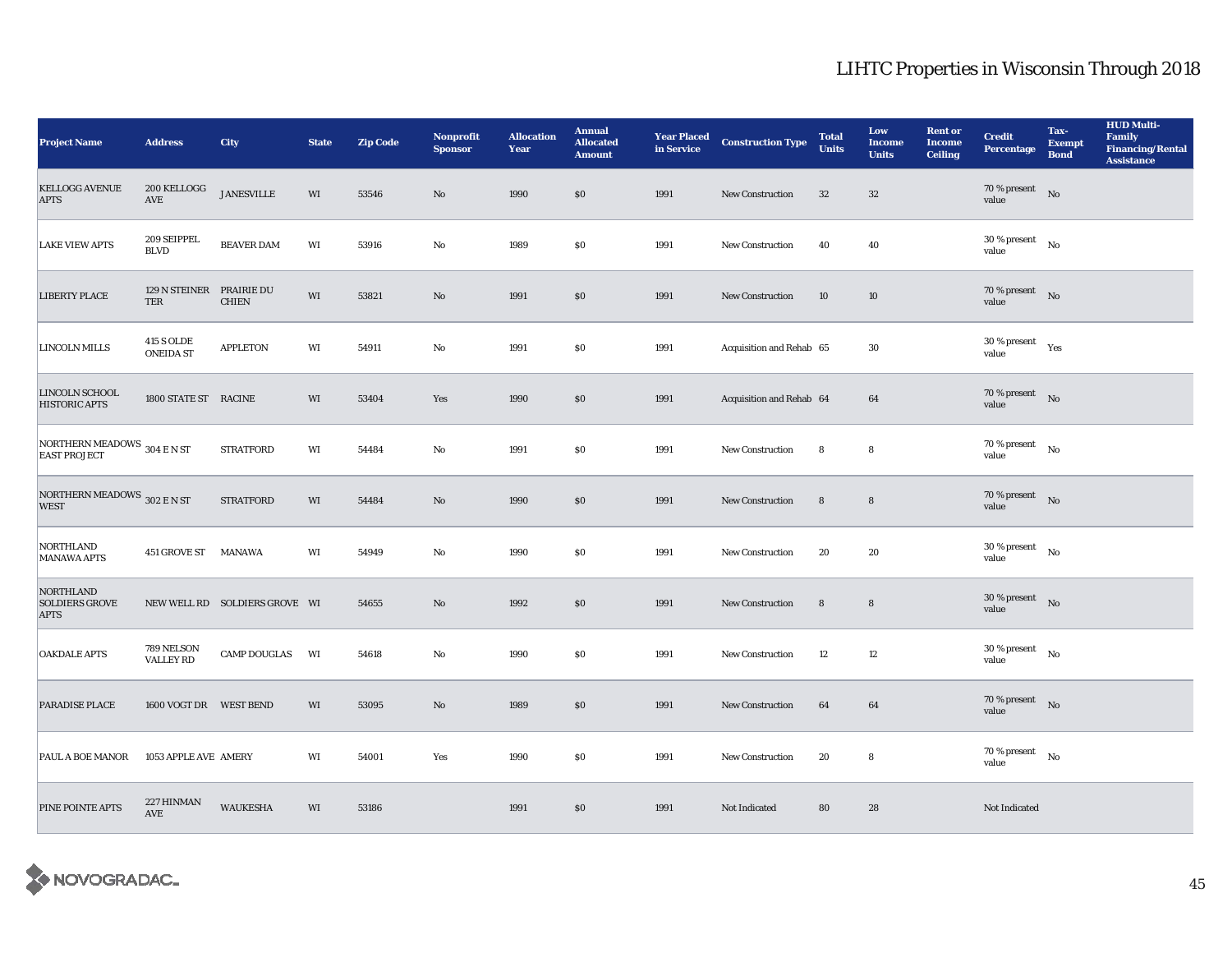| <b>Project Name</b>                                      | <b>Address</b>                        | City                          | <b>State</b> | <b>Zip Code</b> | Nonprofit<br><b>Sponsor</b> | <b>Allocation</b><br>Year | <b>Annual</b><br><b>Allocated</b><br><b>Amount</b> | <b>Year Placed<br/>in Service</b> | <b>Construction Type</b> | <b>Total</b><br><b>Units</b> | Low<br><b>Income</b><br><b>Units</b> | <b>Rent or</b><br><b>Income</b><br><b>Ceiling</b> | <b>Credit</b><br><b>Percentage</b>       | Tax-<br><b>Exempt</b><br><b>Bond</b> | <b>HUD Multi-</b><br>Family<br><b>Financing/Rental</b><br><b>Assistance</b> |
|----------------------------------------------------------|---------------------------------------|-------------------------------|--------------|-----------------|-----------------------------|---------------------------|----------------------------------------------------|-----------------------------------|--------------------------|------------------------------|--------------------------------------|---------------------------------------------------|------------------------------------------|--------------------------------------|-----------------------------------------------------------------------------|
| <b>KELLOGG AVENUE</b><br><b>APTS</b>                     | 200 KELLOGG<br>$\operatorname{AVE}$   | <b>JANESVILLE</b>             | WI           | 53546           | $\mathbf{No}$               | 1990                      | \$0                                                | 1991                              | <b>New Construction</b>  | $32\,$                       | $32\,$                               |                                                   | $70$ % present $\quad$ No<br>value       |                                      |                                                                             |
| <b>LAKE VIEW APTS</b>                                    | 209 SEIPPEL<br><b>BLVD</b>            | <b>BEAVER DAM</b>             | WI           | 53916           | No                          | 1989                      | \$0                                                | 1991                              | New Construction         | 40                           | 40                                   |                                                   | $30$ % present $$\rm{No}$$<br>value      |                                      |                                                                             |
| <b>LIBERTY PLACE</b>                                     | 129 N STEINER PRAIRIE DU<br>TER       | <b>CHIEN</b>                  | WI           | 53821           | $\mathbf{No}$               | 1991                      | $\$0$                                              | 1991                              | New Construction         | 10                           | 10                                   |                                                   | 70 % present $\qquad$ No<br>value        |                                      |                                                                             |
| LINCOLN MILLS                                            | <b>415 S OLDE</b><br><b>ONEIDA ST</b> | <b>APPLETON</b>               | WI           | 54911           | No                          | 1991                      | $\$0$                                              | 1991                              | Acquisition and Rehab 65 |                              | 30                                   |                                                   | 30 % present<br>value                    | Yes                                  |                                                                             |
| LINCOLN SCHOOL<br><b>HISTORIC APTS</b>                   | 1800 STATE ST RACINE                  |                               | WI           | 53404           | Yes                         | 1990                      | \$0                                                | 1991                              | Acquisition and Rehab 64 |                              | 64                                   |                                                   | $70\%$ present No<br>value               |                                      |                                                                             |
| NORTHERN MEADOWS 304 E N ST<br><b>EAST PROJECT</b>       |                                       | <b>STRATFORD</b>              | WI           | 54484           | No                          | 1991                      | \$0                                                | 1991                              | New Construction         | 8                            | 8                                    |                                                   | 70 % present<br>value                    | No                                   |                                                                             |
| NORTHERN MEADOWS 302 E N ST<br><b>WEST</b>               |                                       | <b>STRATFORD</b>              | WI           | 54484           | No                          | 1990                      | $\$0$                                              | 1991                              | New Construction         | 8                            | 8                                    |                                                   | 70 % present $\qquad$ No<br>value        |                                      |                                                                             |
| NORTHLAND<br><b>MANAWA APTS</b>                          | 451 GROVE ST MANAWA                   |                               | WI           | 54949           | No                          | 1990                      | $\$0$                                              | 1991                              | New Construction         | 20                           | 20                                   |                                                   | 30 % present<br>value                    | No                                   |                                                                             |
| <b>NORTHLAND</b><br><b>SOLDIERS GROVE</b><br><b>APTS</b> |                                       | NEW WELL RD SOLDIERS GROVE WI |              | 54655           | No                          | 1992                      | \$0                                                | 1991                              | <b>New Construction</b>  | 8                            | 8                                    |                                                   | $30$ % present $$\rm{No}$$<br>value      |                                      |                                                                             |
| <b>OAKDALE APTS</b>                                      | 789 NELSON<br><b>VALLEY RD</b>        | <b>CAMP DOUGLAS</b>           | WI           | 54618           | $\rm No$                    | 1990                      | $\$0$                                              | 1991                              | New Construction         | 12                           | $12\,$                               |                                                   | $30$ % present $$\rm{No}$$<br>value      |                                      |                                                                             |
| <b>PARADISE PLACE</b>                                    | 1600 VOGT DR WEST BEND                |                               | WI           | 53095           | No                          | 1989                      | \$0                                                | 1991                              | <b>New Construction</b>  | 64                           | 64                                   |                                                   | $70$ % present $\;\;$ No $\;\;$<br>value |                                      |                                                                             |
| <b>PAUL A BOE MANOR</b>                                  | 1053 APPLE AVE AMERY                  |                               | WI           | 54001           | Yes                         | 1990                      | $\$0$                                              | 1991                              | New Construction         | 20                           | 8                                    |                                                   | 70 % present $\qquad$ No<br>value        |                                      |                                                                             |
| PINE POINTE APTS                                         | 227 HINMAN<br><b>AVE</b>              | <b>WAUKESHA</b>               | WI           | 53186           |                             | 1991                      | \$0                                                | 1991                              | Not Indicated            | 80                           | 28                                   |                                                   | Not Indicated                            |                                      |                                                                             |

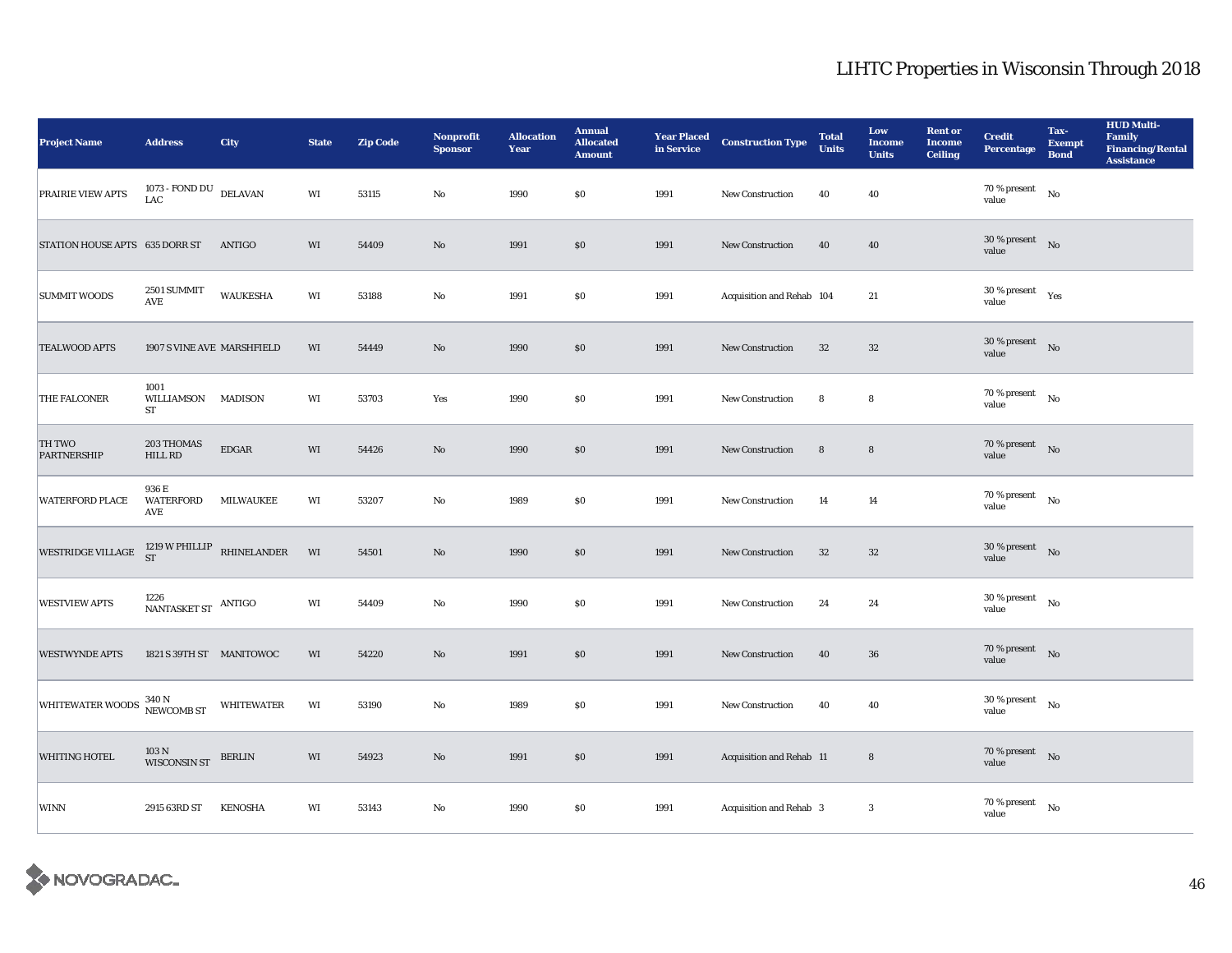| <b>Project Name</b>                                                                                          | <b>Address</b>                                    | <b>City</b>       | <b>State</b> | <b>Zip Code</b> | Nonprofit<br><b>Sponsor</b> | <b>Allocation</b><br>Year | <b>Annual</b><br><b>Allocated</b><br><b>Amount</b> | <b>Year Placed<br/>in Service</b> | <b>Construction Type</b>  | <b>Total</b><br><b>Units</b> | Low<br><b>Income</b><br><b>Units</b> | <b>Rent or</b><br><b>Income</b><br><b>Ceiling</b> | <b>Credit</b><br><b>Percentage</b>         | Tax-<br><b>Exempt</b><br><b>Bond</b> | <b>HUD Multi-</b><br>Family<br>Financing/Rental<br><b>Assistance</b> |
|--------------------------------------------------------------------------------------------------------------|---------------------------------------------------|-------------------|--------------|-----------------|-----------------------------|---------------------------|----------------------------------------------------|-----------------------------------|---------------------------|------------------------------|--------------------------------------|---------------------------------------------------|--------------------------------------------|--------------------------------------|----------------------------------------------------------------------|
| PRAIRIE VIEW APTS                                                                                            | 1073 - FOND DU<br>LAC                             | <b>DELAVAN</b>    | WI           | 53115           | No                          | 1990                      | $\$0$                                              | 1991                              | <b>New Construction</b>   | 40                           | 40                                   |                                                   | $70$ % present<br>value                    | $_{\rm No}$                          |                                                                      |
| STATION HOUSE APTS 635 DORR ST                                                                               |                                                   | ANTIGO            | WI           | 54409           | $\mathbf{No}$               | 1991                      | \$0                                                | 1991                              | New Construction          | 40                           | 40                                   |                                                   | $30$ % present $\;\;$ No $\;$<br>value     |                                      |                                                                      |
| <b>SUMMIT WOODS</b>                                                                                          | 2501 SUMMIT<br>$\operatorname{AVE}$               | <b>WAUKESHA</b>   | WI           | 53188           | No                          | 1991                      | $\$0$                                              | 1991                              | Acquisition and Rehab 104 |                              | 21                                   |                                                   | 30 % present<br>value                      | Yes                                  |                                                                      |
| <b>TEALWOOD APTS</b>                                                                                         | 1907 S VINE AVE MARSHFIELD                        |                   | WI           | 54449           | $\mathbf{No}$               | 1990                      | \$0                                                | 1991                              | New Construction          | $32\,$                       | $32\,$                               |                                                   | $30$ % present $$\rm{No}$$<br>value        |                                      |                                                                      |
| THE FALCONER                                                                                                 | 1001<br>WILLIAMSON MADISON<br>$\operatorname{ST}$ |                   | WI           | 53703           | Yes                         | 1990                      | $\$0$                                              | 1991                              | <b>New Construction</b>   | 8                            | 8                                    |                                                   | 70 % present $\qquad$ No<br>value          |                                      |                                                                      |
| TH TWO<br><b>PARTNERSHIP</b>                                                                                 | 203 THOMAS<br><b>HILL RD</b>                      | <b>EDGAR</b>      | WI           | 54426           | $\rm No$                    | 1990                      | \$0                                                | 1991                              | New Construction          | 8                            | $\bf8$                               |                                                   | 70 % present $\qquad$ No<br>value          |                                      |                                                                      |
| <b>WATERFORD PLACE</b>                                                                                       | 936 E<br>WATERFORD<br><b>AVE</b>                  | <b>MILWAUKEE</b>  | WI           | 53207           | $\mathbf{No}$               | 1989                      | \$0                                                | 1991                              | New Construction          | 14                           | 14                                   |                                                   | 70 % present $$\rm{No}$$<br>value          |                                      |                                                                      |
| WESTRIDGE VILLAGE $\begin{array}{cc} 1219 \text{ W PHILLIP} & \text{RHINELANDER} \\ \text{ST} & \end{array}$ |                                                   |                   | WI           | 54501           | $\mathbf{No}$               | 1990                      | \$0                                                | 1991                              | New Construction          | $32\,$                       | $32\,$                               |                                                   | 30 % present $\quad$ No<br>value           |                                      |                                                                      |
| <b>WESTVIEW APTS</b>                                                                                         | 1226<br>NANTASKET ST $\,$ ANTIGO                  |                   | WI           | 54409           | No                          | 1990                      | $\$0$                                              | 1991                              | <b>New Construction</b>   | 24                           | 24                                   |                                                   | 30 % present<br>value                      | No                                   |                                                                      |
| <b>WESTWYNDE APTS</b>                                                                                        | 1821 S 39TH ST MANITOWOC                          |                   | WI           | 54220           | $\mathbf{No}$               | 1991                      | $\$0$                                              | 1991                              | New Construction          | 40                           | 36                                   |                                                   | 70 % present $\quad$ No<br>value           |                                      |                                                                      |
| <b>WHITEWATER WOODS</b>                                                                                      | $340$ N $$\rm NEWCOMB$ ST                         | <b>WHITEWATER</b> | WI           | 53190           | No                          | 1989                      | \$0                                                | 1991                              | <b>New Construction</b>   | 40                           | 40                                   |                                                   | 30 % present<br>value                      | $_{\rm No}$                          |                                                                      |
| <b>WHITING HOTEL</b>                                                                                         | 103 <sub>N</sub><br><b>WISCONSIN ST</b>           | <b>BERLIN</b>     | WI           | 54923           | $\mathbf{No}$               | 1991                      | \$0                                                | 1991                              | Acquisition and Rehab 11  |                              | $\bf 8$                              |                                                   | $70\,\%$ present $$$ No $\,$<br>value      |                                      |                                                                      |
| <b>WINN</b>                                                                                                  | 2915 63RD ST                                      | <b>KENOSHA</b>    | WI           | 53143           | No                          | 1990                      | $\$0$                                              | 1991                              | Acquisition and Rehab 3   |                              | $\mathbf{3}$                         |                                                   | $70$ % present $\quad$ No $\quad$<br>value |                                      |                                                                      |

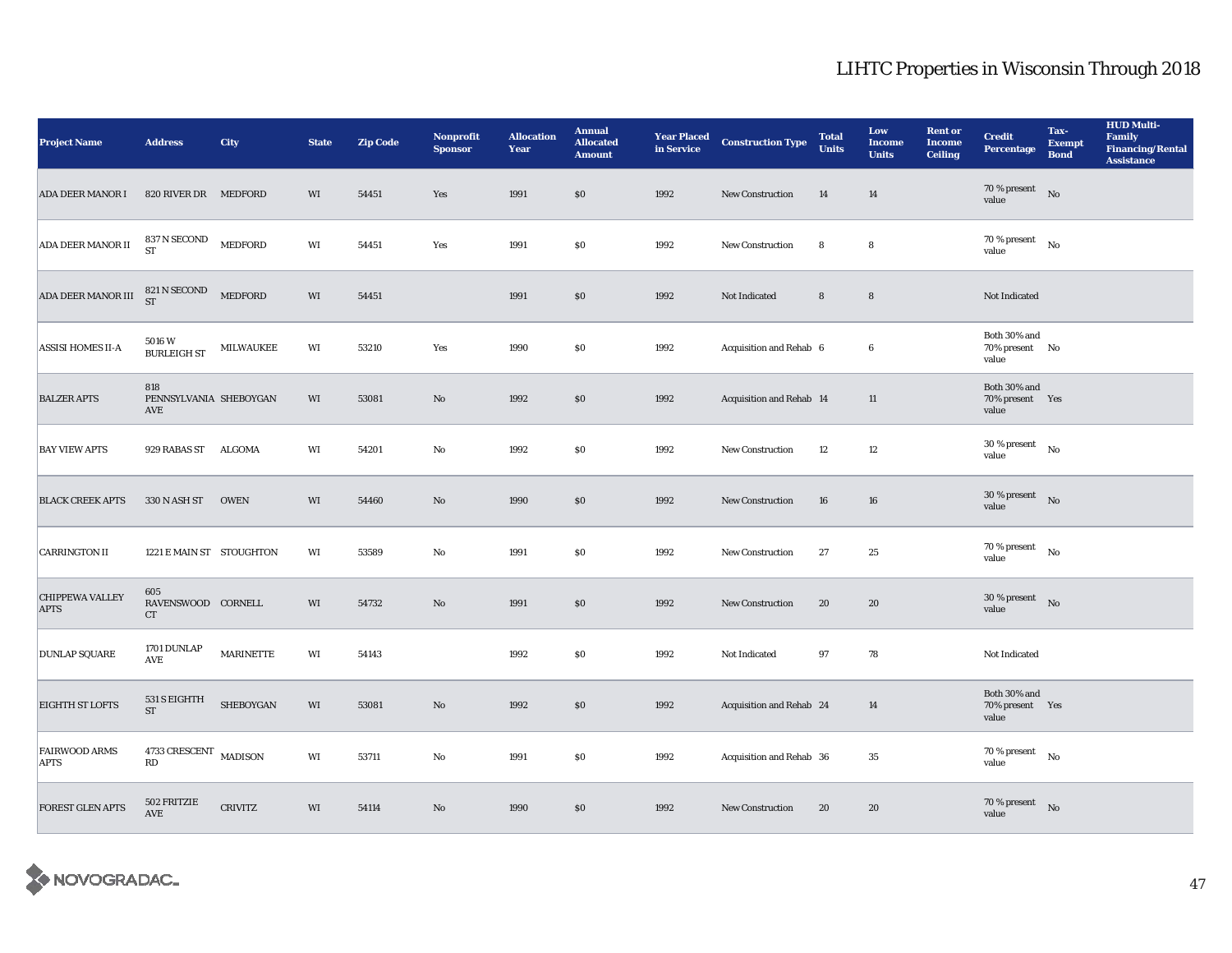| <b>Project Name</b>                   | <b>Address</b>                          | City           | <b>State</b> | <b>Zip Code</b> | Nonprofit<br><b>Sponsor</b> | <b>Allocation</b><br>Year | <b>Annual</b><br><b>Allocated</b><br><b>Amount</b> | <b>Year Placed<br/>in Service</b> | <b>Construction Type</b> | <b>Total</b><br><b>Units</b> | Low<br><b>Income</b><br><b>Units</b> | <b>Rent or</b><br><b>Income</b><br><b>Ceiling</b> | <b>Credit</b><br><b>Percentage</b>          | Tax-<br><b>Exempt</b><br><b>Bond</b> | <b>HUD Multi-</b><br><b>Family</b><br><b>Financing/Rental</b><br><b>Assistance</b> |
|---------------------------------------|-----------------------------------------|----------------|--------------|-----------------|-----------------------------|---------------------------|----------------------------------------------------|-----------------------------------|--------------------------|------------------------------|--------------------------------------|---------------------------------------------------|---------------------------------------------|--------------------------------------|------------------------------------------------------------------------------------|
| <b>ADA DEER MANOR I</b>               | 820 RIVER DR MEDFORD                    |                | WI           | 54451           | Yes                         | 1991                      | \$0                                                | 1992                              | <b>New Construction</b>  | 14                           | 14                                   |                                                   | $70$ % present $$\rm{No}$$<br>value         |                                      |                                                                                    |
| ADA DEER MANOR II                     | 837 N SECOND<br><b>ST</b>               | <b>MEDFORD</b> | WI           | 54451           | Yes                         | 1991                      | $\$0$                                              | 1992                              | New Construction         | 8                            | 8                                    |                                                   | $70$ % present $$N{\rm o}$$<br>value        |                                      |                                                                                    |
| ADA DEER MANOR III                    | 821 N SECOND<br>ST                      | MEDFORD        | WI           | 54451           |                             | 1991                      | \$0                                                | 1992                              | Not Indicated            | 8                            | 8                                    |                                                   | Not Indicated                               |                                      |                                                                                    |
| <b>ASSISI HOMES II-A</b>              | 5016W<br><b>BURLEIGH ST</b>             | MILWAUKEE      | WI           | 53210           | Yes                         | 1990                      | $\$0$                                              | 1992                              | Acquisition and Rehab 6  |                              | 6                                    |                                                   | Both 30% and<br>70% present No<br>value     |                                      |                                                                                    |
| <b>BALZER APTS</b>                    | 818<br>PENNSYLVANIA SHEBOYGAN<br>AVE    |                | WI           | 53081           | $\mathbf{N}\mathbf{o}$      | 1992                      | $\$0$                                              | 1992                              | Acquisition and Rehab 14 |                              | $11\,$                               |                                                   | Both 30% and<br>70% present Yes<br>value    |                                      |                                                                                    |
| <b>BAY VIEW APTS</b>                  | 929 RABAS ST                            | ALGOMA         | WI           | 54201           | No                          | 1992                      | $\$0$                                              | 1992                              | New Construction         | 12                           | $12\,$                               |                                                   | 30 % present<br>value                       | No                                   |                                                                                    |
| <b>BLACK CREEK APTS</b>               | 330 N ASH ST                            | <b>OWEN</b>    | WI           | 54460           | No                          | 1990                      | \$0                                                | 1992                              | <b>New Construction</b>  | 16                           | 16                                   |                                                   | $30\,\%$ present $$$ No $\,$<br>value       |                                      |                                                                                    |
| <b>CARRINGTON II</b>                  | 1221 E MAIN ST STOUGHTON                |                | WI           | 53589           | No                          | 1991                      | \$0                                                | 1992                              | New Construction         | 27                           | 25                                   |                                                   | $70$ % present $\quad$ $_{\rm No}$<br>value |                                      |                                                                                    |
| <b>CHIPPEWA VALLEY</b><br><b>APTS</b> | 605<br>RAVENSWOOD CORNELL<br>${\rm CT}$ |                | WI           | 54732           | $\rm No$                    | 1991                      | $\$0$                                              | 1992                              | New Construction         | 20                           | ${\bf 20}$                           |                                                   | $30\,\%$ present $$$ No $\,$<br>value       |                                      |                                                                                    |
| <b>DUNLAP SQUARE</b>                  | 1701 DUNLAP<br>$\operatorname{AVE}$     | MARINETTE      | WI           | 54143           |                             | 1992                      | $\$0$                                              | 1992                              | Not Indicated            | 97                           | 78                                   |                                                   | Not Indicated                               |                                      |                                                                                    |
| <b>EIGHTH ST LOFTS</b>                | 531 S EIGHTH<br><b>ST</b>               | SHEBOYGAN      | WI           | 53081           | No                          | 1992                      | \$0                                                | 1992                              | Acquisition and Rehab 24 |                              | 14                                   |                                                   | Both 30% and<br>70% present Yes<br>value    |                                      |                                                                                    |
| <b>FAIRWOOD ARMS</b><br><b>APTS</b>   | $4733 \, {\rm CRESCENT}$ MADISON<br>RD  |                | WI           | 53711           | No                          | 1991                      | \$0                                                | 1992                              | Acquisition and Rehab 36 |                              | 35                                   |                                                   | $70$ % present $$N{\rm o}$$<br>value        |                                      |                                                                                    |
| <b>FOREST GLEN APTS</b>               | 502 FRITZIE<br><b>AVE</b>               | <b>CRIVITZ</b> | WI           | 54114           | No                          | 1990                      | \$0                                                | 1992                              | <b>New Construction</b>  | 20                           | 20                                   |                                                   | $70$ % present $$\rm{No}$$<br>value         |                                      |                                                                                    |

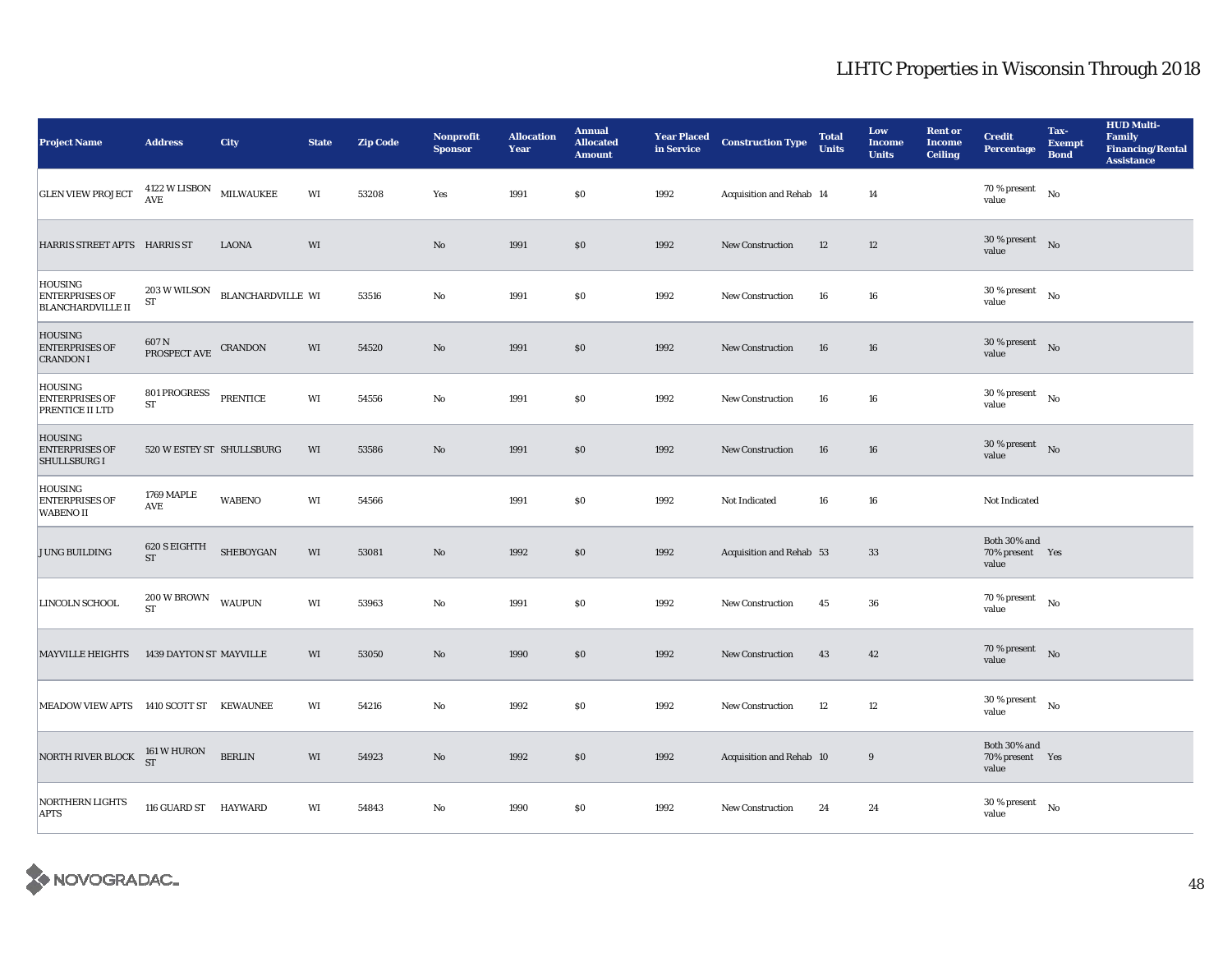| <b>Project Name</b>                                                 | <b>Address</b>                                   | City              | <b>State</b> | <b>Zip Code</b> | Nonprofit<br><b>Sponsor</b> | <b>Allocation</b><br>Year | <b>Annual</b><br><b>Allocated</b><br><b>Amount</b> | <b>Year Placed<br/>in Service</b> | <b>Construction Type</b> | <b>Total</b><br><b>Units</b> | Low<br><b>Income</b><br><b>Units</b> | <b>Rent or</b><br><b>Income</b><br><b>Ceiling</b> | <b>Credit</b><br><b>Percentage</b>       | Tax-<br><b>Exempt</b><br><b>Bond</b> | <b>HUD Multi-</b><br>Family<br><b>Financing/Rental</b><br><b>Assistance</b> |
|---------------------------------------------------------------------|--------------------------------------------------|-------------------|--------------|-----------------|-----------------------------|---------------------------|----------------------------------------------------|-----------------------------------|--------------------------|------------------------------|--------------------------------------|---------------------------------------------------|------------------------------------------|--------------------------------------|-----------------------------------------------------------------------------|
| <b>GLEN VIEW PROJECT</b>                                            | $4122$ W LISBON<br>$\operatorname{\mathsf{AVE}}$ | <b>MILWAUKEE</b>  | WI           | 53208           | Yes                         | 1991                      | \$0                                                | 1992                              | Acquisition and Rehab 14 |                              | 14                                   |                                                   | 70 % present<br>value                    | No                                   |                                                                             |
| HARRIS STREET APTS HARRIS ST                                        |                                                  | <b>LAONA</b>      | WI           |                 | No                          | 1991                      | \$0                                                | 1992                              | <b>New Construction</b>  | 12                           | 12                                   |                                                   | $30$ % present $$\rm{No}$$<br>value      |                                      |                                                                             |
| <b>HOUSING</b><br><b>ENTERPRISES OF</b><br><b>BLANCHARDVILLE II</b> | 203 W WILSON<br>ST                               | BLANCHARDVILLE WI |              | 53516           | No                          | 1991                      | $\$0$                                              | 1992                              | New Construction         | 16                           | 16                                   |                                                   | $30$ % present<br>value                  | No                                   |                                                                             |
| <b>HOUSING</b><br><b>ENTERPRISES OF</b><br><b>CRANDON I</b>         | 607 N<br>PROSPECT AVE                            | <b>CRANDON</b>    | WI           | 54520           | $\mathbf{No}$               | 1991                      | $\$0$                                              | 1992                              | <b>New Construction</b>  | 16                           | ${\bf 16}$                           |                                                   | 30 % present<br>value                    | No                                   |                                                                             |
| <b>HOUSING</b><br><b>ENTERPRISES OF</b><br>PRENTICE II LTD          | 801 PROGRESS<br>$\operatorname{ST}$              | <b>PRENTICE</b>   | WI           | 54556           | No                          | 1991                      | \$0                                                | 1992                              | <b>New Construction</b>  | 16                           | 16                                   |                                                   | 30 % present<br>value                    | $\mathbf{N}\mathbf{o}$               |                                                                             |
| <b>HOUSING</b><br><b>ENTERPRISES OF</b><br><b>SHULLSBURG I</b>      | 520 W ESTEY ST SHULLSBURG                        |                   | WI           | 53586           | No                          | 1991                      | \$0                                                | 1992                              | <b>New Construction</b>  | 16                           | $16\,$                               |                                                   | 30 % present<br>value                    | No                                   |                                                                             |
| <b>HOUSING</b><br><b>ENTERPRISES OF</b><br><b>WABENOII</b>          | 1769 MAPLE<br>AVE                                | <b>WABENO</b>     | WI           | 54566           |                             | 1991                      | $\$0$                                              | 1992                              | Not Indicated            | 16                           | 16                                   |                                                   | Not Indicated                            |                                      |                                                                             |
| <b>JUNG BUILDING</b>                                                | 620 S EIGHTH<br>${\rm ST}$                       | SHEBOYGAN         | WI           | 53081           | $\mathbf{No}$               | 1992                      | \$0                                                | 1992                              | Acquisition and Rehab 53 |                              | 33                                   |                                                   | Both 30% and<br>70% present Yes<br>value |                                      |                                                                             |
| LINCOLN SCHOOL                                                      | $200\,\mathrm{W}$ BROWN<br><b>ST</b>             | <b>WAUPUN</b>     | WI           | 53963           | No                          | 1991                      | \$0                                                | 1992                              | <b>New Construction</b>  | 45                           | 36                                   |                                                   | 70 % present<br>value                    | No                                   |                                                                             |
| <b>MAYVILLE HEIGHTS</b>                                             | 1439 DAYTON ST MAYVILLE                          |                   | WI           | 53050           | $\mathbf{No}$               | 1990                      | $\$0$                                              | 1992                              | New Construction         | 43                           | 42                                   |                                                   | $70\%$ present No<br>value               |                                      |                                                                             |
| <b>MEADOW VIEW APTS</b>                                             | 1410 SCOTT ST KEWAUNEE                           |                   | WI           | 54216           | No                          | 1992                      | $\$0$                                              | 1992                              | <b>New Construction</b>  | 12                           | $12\,$                               |                                                   | $30$ % present<br>value                  | No                                   |                                                                             |
| NORTH RIVER BLOCK                                                   | 161 W HURON<br>ST                                | <b>BERLIN</b>     | WI           | 54923           | No                          | 1992                      | $\$0$                                              | 1992                              | Acquisition and Rehab 10 |                              | 9                                    |                                                   | Both 30% and<br>70% present Yes<br>value |                                      |                                                                             |
| <b>NORTHERN LIGHTS</b><br><b>APTS</b>                               | 116 GUARD ST HAYWARD                             |                   | WI           | 54843           | No                          | 1990                      | \$0                                                | 1992                              | <b>New Construction</b>  | 24                           | 24                                   |                                                   | 30 % present<br>value                    | No                                   |                                                                             |

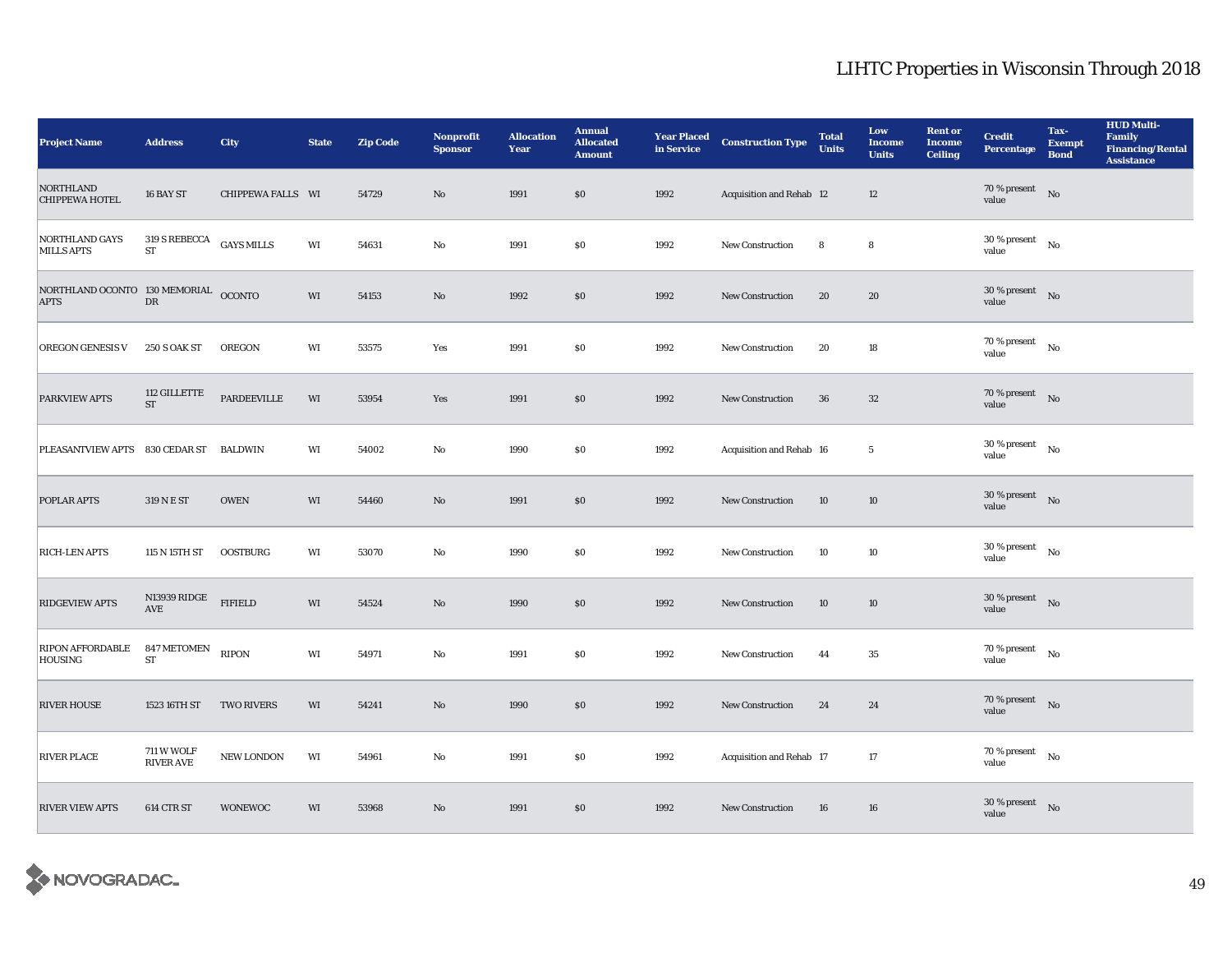| <b>Project Name</b>                                 | <b>Address</b>                             | City              | <b>State</b>           | <b>Zip Code</b> | <b>Nonprofit</b><br><b>Sponsor</b> | <b>Allocation</b><br>Year | <b>Annual</b><br><b>Allocated</b><br><b>Amount</b> | <b>Year Placed<br/>in Service</b> | <b>Construction Type</b> | <b>Total</b><br><b>Units</b> | Low<br><b>Income</b><br><b>Units</b> | <b>Rent or</b><br><b>Income</b><br><b>Ceiling</b> | <b>Credit</b><br><b>Percentage</b>     | Tax-<br><b>Exempt</b><br><b>Bond</b> | <b>HUD Multi-</b><br>Family<br><b>Financing/Rental</b><br><b>Assistance</b> |
|-----------------------------------------------------|--------------------------------------------|-------------------|------------------------|-----------------|------------------------------------|---------------------------|----------------------------------------------------|-----------------------------------|--------------------------|------------------------------|--------------------------------------|---------------------------------------------------|----------------------------------------|--------------------------------------|-----------------------------------------------------------------------------|
| <b>NORTHLAND</b><br><b>CHIPPEWA HOTEL</b>           | 16 BAY ST                                  | CHIPPEWA FALLS WI |                        | 54729           | No                                 | 1991                      | \$0                                                | 1992                              | Acquisition and Rehab 12 |                              | 12                                   |                                                   | $70\%$ present No<br>value             |                                      |                                                                             |
| <b>NORTHLAND GAYS</b><br><b>MILLS APTS</b>          | $319$ S REBECCA $$\sf{GAYS}\;MILLS$$<br>ST |                   | WI                     | 54631           | No                                 | 1991                      | \$0                                                | 1992                              | New Construction         | 8                            | 8                                    |                                                   | $30$ % present $$\rm{No}$$<br>value    |                                      |                                                                             |
| NORTHLAND OCONTO 130 MEMORIAL OCONTO<br><b>APTS</b> | ${\rm D}{\rm R}$                           |                   | WI                     | 54153           | No                                 | 1992                      | $\$0$                                              | 1992                              | New Construction         | 20                           | 20                                   |                                                   | 30 % present $\qquad$ No<br>value      |                                      |                                                                             |
| <b>OREGON GENESIS V</b>                             | <b>250 S OAK ST</b>                        | <b>OREGON</b>     | WI                     | 53575           | Yes                                | 1991                      | \$0                                                | 1992                              | <b>New Construction</b>  | 20                           | 18                                   |                                                   | 70 % present<br>value                  | $\mathbf{N}\mathbf{o}$               |                                                                             |
| PARKVIEW APTS                                       | 112 GILLETTE<br><b>ST</b>                  | PARDEEVILLE       | WI                     | 53954           | Yes                                | 1991                      | \$0                                                | 1992                              | <b>New Construction</b>  | 36                           | $32\,$                               |                                                   | 70 % present $\hbox{No}$<br>value      |                                      |                                                                             |
| PLEASANTVIEW APTS 830 CEDAR ST                      |                                            | BALDWIN           | WI                     | 54002           | No                                 | 1990                      | \$0                                                | 1992                              | Acquisition and Rehab 16 |                              | $5\phantom{.0}$                      |                                                   | 30 % present<br>value                  | No                                   |                                                                             |
| POPLAR APTS                                         | 319 N E ST                                 | <b>OWEN</b>       | WI                     | 54460           | No                                 | 1991                      | \$0                                                | 1992                              | New Construction         | 10                           | 10                                   |                                                   | $30$ % present $\;\;$ No $\;$<br>value |                                      |                                                                             |
| <b>RICH-LEN APTS</b>                                | 115 N 15TH ST                              | <b>OOSTBURG</b>   | WI                     | 53070           | No                                 | 1990                      | \$0                                                | 1992                              | New Construction         | 10                           | 10                                   |                                                   | 30 % present<br>value                  | No                                   |                                                                             |
| <b>RIDGEVIEW APTS</b>                               | N13939 RIDGE<br>$\operatorname{AVE}$       | <b>FIFIELD</b>    | WI                     | 54524           | No                                 | 1990                      | \$0                                                | 1992                              | <b>New Construction</b>  | 10                           | 10                                   |                                                   | $30$ % present $$\rm{No}$$<br>value    |                                      |                                                                             |
| <b>RIPON AFFORDABLE</b><br><b>HOUSING</b>           | $847\,\mathrm{METOMEN}$<br>ST              | <b>RIPON</b>      | $\mathbf{W}\mathbf{I}$ | 54971           | $\rm No$                           | 1991                      | \$0                                                | 1992                              | <b>New Construction</b>  | 44                           | $\bf 35$                             |                                                   | 70 % present $$\rm{No}$$<br>value      |                                      |                                                                             |
| <b>RIVER HOUSE</b>                                  | 1523 16TH ST                               | <b>TWO RIVERS</b> | WI                     | 54241           | No                                 | 1990                      | $\$0$                                              | 1992                              | <b>New Construction</b>  | 24                           | 24                                   |                                                   | $70$ % present $$\rm{No}$$<br>value    |                                      |                                                                             |
| <b>RIVER PLACE</b>                                  | <b>711 W WOLF</b><br><b>RIVER AVE</b>      | NEW LONDON        | WI                     | 54961           | No                                 | 1991                      | \$0                                                | 1992                              | Acquisition and Rehab 17 |                              | 17                                   |                                                   | 70 % present $$\rm{No}$$<br>value      |                                      |                                                                             |
| <b>RIVER VIEW APTS</b>                              | 614 CTR ST                                 | <b>WONEWOC</b>    | WI                     | 53968           | No                                 | 1991                      | \$0                                                | 1992                              | <b>New Construction</b>  | 16                           | 16                                   |                                                   | $30$ % present $$\rm{No}$$<br>value    |                                      |                                                                             |

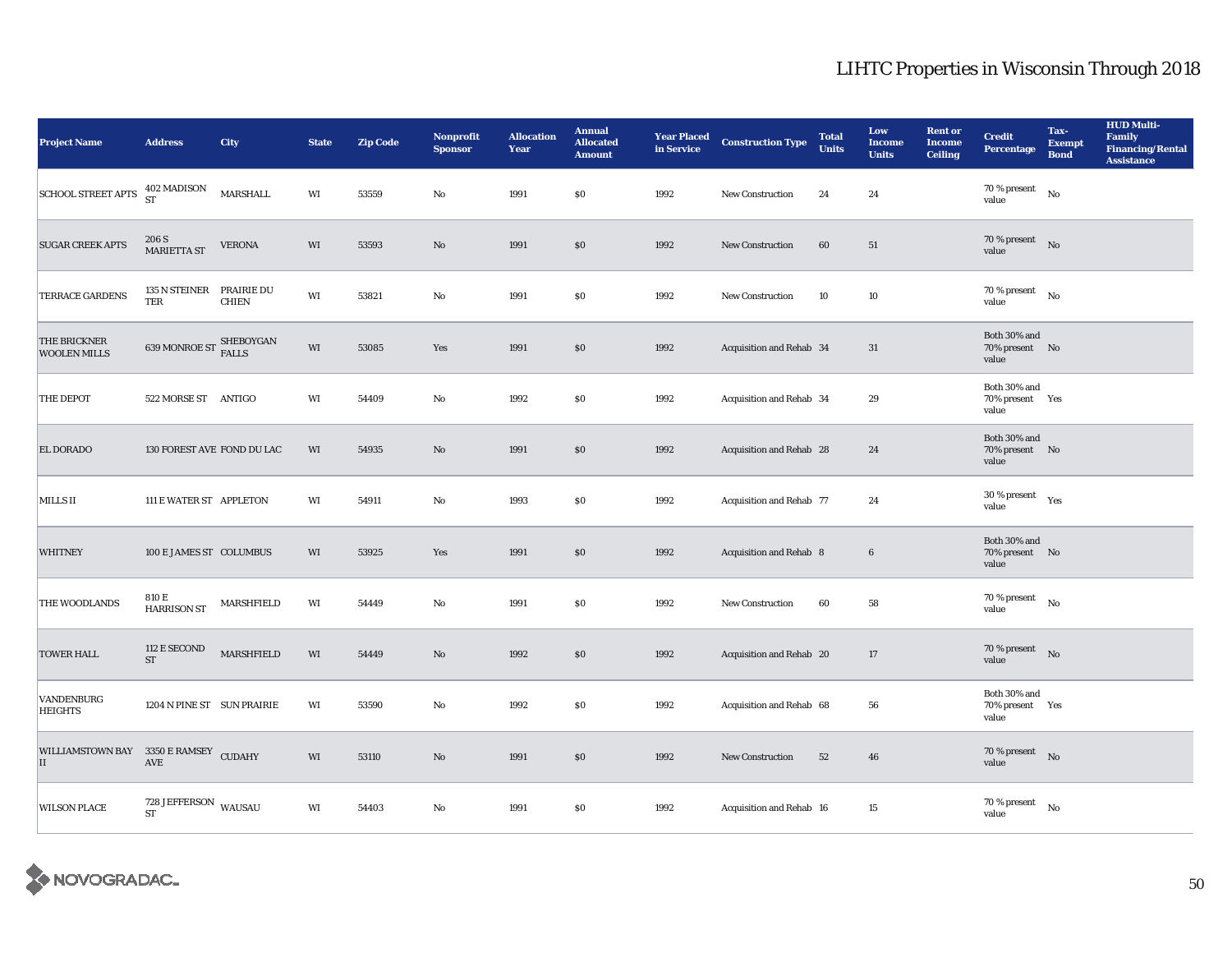| <b>Project Name</b>                         | <b>Address</b>                                          | City          | <b>State</b>           | <b>Zip Code</b> | Nonprofit<br><b>Sponsor</b> | <b>Allocation</b><br>Year | <b>Annual</b><br><b>Allocated</b><br><b>Amount</b> | <b>Year Placed<br/>in Service</b> | <b>Construction Type</b> | <b>Total</b><br><b>Units</b> | Low<br><b>Income</b><br><b>Units</b> | <b>Rent or</b><br><b>Income</b><br><b>Ceiling</b> | <b>Credit</b><br><b>Percentage</b>       | Tax-<br><b>Exempt</b><br><b>Bond</b> | <b>HUD Multi-</b><br><b>Family</b><br><b>Financing/Rental</b><br><b>Assistance</b> |
|---------------------------------------------|---------------------------------------------------------|---------------|------------------------|-----------------|-----------------------------|---------------------------|----------------------------------------------------|-----------------------------------|--------------------------|------------------------------|--------------------------------------|---------------------------------------------------|------------------------------------------|--------------------------------------|------------------------------------------------------------------------------------|
| <b>SCHOOL STREET APTS</b>                   | 402 MADISON<br><b>ST</b>                                | MARSHALL      | WI                     | 53559           | No                          | 1991                      | \$0                                                | 1992                              | <b>New Construction</b>  | 24                           | 24                                   |                                                   | 70 % present<br>value                    | No                                   |                                                                                    |
| <b>SUGAR CREEK APTS</b>                     | 206 S<br><b>MARIETTA ST</b>                             | <b>VERONA</b> | WI                     | 53593           | No                          | 1991                      | \$0                                                | 1992                              | New Construction         | 60                           | 51                                   |                                                   | $70$ % present $$\rm{No}$$<br>value      |                                      |                                                                                    |
| <b>TERRACE GARDENS</b>                      | 135 N STEINER PRAIRIE DU<br>TER                         | <b>CHIEN</b>  | WI                     | 53821           | $\rm No$                    | 1991                      | $\$0$                                              | 1992                              | New Construction         | 10                           | $10\,$                               |                                                   | $70$ % present<br>value                  | No                                   |                                                                                    |
| THE BRICKNER<br><b>WOOLEN MILLS</b>         | $639$ MONROE ST $\frac{\mbox{SHEBOYGAN}}{\mbox{FALLS}}$ |               | WI                     | 53085           | Yes                         | 1991                      | $\$0$                                              | 1992                              | Acquisition and Rehab 34 |                              | 31                                   |                                                   | Both 30% and<br>70% present No<br>value  |                                      |                                                                                    |
| <b>THE DEPOT</b>                            | 522 MORSE ST ANTIGO                                     |               | WI                     | 54409           | No                          | 1992                      | \$0                                                | 1992                              | Acquisition and Rehab 34 |                              | 29                                   |                                                   | Both 30% and<br>70% present Yes<br>value |                                      |                                                                                    |
| EL DORADO                                   | 130 FOREST AVE FOND DU LAC                              |               | WI                     | 54935           | No                          | 1991                      | \$0                                                | 1992                              | Acquisition and Rehab 28 |                              | 24                                   |                                                   | Both 30% and<br>70% present No<br>value  |                                      |                                                                                    |
| MILLS II                                    | 111 E WATER ST APPLETON                                 |               | WI                     | 54911           | No                          | 1993                      | $\$0$                                              | 1992                              | Acquisition and Rehab 77 |                              | 24                                   |                                                   | 30 % present<br>value                    | Yes                                  |                                                                                    |
| <b>WHITNEY</b>                              | 100 E JAMES ST COLUMBUS                                 |               | WI                     | 53925           | Yes                         | 1991                      | \$0                                                | 1992                              | Acquisition and Rehab 8  |                              | $\bf 6$                              |                                                   | Both 30% and<br>70% present No<br>value  |                                      |                                                                                    |
| THE WOODLANDS                               | 810 E<br><b>HARRISON ST</b>                             | MARSHFIELD    | WI                     | 54449           | No                          | 1991                      | \$0                                                | 1992                              | <b>New Construction</b>  | 60                           | 58                                   |                                                   | 70 % present<br>value                    | No                                   |                                                                                    |
| <b>TOWER HALL</b>                           | 112 E SECOND<br><b>ST</b>                               | MARSHFIELD    | $\mathbf{W}\mathbf{I}$ | 54449           | $\mathbf{No}$               | 1992                      | $\$0$                                              | 1992                              | Acquisition and Rehab 20 |                              | 17                                   |                                                   | $70\%$ present No<br>value               |                                      |                                                                                    |
| VANDENBURG<br><b>HEIGHTS</b>                | 1204 N PINE ST SUN PRAIRIE                              |               | WI                     | 53590           | No                          | 1992                      | $\$0$                                              | 1992                              | Acquisition and Rehab 68 |                              | 56                                   |                                                   | Both 30% and<br>70% present Yes<br>value |                                      |                                                                                    |
| WILLIAMSTOWN BAY 3350 E RAMSEY CUDAHY<br>II | AVE                                                     |               | WI                     | 53110           | $\mathbf{No}$               | 1991                      | $\$0$                                              | 1992                              | New Construction         | 52                           | 46                                   |                                                   | $70$ % present $\quad$ No<br>value       |                                      |                                                                                    |
| <b>WILSON PLACE</b>                         | 728 JEFFERSON WAUSAU<br>ST                              |               | WI                     | 54403           | No                          | 1991                      | $\$0$                                              | 1992                              | Acquisition and Rehab 16 |                              | $15\,$                               |                                                   | $70\,\%$ present<br>value                | No                                   |                                                                                    |

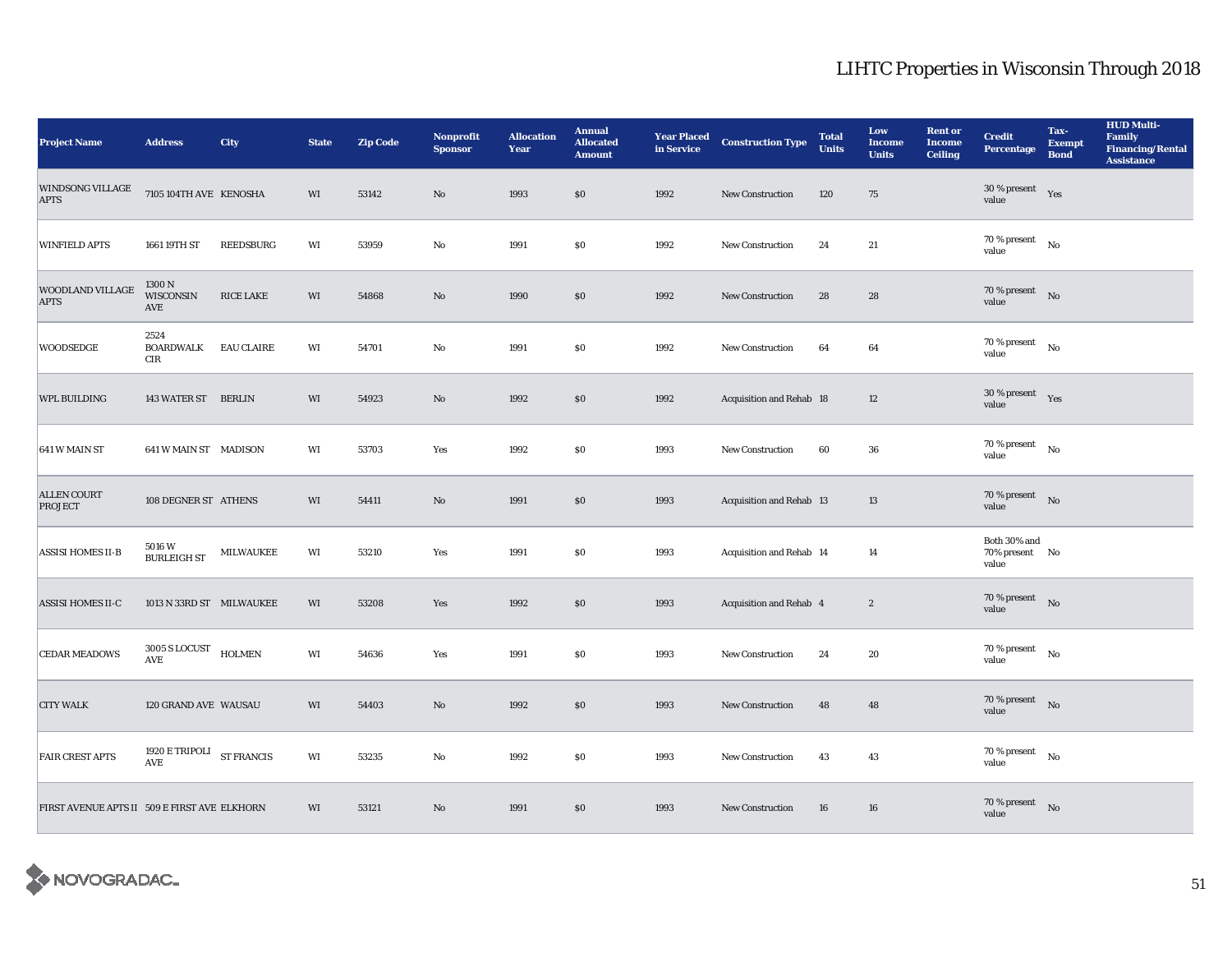| <b>Project Name</b>                          | <b>Address</b>                                    | City              | <b>State</b> | <b>Zip Code</b> | <b>Nonprofit</b><br><b>Sponsor</b> | <b>Allocation</b><br>Year | <b>Annual</b><br><b>Allocated</b><br><b>Amount</b> | <b>Year Placed<br/>in Service</b> | <b>Construction Type</b> | <b>Total</b><br><b>Units</b> | Low<br><b>Income</b><br><b>Units</b> | <b>Rent or</b><br><b>Income</b><br><b>Ceiling</b> | <b>Credit</b><br><b>Percentage</b>          | Tax-<br><b>Exempt</b><br><b>Bond</b> | <b>HUD Multi-</b><br>Family<br><b>Financing/Rental</b><br><b>Assistance</b> |
|----------------------------------------------|---------------------------------------------------|-------------------|--------------|-----------------|------------------------------------|---------------------------|----------------------------------------------------|-----------------------------------|--------------------------|------------------------------|--------------------------------------|---------------------------------------------------|---------------------------------------------|--------------------------------------|-----------------------------------------------------------------------------|
| WINDSONG VILLAGE<br><b>APTS</b>              | 7105 104TH AVE KENOSHA                            |                   | WI           | 53142           | No                                 | 1993                      | \$0                                                | 1992                              | <b>New Construction</b>  | 120                          | 75                                   |                                                   | $30\,\%$ present $\quad$ Yes<br>value       |                                      |                                                                             |
| <b>WINFIELD APTS</b>                         | 1661 19TH ST                                      | <b>REEDSBURG</b>  | WI           | 53959           | No                                 | 1991                      | \$0                                                | 1992                              | New Construction         | 24                           | $21\,$                               |                                                   | 70 % present $$\rm{No}$$<br>value           |                                      |                                                                             |
| WOODLAND VILLAGE<br><b>APTS</b>              | 1300 N<br>WISCONSIN<br>AVE                        | <b>RICE LAKE</b>  | WI           | 54868           | No                                 | 1990                      | $\$0$                                              | 1992                              | New Construction         | 28                           | 28                                   |                                                   | 70 % present $\qquad$ No<br>value           |                                      |                                                                             |
| <b>WOODSEDGE</b>                             | 2524<br><b>BOARDWALK</b><br>CIR                   | <b>EAU CLAIRE</b> | WI           | 54701           | No                                 | 1991                      | $\$0$                                              | 1992                              | New Construction         | 64                           | 64                                   |                                                   | 70 % present<br>value                       | No                                   |                                                                             |
| <b>WPL BUILDING</b>                          | 143 WATER ST BERLIN                               |                   | WI           | 54923           | No                                 | 1992                      | \$0                                                | 1992                              | Acquisition and Rehab 18 |                              | 12                                   |                                                   | 30 % present $\rm \gamma_{\rm PS}$<br>value |                                      |                                                                             |
| 641 W MAIN ST                                | 641 W MAIN ST MADISON                             |                   | WI           | 53703           | Yes                                | 1992                      | $\$0$                                              | 1993                              | New Construction         | 60                           | 36                                   |                                                   | 70 % present<br>value                       | No                                   |                                                                             |
| <b>ALLEN COURT</b><br><b>PROJECT</b>         | 108 DEGNER ST ATHENS                              |                   | WI           | 54411           | No                                 | 1991                      | $\$0$                                              | 1993                              | Acquisition and Rehab 13 |                              | 13                                   |                                                   | 70 % present $\hbox{No}$<br>value           |                                      |                                                                             |
| <b>ASSISI HOMES II-B</b>                     | 5016 W<br><b>BURLEIGH ST</b>                      | MILWAUKEE         | WI           | 53210           | Yes                                | 1991                      | $\$0$                                              | 1993                              | Acquisition and Rehab 14 |                              | 14                                   |                                                   | Both 30% and<br>70% present No<br>value     |                                      |                                                                             |
| <b>ASSISI HOMES II-C</b>                     | 1013 N 33RD ST MILWAUKEE                          |                   | WI           | 53208           | Yes                                | 1992                      | \$0                                                | 1993                              | Acquisition and Rehab 4  |                              | $\boldsymbol{2}$                     |                                                   | 70 % present $\qquad$ No<br>value           |                                      |                                                                             |
| <b>CEDAR MEADOWS</b>                         | 3005 S LOCUST<br><b>AVE</b>                       | <b>HOLMEN</b>     | WI           | 54636           | Yes                                | 1991                      | $\$0$                                              | 1993                              | New Construction         | 24                           | 20                                   |                                                   | $70\,\%$ present $$$ No $$$<br>value        |                                      |                                                                             |
| <b>CITY WALK</b>                             | 120 GRAND AVE WAUSAU                              |                   | WI           | 54403           | No                                 | 1992                      | \$0                                                | 1993                              | <b>New Construction</b>  | 48                           | 48                                   |                                                   | $70$ % present $\;\;$ No $\;\;$<br>value    |                                      |                                                                             |
| <b>FAIR CREST APTS</b>                       | 1920 E TRIPOLI ST FRANCIS<br>$\operatorname{AVE}$ |                   | WI           | 53235           | No                                 | 1992                      | \$0                                                | 1993                              | New Construction         | 43                           | 43                                   |                                                   | 70 % present $$\rm{No}$$<br>value           |                                      |                                                                             |
| FIRST AVENUE APTS II 509 E FIRST AVE ELKHORN |                                                   |                   | WI           | 53121           | No                                 | 1991                      | \$0                                                | 1993                              | <b>New Construction</b>  | 16                           | 16                                   |                                                   | $70$ % present $$\rm{No}$$<br>value         |                                      |                                                                             |

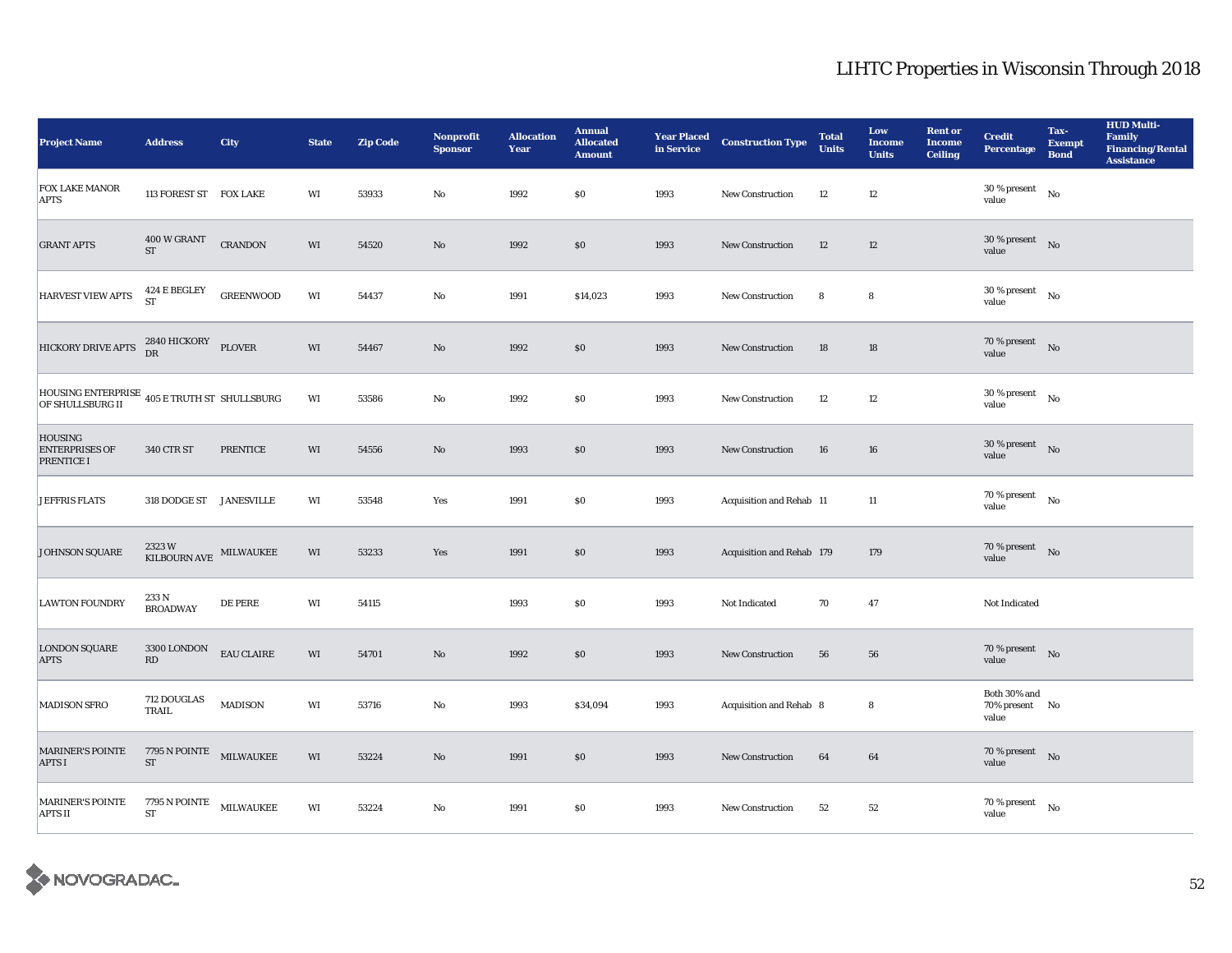| <b>Project Name</b>                                           | <b>Address</b>                        | City             | <b>State</b> | <b>Zip Code</b> | Nonprofit<br><b>Sponsor</b> | <b>Allocation</b><br>Year | <b>Annual</b><br><b>Allocated</b><br><b>Amount</b> | <b>Year Placed<br/>in Service</b> | <b>Construction Type</b>  | <b>Total</b><br><b>Units</b> | Low<br><b>Income</b><br><b>Units</b> | <b>Rent or</b><br><b>Income</b><br><b>Ceiling</b> | <b>Credit</b><br><b>Percentage</b>      | Tax-<br><b>Exempt</b><br><b>Bond</b> | <b>HUD Multi-</b><br>Family<br>Financing/Rental<br><b>Assistance</b> |
|---------------------------------------------------------------|---------------------------------------|------------------|--------------|-----------------|-----------------------------|---------------------------|----------------------------------------------------|-----------------------------------|---------------------------|------------------------------|--------------------------------------|---------------------------------------------------|-----------------------------------------|--------------------------------------|----------------------------------------------------------------------|
| <b>FOX LAKE MANOR</b><br><b>APTS</b>                          | 113 FOREST ST FOX LAKE                |                  | WI           | 53933           | No                          | 1992                      | $\$0$                                              | 1993                              | <b>New Construction</b>   | 12                           | $12\,$                               |                                                   | 30 % present<br>value                   | No                                   |                                                                      |
| <b>GRANT APTS</b>                                             | 400 W GRANT<br>$\operatorname{ST}$    | <b>CRANDON</b>   | WI           | 54520           | No                          | 1992                      | \$0                                                | 1993                              | New Construction          | 12                           | 12                                   |                                                   | $30$ % present $\hbox{~No}$<br>value    |                                      |                                                                      |
| <b>HARVEST VIEW APTS</b>                                      | 424 E BEGLEY<br><b>ST</b>             | <b>GREENWOOD</b> | WI           | 54437           | No                          | 1991                      | \$14,023                                           | 1993                              | New Construction          | 8                            | 8                                    |                                                   | 30 % present<br>value                   | $\rm No$                             |                                                                      |
| HICKORY DRIVE APTS                                            | $2840\,$ HICKORY $\quad$ PLOVER DR    |                  | WI           | 54467           | $\mathbf{No}$               | 1992                      | \$0                                                | 1993                              | <b>New Construction</b>   | 18                           | 18                                   |                                                   | $70\,\%$ present $$$ No $$$<br>value    |                                      |                                                                      |
| HOUSING ENTERPRISE 405 E TRUTH ST SHULLSBURG OF SHULLSBURG II |                                       |                  | WI           | 53586           | No                          | 1992                      | \$0                                                | 1993                              | <b>New Construction</b>   | 12                           | $12\,$                               |                                                   | $30$ % present $$\rm{No}$$<br>value     |                                      |                                                                      |
| <b>HOUSING</b><br><b>ENTERPRISES OF</b><br><b>PRENTICE I</b>  | <b>340 CTR ST</b>                     | <b>PRENTICE</b>  | WI           | 54556           | No                          | 1993                      | \$0                                                | 1993                              | New Construction          | 16                           | $16\,$                               |                                                   | $30$ % present $$\rm{No}$$<br>value     |                                      |                                                                      |
| <b>JEFFRIS FLATS</b>                                          | 318 DODGE ST JANESVILLE               |                  | WI           | 53548           | Yes                         | 1991                      | $\$0$                                              | 1993                              | Acquisition and Rehab 11  |                              | $11\,$                               |                                                   | 70 % present $$\rm{No}$$<br>value       |                                      |                                                                      |
| <b>JOHNSON SQUARE</b>                                         | KILBOURN AVE MILWAUKEE                |                  | WI           | 53233           | Yes                         | 1991                      | \$0                                                | 1993                              | Acquisition and Rehab 179 |                              | 179                                  |                                                   | 70 % present $\qquad$ No<br>value       |                                      |                                                                      |
| <b>LAWTON FOUNDRY</b>                                         | 233 N<br><b>BROADWAY</b>              | DE PERE          | WI           | 54115           |                             | 1993                      | $\$0$                                              | 1993                              | Not Indicated             | 70                           | 47                                   |                                                   | Not Indicated                           |                                      |                                                                      |
| <b>LONDON SQUARE</b><br><b>APTS</b>                           | 3300 LONDON<br>RD                     | EAU CLAIRE       | WI           | 54701           | No                          | 1992                      | $\$0$                                              | 1993                              | New Construction          | 56                           | 56                                   |                                                   | 70 % present $\hbox{No}$<br>value       |                                      |                                                                      |
| MADISON SFRO                                                  | 712 DOUGLAS<br>TRAIL                  | <b>MADISON</b>   | WI           | 53716           | No                          | 1993                      | \$34,094                                           | 1993                              | Acquisition and Rehab 8   |                              | 8                                    |                                                   | Both 30% and<br>70% present No<br>value |                                      |                                                                      |
| <b>MARINER'S POINTE</b><br><b>APTS I</b>                      | 7795 N POINTE MILWAUKEE<br>${\rm ST}$ |                  | WI           | 53224           | No                          | 1991                      | \$0                                                | 1993                              | New Construction          | 64                           | 64                                   |                                                   | 70 % present $\hbox{No}$<br>value       |                                      |                                                                      |
| <b>MARINER'S POINTE</b><br><b>APTS II</b>                     | 7795 N POINTE MILWAUKEE<br><b>ST</b>  |                  | WI           | 53224           | No                          | 1991                      | $\$0$                                              | 1993                              | New Construction          | 52                           | 52                                   |                                                   | $70$ % present $$\rm{No}$$<br>value     |                                      |                                                                      |

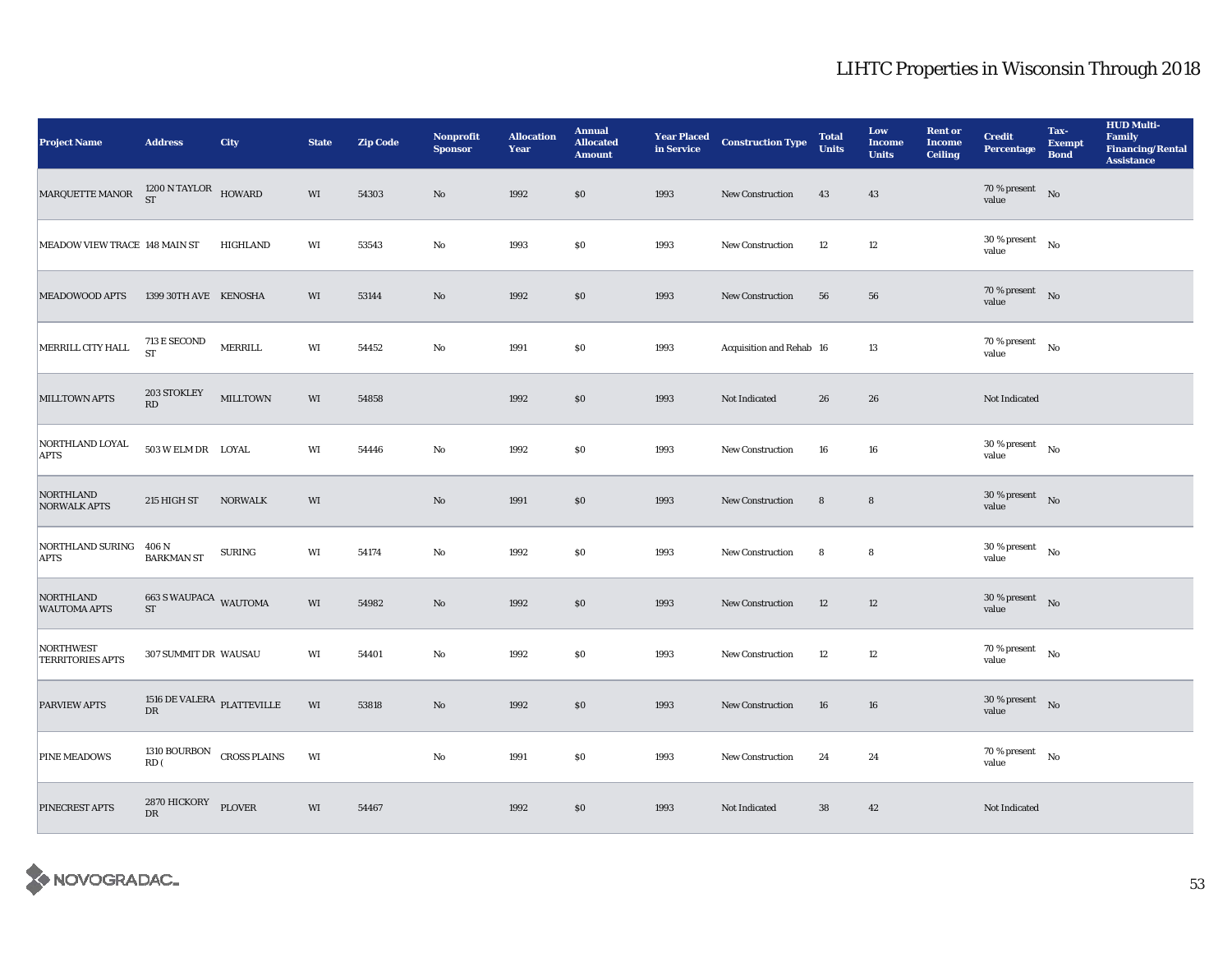| <b>Project Name</b>                         | <b>Address</b>                                      | City                      | <b>State</b> | <b>Zip Code</b> | <b>Nonprofit</b><br><b>Sponsor</b> | <b>Allocation</b><br>Year | <b>Annual</b><br><b>Allocated</b><br><b>Amount</b> | <b>Year Placed<br/>in Service</b> | <b>Construction Type</b> | <b>Total</b><br><b>Units</b> | Low<br><b>Income</b><br><b>Units</b> | <b>Rent or</b><br><b>Income</b><br><b>Ceiling</b> | <b>Credit</b><br><b>Percentage</b>     | Tax-<br><b>Exempt</b><br><b>Bond</b> | <b>HUD Multi-</b><br>Family<br><b>Financing/Rental</b><br><b>Assistance</b> |
|---------------------------------------------|-----------------------------------------------------|---------------------------|--------------|-----------------|------------------------------------|---------------------------|----------------------------------------------------|-----------------------------------|--------------------------|------------------------------|--------------------------------------|---------------------------------------------------|----------------------------------------|--------------------------------------|-----------------------------------------------------------------------------|
| MARQUETTE MANOR                             | $1200$ N TAYLOR $$\,{\rm HOWARD}$$ ST               |                           | WI           | 54303           | No                                 | 1992                      | \$0                                                | 1993                              | <b>New Construction</b>  | 43                           | 43                                   |                                                   | $70\%$ present No<br>value             |                                      |                                                                             |
| MEADOW VIEW TRACE 148 MAIN ST               |                                                     | HIGHLAND                  | WI           | 53543           | No                                 | 1993                      | \$0                                                | 1993                              | New Construction         | 12                           | 12                                   |                                                   | $30$ % present $$\rm{No}$$<br>value    |                                      |                                                                             |
| <b>MEADOWOOD APTS</b>                       | 1399 30TH AVE KENOSHA                               |                           | WI           | 53144           | $\mathbf{N}\mathbf{o}$             | 1992                      | \$0                                                | 1993                              | New Construction         | 56                           | 56                                   |                                                   | 70 % present $\qquad$ No<br>value      |                                      |                                                                             |
| MERRILL CITY HALL                           | 713 E SECOND<br>${\rm ST}$                          | <b>MERRILL</b>            | WI           | 54452           | No                                 | 1991                      | \$0                                                | 1993                              | Acquisition and Rehab 16 |                              | 13                                   |                                                   | 70 % present $$\rm{No}$$<br>value      |                                      |                                                                             |
| MILLTOWN APTS                               | 203 STOKLEY<br>RD                                   | <b>MILLTOWN</b>           | WI           | 54858           |                                    | 1992                      | \$0                                                | 1993                              | Not Indicated            | 26                           | 26                                   |                                                   | Not Indicated                          |                                      |                                                                             |
| NORTHLAND LOYAL<br><b>APTS</b>              | 503 W ELM DR LOYAL                                  |                           | WI           | 54446           | No                                 | 1992                      | \$0                                                | 1993                              | New Construction         | 16                           | 16                                   |                                                   | $30$ % present $$\rm{No}$$<br>value    |                                      |                                                                             |
| <b>NORTHLAND</b><br><b>NORWALK APTS</b>     | 215 HIGH ST                                         | <b>NORWALK</b>            | WI           |                 | No                                 | 1991                      | $\$0$                                              | 1993                              | New Construction         | 8                            | 8                                    |                                                   | $30$ % present $\;\;$ No $\;$<br>value |                                      |                                                                             |
| NORTHLAND SURING 406 N<br><b>APTS</b>       | <b>BARKMAN ST</b>                                   | <b>SURING</b>             | WI           | 54174           | No                                 | 1992                      | \$0                                                | 1993                              | New Construction         | 8                            | 8                                    |                                                   | 30 % present<br>value                  | No                                   |                                                                             |
| <b>NORTHLAND</b><br><b>WAUTOMA APTS</b>     | <b>663 S WAUPACA WAUTOMA</b><br>$\operatorname{ST}$ |                           | WI           | 54982           | No                                 | 1992                      | \$0                                                | 1993                              | <b>New Construction</b>  | 12                           | 12                                   |                                                   | $30$ % present $\;\;$ No $\;$<br>value |                                      |                                                                             |
| <b>NORTHWEST</b><br><b>TERRITORIES APTS</b> | 307 SUMMIT DR WAUSAU                                |                           | WI           | 54401           | No                                 | 1992                      | $\$0$                                              | 1993                              | New Construction         | 12                           | 12                                   |                                                   | 70 % present $\qquad$ No<br>value      |                                      |                                                                             |
| <b>PARVIEW APTS</b>                         | 1516 DE VALERA $_{\rm PLATTEVILLE}$<br>$_{\rm DR}$  |                           | WI           | 53818           | No                                 | 1992                      | \$0                                                | 1993                              | <b>New Construction</b>  | 16                           | 16                                   |                                                   | 30 % present $\quad$ No<br>value       |                                      |                                                                             |
| <b>PINE MEADOWS</b>                         | RD(                                                 | 1310 BOURBON CROSS PLAINS | WI           |                 | No                                 | 1991                      | \$0                                                | 1993                              | New Construction         | 24                           | 24                                   |                                                   | 70 % present $\qquad$ No<br>value      |                                      |                                                                             |
| PINECREST APTS                              | 2870 HICKORY PLOVER<br>DR                           |                           | WI           | 54467           |                                    | 1992                      | \$0                                                | 1993                              | Not Indicated            | 38                           | 42                                   |                                                   | Not Indicated                          |                                      |                                                                             |

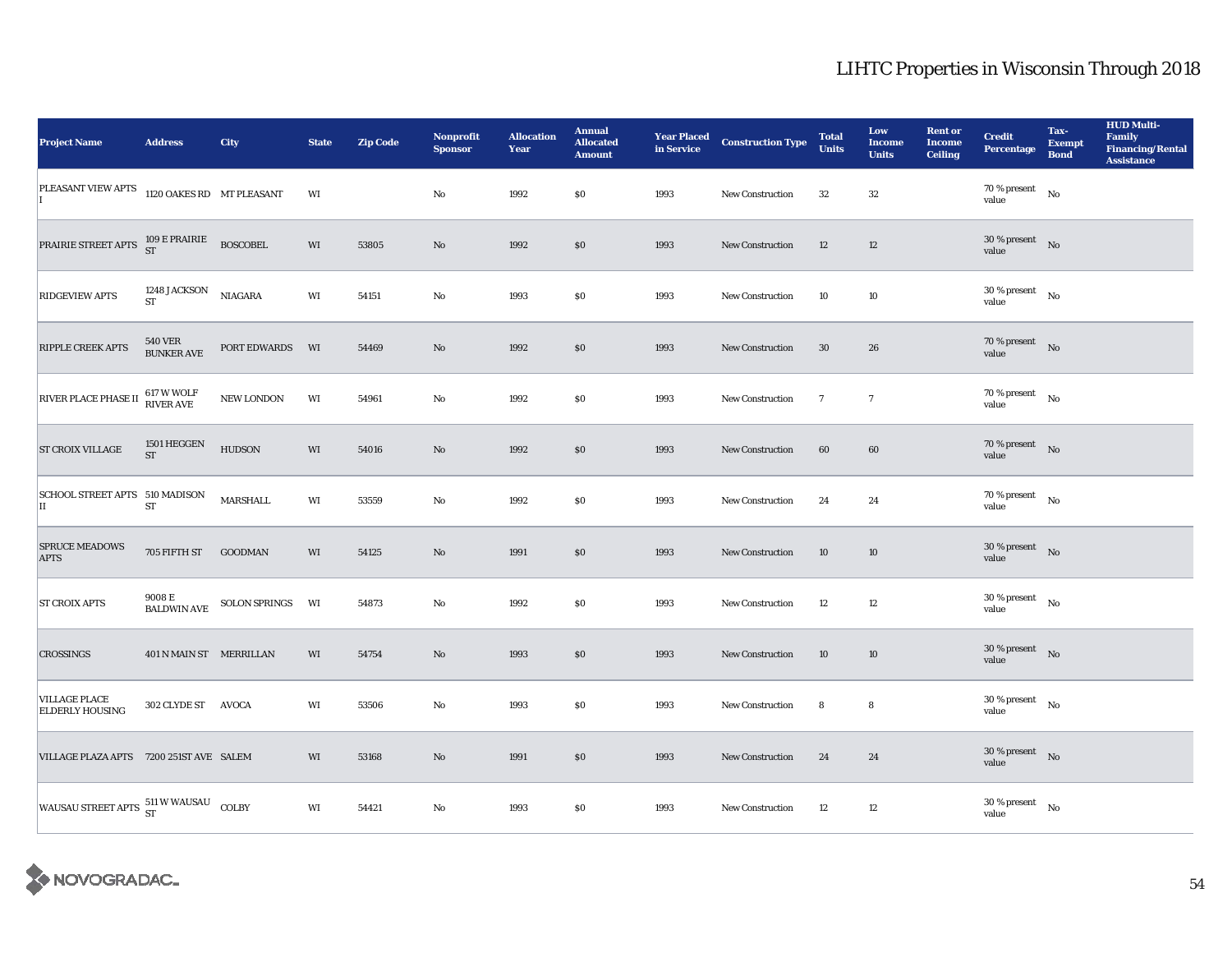| <b>Project Name</b>                                                                                        | <b>Address</b>                      | City             | <b>State</b> | <b>Zip Code</b> | Nonprofit<br><b>Sponsor</b> | <b>Allocation</b><br>Year | <b>Annual</b><br><b>Allocated</b><br><b>Amount</b> | <b>Year Placed<br/>in Service</b> | <b>Construction Type</b> | <b>Total</b><br><b>Units</b> | Low<br><b>Income</b><br><b>Units</b> | <b>Rent or</b><br><b>Income</b><br><b>Ceiling</b> | <b>Credit</b><br><b>Percentage</b>     | Tax-<br><b>Exempt</b><br><b>Bond</b> | <b>HUD Multi-</b><br>Family<br>Financing/Rental<br><b>Assistance</b> |
|------------------------------------------------------------------------------------------------------------|-------------------------------------|------------------|--------------|-----------------|-----------------------------|---------------------------|----------------------------------------------------|-----------------------------------|--------------------------|------------------------------|--------------------------------------|---------------------------------------------------|----------------------------------------|--------------------------------------|----------------------------------------------------------------------|
| PLEASANT VIEW APTS                                                                                         | 1120 OAKES RD MT PLEASANT           |                  | WI           |                 | No                          | 1992                      | $\$0$                                              | 1993                              | <b>New Construction</b>  | 32                           | 32                                   |                                                   | $70$ % present<br>value                | No                                   |                                                                      |
| PRAIRIE STREET APTS $\begin{matrix} 109 \text{ E PRAIRIE} \\ \text{ST} \end{matrix} \quad \text{BOSCOBEL}$ |                                     |                  | WI           | 53805           | No                          | 1992                      | \$0                                                | 1993                              | New Construction         | 12                           | 12                                   |                                                   | $30$ % present $\;\;$ No $\;$<br>value |                                      |                                                                      |
| <b>RIDGEVIEW APTS</b>                                                                                      | 1248 JACKSON<br><b>ST</b>           | <b>NIAGARA</b>   | WI           | 54151           | No                          | 1993                      | $\$0$                                              | 1993                              | <b>New Construction</b>  | 10                           | 10                                   |                                                   | $30$ % present $$\rm{No}$$<br>value    |                                      |                                                                      |
| <b>RIPPLE CREEK APTS</b>                                                                                   | <b>540 VER</b><br><b>BUNKER AVE</b> | PORT EDWARDS     | WI           | 54469           | $\mathbf{No}$               | 1992                      | \$0                                                | 1993                              | New Construction         | 30                           | 26                                   |                                                   | 70 % present $\qquad$ No<br>value      |                                      |                                                                      |
| RIVER PLACE PHASE II 617 W WOLF                                                                            |                                     | NEW LONDON       | WI           | 54961           | No                          | 1992                      | $\$0$                                              | 1993                              | New Construction         | $7\overline{ }$              | $7\phantom{.0}$                      |                                                   | 70 % present $$\rm{No}$$<br>value      |                                      |                                                                      |
| <b>ST CROIX VILLAGE</b>                                                                                    | 1501 HEGGEN<br>ST                   | <b>HUDSON</b>    | WI           | 54016           | $\mathbf{No}$               | 1992                      | \$0                                                | 1993                              | <b>New Construction</b>  | 60                           | 60                                   |                                                   | $70\%$ present No<br>value             |                                      |                                                                      |
| SCHOOL STREET APTS 510 MADISON<br>II                                                                       | ${\rm ST}$                          | MARSHALL         | WI           | 53559           | No                          | 1992                      | $\$0$                                              | 1993                              | <b>New Construction</b>  | 24                           | 24                                   |                                                   | $70\,\%$ present $$$ No value          |                                      |                                                                      |
| <b>SPRUCE MEADOWS</b><br><b>APTS</b>                                                                       | 705 FIFTH ST GOODMAN                |                  | WI           | 54125           | $\mathbf{No}$               | 1991                      | $\$0$                                              | 1993                              | New Construction         | 10                           | 10                                   |                                                   | $30$ % present $$\rm{No}$$<br>value    |                                      |                                                                      |
| <b>ST CROIX APTS</b>                                                                                       | 9008 E<br><b>BALDWIN AVE</b>        | SOLON SPRINGS WI |              | 54873           | No                          | 1992                      | $\$0$                                              | 1993                              | <b>New Construction</b>  | 12                           | $12 \,$                              |                                                   | $30$ % present $$\rm{No}$$<br>value    |                                      |                                                                      |
| <b>CROSSINGS</b>                                                                                           | 401 N MAIN ST MERRILLAN             |                  | WI           | 54754           | No                          | 1993                      | \$0                                                | 1993                              | New Construction         | 10                           | 10                                   |                                                   | $30$ % present $$\rm{No}$$<br>value    |                                      |                                                                      |
| <b>VILLAGE PLACE</b><br><b>ELDERLY HOUSING</b>                                                             | 302 CLYDE ST AVOCA                  |                  | WI           | 53506           | No                          | 1993                      | $\$0$                                              | 1993                              | New Construction         | 8                            | 8                                    |                                                   | $30$ % present $$\rm{No}$$<br>value    |                                      |                                                                      |
| VILLAGE PLAZA APTS 7200 251ST AVE SALEM                                                                    |                                     |                  | WI           | 53168           | No                          | 1991                      | $\$0$                                              | 1993                              | New Construction         | 24                           | 24                                   |                                                   | $30$ % present $$\rm{No}$$<br>value    |                                      |                                                                      |
| WAUSAU STREET APTS 511 W WAUSAU COLBY                                                                      |                                     |                  | WI           | 54421           | No                          | 1993                      | $\$0$                                              | 1993                              | <b>New Construction</b>  | 12                           | $12 \,$                              |                                                   | $30$ % present $$\rm{No}$$<br>value    |                                      |                                                                      |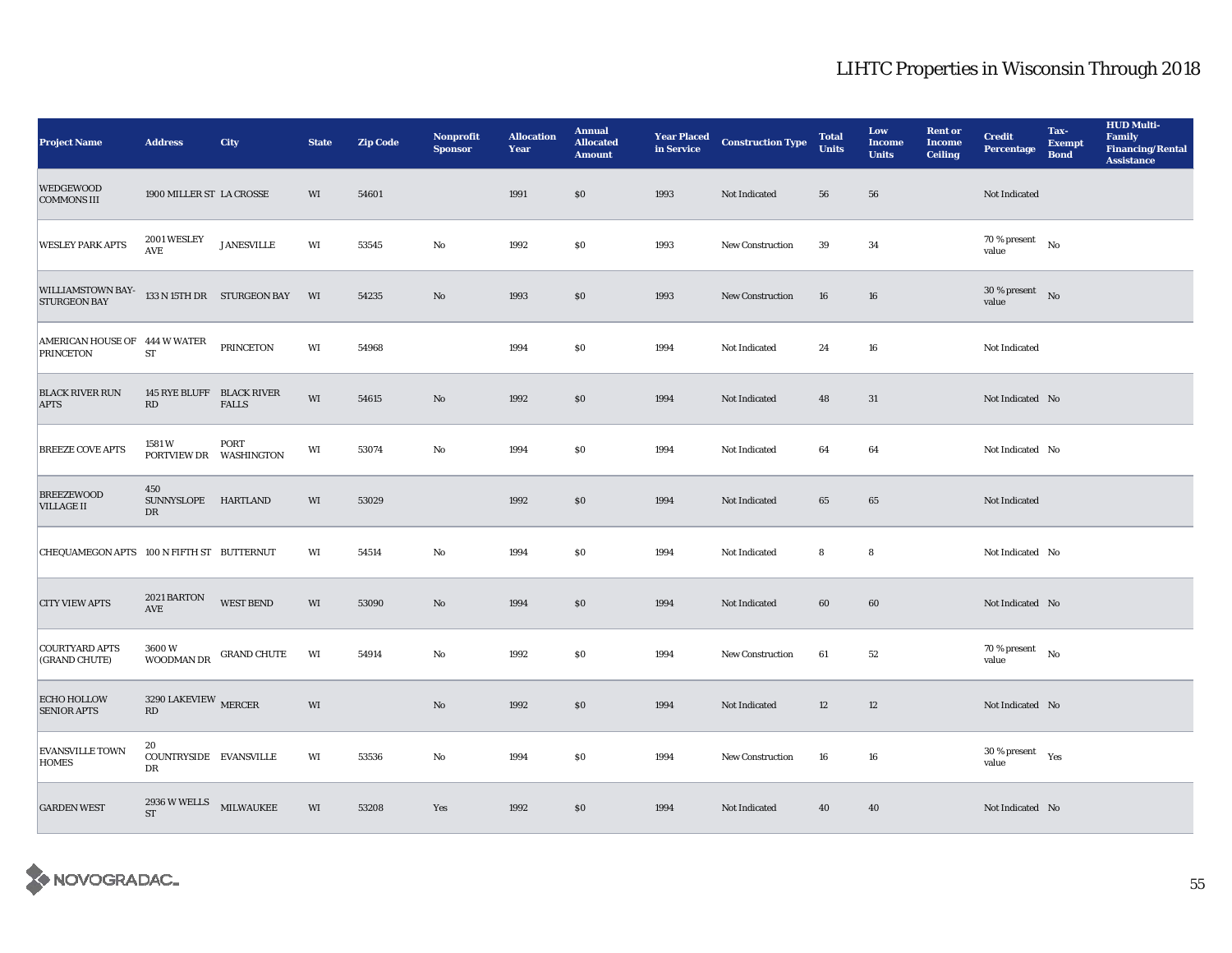| <b>Project Name</b>                               | <b>Address</b>                                            | City                       | <b>State</b> | <b>Zip Code</b> | <b>Nonprofit</b><br><b>Sponsor</b> | <b>Allocation</b><br>Year | <b>Annual</b><br><b>Allocated</b><br><b>Amount</b> | <b>Year Placed<br/>in Service</b> | <b>Construction Type</b> | <b>Total</b><br><b>Units</b> | Low<br><b>Income</b><br><b>Units</b> | <b>Rent or</b><br><b>Income</b><br><b>Ceiling</b> | <b>Credit</b><br><b>Percentage</b>       | Tax-<br><b>Exempt</b><br><b>Bond</b> | <b>HUD Multi-</b><br>Family<br><b>Financing/Rental</b><br><b>Assistance</b> |
|---------------------------------------------------|-----------------------------------------------------------|----------------------------|--------------|-----------------|------------------------------------|---------------------------|----------------------------------------------------|-----------------------------------|--------------------------|------------------------------|--------------------------------------|---------------------------------------------------|------------------------------------------|--------------------------------------|-----------------------------------------------------------------------------|
| <b>WEDGEWOOD</b><br><b>COMMONS III</b>            | 1900 MILLER ST LA CROSSE                                  |                            | WI           | 54601           |                                    | 1991                      | \$0                                                | 1993                              | Not Indicated            | 56                           | 56                                   |                                                   | Not Indicated                            |                                      |                                                                             |
| <b>WESLEY PARK APTS</b>                           | 2001 WESLEY<br>$\mathbf{A}\mathbf{V}\mathbf{E}$           | <b>JANESVILLE</b>          | WI           | 53545           | No                                 | 1992                      | \$0                                                | 1993                              | <b>New Construction</b>  | 39                           | 34                                   |                                                   | 70 % present $\qquad$ No<br>value        |                                      |                                                                             |
| <b>WILLIAMSTOWN BAY-</b><br><b>STURGEON BAY</b>   |                                                           | 133 N 15TH DR STURGEON BAY | WI           | 54235           | $\mathbf{No}$                      | 1993                      | $\$0$                                              | 1993                              | New Construction         | 16                           | 16                                   |                                                   | $30$ % present $\;\;$ No $\;\;$<br>value |                                      |                                                                             |
| AMERICAN HOUSE OF 444 W WATER<br><b>PRINCETON</b> | ${\rm ST}$                                                | <b>PRINCETON</b>           | WI           | 54968           |                                    | 1994                      | \$0                                                | 1994                              | Not Indicated            | 24                           | ${\bf 16}$                           |                                                   | Not Indicated                            |                                      |                                                                             |
| <b>BLACK RIVER RUN</b><br><b>APTS</b>             | 145 RYE BLUFF BLACK RIVER<br>RD                           | <b>FALLS</b>               | WI           | 54615           | No                                 | 1992                      | \$0                                                | 1994                              | Not Indicated            | 48                           | 31                                   |                                                   | Not Indicated No                         |                                      |                                                                             |
| <b>BREEZE COVE APTS</b>                           | 1581W<br>PORTVIEW DR WASHINGTON                           | PORT                       | WI           | 53074           | No                                 | 1994                      | \$0                                                | 1994                              | Not Indicated            | 64                           | 64                                   |                                                   | Not Indicated No                         |                                      |                                                                             |
| <b>BREEZEWOOD</b><br><b>VILLAGE II</b>            | 450<br>SUNNYSLOPE HARTLAND<br>DR                          |                            | WI           | 53029           |                                    | 1992                      | \$0                                                | 1994                              | Not Indicated            | 65                           | 65                                   |                                                   | Not Indicated                            |                                      |                                                                             |
| CHEQUAMEGON APTS 100 N FIFTH ST BUTTERNUT         |                                                           |                            | WI           | 54514           | No                                 | 1994                      | \$0                                                | 1994                              | Not Indicated            | 8                            | 8                                    |                                                   | Not Indicated No                         |                                      |                                                                             |
| <b>CITY VIEW APTS</b>                             | 2021 BARTON<br>$\operatorname{AVE}$                       | <b>WEST BEND</b>           | WI           | 53090           | No                                 | 1994                      | \$0                                                | 1994                              | Not Indicated            | 60                           | 60                                   |                                                   | Not Indicated No                         |                                      |                                                                             |
| <b>COURTYARD APTS</b><br>(GRAND CHUTE)            | 3600W<br>WOODMAN DR                                       | <b>GRAND CHUTE</b>         | WI           | 54914           | $\rm No$                           | 1992                      | \$0                                                | 1994                              | New Construction         | $\bf{61}$                    | $52\,$                               |                                                   | $70$ % present $$\rm{No}$$<br>value      |                                      |                                                                             |
| <b>ECHO HOLLOW</b><br><b>SENIOR APTS</b>          | $3290$ LAKEVIEW $\,$ MERCER<br>$\mathbf{R}\mathbf{D}$     |                            | WI           |                 | No                                 | 1992                      | \$0                                                | 1994                              | Not Indicated            | 12                           | 12                                   |                                                   | Not Indicated No                         |                                      |                                                                             |
| <b>EVANSVILLE TOWN</b><br><b>HOMES</b>            | 20<br>COUNTRYSIDE EVANSVILLE<br>DR                        |                            | WI           | 53536           | No                                 | 1994                      | \$0                                                | 1994                              | <b>New Construction</b>  | 16                           | 16                                   |                                                   | 30 % present $\rm_{Yes}$<br>value        |                                      |                                                                             |
| <b>GARDEN WEST</b>                                | $2936\,\mathrm{W}\,\mathrm{WELLS}$ MILWAUKEE<br><b>ST</b> |                            | WI           | 53208           | Yes                                | 1992                      | \$0                                                | 1994                              | Not Indicated            | 40                           | 40                                   |                                                   | Not Indicated No                         |                                      |                                                                             |

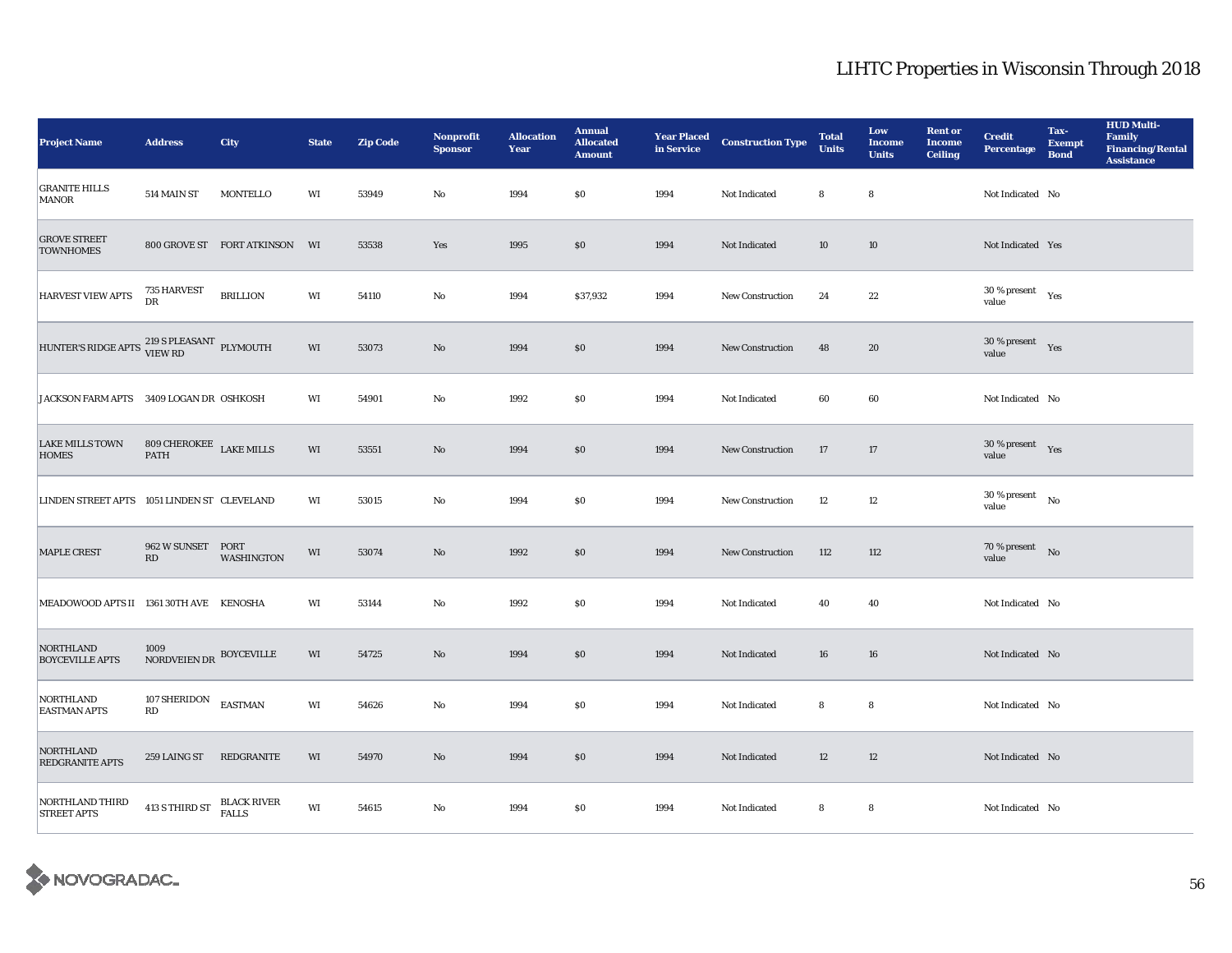| <b>Project Name</b>                         | <b>Address</b>                         | City                               | <b>State</b> | <b>Zip Code</b> | Nonprofit<br><b>Sponsor</b> | <b>Allocation</b><br>Year | <b>Annual</b><br><b>Allocated</b><br><b>Amount</b> | <b>Year Placed<br/>in Service</b> | <b>Construction Type</b> | <b>Total</b><br><b>Units</b> | Low<br><b>Income</b><br><b>Units</b> | <b>Rent or</b><br><b>Income</b><br><b>Ceiling</b> | <b>Credit</b><br><b>Percentage</b>          | Tax-<br><b>Exempt</b><br><b>Bond</b> | <b>HUD Multi-</b><br>Family<br><b>Financing/Rental</b><br><b>Assistance</b> |
|---------------------------------------------|----------------------------------------|------------------------------------|--------------|-----------------|-----------------------------|---------------------------|----------------------------------------------------|-----------------------------------|--------------------------|------------------------------|--------------------------------------|---------------------------------------------------|---------------------------------------------|--------------------------------------|-----------------------------------------------------------------------------|
| <b>GRANITE HILLS</b><br><b>MANOR</b>        | 514 MAIN ST                            | MONTELLO                           | WI           | 53949           | No                          | 1994                      | \$0\$                                              | 1994                              | Not Indicated            | 8                            | 8                                    |                                                   | Not Indicated No                            |                                      |                                                                             |
| <b>GROVE STREET</b><br><b>TOWNHOMES</b>     |                                        | 800 GROVE ST FORT ATKINSON WI      |              | 53538           | Yes                         | 1995                      | \$0\$                                              | 1994                              | Not Indicated            | 10                           | 10                                   |                                                   | Not Indicated Yes                           |                                      |                                                                             |
| <b>HARVEST VIEW APTS</b>                    | <b>735 HARVEST</b><br><b>DR</b>        | <b>BRILLION</b>                    | WI           | 54110           | No                          | 1994                      | \$37,932                                           | 1994                              | <b>New Construction</b>  | 24                           | 22                                   |                                                   | 30 % present $\rm_{Yes}$<br>value           |                                      |                                                                             |
| HUNTER'S RIDGE APTS 219 S PLEASANT PLYMOUTH |                                        |                                    | WI           | 53073           | $\rm No$                    | 1994                      | $\$0$                                              | 1994                              | New Construction         | 48                           | ${\bf 20}$                           |                                                   | 30 % present $\gamma_{\rm{ES}}$<br>value    |                                      |                                                                             |
| JACKSON FARM APTS 3409 LOGAN DR OSHKOSH     |                                        |                                    | WI           | 54901           | No                          | 1992                      | \$0\$                                              | 1994                              | Not Indicated            | 60                           | 60                                   |                                                   | Not Indicated No                            |                                      |                                                                             |
| <b>LAKE MILLS TOWN</b><br><b>HOMES</b>      | $809$ CHEROKEE $\;$ LAKE MILLS<br>PATH |                                    | WI           | 53551           | $\mathbf{No}$               | 1994                      | \$0\$                                              | 1994                              | <b>New Construction</b>  | 17                           | 17                                   |                                                   | $30\,\%$ present $\quad$ Yes<br>value       |                                      |                                                                             |
| LINDEN STREET APTS 1051 LINDEN ST CLEVELAND |                                        |                                    | WI           | 53015           | No                          | 1994                      | $\$0$                                              | 1994                              | <b>New Construction</b>  | 12                           | $12\,$                               |                                                   | $30$ % present $\quad$ $_{\rm No}$<br>value |                                      |                                                                             |
| <b>MAPLE CREST</b>                          | 962 W SUNSET PORT<br>RD                | WASHINGTON                         | WI           | 53074           | No                          | 1992                      | $\$0$                                              | 1994                              | New Construction         | 112                          | 112                                  |                                                   | $70$ % present $$\rm{No}$$<br>value         |                                      |                                                                             |
| MEADOWOOD APTS II 1361 30TH AVE KENOSHA     |                                        |                                    | WI           | 53144           | No                          | 1992                      | $\$0$                                              | 1994                              | Not Indicated            | 40                           | 40                                   |                                                   | Not Indicated No                            |                                      |                                                                             |
| <b>NORTHLAND</b><br><b>BOYCEVILLE APTS</b>  | 1009<br>NORDVEIEN DR BOYCEVILLE        |                                    | WI           | 54725           | No                          | 1994                      | \$0                                                | 1994                              | Not Indicated            | 16                           | ${\bf 16}$                           |                                                   | Not Indicated No                            |                                      |                                                                             |
| <b>NORTHLAND</b><br><b>EASTMAN APTS</b>     | 107 SHERIDON<br>RD                     | <b>EASTMAN</b>                     | WI           | 54626           | No                          | 1994                      | \$0                                                | 1994                              | Not Indicated            | 8                            | 8                                    |                                                   | Not Indicated No                            |                                      |                                                                             |
| <b>NORTHLAND</b><br><b>REDGRANITE APTS</b>  | 259 LAING ST                           | REDGRANITE                         | WI           | 54970           | No                          | 1994                      | \$0                                                | 1994                              | Not Indicated            | 12                           | 12                                   |                                                   | Not Indicated No                            |                                      |                                                                             |
| NORTHLAND THIRD<br><b>STREET APTS</b>       | 413 S THIRD ST                         | <b>BLACK RIVER</b><br><b>FALLS</b> | WI           | 54615           | No                          | 1994                      | \$0                                                | 1994                              | Not Indicated            | 8                            | 8                                    |                                                   | Not Indicated No                            |                                      |                                                                             |

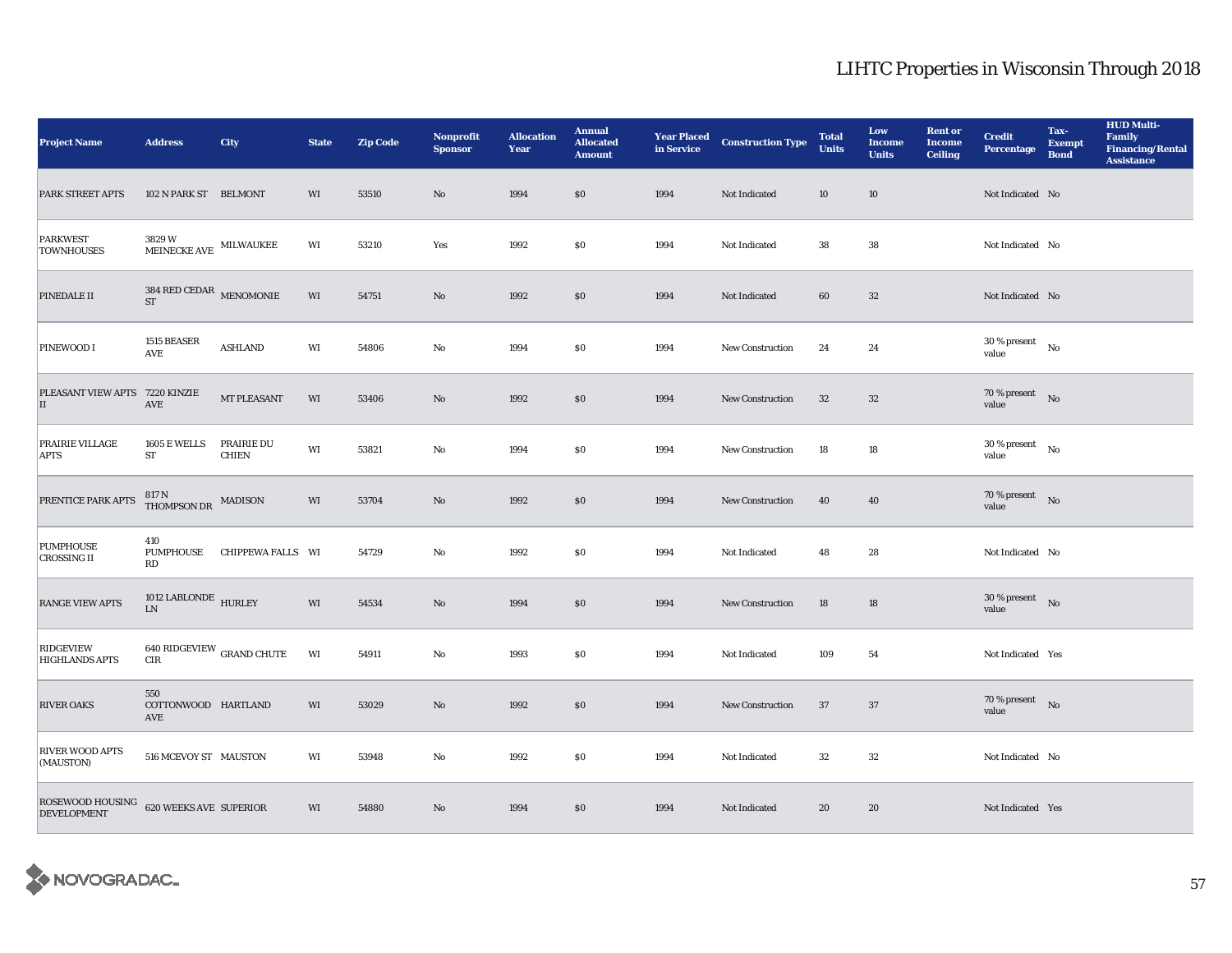| <b>Project Name</b>                                           | <b>Address</b>                                        | City                                | <b>State</b> | <b>Zip Code</b> | Nonprofit<br><b>Sponsor</b> | <b>Allocation</b><br>Year | <b>Annual</b><br><b>Allocated</b><br><b>Amount</b> | <b>Year Placed<br/>in Service</b> | <b>Construction Type</b> | <b>Total</b><br><b>Units</b> | Low<br><b>Income</b><br><b>Units</b> | <b>Rent or</b><br><b>Income</b><br><b>Ceiling</b> | <b>Credit</b><br><b>Percentage</b>  | Tax-<br><b>Exempt</b><br><b>Bond</b> | <b>HUD Multi-</b><br><b>Family</b><br><b>Financing/Rental</b><br><b>Assistance</b> |
|---------------------------------------------------------------|-------------------------------------------------------|-------------------------------------|--------------|-----------------|-----------------------------|---------------------------|----------------------------------------------------|-----------------------------------|--------------------------|------------------------------|--------------------------------------|---------------------------------------------------|-------------------------------------|--------------------------------------|------------------------------------------------------------------------------------|
| PARK STREET APTS                                              | 102 N PARK ST BELMONT                                 |                                     | WI           | 53510           | $\mathbf{No}$               | 1994                      | $\$0$                                              | 1994                              | Not Indicated            | 10                           | $10\,$                               |                                                   | Not Indicated No                    |                                      |                                                                                    |
| <b>PARKWEST</b><br><b>TOWNHOUSES</b>                          | 3829W<br>MEINECKE AVE MILWAUKEE                       |                                     | WI           | 53210           | Yes                         | 1992                      | $\$0$                                              | 1994                              | Not Indicated            | 38                           | 38                                   |                                                   | Not Indicated No                    |                                      |                                                                                    |
| PINEDALE II                                                   | $384$ RED CEDAR $\,$ MENOMONIE<br>$\operatorname{ST}$ |                                     | WI           | 54751           | $\mathbf{N}\mathbf{o}$      | 1992                      | $\$0$                                              | 1994                              | Not Indicated            | 60                           | $32\,$                               |                                                   | Not Indicated No                    |                                      |                                                                                    |
| PINEWOOD I                                                    | 1515 BEASER<br>$\operatorname{AVE}$                   | <b>ASHLAND</b>                      | WI           | 54806           | No                          | 1994                      | \$0                                                | 1994                              | <b>New Construction</b>  | 24                           | 24                                   |                                                   | $30$ % present $$\rm{No}$$<br>value |                                      |                                                                                    |
| PLEASANT VIEW APTS 7220 KINZIE<br>II                          | AVE                                                   | MT PLEASANT                         | WI           | 53406           | No                          | 1992                      | \$0                                                | 1994                              | <b>New Construction</b>  | 32                           | 32                                   |                                                   | 70 % present No<br>value            |                                      |                                                                                    |
| PRAIRIE VILLAGE<br><b>APTS</b>                                | <b>1605 E WELLS</b><br>${\rm ST}$                     | <b>PRAIRIE DU</b><br><b>CHIEN</b>   | WI           | 53821           | No                          | 1994                      | \$0                                                | 1994                              | <b>New Construction</b>  | 18                           | 18                                   |                                                   | 30 % present<br>value               | No                                   |                                                                                    |
| PRENTICE PARK APTS                                            | 817 N<br>THOMPSON DR                                  | <b>MADISON</b>                      | WI           | 53704           | No                          | 1992                      | $\$0$                                              | 1994                              | New Construction         | 40                           | 40                                   |                                                   | $70$ % present $\quad$ No<br>value  |                                      |                                                                                    |
| <b>PUMPHOUSE</b><br><b>CROSSING II</b>                        | 410<br><b>PUMPHOUSE</b><br>RD                         | CHIPPEWA FALLS WI                   |              | 54729           | No                          | 1992                      | \$0                                                | 1994                              | Not Indicated            | 48                           | 28                                   |                                                   | Not Indicated No                    |                                      |                                                                                    |
| <b>RANGE VIEW APTS</b>                                        | 1012 LABLONDE HURLEY<br>LN                            |                                     | WI           | 54534           | $\mathbf{No}$               | 1994                      | \$0                                                | 1994                              | New Construction         | 18                           | 18                                   |                                                   | $30$ % present $$\rm{No}$$<br>value |                                      |                                                                                    |
| <b>RIDGEVIEW</b><br><b>HIGHLANDS APTS</b>                     | $\rm CIR$                                             | 640 RIDGEVIEW $_{\rm GRAND\,CHUTE}$ | WI           | 54911           | No                          | 1993                      | $\$0$                                              | 1994                              | Not Indicated            | 109                          | 54                                   |                                                   | Not Indicated Yes                   |                                      |                                                                                    |
| <b>RIVER OAKS</b>                                             | 550<br>COTTONWOOD HARTLAND<br>AVE                     |                                     | WI           | 53029           | No                          | 1992                      | \$0                                                | 1994                              | New Construction         | 37                           | 37                                   |                                                   | 70 % present $N$ o<br>value         |                                      |                                                                                    |
| RIVER WOOD APTS<br>(MAUSTON)                                  | 516 MCEVOY ST MAUSTON                                 |                                     | WI           | 53948           | No                          | 1992                      | \$0                                                | 1994                              | Not Indicated            | 32                           | 32                                   |                                                   | Not Indicated No                    |                                      |                                                                                    |
| ROSEWOOD HOUSING 620 WEEKS AVE SUPERIOR<br><b>DEVELOPMENT</b> |                                                       |                                     | WI           | 54880           | No                          | 1994                      | $\$0$                                              | 1994                              | Not Indicated            | 20                           | 20                                   |                                                   | Not Indicated Yes                   |                                      |                                                                                    |

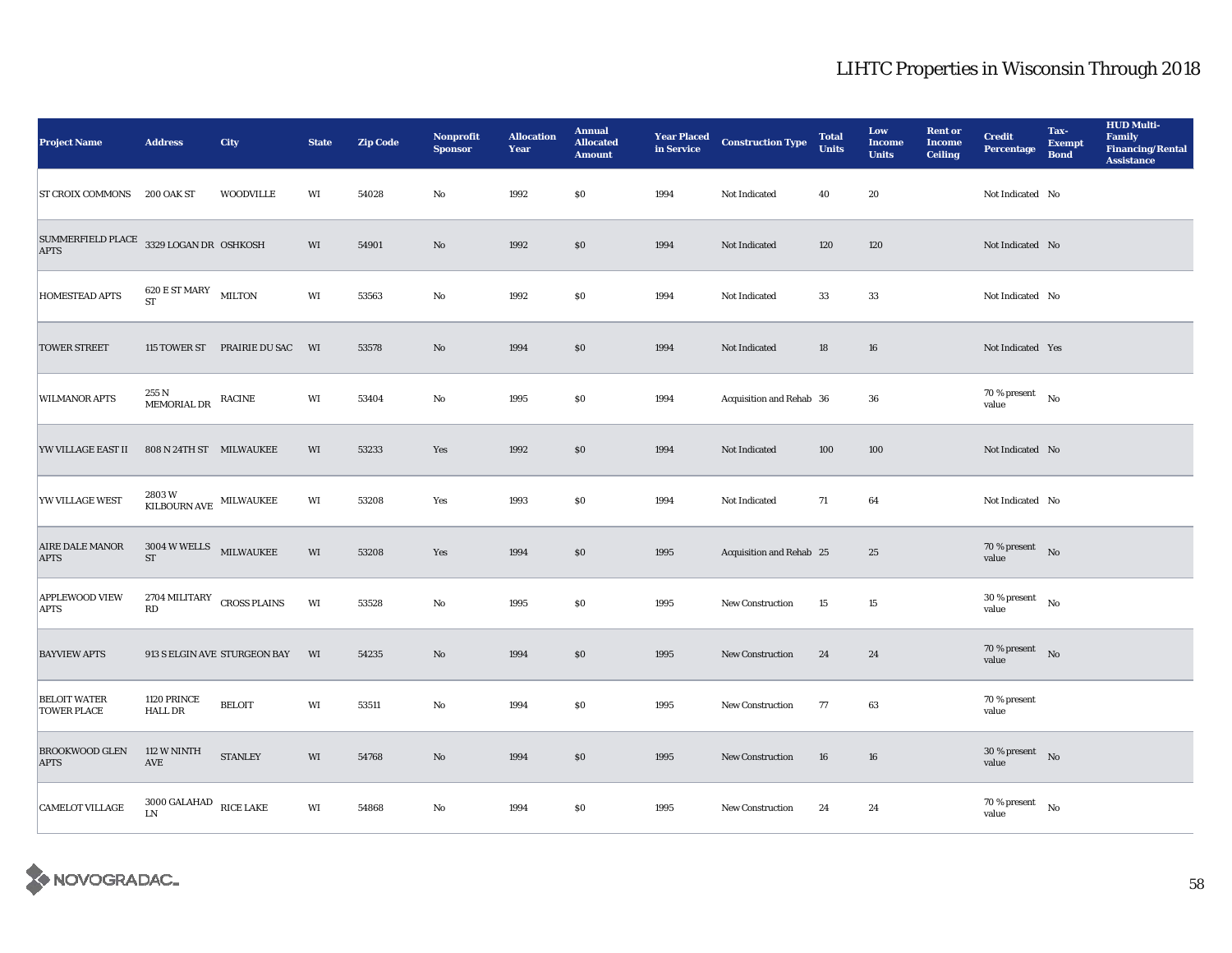| <b>Project Name</b>                                    | <b>Address</b>                                                      | City                           | <b>State</b> | <b>Zip Code</b> | Nonprofit<br><b>Sponsor</b> | <b>Allocation</b><br>Year | <b>Annual</b><br><b>Allocated</b><br><b>Amount</b> | <b>Year Placed<br/>in Service</b> | <b>Construction Type</b> | <b>Total</b><br><b>Units</b> | Low<br><b>Income</b><br><b>Units</b> | <b>Rent or</b><br><b>Income</b><br><b>Ceiling</b> | <b>Credit</b><br><b>Percentage</b>          | Tax-<br><b>Exempt</b><br><b>Bond</b> | <b>HUD Multi-</b><br>Family<br><b>Financing/Rental</b><br><b>Assistance</b> |
|--------------------------------------------------------|---------------------------------------------------------------------|--------------------------------|--------------|-----------------|-----------------------------|---------------------------|----------------------------------------------------|-----------------------------------|--------------------------|------------------------------|--------------------------------------|---------------------------------------------------|---------------------------------------------|--------------------------------------|-----------------------------------------------------------------------------|
| ST CROIX COMMONS 200 OAK ST                            |                                                                     | <b>WOODVILLE</b>               | WI           | 54028           | No                          | 1992                      | $\$0$                                              | 1994                              | Not Indicated            | 40                           | 20                                   |                                                   | Not Indicated No                            |                                      |                                                                             |
| SUMMERFIELD PLACE 3329 LOGAN DR OSHKOSH<br><b>APTS</b> |                                                                     |                                | WI           | 54901           | No                          | 1992                      | \$0\$                                              | 1994                              | Not Indicated            | 120                          | 120                                  |                                                   | Not Indicated No                            |                                      |                                                                             |
| HOMESTEAD APTS                                         | $620$ E ST MARY MILTON<br><b>ST</b>                                 |                                | WI           | 53563           | No                          | 1992                      | $\$0$                                              | 1994                              | Not Indicated            | 33                           | 33                                   |                                                   | Not Indicated No                            |                                      |                                                                             |
| <b>TOWER STREET</b>                                    |                                                                     | 115 TOWER ST PRAIRIE DU SAC WI |              | 53578           | No                          | 1994                      | $\$0$                                              | 1994                              | Not Indicated            | 18                           | ${\bf 16}$                           |                                                   | Not Indicated Yes                           |                                      |                                                                             |
| <b>WILMANOR APTS</b>                                   | $255$ N $$\tt MEMORIAL\,DR$$ RACINE                                 |                                | WI           | 53404           | No                          | 1995                      | \$0\$                                              | 1994                              | Acquisition and Rehab 36 |                              | 36                                   |                                                   | $70$ % present $\quad$ $_{\rm No}$<br>value |                                      |                                                                             |
| YW VILLAGE EAST II                                     | 808 N 24TH ST MILWAUKEE                                             |                                | WI           | 53233           | Yes                         | 1992                      | \$0                                                | 1994                              | Not Indicated            | 100                          | 100                                  |                                                   | Not Indicated No                            |                                      |                                                                             |
| YW VILLAGE WEST                                        | 2803 W<br>KILBOURN AVE MILWAUKEE                                    |                                | WI           | 53208           | Yes                         | 1993                      | $\$0$                                              | 1994                              | Not Indicated            | 71                           | 64                                   |                                                   | Not Indicated No                            |                                      |                                                                             |
| <b>AIRE DALE MANOR</b><br><b>APTS</b>                  | $3004\,\mathrm{W}\,\mathrm{WELLS}$ MILWAUKEE<br>$\operatorname{ST}$ |                                | WI           | 53208           | Yes                         | 1994                      | \$0                                                | 1995                              | Acquisition and Rehab 25 |                              | $25\,$                               |                                                   | $70\%$ present No<br>value                  |                                      |                                                                             |
| <b>APPLEWOOD VIEW</b><br><b>APTS</b>                   | $2704\,\rm MLITARY$ $\,$ CROSS PLAINS<br>$\mathbf{R}\mathbf{D}$     |                                | WI           | 53528           | No                          | 1995                      | \$0                                                | 1995                              | <b>New Construction</b>  | 15                           | 15                                   |                                                   | $30$ % present $\quad$ No $\quad$<br>value  |                                      |                                                                             |
| <b>BAYVIEW APTS</b>                                    |                                                                     | 913 S ELGIN AVE STURGEON BAY   | WI           | 54235           | No                          | 1994                      | \$0                                                | 1995                              | <b>New Construction</b>  | 24                           | 24                                   |                                                   | $70$ % present $\quad$ No<br>value          |                                      |                                                                             |
| <b>BELOIT WATER</b><br><b>TOWER PLACE</b>              | 1120 PRINCE<br><b>HALL DR</b>                                       | <b>BELOIT</b>                  | WI           | 53511           | No                          | 1994                      | \$0                                                | 1995                              | New Construction         | 77                           | 63                                   |                                                   | 70 % present<br>value                       |                                      |                                                                             |
| <b>BROOKWOOD GLEN</b><br><b>APTS</b>                   | 112 W NINTH<br>AVE                                                  | <b>STANLEY</b>                 | WI           | 54768           | No                          | 1994                      | $\$0$                                              | 1995                              | <b>New Construction</b>  | 16                           | 16                                   |                                                   | $30\%$ present No<br>value                  |                                      |                                                                             |
| <b>CAMELOT VILLAGE</b>                                 | $3000$ GALAHAD $\quad$ RICE LAKE<br><b>LN</b>                       |                                | WI           | 54868           | No                          | 1994                      | \$0                                                | 1995                              | New Construction         | 24                           | 24                                   |                                                   | $70$ % present $\quad$ $_{\rm No}$<br>value |                                      |                                                                             |

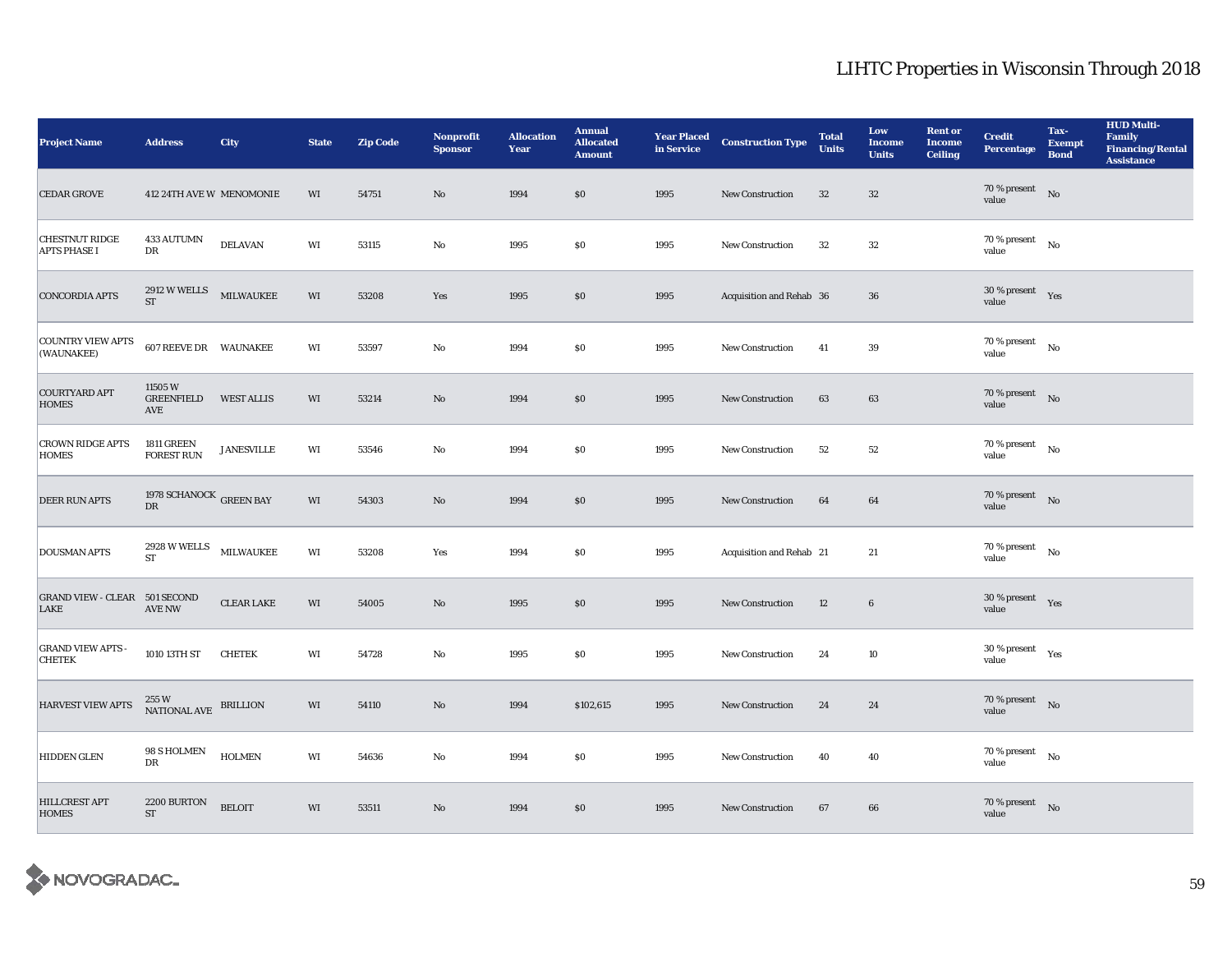| <b>Project Name</b>                          | <b>Address</b>                                               | City              | <b>State</b> | <b>Zip Code</b> | <b>Nonprofit</b><br><b>Sponsor</b> | <b>Allocation</b><br>Year | <b>Annual</b><br><b>Allocated</b><br><b>Amount</b> | <b>Year Placed<br/>in Service</b> | <b>Construction Type</b> | <b>Total</b><br><b>Units</b> | Low<br><b>Income</b><br><b>Units</b> | <b>Rent or</b><br><b>Income</b><br><b>Ceiling</b> | <b>Credit</b><br><b>Percentage</b>         | Tax-<br><b>Exempt</b><br><b>Bond</b> | <b>HUD Multi-</b><br>Family<br><b>Financing/Rental</b><br><b>Assistance</b> |
|----------------------------------------------|--------------------------------------------------------------|-------------------|--------------|-----------------|------------------------------------|---------------------------|----------------------------------------------------|-----------------------------------|--------------------------|------------------------------|--------------------------------------|---------------------------------------------------|--------------------------------------------|--------------------------------------|-----------------------------------------------------------------------------|
| <b>CEDAR GROVE</b>                           | 412 24TH AVE W MENOMONIE                                     |                   | WI           | 54751           | No                                 | 1994                      | \$0                                                | 1995                              | <b>New Construction</b>  | 32                           | 32                                   |                                                   | $70\%$ present No<br>value                 |                                      |                                                                             |
| <b>CHESTNUT RIDGE</b><br><b>APTS PHASE I</b> | 433 AUTUMN<br>DR                                             | <b>DELAVAN</b>    | WI           | 53115           | No                                 | 1995                      | \$0                                                | 1995                              | New Construction         | 32                           | 32                                   |                                                   | $70$ % present $\quad$ No $\quad$<br>value |                                      |                                                                             |
| <b>CONCORDIA APTS</b>                        | $2912$ W WELLS<br><b>ST</b>                                  | <b>MILWAUKEE</b>  | WI           | 53208           | Yes                                | 1995                      | \$0                                                | 1995                              | Acquisition and Rehab 36 |                              | 36                                   |                                                   | 30 % present $Yes$<br>value                |                                      |                                                                             |
| <b>COUNTRY VIEW APTS</b><br>(WAUNAKEE)       | <b>607 REEVE DR WAUNAKEE</b>                                 |                   | WI           | 53597           | No                                 | 1994                      | $\$0$                                              | 1995                              | <b>New Construction</b>  | 41                           | 39                                   |                                                   | 70 % present<br>value                      | $\mathbf{N}\mathbf{o}$               |                                                                             |
| <b>COURTYARD APT</b><br><b>HOMES</b>         | 11505W<br><b>GREENFIELD</b><br>AVE                           | <b>WEST ALLIS</b> | WI           | 53214           | No                                 | 1994                      | \$0                                                | 1995                              | <b>New Construction</b>  | 63                           | 63                                   |                                                   | 70 % present $\qquad$ No<br>value          |                                      |                                                                             |
| <b>CROWN RIDGE APTS</b><br><b>HOMES</b>      | 1811 GREEN<br><b>FOREST RUN</b>                              | <b>JANESVILLE</b> | WI           | 53546           | No                                 | 1994                      | \$0                                                | 1995                              | New Construction         | 52                           | 52                                   |                                                   | 70 % present<br>value                      | No                                   |                                                                             |
| <b>DEER RUN APTS</b>                         | 1978 SCHANOCK GREEN BAY<br>${\rm DR}$                        |                   | WI           | 54303           | No                                 | 1994                      | $\$0$                                              | 1995                              | New Construction         | 64                           | 64                                   |                                                   | 70 % present $\qquad$ No<br>value          |                                      |                                                                             |
| <b>DOUSMAN APTS</b>                          | $2928 \, \mathrm{W}\, \mathrm{WELLS}$ MILWAUKEE<br><b>ST</b> |                   | WI           | 53208           | Yes                                | 1994                      | \$0                                                | 1995                              | Acquisition and Rehab 21 |                              | 21                                   |                                                   | 70 % present<br>value                      | No                                   |                                                                             |
| <b>GRAND VIEW - CLEAR 501 SECOND</b><br>LAKE | <b>AVE NW</b>                                                | <b>CLEAR LAKE</b> | WI           | 54005           | No                                 | 1995                      | \$0                                                | 1995                              | <b>New Construction</b>  | 12                           | $6\phantom{.0}$                      |                                                   | $30\,\%$ present $\quad$ Yes<br>value      |                                      |                                                                             |
| <b>GRAND VIEW APTS -</b><br><b>CHETEK</b>    | 1010 13TH ST                                                 | <b>CHETEK</b>     | WI           | 54728           | No                                 | 1995                      | \$0\$                                              | 1995                              | New Construction         | 24                           | 10                                   |                                                   | 30 % present $\rm_{Yes}$<br>value          |                                      |                                                                             |
| HARVEST VIEW APTS                            | 255 W<br>NATIONAL AVE BRILLION                               |                   | WI           | 54110           | No                                 | 1994                      | \$102,615                                          | 1995                              | <b>New Construction</b>  | 24                           | 24                                   |                                                   | 70 % present $\qquad$ No<br>value          |                                      |                                                                             |
| <b>HIDDEN GLEN</b>                           | 98 S HOLMEN<br>DR                                            | <b>HOLMEN</b>     | WI           | 54636           | No                                 | 1994                      | \$0                                                | 1995                              | New Construction         | 40                           | 40                                   |                                                   | 70 % present<br>value                      | No                                   |                                                                             |
| <b>HILLCREST APT</b><br><b>HOMES</b>         | 2200 BURTON<br><b>ST</b>                                     | <b>BELOIT</b>     | WI           | 53511           | No                                 | 1994                      | \$0                                                | 1995                              | <b>New Construction</b>  | 67                           | 66                                   |                                                   | $70$ % present $\;\;$ No $\;\;$<br>value   |                                      |                                                                             |

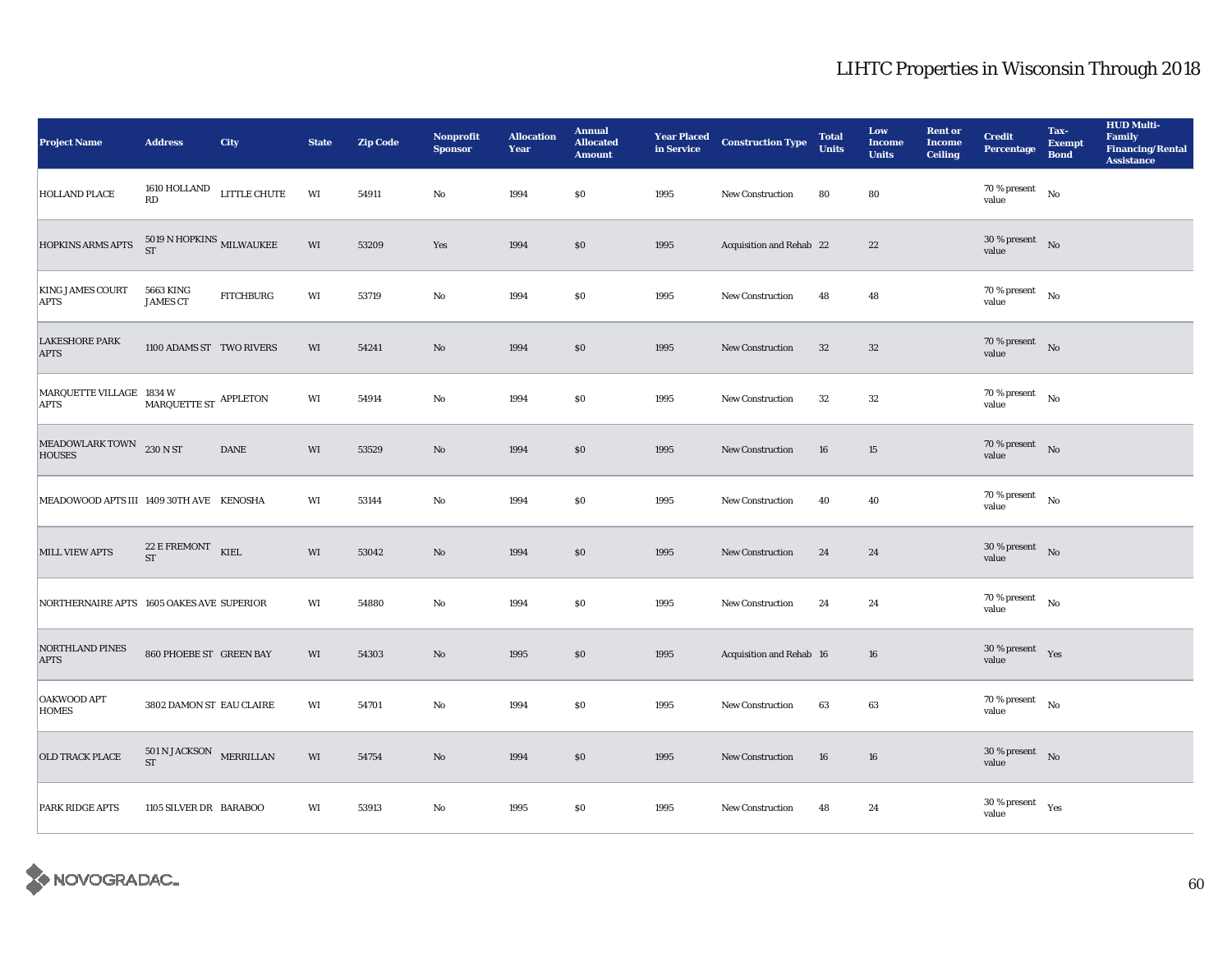| <b>Project Name</b>                       | <b>Address</b>                          | City                      | <b>State</b> | <b>Zip Code</b> | Nonprofit<br><b>Sponsor</b> | <b>Allocation</b><br>Year | <b>Annual</b><br><b>Allocated</b><br><b>Amount</b> | <b>Year Placed<br/>in Service</b> | <b>Construction Type</b> | <b>Total</b><br><b>Units</b> | Low<br><b>Income</b><br><b>Units</b> | <b>Rent or</b><br><b>Income</b><br><b>Ceiling</b> | <b>Credit</b><br><b>Percentage</b>           | Tax-<br><b>Exempt</b><br><b>Bond</b> | <b>HUD Multi-</b><br>Family<br><b>Financing/Rental</b><br><b>Assistance</b> |
|-------------------------------------------|-----------------------------------------|---------------------------|--------------|-----------------|-----------------------------|---------------------------|----------------------------------------------------|-----------------------------------|--------------------------|------------------------------|--------------------------------------|---------------------------------------------------|----------------------------------------------|--------------------------------------|-----------------------------------------------------------------------------|
| HOLLAND PLACE                             | RD                                      | 1610 HOLLAND LITTLE CHUTE | WI           | 54911           | No                          | 1994                      | $\$0$                                              | 1995                              | <b>New Construction</b>  | 80                           | 80                                   |                                                   | 70 % present<br>value                        | No                                   |                                                                             |
| HOPKINS ARMS APTS                         | $5019$ N HOPKINS $_{\rm MLWAUKEE}$ ST   |                           | WI           | 53209           | Yes                         | 1994                      | \$0                                                | 1995                              | Acquisition and Rehab 22 |                              | 22                                   |                                                   | $30$ % present $$\rm{No}$$<br>value          |                                      |                                                                             |
| <b>KING JAMES COURT</b><br><b>APTS</b>    | 5663 KING<br><b>JAMES CT</b>            | <b>FITCHBURG</b>          | WI           | 53719           | No                          | 1994                      | $\$0$                                              | 1995                              | New Construction         | 48                           | 48                                   |                                                   | $70$ % present<br>value                      | No                                   |                                                                             |
| <b>LAKESHORE PARK</b><br><b>APTS</b>      | 1100 ADAMS ST TWO RIVERS                |                           | WI           | 54241           | No                          | 1994                      | $\$0$                                              | 1995                              | <b>New Construction</b>  | 32                           | $32\,$                               |                                                   | 70 % present $\qquad$ No<br>value            |                                      |                                                                             |
| MARQUETTE VILLAGE 1834 W<br><b>APTS</b>   | $\mbox{MARQUETTE}\, \mbox{ST}$ APPLETON |                           | WI           | 54914           | No                          | 1994                      | $\$0$                                              | 1995                              | <b>New Construction</b>  | 32                           | 32                                   |                                                   | 70 % present $$\rm{No}$$<br>value            |                                      |                                                                             |
| MEADOWLARK TOWN 230 N ST<br><b>HOUSES</b> |                                         | <b>DANE</b>               | WI           | 53529           | No                          | 1994                      | \$0                                                | 1995                              | New Construction         | 16                           | $15\,$                               |                                                   | 70 % present $\qquad$ No<br>value            |                                      |                                                                             |
| MEADOWOOD APTS III 1409 30TH AVE KENOSHA  |                                         |                           | WI           | 53144           | No                          | 1994                      | $\$0$                                              | 1995                              | New Construction         | 40                           | 40                                   |                                                   | $70$ % present $$\rm{No}$$<br>value          |                                      |                                                                             |
| <b>MILL VIEW APTS</b>                     | 22 E FREMONT KIEL<br>$ST$               |                           | WI           | 53042           | No                          | 1994                      | $\$0$                                              | 1995                              | New Construction         | 24                           | 24                                   |                                                   | $30$ % present $\;\;$ No $\;$<br>value       |                                      |                                                                             |
| NORTHERNAIRE APTS 1605 OAKES AVE SUPERIOR |                                         |                           | WI           | 54880           | No                          | 1994                      | \$0                                                | 1995                              | <b>New Construction</b>  | 24                           | 24                                   |                                                   | 70 % present<br>value                        | No                                   |                                                                             |
| <b>NORTHLAND PINES</b><br><b>APTS</b>     | 860 PHOEBE ST GREEN BAY                 |                           | WI           | 54303           | No                          | 1995                      | $\$0$                                              | 1995                              | Acquisition and Rehab 16 |                              | 16                                   |                                                   | 30 % present $\gamma_{\rm{ES}}$<br>value     |                                      |                                                                             |
| OAKWOOD APT<br><b>HOMES</b>               | 3802 DAMON ST EAU CLAIRE                |                           | WI           | 54701           | No                          | 1994                      | $\$0$                                              | 1995                              | <b>New Construction</b>  | 63                           | $\bf63$                              |                                                   | $70$ % present $$\rm{No}$$<br>value          |                                      |                                                                             |
| OLD TRACK PLACE                           | $501$ N JACKSON $$\tt MERRILLAN$$ ST    |                           | WI           | 54754           | No                          | 1994                      | $\$0$                                              | 1995                              | New Construction         | 16                           | 16                                   |                                                   | $30$ % present $\;\;$ No $\;$<br>value       |                                      |                                                                             |
| <b>PARK RIDGE APTS</b>                    | 1105 SILVER DR BARABOO                  |                           | WI           | 53913           | No                          | 1995                      | \$0                                                | 1995                              | <b>New Construction</b>  | 48                           | 24                                   |                                                   | $30$ % present $\quad$ $_{\rm Yes}$<br>value |                                      |                                                                             |

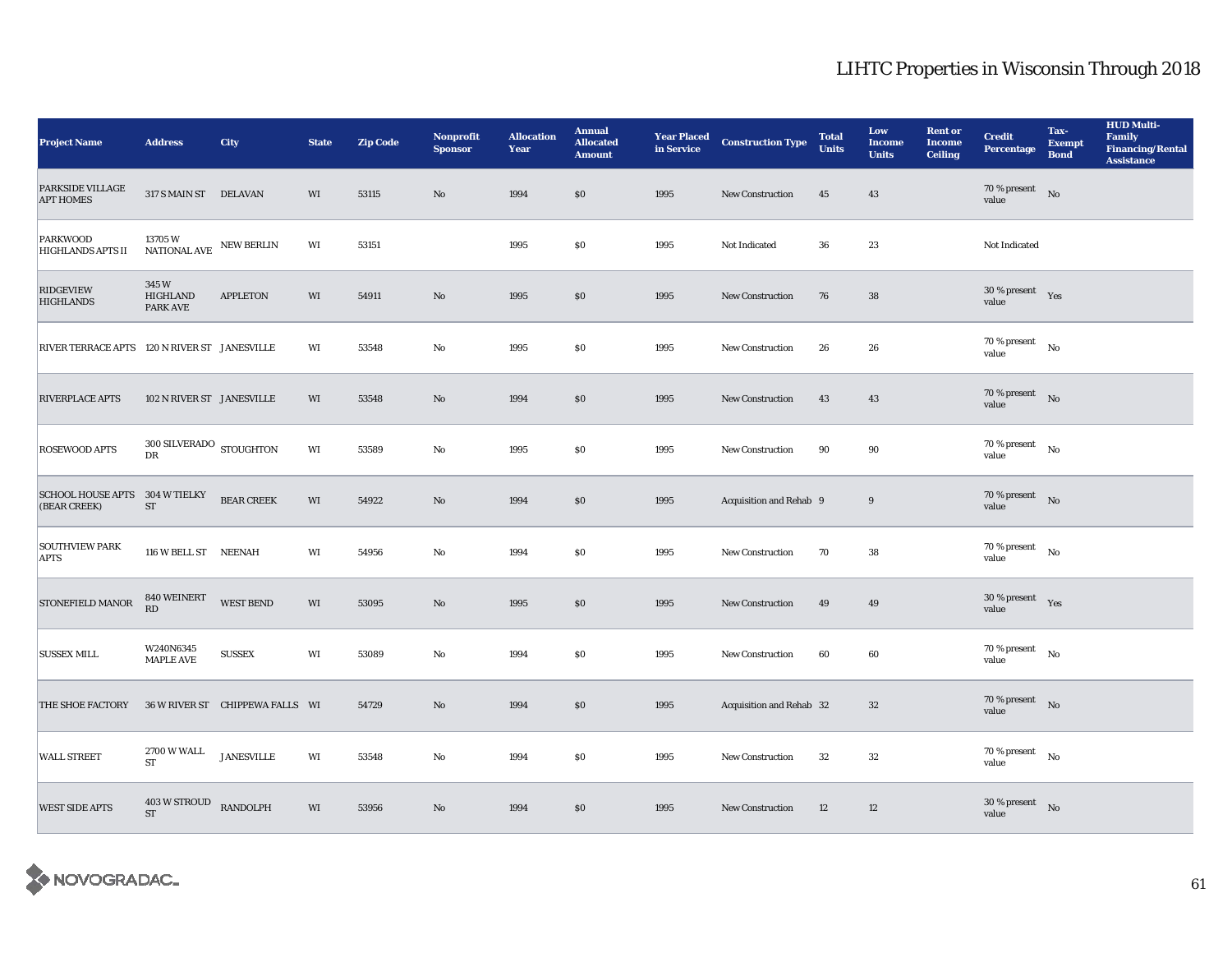| <b>Project Name</b>                            | <b>Address</b>                                                                                                                                                                                                 | City                            | <b>State</b> | <b>Zip Code</b> | Nonprofit<br><b>Sponsor</b> | <b>Allocation</b><br>Year | <b>Annual</b><br><b>Allocated</b><br><b>Amount</b> | <b>Year Placed<br/>in Service</b> | <b>Construction Type</b> | <b>Total</b><br><b>Units</b> | Low<br><b>Income</b><br><b>Units</b> | <b>Rent or</b><br><b>Income</b><br><b>Ceiling</b> | <b>Credit</b><br><b>Percentage</b>          | Tax-<br><b>Exempt</b><br><b>Bond</b> | <b>HUD Multi-</b><br><b>Family</b><br><b>Financing/Rental</b><br><b>Assistance</b> |
|------------------------------------------------|----------------------------------------------------------------------------------------------------------------------------------------------------------------------------------------------------------------|---------------------------------|--------------|-----------------|-----------------------------|---------------------------|----------------------------------------------------|-----------------------------------|--------------------------|------------------------------|--------------------------------------|---------------------------------------------------|---------------------------------------------|--------------------------------------|------------------------------------------------------------------------------------|
| PARKSIDE VILLAGE<br><b>APT HOMES</b>           | 317 S MAIN ST DELAVAN                                                                                                                                                                                          |                                 | WI           | 53115           | $\mathbf{No}$               | 1994                      | \$0                                                | 1995                              | <b>New Construction</b>  | 45                           | 43                                   |                                                   | $70\%$ present No<br>value                  |                                      |                                                                                    |
| <b>PARKWOOD</b><br><b>HIGHLANDS APTS II</b>    | 13705 W<br>$\begin{tabular}{ll} \multicolumn{2}{c}{\textbf{N}} & \multicolumn{2}{c}{\textbf{NEW} BERLIN} \\ \multicolumn{2}{c}{\textbf{NATIONAL} AVE} & \multicolumn{2}{c}{\textbf{NEW} BERLIN} \end{tabular}$ |                                 | WI           | 53151           |                             | 1995                      | $\$0$                                              | 1995                              | Not Indicated            | 36                           | 23                                   |                                                   | Not Indicated                               |                                      |                                                                                    |
| <b>RIDGEVIEW</b><br><b>HIGHLANDS</b>           | 345W<br>HIGHLAND<br><b>PARK AVE</b>                                                                                                                                                                            | <b>APPLETON</b>                 | WI           | 54911           | No                          | 1995                      | \$0                                                | 1995                              | <b>New Construction</b>  | 76                           | 38                                   |                                                   | $30$ % present $\quad$ Yes<br>value         |                                      |                                                                                    |
| RIVER TERRACE APTS 120 N RIVER ST JANESVILLE   |                                                                                                                                                                                                                |                                 | WI           | 53548           | No                          | 1995                      | $\$0$                                              | 1995                              | New Construction         | 26                           | $\bf 26$                             |                                                   | $70$ % present $$N{\rm o}$$<br>value        |                                      |                                                                                    |
| <b>RIVERPLACE APTS</b>                         | 102 N RIVER ST JANESVILLE                                                                                                                                                                                      |                                 | WI           | 53548           | No                          | 1994                      | $\$0$                                              | 1995                              | New Construction         | 43                           | 43                                   |                                                   | 70 % present $\qquad N$ o<br>value          |                                      |                                                                                    |
| ROSEWOOD APTS                                  | $300$ SILVERADO $\,$ STOUGHTON<br>$_{\rm DR}$                                                                                                                                                                  |                                 | WI           | 53589           | No                          | 1995                      | $\$0$                                              | 1995                              | New Construction         | 90                           | 90                                   |                                                   | 70 % present<br>value                       | No                                   |                                                                                    |
| SCHOOL HOUSE APTS 304 W TIELKY<br>(BEAR CREEK) | <b>ST</b>                                                                                                                                                                                                      | <b>BEAR CREEK</b>               | WI           | 54922           | No                          | 1994                      | \$0                                                | 1995                              | Acquisition and Rehab 9  |                              | 9                                    |                                                   | $70$ % present $$\rm{No}$$<br>value         |                                      |                                                                                    |
| <b>SOUTHVIEW PARK</b><br><b>APTS</b>           | 116 W BELL ST NEENAH                                                                                                                                                                                           |                                 | WI           | 54956           | No                          | 1994                      | \$0                                                | 1995                              | New Construction         | 70                           | ${\bf 38}$                           |                                                   | $70$ % present $$N{\rm o}$$<br>value        |                                      |                                                                                    |
| STONEFIELD MANOR                               | 840 WEINERT<br>RD                                                                                                                                                                                              | <b>WEST BEND</b>                | WI           | 53095           | $\rm No$                    | 1995                      | $\$0$                                              | 1995                              | New Construction         | 49                           | 49                                   |                                                   | $30\,\%$ present $\quad$ Yes<br>value       |                                      |                                                                                    |
| <b>SUSSEX MILL</b>                             | W240N6345<br>MAPLE AVE                                                                                                                                                                                         | <b>SUSSEX</b>                   | WI           | 53089           | No                          | 1994                      | $\$0$                                              | 1995                              | <b>New Construction</b>  | 60                           | 60                                   |                                                   | $70$ % present $\quad$ No $\quad$<br>value  |                                      |                                                                                    |
| <b>THE SHOE FACTORY</b>                        |                                                                                                                                                                                                                | 36 W RIVER ST CHIPPEWA FALLS WI |              | 54729           | No                          | 1994                      | \$0                                                | 1995                              | Acquisition and Rehab 32 |                              | 32                                   |                                                   | $70\%$ present No<br>value                  |                                      |                                                                                    |
| <b>WALL STREET</b>                             | 2700 W WALL<br>$\operatorname{ST}$                                                                                                                                                                             | <b>JANESVILLE</b>               | WI           | 53548           | No                          | 1994                      | \$0                                                | 1995                              | New Construction         | 32                           | $32\,$                               |                                                   | $70$ % present $\quad$ $_{\rm No}$<br>value |                                      |                                                                                    |
| <b>WEST SIDE APTS</b>                          | 403 W STROUD RANDOLPH<br><b>ST</b>                                                                                                                                                                             |                                 | WI           | 53956           | No                          | 1994                      | \$0                                                | 1995                              | <b>New Construction</b>  | 12                           | 12                                   |                                                   | $30$ % present $\;\;$ No $\;$<br>value      |                                      |                                                                                    |

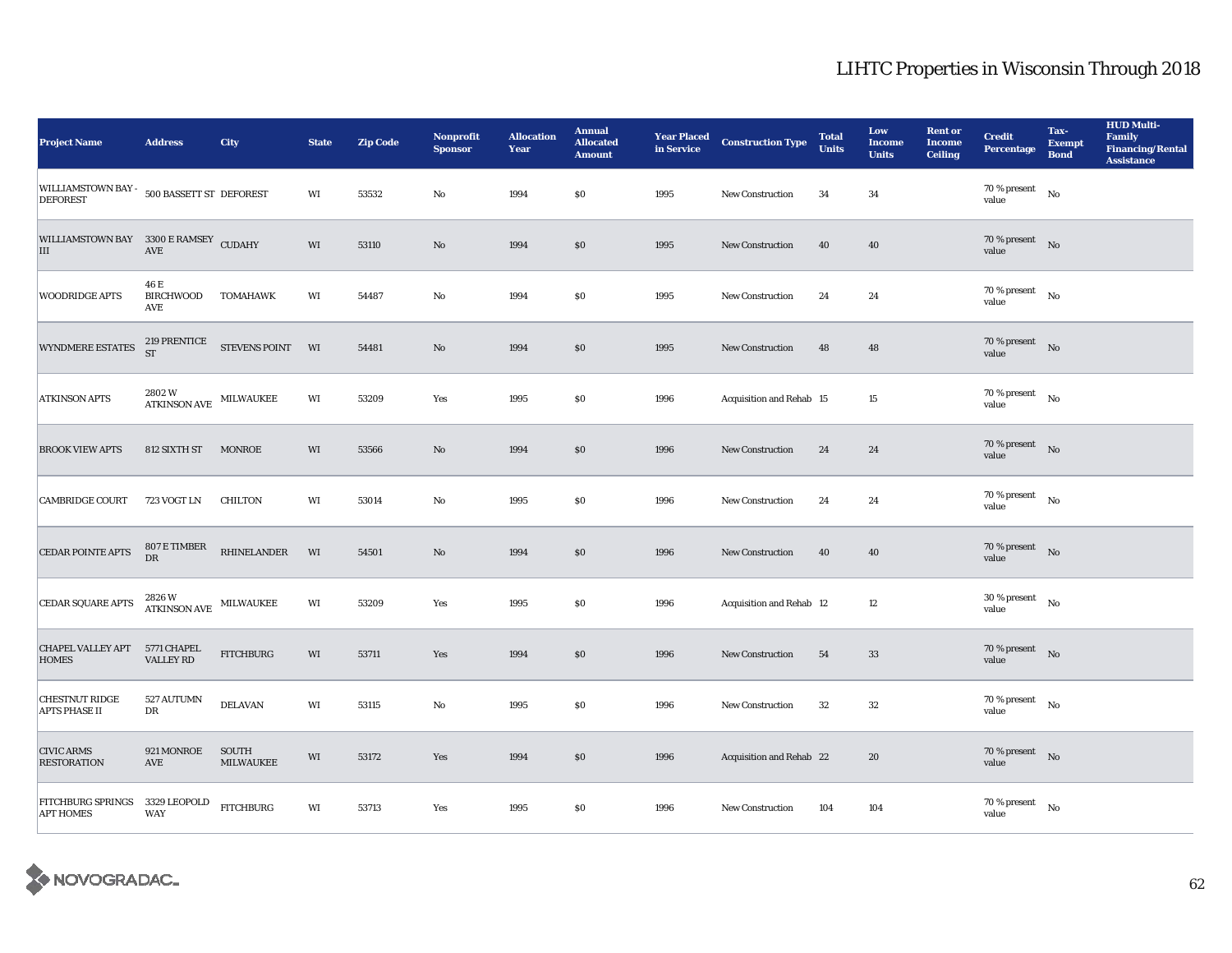| <b>Project Name</b>                                           | <b>Address</b>                                           | City                             | <b>State</b>           | <b>Zip Code</b> | Nonprofit<br><b>Sponsor</b> | <b>Allocation</b><br>Year | <b>Annual</b><br><b>Allocated</b><br><b>Amount</b> | <b>Year Placed<br/>in Service</b> | <b>Construction Type</b> | <b>Total</b><br><b>Units</b> | Low<br><b>Income</b><br><b>Units</b> | <b>Rent or</b><br><b>Income</b><br><b>Ceiling</b> | <b>Credit</b><br><b>Percentage</b>          | Tax-<br><b>Exempt</b><br><b>Bond</b> | <b>HUD Multi-</b><br><b>Family</b><br><b>Financing/Rental</b><br><b>Assistance</b> |
|---------------------------------------------------------------|----------------------------------------------------------|----------------------------------|------------------------|-----------------|-----------------------------|---------------------------|----------------------------------------------------|-----------------------------------|--------------------------|------------------------------|--------------------------------------|---------------------------------------------------|---------------------------------------------|--------------------------------------|------------------------------------------------------------------------------------|
| WILLIAMSTOWN BAY - 500 BASSETT ST DEFOREST<br><b>DEFOREST</b> |                                                          |                                  | WI                     | 53532           | No                          | 1994                      | \$0                                                | 1995                              | <b>New Construction</b>  | 34                           | 34                                   |                                                   | 70 % present<br>value                       | No                                   |                                                                                    |
| WILLIAMSTOWN BAY 3300 E RAMSEY CUDAHY<br>III                  | AVE                                                      |                                  | WI                     | 53110           | No                          | 1994                      | \$0                                                | 1995                              | New Construction         | 40                           | 40                                   |                                                   | 70 % present No<br>value                    |                                      |                                                                                    |
| <b>WOODRIDGE APTS</b>                                         | 46 E<br><b>BIRCHWOOD</b><br><b>AVE</b>                   | <b>TOMAHAWK</b>                  | WI                     | 54487           | No                          | 1994                      | $\$0$                                              | 1995                              | New Construction         | 24                           | 24                                   |                                                   | $70$ % present $$N{\rm o}$$<br>value        |                                      |                                                                                    |
| <b>WYNDMERE ESTATES</b>                                       | 219 PRENTICE<br>ST                                       | STEVENS POINT WI                 |                        | 54481           | No                          | 1994                      | $\$0$                                              | 1995                              | <b>New Construction</b>  | 48                           | 48                                   |                                                   | $70\%$ present No<br>value                  |                                      |                                                                                    |
| <b>ATKINSON APTS</b>                                          | $2802\,\mathrm{W}$ MILWAUKEE ATKINSON AVE $\,$ MILWAUKEE |                                  | WI                     | 53209           | Yes                         | 1995                      | \$0                                                | 1996                              | Acquisition and Rehab 15 |                              | $15\,$                               |                                                   | $70$ % present $$N{\rm o}$$<br>value        |                                      |                                                                                    |
| <b>BROOK VIEW APTS</b>                                        | 812 SIXTH ST                                             | <b>MONROE</b>                    | WI                     | 53566           | No                          | 1994                      | \$0                                                | 1996                              | <b>New Construction</b>  | 24                           | 24                                   |                                                   | $70$ % present $$\rm{No}$$<br>value         |                                      |                                                                                    |
| <b>CAMBRIDGE COURT</b>                                        | <b>723 VOGT LN</b>                                       | <b>CHILTON</b>                   | WI                     | 53014           | No                          | 1995                      | $\$0$                                              | 1996                              | New Construction         | 24                           | 24                                   |                                                   | $70$ % present $$N\rm o$$<br>value          |                                      |                                                                                    |
| <b>CEDAR POINTE APTS</b>                                      | 807 E TIMBER<br>${\rm DR}$                               | RHINELANDER                      | WI                     | 54501           | No                          | 1994                      | \$0                                                | 1996                              | <b>New Construction</b>  | 40                           | 40                                   |                                                   | $70\%$ present No<br>value                  |                                      |                                                                                    |
| <b>CEDAR SQUARE APTS</b>                                      | $2826\ \mathrm{W}$ MILWAUKEE ATKINSON AVE $\,$ MILWAUKEE |                                  | WI                     | 53209           | Yes                         | 1995                      | \$0                                                | 1996                              | Acquisition and Rehab 12 |                              | $12\phantom{.0}$                     |                                                   | $30$ % present $\hbox{~~No}$<br>value       |                                      |                                                                                    |
| <b>CHAPEL VALLEY APT</b><br><b>HOMES</b>                      | 5771 CHAPEL<br><b>VALLEY RD</b>                          | <b>FITCHBURG</b>                 | $\mathbf{W}\mathbf{I}$ | 53711           | Yes                         | 1994                      | $\$0$                                              | 1996                              | New Construction         | 54                           | 33                                   |                                                   | $70\%$ present No<br>value                  |                                      |                                                                                    |
| <b>CHESTNUT RIDGE</b><br><b>APTS PHASE II</b>                 | 527 AUTUMN<br>${\rm DR}$                                 | <b>DELAVAN</b>                   | WI                     | 53115           | No                          | 1995                      | $\$0$                                              | 1996                              | <b>New Construction</b>  | 32                           | $32\,$                               |                                                   | $70$ % present $$N{\rm o}$$<br>value        |                                      |                                                                                    |
| <b>CIVIC ARMS</b><br><b>RESTORATION</b>                       | 921 MONROE<br>AVE                                        | <b>SOUTH</b><br><b>MILWAUKEE</b> | WI                     | 53172           | Yes                         | 1994                      | \$0                                                | 1996                              | Acquisition and Rehab 22 |                              | 20                                   |                                                   | $70$ % present $$\rm{No}$$<br>value         |                                      |                                                                                    |
| FITCHBURG SPRINGS<br><b>APT HOMES</b>                         | 3329 LEOPOLD<br><b>WAY</b>                               | <b>FITCHBURG</b>                 | WI                     | 53713           | Yes                         | 1995                      | $\$0$                                              | 1996                              | <b>New Construction</b>  | 104                          | 104                                  |                                                   | $70$ % present $\quad$ $_{\rm No}$<br>value |                                      |                                                                                    |

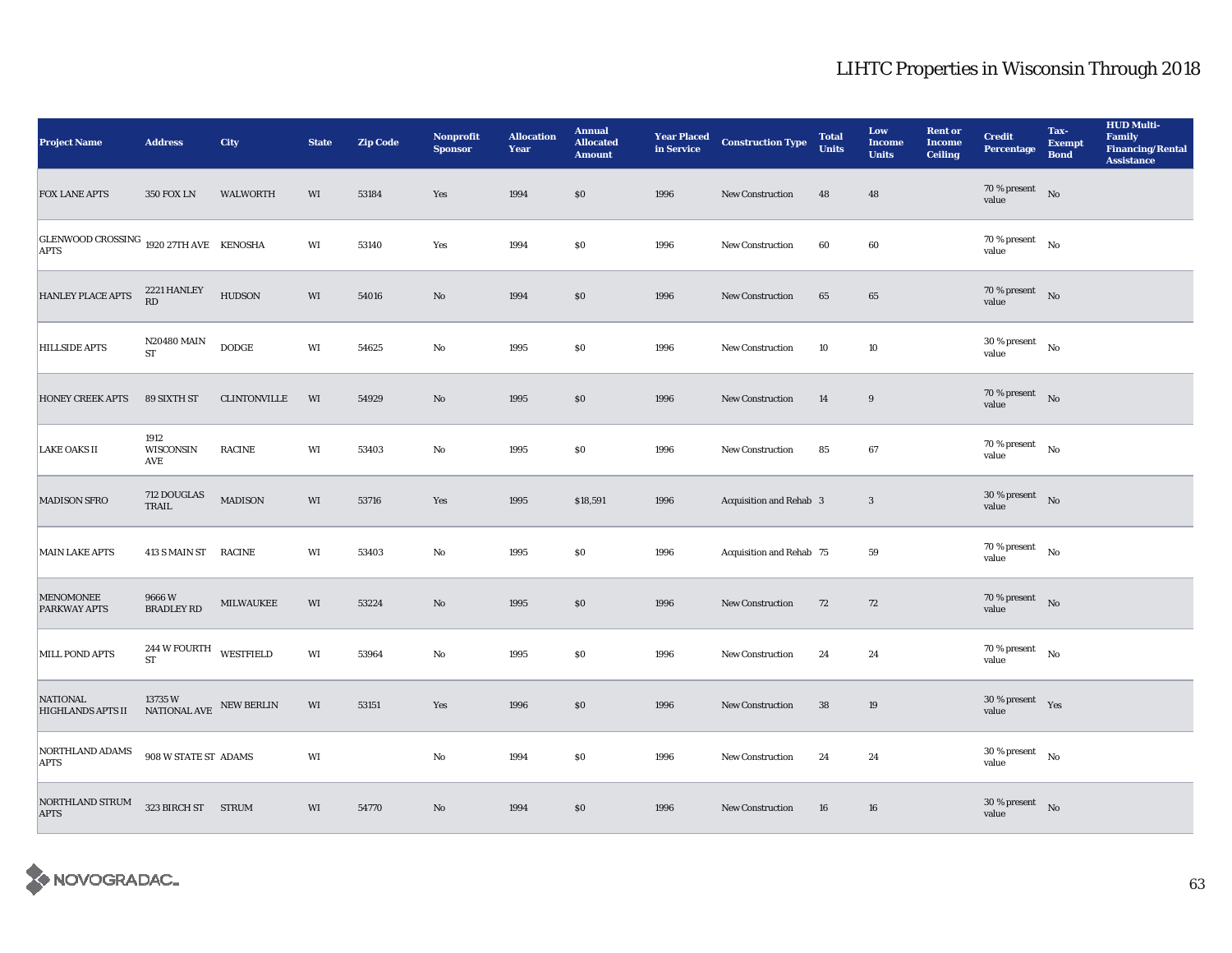| <b>Project Name</b>                                    | <b>Address</b>                      | City                | <b>State</b> | <b>Zip Code</b> | Nonprofit<br><b>Sponsor</b> | <b>Allocation</b><br>Year | <b>Annual</b><br><b>Allocated</b><br><b>Amount</b> | <b>Year Placed<br/>in Service</b> | <b>Construction Type</b> | <b>Total</b><br><b>Units</b> | Low<br><b>Income</b><br><b>Units</b> | <b>Rent or</b><br><b>Income</b><br><b>Ceiling</b> | <b>Credit</b><br><b>Percentage</b>         | Tax-<br><b>Exempt</b><br><b>Bond</b> | <b>HUD Multi-</b><br>Family<br><b>Financing/Rental</b><br><b>Assistance</b> |
|--------------------------------------------------------|-------------------------------------|---------------------|--------------|-----------------|-----------------------------|---------------------------|----------------------------------------------------|-----------------------------------|--------------------------|------------------------------|--------------------------------------|---------------------------------------------------|--------------------------------------------|--------------------------------------|-----------------------------------------------------------------------------|
| <b>FOX LANE APTS</b>                                   | <b>350 FOX LN</b>                   | <b>WALWORTH</b>     | WI           | 53184           | Yes                         | 1994                      | $\$0$                                              | 1996                              | New Construction         | 48                           | 48                                   |                                                   | $70\%$ present No<br>value                 |                                      |                                                                             |
| GLENWOOD CROSSING 1920 27TH AVE KENOSHA<br><b>APTS</b> |                                     |                     | WI           | 53140           | Yes                         | 1994                      | $\$0$                                              | 1996                              | New Construction         | 60                           | 60                                   |                                                   | 70 % present $$\rm{No}$$<br>value          |                                      |                                                                             |
| HANLEY PLACE APTS                                      | 2221 HANLEY<br>RD                   | <b>HUDSON</b>       | WI           | 54016           | $\mathbf{No}$               | 1994                      | $\$0$                                              | 1996                              | <b>New Construction</b>  | 65                           | 65                                   |                                                   | 70 % present $\qquad$ No<br>value          |                                      |                                                                             |
| <b>HILLSIDE APTS</b>                                   | $\rm N20480$ MAIN<br>ST             | <b>DODGE</b>        | WI           | 54625           | No                          | 1995                      | $\$0$                                              | 1996                              | New Construction         | 10                           | 10                                   |                                                   | $30$ % present $$\rm{No}$$<br>value        |                                      |                                                                             |
| <b>HONEY CREEK APTS</b>                                | 89 SIXTH ST                         | <b>CLINTONVILLE</b> | WI           | 54929           | No                          | 1995                      | \$0                                                | 1996                              | <b>New Construction</b>  | 14                           | 9                                    |                                                   | 70 % present $\qquad$ No<br>value          |                                      |                                                                             |
| <b>LAKE OAKS II</b>                                    | 1912<br>WISCONSIN<br>AVE            | <b>RACINE</b>       | WI           | 53403           | No                          | 1995                      | \$0                                                | 1996                              | <b>New Construction</b>  | 85                           | 67                                   |                                                   | 70 % present $\qquad$ No<br>value          |                                      |                                                                             |
| <b>MADISON SFRO</b>                                    | 712 DOUGLAS<br>TRAIL                | <b>MADISON</b>      | WI           | 53716           | Yes                         | 1995                      | \$18,591                                           | 1996                              | Acquisition and Rehab 3  |                              | $\mathbf{3}$                         |                                                   | $30$ % present $$\rm{No}$$<br>value        |                                      |                                                                             |
| <b>MAIN LAKE APTS</b>                                  | 413 S MAIN ST RACINE                |                     | WI           | 53403           | No                          | 1995                      | \$0                                                | 1996                              | Acquisition and Rehab 75 |                              | 59                                   |                                                   | 70 % present $$\rm{No}$$<br>value          |                                      |                                                                             |
| <b>MENOMONEE</b><br><b>PARKWAY APTS</b>                | 9666W<br><b>BRADLEY RD</b>          | MILWAUKEE           | WI           | 53224           | No                          | 1995                      | \$0                                                | 1996                              | New Construction         | 72                           | 72                                   |                                                   | 70 % present $\qquad$ No<br>value          |                                      |                                                                             |
| MILL POND APTS                                         | 244 W FOURTH WESTFIELD<br><b>ST</b> |                     | WI           | 53964           | No                          | 1995                      | $\$0$                                              | 1996                              | <b>New Construction</b>  | 24                           | 24                                   |                                                   | $70$ % present $\quad$ No $\quad$<br>value |                                      |                                                                             |
| <b>NATIONAL</b><br><b>HIGHLANDS APTS II</b>            | 13735W<br>NATIONAL AVE NEW BERLIN   |                     | WI           | 53151           | Yes                         | 1996                      | $\$0$                                              | 1996                              | New Construction         | 38                           | 19                                   |                                                   | $30\,\%$ present $\quad$ Yes<br>value      |                                      |                                                                             |
| NORTHLAND ADAMS<br><b>APTS</b>                         | 908 W STATE ST ADAMS                |                     | WI           |                 | No                          | 1994                      | \$0                                                | 1996                              | <b>New Construction</b>  | 24                           | 24                                   |                                                   | $30\,\%$ present $$$ No $$$<br>value       |                                      |                                                                             |
| NORTHLAND STRUM<br><b>APTS</b>                         | 323 BIRCH ST<br>STRUM               |                     | WI           | 54770           | No                          | 1994                      | $\$0$                                              | 1996                              | New Construction         | 16                           | 16                                   |                                                   | $30\,\%$ present $$$ No $$$<br>value       |                                      |                                                                             |

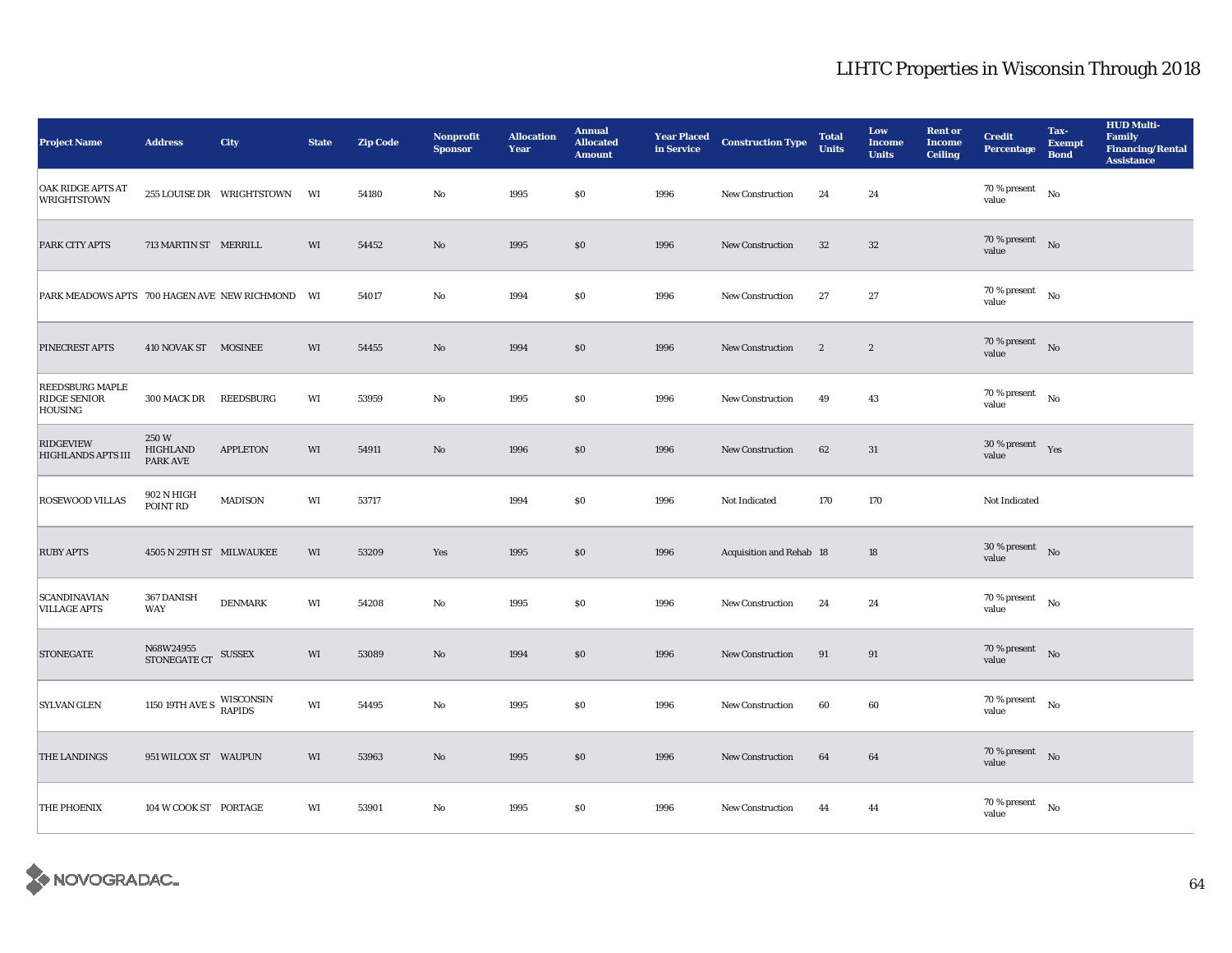| <b>Project Name</b>                                      | <b>Address</b>                                                  | City                      | <b>State</b>           | <b>Zip Code</b> | Nonprofit<br><b>Sponsor</b> | <b>Allocation</b><br>Year | <b>Annual</b><br><b>Allocated</b><br><b>Amount</b> | <b>Year Placed<br/>in Service</b> | <b>Construction Type</b> | <b>Total</b><br><b>Units</b> | Low<br><b>Income</b><br><b>Units</b> | <b>Rent or</b><br><b>Income</b><br><b>Ceiling</b> | <b>Credit</b><br><b>Percentage</b>  | Tax-<br><b>Exempt</b><br><b>Bond</b> | <b>HUD Multi-</b><br>Family<br><b>Financing/Rental</b><br><b>Assistance</b> |
|----------------------------------------------------------|-----------------------------------------------------------------|---------------------------|------------------------|-----------------|-----------------------------|---------------------------|----------------------------------------------------|-----------------------------------|--------------------------|------------------------------|--------------------------------------|---------------------------------------------------|-------------------------------------|--------------------------------------|-----------------------------------------------------------------------------|
| OAK RIDGE APTS AT<br><b>WRIGHTSTOWN</b>                  |                                                                 | 255 LOUISE DR WRIGHTSTOWN | WI                     | 54180           | No                          | 1995                      | \$0                                                | 1996                              | <b>New Construction</b>  | 24                           | 24                                   |                                                   | 70 % present<br>value               | No                                   |                                                                             |
| PARK CITY APTS                                           | 713 MARTIN ST MERRILL                                           |                           | WI                     | 54452           | No                          | 1995                      | \$0                                                | 1996                              | <b>New Construction</b>  | $32\,$                       | $32\,$                               |                                                   | 70 % present $\qquad$ No<br>value   |                                      |                                                                             |
| PARK MEADOWS APTS 700 HAGEN AVE NEW RICHMOND WI          |                                                                 |                           |                        | 54017           | No                          | 1994                      | $\$0$                                              | 1996                              | New Construction         | 27                           | $\sqrt{27}$                          |                                                   | 70 % present<br>value               | No                                   |                                                                             |
| PINECREST APTS                                           | 410 NOVAK ST MOSINEE                                            |                           | WI                     | 54455           | $\mathbf{No}$               | 1994                      | $\$0$                                              | 1996                              | <b>New Construction</b>  | $\boldsymbol{2}$             | $\mathbf{2}$                         |                                                   | $70\%$ present No<br>value          |                                      |                                                                             |
| <b>REEDSBURG MAPLE</b><br><b>RIDGE SENIOR</b><br>HOUSING | 300 MACK DR                                                     | REEDSBURG                 | WI                     | 53959           | No                          | 1995                      | \$0                                                | 1996                              | <b>New Construction</b>  | 49                           | 43                                   |                                                   | 70 % present<br>value               | No                                   |                                                                             |
| <b>RIDGEVIEW</b><br><b>HIGHLANDS APTS III</b>            | 250W<br><b>HIGHLAND</b><br><b>PARK AVE</b>                      | <b>APPLETON</b>           | WI                     | 54911           | No                          | 1996                      | \$0                                                | 1996                              | <b>New Construction</b>  | 62                           | 31                                   |                                                   | $30$ % present $\quad$ Yes<br>value |                                      |                                                                             |
| <b>ROSEWOOD VILLAS</b>                                   | 902 N HIGH<br>POINT RD                                          | <b>MADISON</b>            | WI                     | 53717           |                             | 1994                      | $\$0$                                              | 1996                              | Not Indicated            | 170                          | 170                                  |                                                   | Not Indicated                       |                                      |                                                                             |
| <b>RUBY APTS</b>                                         | 4505 N 29TH ST MILWAUKEE                                        |                           | WI                     | 53209           | Yes                         | 1995                      | \$0                                                | 1996                              | Acquisition and Rehab 18 |                              | 18                                   |                                                   | $30$ % present $$\rm{No}$$<br>value |                                      |                                                                             |
| <b>SCANDINAVIAN</b><br><b>VILLAGE APTS</b>               | 367 DANISH<br><b>WAY</b>                                        | <b>DENMARK</b>            | WI                     | 54208           | No                          | 1995                      | \$0                                                | 1996                              | <b>New Construction</b>  | 24                           | 24                                   |                                                   | 70 % present<br>value               | No                                   |                                                                             |
| <b>STONEGATE</b>                                         | N68W24955<br>STONEGATE CT                                       | <b>SUSSEX</b>             | WI                     | 53089           | No                          | 1994                      | $\$0$                                              | 1996                              | New Construction         | 91                           | 91                                   |                                                   | 70 % present $\qquad$ No<br>value   |                                      |                                                                             |
| <b>SYLVAN GLEN</b>                                       | 1150 19TH AVE S $\frac{\text{WISCO} \text{NS} }{\text{RAPIDS}}$ |                           | $\mathbf{W}\mathbf{I}$ | 54495           | No                          | 1995                      | $\$0$                                              | 1996                              | <b>New Construction</b>  | 60                           | 60                                   |                                                   | 70 % present<br>value               | $\mathbf{N}\mathbf{o}$               |                                                                             |
| THE LANDINGS                                             | 951 WILCOX ST WAUPUN                                            |                           | WI                     | 53963           | No                          | 1995                      | $\$0$                                              | 1996                              | New Construction         | 64                           | 64                                   |                                                   | 70 % present $\qquad$ No<br>value   |                                      |                                                                             |
| <b>THE PHOENIX</b>                                       | 104 W COOK ST PORTAGE                                           |                           | WI                     | 53901           | No                          | 1995                      | \$0                                                | 1996                              | <b>New Construction</b>  | 44                           | 44                                   |                                                   | $70\,\%$ present<br>value           | No                                   |                                                                             |

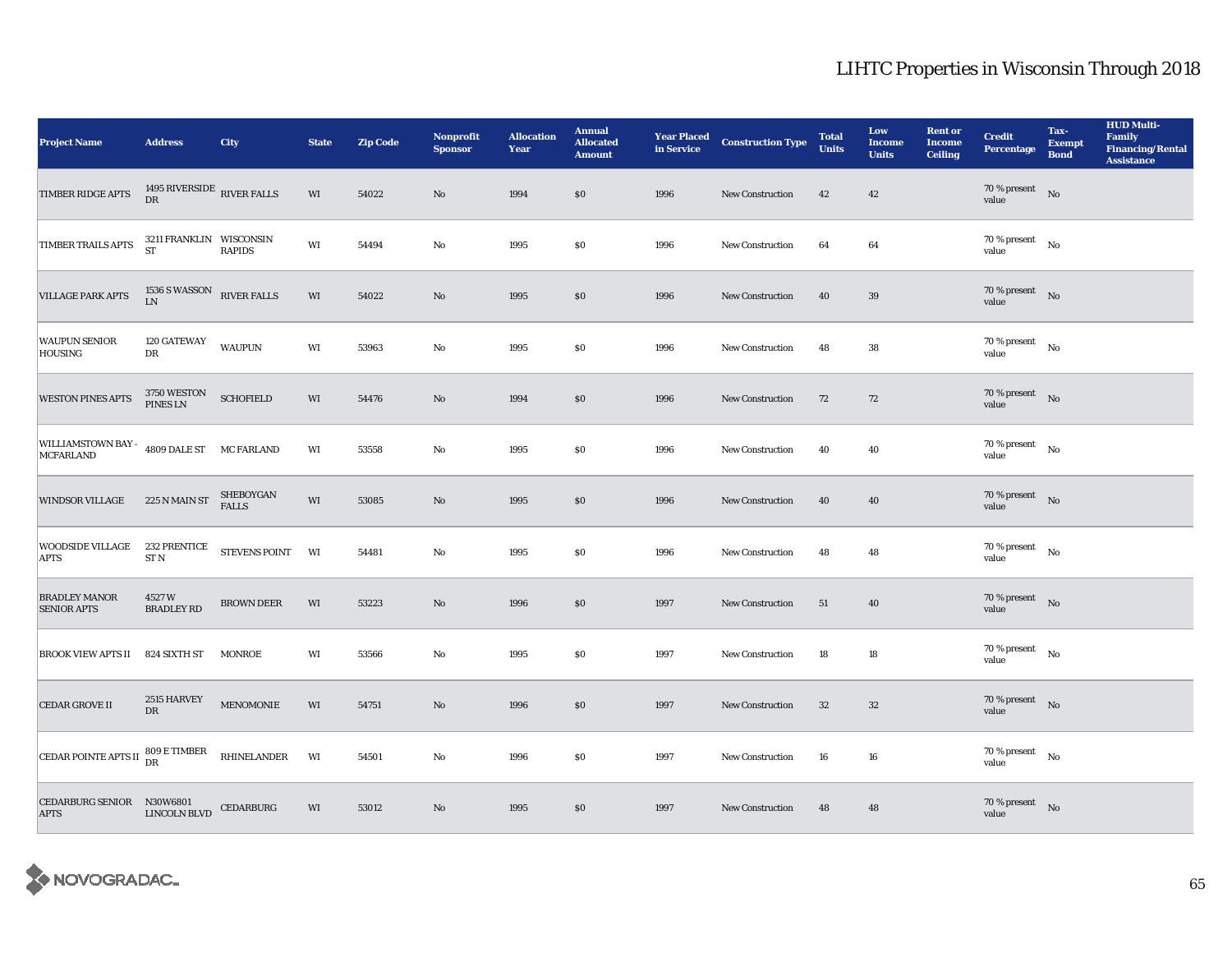| <b>Project Name</b>                                            | <b>Address</b>                             | <b>City</b>               | <b>State</b> | <b>Zip Code</b> | <b>Nonprofit</b><br><b>Sponsor</b> | <b>Allocation</b><br>Year | <b>Annual</b><br><b>Allocated</b><br><b>Amount</b> | <b>Year Placed<br/>in Service</b> | <b>Construction Type</b> | <b>Total</b><br><b>Units</b> | Low<br><b>Income</b><br><b>Units</b> | <b>Rent or</b><br><b>Income</b><br><b>Ceiling</b> | <b>Credit</b><br><b>Percentage</b>  | Tax-<br><b>Exempt</b><br><b>Bond</b> | <b>HUD Multi-</b><br>Family<br>Financing/Rental<br><b>Assistance</b> |
|----------------------------------------------------------------|--------------------------------------------|---------------------------|--------------|-----------------|------------------------------------|---------------------------|----------------------------------------------------|-----------------------------------|--------------------------|------------------------------|--------------------------------------|---------------------------------------------------|-------------------------------------|--------------------------------------|----------------------------------------------------------------------|
| TIMBER RIDGE APTS                                              | 1495 RIVERSIDE $_{\rm RIVER\;FALLS}$<br>DR |                           | WI           | 54022           | No                                 | 1994                      | \$0                                                | 1996                              | <b>New Construction</b>  | 42                           | 42                                   |                                                   | $70\%$ present No<br>value          |                                      |                                                                      |
| TIMBER TRAILS APTS                                             | 3211 FRANKLIN WISCONSIN<br><b>ST</b>       | <b>RAPIDS</b>             | WI           | 54494           | No                                 | 1995                      | \$0                                                | 1996                              | New Construction         | 64                           | 64                                   |                                                   | 70 % present $$\rm{No}$$<br>value   |                                      |                                                                      |
| <b>VILLAGE PARK APTS</b>                                       | $1536$ S WASSON $$\,$ RIVER FALLS $\,$ LN  |                           | WI           | 54022           | No                                 | 1995                      | \$0                                                | 1996                              | <b>New Construction</b>  | 40                           | 39                                   |                                                   | 70 % present $\qquad$ No<br>value   |                                      |                                                                      |
| <b>WAUPUN SENIOR</b><br>HOUSING                                | 120 GATEWAY<br>DR                          | <b>WAUPUN</b>             | WI           | 53963           | No                                 | 1995                      | \$0                                                | 1996                              | <b>New Construction</b>  | 48                           | 38                                   |                                                   | $70$ % present $$\rm{No}$$<br>value |                                      |                                                                      |
| <b>WESTON PINES APTS</b>                                       | 3750 WESTON SCHOFIELD<br>PINES LN          |                           | WI           | 54476           | $\mathbf{No}$                      | 1994                      | $\$0$                                              | 1996                              | <b>New Construction</b>  | 72                           | 72                                   |                                                   | 70 % present $\qquad$ No<br>value   |                                      |                                                                      |
| WILLIAMSTOWN BAY - 4809 DALE ST MC FARLAND<br><b>MCFARLAND</b> |                                            |                           | WI           | 53558           | $\rm No$                           | 1995                      | \$0                                                | 1996                              | <b>New Construction</b>  | 40                           | 40                                   |                                                   | 70 % present<br>value               | No                                   |                                                                      |
| <b>WINDSOR VILLAGE</b>                                         | 225 N MAIN ST                              | SHEBOYGAN<br><b>FALLS</b> | WI           | 53085           | $\mathbf{No}$                      | 1995                      | $\$0$                                              | 1996                              | <b>New Construction</b>  | 40                           | 40                                   |                                                   | 70 % present $\hbox{No}$<br>value   |                                      |                                                                      |
| WOODSIDE VILLAGE 232 PRENTICE STEVENS POINT<br><b>APTS</b>     | ST <sub>N</sub>                            |                           | WI           | 54481           | No                                 | 1995                      | \$0                                                | 1996                              | New Construction         | 48                           | 48                                   |                                                   | 70 % present<br>value               | $_{\rm No}$                          |                                                                      |
| <b>BRADLEY MANOR</b><br><b>SENIOR APTS</b>                     | 4527W<br><b>BRADLEY RD</b>                 | <b>BROWN DEER</b>         | WI           | 53223           | No                                 | 1996                      | \$0                                                | 1997                              | <b>New Construction</b>  | 51                           | 40                                   |                                                   | 70 % present $\hbox{No}$<br>value   |                                      |                                                                      |
| <b>BROOK VIEW APTS II</b>                                      | 824 SIXTH ST                               | MONROE                    | WI           | 53566           | No                                 | 1995                      | \$0                                                | 1997                              | New Construction         | 18                           | 18                                   |                                                   | 70 % present $\qquad$ No<br>value   |                                      |                                                                      |
| <b>CEDAR GROVE II</b>                                          | 2515 HARVEY<br><b>DR</b>                   | MENOMONIE                 | WI           | 54751           | $\mathbf{No}$                      | 1996                      | $\$0$                                              | 1997                              | New Construction         | 32                           | $32\,$                               |                                                   | 70 % present $\qquad$ No<br>value   |                                      |                                                                      |
| CEDAR POINTE APTS II 809 E TIMBER                              |                                            | RHINELANDER               | WI           | 54501           | No                                 | 1996                      | \$0                                                | 1997                              | New Construction         | 16                           | 16                                   |                                                   | 70 % present $$\rm{No}$$<br>value   |                                      |                                                                      |
| CEDARBURG SENIOR N30W6801<br><b>APTS</b>                       | LINCOLN BLVD                               | CEDARBURG                 | WI           | 53012           | No                                 | 1995                      | \$0\$                                              | 1997                              | <b>New Construction</b>  | 48                           | 48                                   |                                                   | $70$ % present $$\rm{No}$$<br>value |                                      |                                                                      |

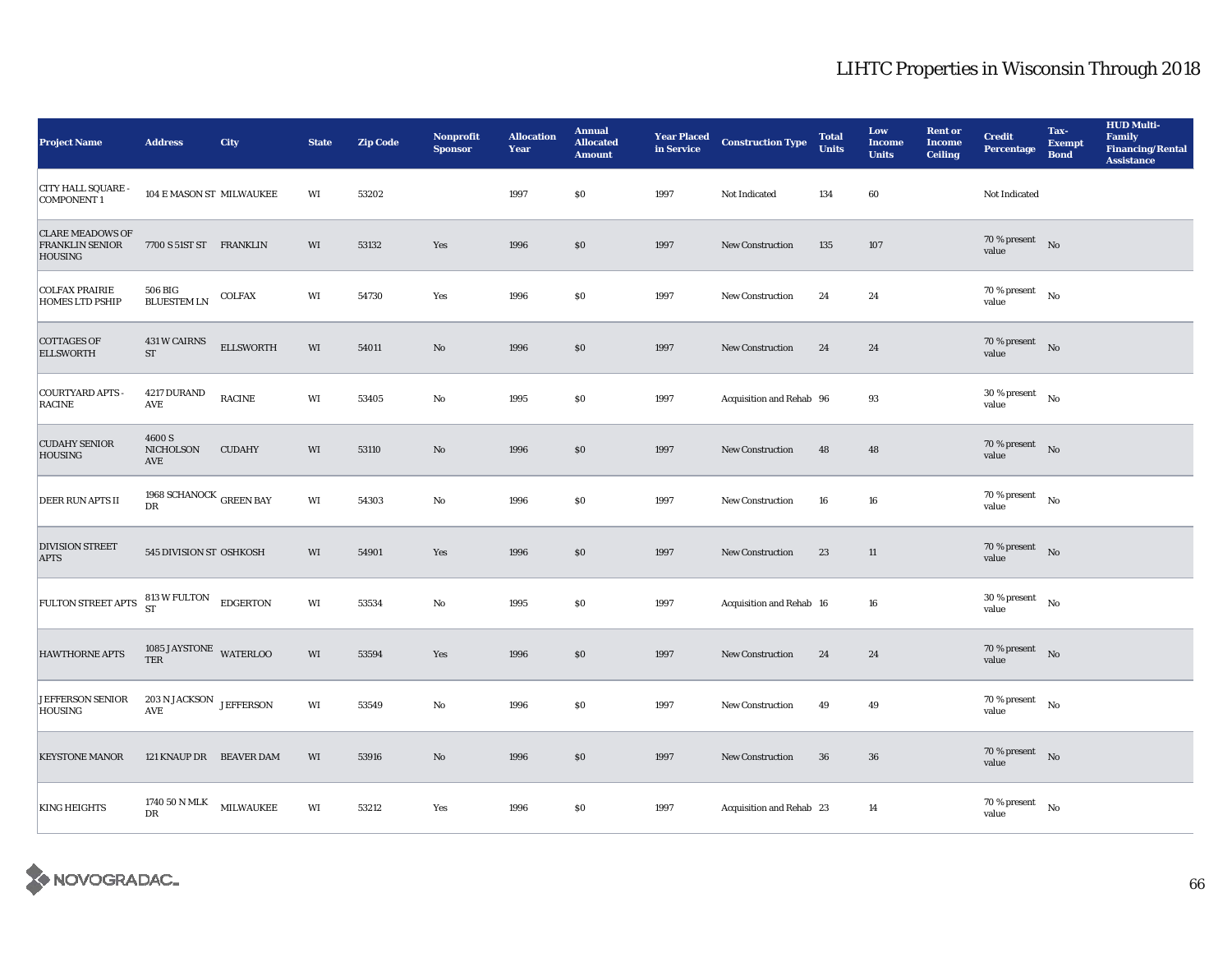| <b>Project Name</b>                                                 | <b>Address</b>                                         | City                             | <b>State</b>           | <b>Zip Code</b> | Nonprofit<br><b>Sponsor</b> | <b>Allocation</b><br><b>Year</b> | <b>Annual</b><br><b>Allocated</b><br><b>Amount</b> | <b>Year Placed<br/>in Service</b> | <b>Construction Type</b> | <b>Total</b><br><b>Units</b> | Low<br><b>Income</b><br><b>Units</b> | <b>Rent or</b><br><b>Income</b><br><b>Ceiling</b> | <b>Credit</b><br><b>Percentage</b>          | Tax-<br><b>Exempt</b><br><b>Bond</b> | <b>HUD Multi-</b><br>Family<br><b>Financing/Rental</b><br><b>Assistance</b> |
|---------------------------------------------------------------------|--------------------------------------------------------|----------------------------------|------------------------|-----------------|-----------------------------|----------------------------------|----------------------------------------------------|-----------------------------------|--------------------------|------------------------------|--------------------------------------|---------------------------------------------------|---------------------------------------------|--------------------------------------|-----------------------------------------------------------------------------|
| <b>CITY HALL SQUARE -</b><br><b>COMPONENT1</b>                      | 104 E MASON ST MILWAUKEE                               |                                  | WI                     | 53202           |                             | 1997                             | $\$0$                                              | 1997                              | Not Indicated            | 134                          | 60                                   |                                                   | Not Indicated                               |                                      |                                                                             |
| <b>CLARE MEADOWS OF</b><br><b>FRANKLIN SENIOR</b><br><b>HOUSING</b> | 7700 S 51ST ST FRANKLIN                                |                                  | WI                     | 53132           | Yes                         | 1996                             | \$0\$                                              | 1997                              | <b>New Construction</b>  | 135                          | 107                                  |                                                   | $70$ % present $$\rm{No}$$<br>value         |                                      |                                                                             |
| <b>COLFAX PRAIRIE</b><br><b>HOMES LTD PSHIP</b>                     | 506 BIG<br><b>BLUESTEM LN</b>                          | <b>COLFAX</b>                    | WI                     | 54730           | Yes                         | 1996                             | \$0\$                                              | 1997                              | New Construction         | 24                           | 24                                   |                                                   | 70 % present<br>value                       | No                                   |                                                                             |
| <b>COTTAGES OF</b><br><b>ELLSWORTH</b>                              | <b>431 W CAIRNS</b><br>$\operatorname{ST}$             | <b>ELLSWORTH</b>                 | WI                     | 54011           | No                          | 1996                             | $\$0$                                              | 1997                              | <b>New Construction</b>  | 24                           | 24                                   |                                                   | $70$ % present $$\rm{No}$$<br>value         |                                      |                                                                             |
| <b>COURTYARD APTS -</b><br><b>RACINE</b>                            | 4217 DURAND<br>$\operatorname{\mathsf{AVE}}$           | $\operatorname{\textsc{RACINE}}$ | WI                     | 53405           | No                          | 1995                             | $\$0$                                              | 1997                              | Acquisition and Rehab 96 |                              | 93                                   |                                                   | $30$ % present $$\rm{No}$$<br>value         |                                      |                                                                             |
| <b>CUDAHY SENIOR</b><br><b>HOUSING</b>                              | 4600 S<br><b>NICHOLSON</b><br>AVE                      | <b>CUDAHY</b>                    | WI                     | 53110           | $\mathbf{No}$               | 1996                             | $\$0$                                              | 1997                              | <b>New Construction</b>  | 48                           | 48                                   |                                                   | $70$ % present $$\rm{No}$$<br>value         |                                      |                                                                             |
| <b>DEER RUN APTS II</b>                                             | 1968 SCHANOCK GREEN BAY<br>DR                          |                                  | WI                     | 54303           | No                          | 1996                             | $\$0$                                              | 1997                              | <b>New Construction</b>  | 16                           | 16                                   |                                                   | $70$ % present $\quad$ $_{\rm No}$<br>value |                                      |                                                                             |
| <b>DIVISION STREET</b><br><b>APTS</b>                               | 545 DIVISION ST OSHKOSH                                |                                  | WI                     | 54901           | Yes                         | 1996                             | \$0\$                                              | 1997                              | New Construction         | 23                           | 11                                   |                                                   | $70\%$ present No<br>value                  |                                      |                                                                             |
| FULTON STREET APTS 813 W FULTON                                     |                                                        | <b>EDGERTON</b>                  | $\mathbf{W}\mathbf{I}$ | 53534           | No                          | 1995                             | $\$0$                                              | 1997                              | Acquisition and Rehab 16 |                              | 16                                   |                                                   | $30$ % present $$\rm{No}$$<br>value         |                                      |                                                                             |
| HAWTHORNE APTS                                                      | $1085$ JAYSTONE $\,$ WATERLOO<br>TER                   |                                  | WI                     | 53594           | Yes                         | 1996                             | $\$0$                                              | 1997                              | New Construction         | 24                           | 24                                   |                                                   | 70 % present $\qquad N$ o<br>value          |                                      |                                                                             |
| JEFFERSON SENIOR<br>HOUSING                                         | $203$ N JACKSON $\,$ JEFFERSON<br>$\operatorname{AVE}$ |                                  | WI                     | 53549           | No                          | 1996                             | $\$0$                                              | 1997                              | <b>New Construction</b>  | 49                           | 49                                   |                                                   | $70$ % present $$\rm{No}$$<br>value         |                                      |                                                                             |
| <b>KEYSTONE MANOR</b>                                               | 121 KNAUP DR BEAVER DAM                                |                                  | WI                     | 53916           | No                          | 1996                             | \$0                                                | 1997                              | New Construction         | 36                           | 36                                   |                                                   | $70\,\%$ present $$$ No $$$<br>value        |                                      |                                                                             |
| <b>KING HEIGHTS</b>                                                 | 1740 50 N MLK<br>DR                                    | MILWAUKEE                        | WI                     | 53212           | Yes                         | 1996                             | \$0\$                                              | 1997                              | Acquisition and Rehab 23 |                              | 14                                   |                                                   | $70$ % present $$\rm{No}$$<br>value         |                                      |                                                                             |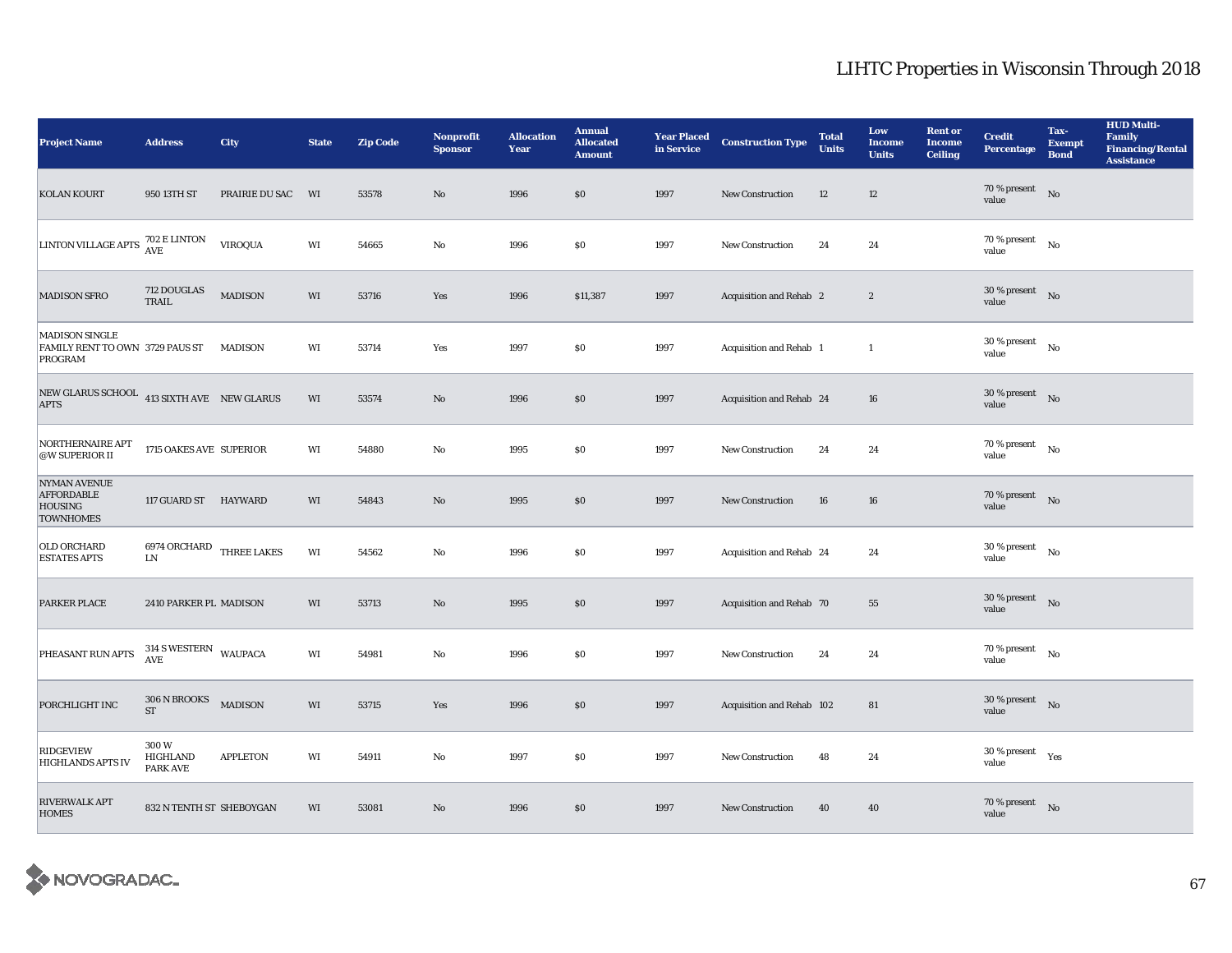| <b>Project Name</b>                                                            | <b>Address</b>                                    | <b>City</b>           | <b>State</b>           | <b>Zip Code</b> | <b>Nonprofit</b><br><b>Sponsor</b> | <b>Allocation</b><br>Year | <b>Annual</b><br><b>Allocated</b><br><b>Amount</b> | <b>Year Placed<br/>in Service</b> | <b>Construction Type</b>  | <b>Total</b><br><b>Units</b> | Low<br><b>Income</b><br><b>Units</b> | <b>Rent or</b><br><b>Income</b><br><b>Ceiling</b> | <b>Credit</b><br><b>Percentage</b>    | Tax-<br><b>Exempt</b><br><b>Bond</b> | <b>HUD Multi-</b><br>Family<br><b>Financing/Rental</b><br><b>Assistance</b> |
|--------------------------------------------------------------------------------|---------------------------------------------------|-----------------------|------------------------|-----------------|------------------------------------|---------------------------|----------------------------------------------------|-----------------------------------|---------------------------|------------------------------|--------------------------------------|---------------------------------------------------|---------------------------------------|--------------------------------------|-----------------------------------------------------------------------------|
| <b>KOLAN KOURT</b>                                                             | 950 13TH ST                                       | <b>PRAIRIE DU SAC</b> | WI                     | 53578           | $\mathbf{No}$                      | 1996                      | \$0                                                | 1997                              | <b>New Construction</b>   | 12                           | 12                                   |                                                   | 70 % present<br>value                 | No                                   |                                                                             |
| LINTON VILLAGE APTS 702 E LINTON                                               |                                                   | <b>VIROQUA</b>        | WI                     | 54665           | No                                 | 1996                      | \$0                                                | 1997                              | New Construction          | 24                           | 24                                   |                                                   | $70$ % present<br>value               | No                                   |                                                                             |
| <b>MADISON SFRO</b>                                                            | 712 DOUGLAS<br>TRAIL                              | <b>MADISON</b>        | WI                     | 53716           | Yes                                | 1996                      | \$11,387                                           | 1997                              | Acquisition and Rehab 2   |                              | $\mathbf{2}$                         |                                                   | 30 % present<br>value                 | No                                   |                                                                             |
| MADISON SINGLE<br>FAMILY RENT TO OWN 3729 PAUS ST<br>PROGRAM                   |                                                   | <b>MADISON</b>        | WI                     | 53714           | Yes                                | 1997                      | \$0                                                | 1997                              | Acquisition and Rehab 1   |                              | $\mathbf{1}$                         |                                                   | 30 % present<br>value                 | No                                   |                                                                             |
| NEW GLARUS SCHOOL 413 SIXTH AVE NEW GLARUS<br><b>APTS</b>                      |                                                   |                       | $\mathbf{W}\mathbf{I}$ | 53574           | $\mathbf{No}$                      | 1996                      | \$0                                                | 1997                              | Acquisition and Rehab 24  |                              | 16                                   |                                                   | $30$ % present $$\rm{No}$$<br>value   |                                      |                                                                             |
| <b>NORTHERNAIRE APT</b><br>@W SUPERIOR II                                      | 1715 OAKES AVE SUPERIOR                           |                       | WI                     | 54880           | $\rm No$                           | 1995                      | \$0                                                | 1997                              | <b>New Construction</b>   | 24                           | 24                                   |                                                   | 70 % present<br>value                 | No                                   |                                                                             |
| <b>NYMAN AVENUE</b><br><b>AFFORDABLE</b><br><b>HOUSING</b><br><b>TOWNHOMES</b> | 117 GUARD ST HAYWARD                              |                       | WI                     | 54843           | No                                 | 1995                      | \$0                                                | 1997                              | <b>New Construction</b>   | 16                           | 16                                   |                                                   | 70 % present $\qquad$ No<br>value     |                                      |                                                                             |
| OLD ORCHARD<br><b>ESTATES APTS</b>                                             | $6974$ ORCHARD $$\sf{THREE~LAKES}$$<br>${\rm LN}$ |                       | WI                     | 54562           | No                                 | 1996                      | \$0                                                | 1997                              | Acquisition and Rehab 24  |                              | 24                                   |                                                   | 30 % present<br>value                 | $\rm No$                             |                                                                             |
| <b>PARKER PLACE</b>                                                            | 2410 PARKER PL MADISON                            |                       | WI                     | 53713           | No                                 | 1995                      | \$0                                                | 1997                              | Acquisition and Rehab 70  |                              | 55                                   |                                                   | $30\,\%$ present $$$ No $$$<br>value  |                                      |                                                                             |
| PHEASANT RUN APTS                                                              | 314 S WESTERN WAUPACA<br><b>AVE</b>               |                       | WI                     | 54981           | No                                 | 1996                      | \$0                                                | 1997                              | New Construction          | 24                           | 24                                   |                                                   | $70$ % present $$\rm{No}$$<br>value   |                                      |                                                                             |
| PORCHLIGHT INC                                                                 | 306 N BROOKS<br>$\operatorname{ST}$               | <b>MADISON</b>        | WI                     | 53715           | Yes                                | 1996                      | $\$0$                                              | 1997                              | Acquisition and Rehab 102 |                              | 81                                   |                                                   | 30 % present<br>value                 | $\rm No$                             |                                                                             |
| <b>RIDGEVIEW</b><br><b>HIGHLANDS APTS IV</b>                                   | 300W<br>HIGHLAND<br>PARK AVE                      | <b>APPLETON</b>       | WI                     | 54911           | No                                 | 1997                      | \$0                                                | 1997                              | New Construction          | 48                           | 24                                   |                                                   | $30\,\%$ present $\quad$ Yes<br>value |                                      |                                                                             |
| <b>RIVERWALK APT</b><br><b>HOMES</b>                                           | 832 N TENTH ST SHEBOYGAN                          |                       | WI                     | 53081           | No                                 | 1996                      | \$0                                                | 1997                              | <b>New Construction</b>   | 40                           | 40                                   |                                                   | $70$ % present $$\rm{No}$$<br>value   |                                      |                                                                             |

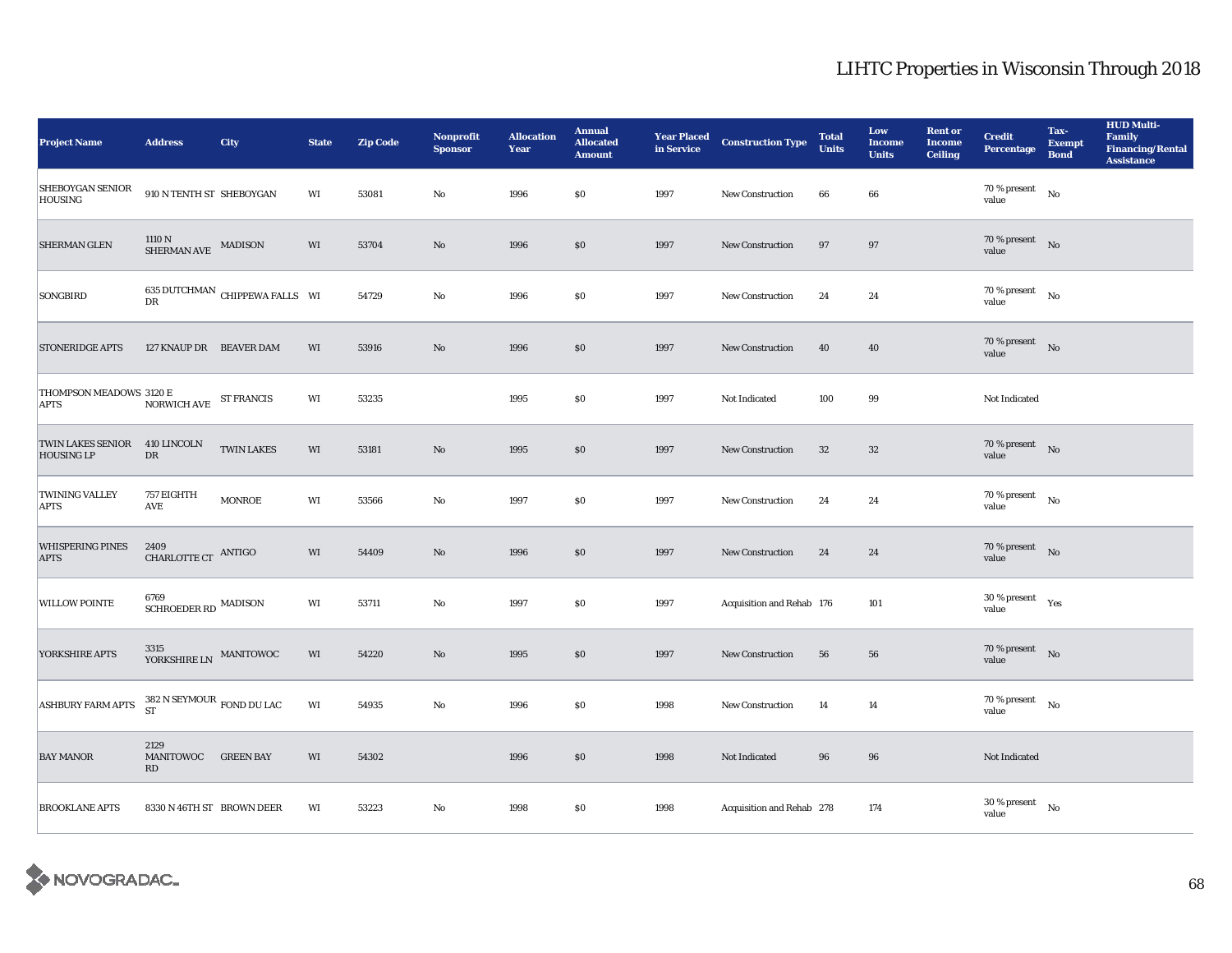| <b>Project Name</b>                                | <b>Address</b>                                        | City                                            | <b>State</b>           | <b>Zip Code</b> | Nonprofit<br><b>Sponsor</b> | <b>Allocation</b><br>Year | <b>Annual</b><br><b>Allocated</b><br><b>Amount</b> | <b>Year Placed<br/>in Service</b> | <b>Construction Type</b>  | <b>Total</b><br><b>Units</b> | Low<br><b>Income</b><br><b>Units</b> | <b>Rent or</b><br><b>Income</b><br><b>Ceiling</b> | <b>Credit</b><br><b>Percentage</b>  | Tax-<br><b>Exempt</b><br><b>Bond</b> | <b>HUD Multi-</b><br><b>Family</b><br><b>Financing/Rental</b><br><b>Assistance</b> |
|----------------------------------------------------|-------------------------------------------------------|-------------------------------------------------|------------------------|-----------------|-----------------------------|---------------------------|----------------------------------------------------|-----------------------------------|---------------------------|------------------------------|--------------------------------------|---------------------------------------------------|-------------------------------------|--------------------------------------|------------------------------------------------------------------------------------|
| SHEBOYGAN SENIOR<br><b>HOUSING</b>                 | 910 N TENTH ST SHEBOYGAN                              |                                                 | WI                     | 53081           | No                          | 1996                      | \$0                                                | 1997                              | <b>New Construction</b>   | 66                           | 66                                   |                                                   | $70$ % present<br>value             | $\rm No$                             |                                                                                    |
| <b>SHERMAN GLEN</b>                                | $1110\,\mathrm{N}$ $$\rm MADISON$$ $$\rm MADISON$$    |                                                 | WI                     | 53704           | No                          | 1996                      | \$0                                                | 1997                              | <b>New Construction</b>   | 97                           | 97                                   |                                                   | 70 % present $\hbox{No}$<br>value   |                                      |                                                                                    |
| <b>SONGBIRD</b>                                    | DR                                                    | $635$ DUTCHMAN $\,$ CHIPPEWA FALLS $\,$ WI $\,$ |                        | 54729           | No                          | 1996                      | \$0                                                | 1997                              | <b>New Construction</b>   | 24                           | 24                                   |                                                   | 70 % present<br>value               | No                                   |                                                                                    |
| <b>STONERIDGE APTS</b>                             | 127 KNAUP DR BEAVER DAM                               |                                                 | WI                     | 53916           | No                          | 1996                      | \$0                                                | 1997                              | New Construction          | 40                           | 40                                   |                                                   | 70 % present $\hbox{No}$<br>value   |                                      |                                                                                    |
| THOMPSON MEADOWS 3120 E<br><b>APTS</b>             | NORWICH AVE                                           | <b>ST FRANCIS</b>                               | WI                     | 53235           |                             | 1995                      | $\$0$                                              | 1997                              | Not Indicated             | 100                          | 99                                   |                                                   | Not Indicated                       |                                      |                                                                                    |
| TWIN LAKES SENIOR 410 LINCOLN<br><b>HOUSING LP</b> | ${\rm D}{\rm R}$                                      | <b>TWIN LAKES</b>                               | WI                     | 53181           | No                          | 1995                      | \$0                                                | 1997                              | <b>New Construction</b>   | 32                           | $32\,$                               |                                                   | $70$ % present $$\rm{No}$$<br>value |                                      |                                                                                    |
| <b>TWINING VALLEY</b><br><b>APTS</b>               | 757 EIGHTH<br>$\operatorname{AVE}$                    | <b>MONROE</b>                                   | WI                     | 53566           | No                          | 1997                      | \$0                                                | 1997                              | <b>New Construction</b>   | 24                           | 24                                   |                                                   | 70 % present $\hbox{~~No}$<br>value |                                      |                                                                                    |
| <b>WHISPERING PINES</b><br><b>APTS</b>             | 2409<br>CHARLOTTE CT ANTIGO                           |                                                 | $\mathbf{W}\mathbf{I}$ | 54409           | No                          | 1996                      | $\$0$                                              | 1997                              | New Construction          | 24                           | 24                                   |                                                   | 70 % present $\qquad$ No<br>value   |                                      |                                                                                    |
| <b>WILLOW POINTE</b>                               | 6769<br>SCHROEDER RD $\,$ MADISON $\,$                |                                                 | WI                     | 53711           | No                          | 1997                      | \$0                                                | 1997                              | Acquisition and Rehab 176 |                              | 101                                  |                                                   | $30$ % present $\quad$ Yes<br>value |                                      |                                                                                    |
| YORKSHIRE APTS                                     | $3315$ $$\tt NANTOWOC$$ YORKSHIRE LN                  |                                                 | WI                     | 54220           | No                          | 1995                      | \$0                                                | 1997                              | <b>New Construction</b>   | 56                           | 56                                   |                                                   | 70 % present $\qquad$ No<br>value   |                                      |                                                                                    |
| <b>ASHBURY FARM APTS</b>                           | 382 N SEYMOUR $_{\rm FOND\;DU\;LAC}$                  |                                                 | WI                     | 54935           | $\rm No$                    | 1996                      | $\$0$                                              | 1998                              | New Construction          | 14                           | 14                                   |                                                   | $70$ % present<br>value             | $\rm No$                             |                                                                                    |
| <b>BAY MANOR</b>                                   | 2129<br>MANITOWOC GREEN BAY<br>$\mathbf{R}\mathbf{D}$ |                                                 | WI                     | 54302           |                             | 1996                      | $\$0$                                              | 1998                              | Not Indicated             | 96                           | 96                                   |                                                   | Not Indicated                       |                                      |                                                                                    |
| <b>BROOKLANE APTS</b>                              | 8330 N 46TH ST BROWN DEER                             |                                                 | WI                     | 53223           | No                          | 1998                      | \$0                                                | 1998                              | Acquisition and Rehab 278 |                              | 174                                  |                                                   | 30 % present<br>value               | No                                   |                                                                                    |

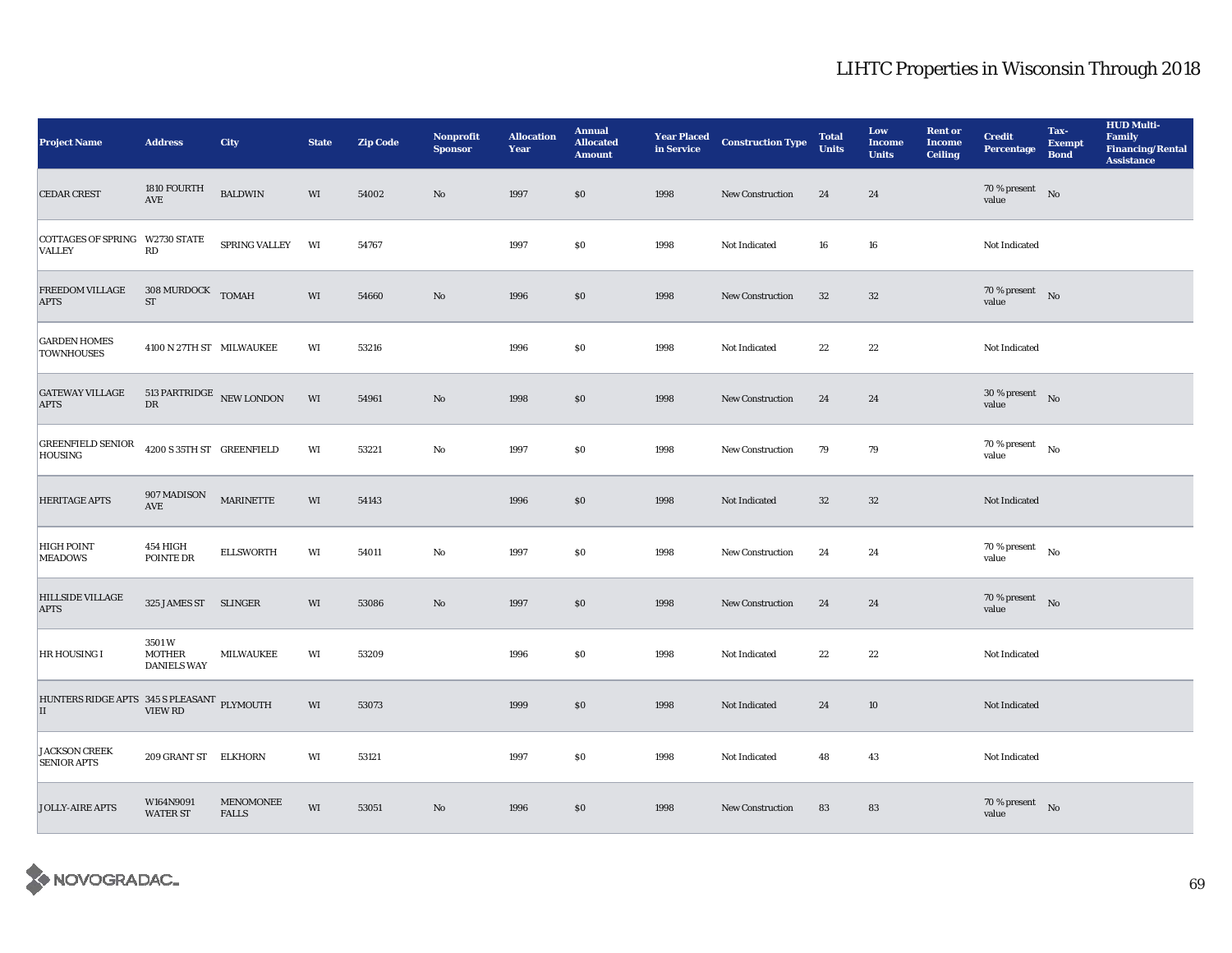| <b>Project Name</b>                                                     | <b>Address</b>                                     | City                      | <b>State</b> | <b>Zip Code</b> | Nonprofit<br><b>Sponsor</b> | <b>Allocation</b><br>Year | <b>Annual</b><br><b>Allocated</b><br><b>Amount</b> | <b>Year Placed<br/>in Service</b> | <b>Construction Type</b> | <b>Total</b><br><b>Units</b> | Low<br><b>Income</b><br><b>Units</b> | <b>Rent or</b><br><b>Income</b><br><b>Ceiling</b> | <b>Credit</b><br><b>Percentage</b>  | Tax-<br><b>Exempt</b><br><b>Bond</b> | <b>HUD Multi-</b><br>Family<br><b>Financing/Rental</b><br><b>Assistance</b> |
|-------------------------------------------------------------------------|----------------------------------------------------|---------------------------|--------------|-----------------|-----------------------------|---------------------------|----------------------------------------------------|-----------------------------------|--------------------------|------------------------------|--------------------------------------|---------------------------------------------------|-------------------------------------|--------------------------------------|-----------------------------------------------------------------------------|
| <b>CEDAR CREST</b>                                                      | 1810 FOURTH<br>AVE                                 | <b>BALDWIN</b>            | WI           | 54002           | No                          | 1997                      | \$0                                                | 1998                              | <b>New Construction</b>  | 24                           | 24                                   |                                                   | $70$ % present $$\rm{No}$$<br>value |                                      |                                                                             |
| COTTAGES OF SPRING W2730 STATE<br><b>VALLEY</b>                         | RD                                                 | SPRING VALLEY WI          |              | 54767           |                             | 1997                      | \$0                                                | 1998                              | Not Indicated            | 16                           | 16                                   |                                                   | Not Indicated                       |                                      |                                                                             |
| FREEDOM VILLAGE<br><b>APTS</b>                                          | $308$ MURDOCK $\quad$ TOMAH<br>${\rm ST}$          |                           | WI           | 54660           | No                          | 1996                      | \$0                                                | 1998                              | New Construction         | $32\phantom{.0}$             | $32\,$                               |                                                   | $70\%$ present No<br>value          |                                      |                                                                             |
| <b>GARDEN HOMES</b><br><b>TOWNHOUSES</b>                                | 4100 N 27TH ST MILWAUKEE                           |                           | WI           | 53216           |                             | 1996                      | \$0                                                | 1998                              | Not Indicated            | $2\sqrt{2}$                  | $\bf{22}$                            |                                                   | Not Indicated                       |                                      |                                                                             |
| <b>GATEWAY VILLAGE</b><br><b>APTS</b>                                   | 513 PARTRIDGE NEW LONDON<br>$\mathbf{D}\mathbf{R}$ |                           | WI           | 54961           | No                          | 1998                      | $\$0$                                              | 1998                              | <b>New Construction</b>  | 24                           | 24                                   |                                                   | $30$ % present $$\rm{No}$$<br>value |                                      |                                                                             |
| <b>GREENFIELD SENIOR</b><br><b>HOUSING</b>                              | 4200 S 35TH ST GREENFIELD                          |                           | WI           | 53221           | No                          | 1997                      | \$0                                                | 1998                              | New Construction         | 79                           | 79                                   |                                                   | 70 % present<br>value               | No                                   |                                                                             |
| <b>HERITAGE APTS</b>                                                    | 907 MADISON<br>AVE                                 | <b>MARINETTE</b>          | WI           | 54143           |                             | 1996                      | $\$0$                                              | 1998                              | Not Indicated            | 32                           | $32\,$                               |                                                   | Not Indicated                       |                                      |                                                                             |
| <b>HIGH POINT</b><br><b>MEADOWS</b>                                     | 454 HIGH<br>POINTE DR                              | <b>ELLSWORTH</b>          | WI           | 54011           | No                          | 1997                      | \$0                                                | 1998                              | New Construction         | 24                           | 24                                   |                                                   | 70 % present $$\rm{No}$$<br>value   |                                      |                                                                             |
| <b>HILLSIDE VILLAGE</b><br><b>APTS</b>                                  | 325 JAMES ST SLINGER                               |                           | WI           | 53086           | No                          | 1997                      | \$0                                                | 1998                              | <b>New Construction</b>  | 24                           | 24                                   |                                                   | 70 % present $\hbox{No}$<br>value   |                                      |                                                                             |
| HR HOUSING I                                                            | 3501W<br><b>MOTHER</b><br><b>DANIELS WAY</b>       | MILWAUKEE                 | WI           | 53209           |                             | 1996                      | $\$0$                                              | 1998                              | Not Indicated            | $\bf{22}$                    | $\bf{22}$                            |                                                   | Not Indicated                       |                                      |                                                                             |
| HUNTERS RIDGE APTS 345 S PLEASANT PLYMOUTH<br>$\vert \mathrm{II} \vert$ | <b>VIEW RD</b>                                     |                           | WI           | 53073           |                             | 1999                      | \$0                                                | 1998                              | Not Indicated            | 24                           | 10                                   |                                                   | Not Indicated                       |                                      |                                                                             |
| <b>JACKSON CREEK</b><br><b>SENIOR APTS</b>                              | 209 GRANT ST ELKHORN                               |                           | WI           | 53121           |                             | 1997                      | \$0                                                | 1998                              | Not Indicated            | 48                           | 43                                   |                                                   | Not Indicated                       |                                      |                                                                             |
| <b>JOLLY-AIRE APTS</b>                                                  | W164N9091<br><b>WATER ST</b>                       | MENOMONEE<br><b>FALLS</b> | WI           | 53051           | No                          | 1996                      | \$0                                                | 1998                              | <b>New Construction</b>  | 83                           | 83                                   |                                                   | $70$ % present $$\rm{No}$$<br>value |                                      |                                                                             |

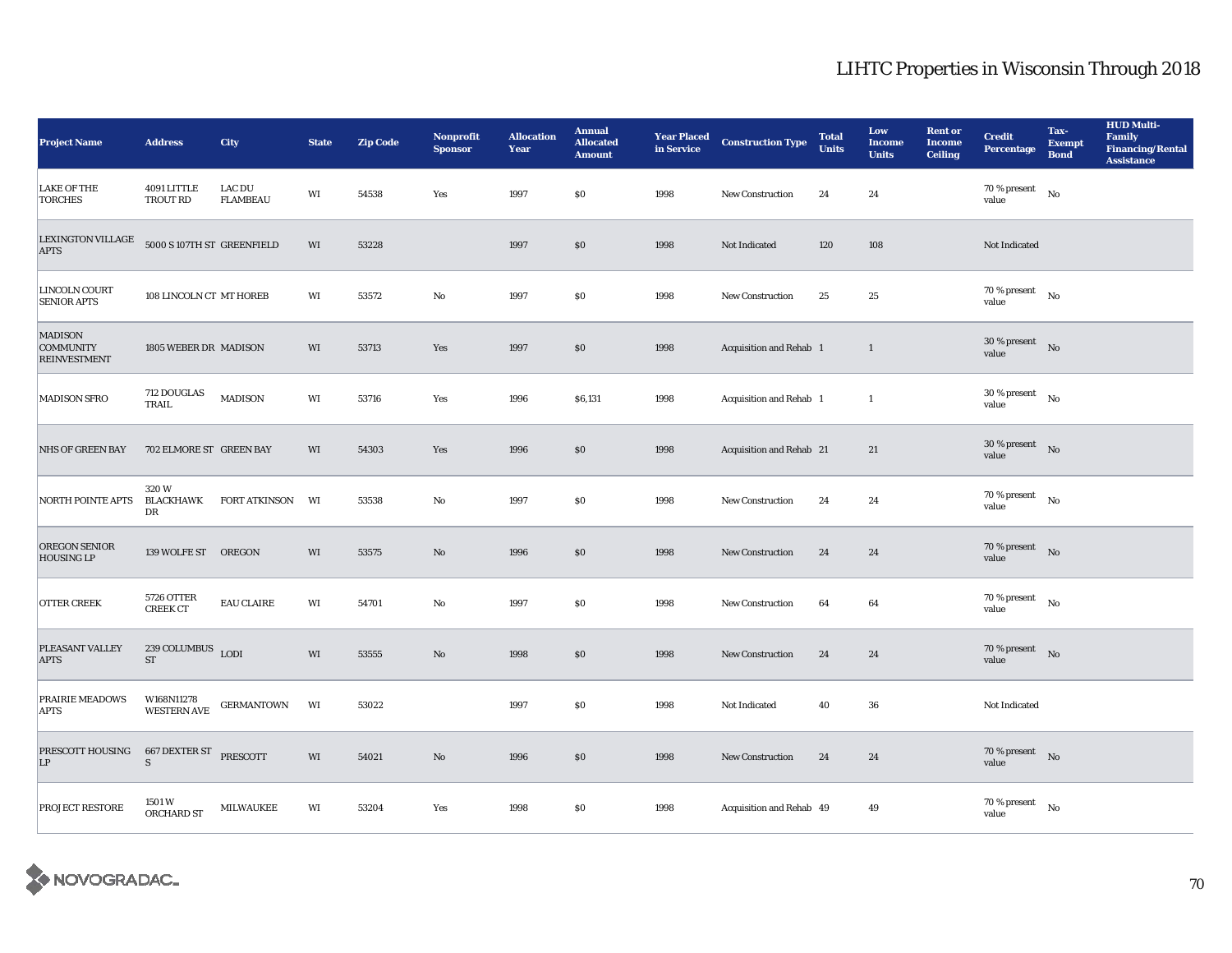| <b>Project Name</b>                                       | <b>Address</b>                   | City                             | <b>State</b>           | <b>Zip Code</b> | Nonprofit<br><b>Sponsor</b> | <b>Allocation</b><br>Year | <b>Annual</b><br><b>Allocated</b><br><b>Amount</b> | <b>Year Placed<br/>in Service</b> | <b>Construction Type</b> | <b>Total</b><br><b>Units</b> | Low<br><b>Income</b><br><b>Units</b> | <b>Rent or</b><br><b>Income</b><br><b>Ceiling</b> | <b>Credit</b><br><b>Percentage</b>         | Tax-<br><b>Exempt</b><br><b>Bond</b> | <b>HUD Multi-</b><br><b>Family</b><br><b>Financing/Rental</b><br><b>Assistance</b> |
|-----------------------------------------------------------|----------------------------------|----------------------------------|------------------------|-----------------|-----------------------------|---------------------------|----------------------------------------------------|-----------------------------------|--------------------------|------------------------------|--------------------------------------|---------------------------------------------------|--------------------------------------------|--------------------------------------|------------------------------------------------------------------------------------|
| <b>LAKE OF THE</b><br><b>TORCHES</b>                      | 4091 LITTLE<br>TROUT RD          | <b>LAC DU</b><br><b>FLAMBEAU</b> | WI                     | 54538           | Yes                         | 1997                      | \$0\$                                              | 1998                              | <b>New Construction</b>  | 24                           | 24                                   |                                                   | 70 % present<br>value                      | No                                   |                                                                                    |
| LEXINGTON VILLAGE<br><b>APTS</b>                          | 5000 S 107TH ST GREENFIELD       |                                  | $\mathbf{W}\mathbf{I}$ | 53228           |                             | 1997                      | $\$0$                                              | 1998                              | Not Indicated            | 120                          | 108                                  |                                                   | Not Indicated                              |                                      |                                                                                    |
| LINCOLN COURT<br><b>SENIOR APTS</b>                       | 108 LINCOLN CT MT HOREB          |                                  | WI                     | 53572           | No                          | 1997                      | \$0                                                | 1998                              | New Construction         | 25                           | $25\,$                               |                                                   | $70$ % present $$N{\rm o}$$<br>value       |                                      |                                                                                    |
| <b>MADISON</b><br><b>COMMUNITY</b><br><b>REINVESTMENT</b> | 1805 WEBER DR MADISON            |                                  | WI                     | 53713           | Yes                         | 1997                      | \$0\$                                              | 1998                              | Acquisition and Rehab 1  |                              | 1                                    |                                                   | $30$ % present $$\rm{No}$$<br>value        |                                      |                                                                                    |
| <b>MADISON SFRO</b>                                       | 712 DOUGLAS<br>TRAIL             | <b>MADISON</b>                   | WI                     | 53716           | Yes                         | 1996                      | \$6,131                                            | 1998                              | Acquisition and Rehab 1  |                              | 1                                    |                                                   | 30 % present<br>value                      | $\mathbf{N}\mathbf{o}$               |                                                                                    |
| <b>NHS OF GREEN BAY</b>                                   | 702 ELMORE ST GREEN BAY          |                                  | WI                     | 54303           | Yes                         | 1996                      | \$0\$                                              | 1998                              | Acquisition and Rehab 21 |                              | 21                                   |                                                   | $30$ % present $$\rm{No}$$<br>value        |                                      |                                                                                    |
| NORTH POINTE APTS                                         | 320W<br>BLACKHAWK<br>DR          | FORT ATKINSON WI                 |                        | 53538           | $\mathbf{No}$               | 1997                      | $\$0$                                              | 1998                              | New Construction         | 24                           | 24                                   |                                                   | $70$ % present $\quad$ No $\quad$<br>value |                                      |                                                                                    |
| OREGON SENIOR<br><b>HOUSING LP</b>                        | 139 WOLFE ST OREGON              |                                  | WI                     | 53575           | No                          | 1996                      | \$0\$                                              | 1998                              | <b>New Construction</b>  | 24                           | 24                                   |                                                   | $70$ % present $$\rm{No}$$<br>value        |                                      |                                                                                    |
| <b>OTTER CREEK</b>                                        | 5726 OTTER<br><b>CREEK CT</b>    | <b>EAU CLAIRE</b>                | WI                     | 54701           | No                          | 1997                      | $\$0$                                              | 1998                              | New Construction         | 64                           | 64                                   |                                                   | $70$ % present $$N{\rm o}$$<br>value       |                                      |                                                                                    |
| PLEASANT VALLEY<br><b>APTS</b>                            | 239 COLUMBUS LODI<br><b>ST</b>   |                                  | WI                     | 53555           | $\mathbf{No}$               | 1998                      | \$0\$                                              | 1998                              | <b>New Construction</b>  | 24                           | 24                                   |                                                   | $70$ % present $$\rm{No}$$<br>value        |                                      |                                                                                    |
| PRAIRIE MEADOWS<br><b>APTS</b>                            | W168N11278<br><b>WESTERN AVE</b> | <b>GERMANTOWN</b>                | WI                     | 53022           |                             | 1997                      | \$0                                                | 1998                              | Not Indicated            | 40                           | 36                                   |                                                   | Not Indicated                              |                                      |                                                                                    |
| PRESCOTT HOUSING<br>LP                                    | 667 DEXTER ST PRESCOTT<br>S      |                                  | WI                     | 54021           | No                          | 1996                      | \$0                                                | 1998                              | <b>New Construction</b>  | 24                           | 24                                   |                                                   | 70 % present No<br>value                   |                                      |                                                                                    |
| <b>PROJECT RESTORE</b>                                    | 1501 W<br>ORCHARD ST             | <b>MILWAUKEE</b>                 | WI                     | 53204           | Yes                         | 1998                      | \$0                                                | 1998                              | Acquisition and Rehab 49 |                              | 49                                   |                                                   | $70$ % present<br>value                    | No                                   |                                                                                    |

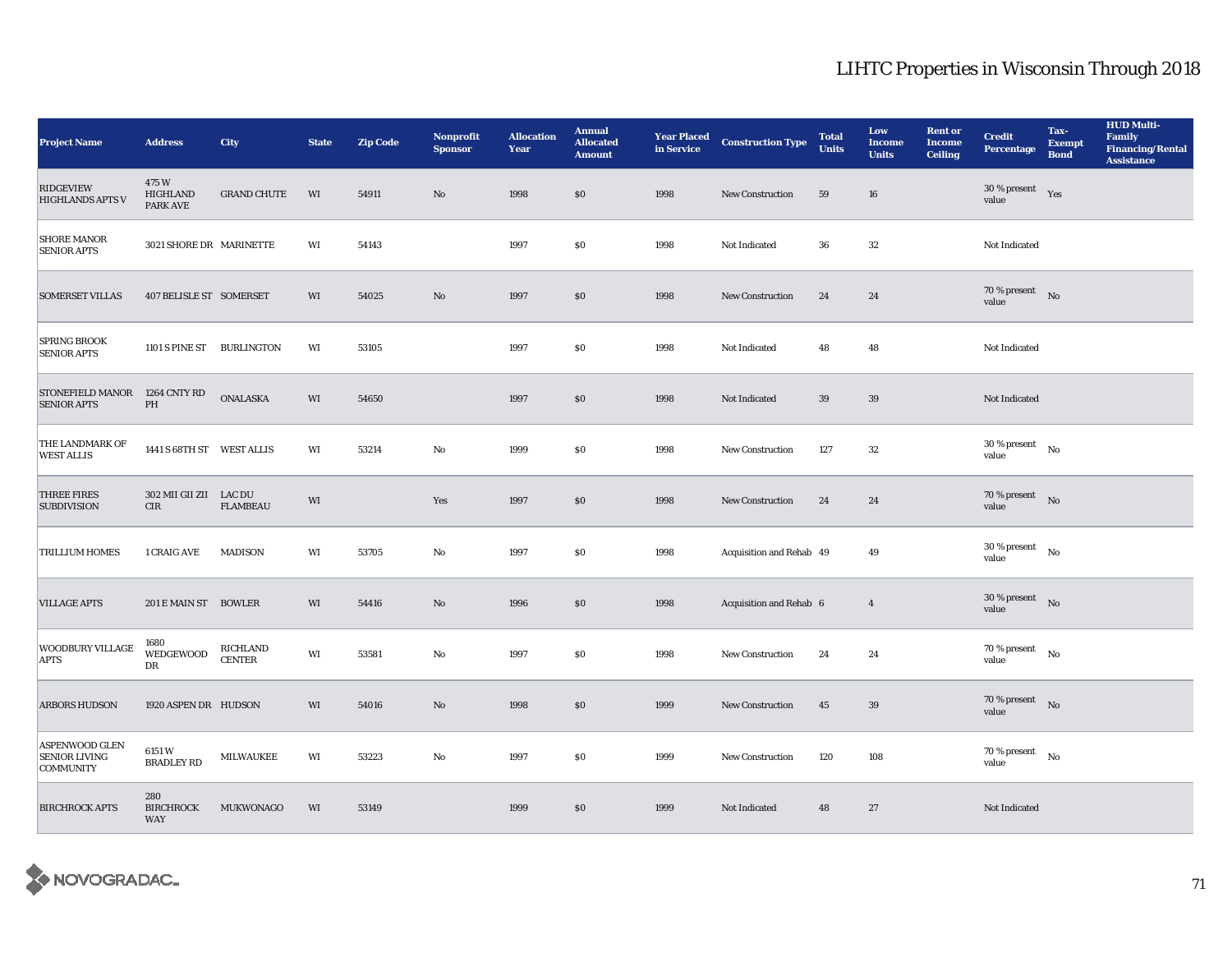| <b>Project Name</b>                                               | <b>Address</b>                        | City                      | <b>State</b> | <b>Zip Code</b> | Nonprofit<br><b>Sponsor</b> | <b>Allocation</b><br>Year | <b>Annual</b><br><b>Allocated</b><br><b>Amount</b> | <b>Year Placed</b><br>in Service | <b>Construction Type</b> | <b>Total</b><br><b>Units</b> | Low<br><b>Income</b><br><b>Units</b> | <b>Rent or</b><br><b>Income</b><br><b>Ceiling</b> | <b>Credit</b><br><b>Percentage</b>  | Tax-<br><b>Exempt</b><br><b>Bond</b> | <b>HUD Multi-</b><br>Family<br><b>Financing/Rental</b><br><b>Assistance</b> |
|-------------------------------------------------------------------|---------------------------------------|---------------------------|--------------|-----------------|-----------------------------|---------------------------|----------------------------------------------------|----------------------------------|--------------------------|------------------------------|--------------------------------------|---------------------------------------------------|-------------------------------------|--------------------------------------|-----------------------------------------------------------------------------|
| <b>RIDGEVIEW</b><br><b>HIGHLANDS APTS V</b>                       | 475W<br><b>HIGHLAND</b><br>PARK AVE   | <b>GRAND CHUTE</b>        | WI           | 54911           | No                          | 1998                      | \$0                                                | 1998                             | <b>New Construction</b>  | 59                           | 16                                   |                                                   | $30$ % present $\quad$ Yes<br>value |                                      |                                                                             |
| <b>SHORE MANOR</b><br><b>SENIOR APTS</b>                          | 3021 SHORE DR MARINETTE               |                           | WI           | 54143           |                             | 1997                      | \$0                                                | 1998                             | Not Indicated            | 36                           | $32\,$                               |                                                   | Not Indicated                       |                                      |                                                                             |
| <b>SOMERSET VILLAS</b>                                            | <b>407 BELISLE ST SOMERSET</b>        |                           | WI           | 54025           | No                          | 1997                      | \$0                                                | 1998                             | <b>New Construction</b>  | 24                           | 24                                   |                                                   | 70 % present<br>value               | No                                   |                                                                             |
| <b>SPRING BROOK</b><br><b>SENIOR APTS</b>                         | 1101 S PINE ST BURLINGTON             |                           | WI           | 53105           |                             | 1997                      | \$0                                                | 1998                             | Not Indicated            | 48                           | 48                                   |                                                   | Not Indicated                       |                                      |                                                                             |
| STONEFIELD MANOR 1264 CNTY RD<br><b>SENIOR APTS</b>               | PH                                    | ONALASKA                  | WI           | 54650           |                             | 1997                      | \$0                                                | 1998                             | Not Indicated            | 39                           | 39                                   |                                                   | Not Indicated                       |                                      |                                                                             |
| THE LANDMARK OF<br><b>WEST ALLIS</b>                              | 1441 S 68TH ST WEST ALLIS             |                           | WI           | 53214           | No                          | 1999                      | \$0                                                | 1998                             | <b>New Construction</b>  | 127                          | $32\,$                               |                                                   | 30 % present<br>value               | No                                   |                                                                             |
| <b>THREE FIRES</b><br><b>SUBDIVISION</b>                          | 302 MII GII ZII LAC DU<br><b>CIR</b>  | <b>FLAMBEAU</b>           | WI           |                 | Yes                         | 1997                      | \$0                                                | 1998                             | <b>New Construction</b>  | 24                           | 24                                   |                                                   | $70\%$ present No<br>value          |                                      |                                                                             |
| <b>TRILLIUM HOMES</b>                                             | 1 CRAIG AVE                           | <b>MADISON</b>            | WI           | 53705           | No                          | 1997                      | \$0                                                | 1998                             | Acquisition and Rehab 49 |                              | 49                                   |                                                   | 30 % present<br>value               | No                                   |                                                                             |
| <b>VILLAGE APTS</b>                                               | 201 E MAIN ST BOWLER                  |                           | WI           | 54416           | No                          | 1996                      | \$0                                                | 1998                             | Acquisition and Rehab 6  |                              | $\overline{4}$                       |                                                   | 30 % present<br>value               | No                                   |                                                                             |
| <b>WOODBURY VILLAGE</b><br><b>APTS</b>                            | 1680<br>WEDGEWOOD<br>DR               | RICHLAND<br><b>CENTER</b> | WI           | 53581           | No                          | 1997                      | $\$0$                                              | 1998                             | <b>New Construction</b>  | 24                           | 24                                   |                                                   | 70 % present<br>value               | $\mathbf{N}\mathbf{o}$               |                                                                             |
| <b>ARBORS HUDSON</b>                                              | 1920 ASPEN DR HUDSON                  |                           | WI           | 54016           | No                          | 1998                      | $\$0$                                              | 1999                             | New Construction         | 45                           | $39\,$                               |                                                   | 70 % present $\hbox{No}$<br>value   |                                      |                                                                             |
| <b>ASPENWOOD GLEN</b><br><b>SENIOR LIVING</b><br><b>COMMUNITY</b> | 6151W<br><b>BRADLEY RD</b>            | MILWAUKEE                 | WI           | 53223           | $\mathbf{No}$               | 1997                      | $\$0$                                              | 1999                             | New Construction         | 120                          | 108                                  |                                                   | 70 % present<br>value               | $\rm No$                             |                                                                             |
| <b>BIRCHROCK APTS</b>                                             | 280<br><b>BIRCHROCK</b><br><b>WAY</b> | MUKWONAGO                 | WI           | 53149           |                             | 1999                      | $\$0$                                              | 1999                             | Not Indicated            | 48                           | $27\,$                               |                                                   | Not Indicated                       |                                      |                                                                             |

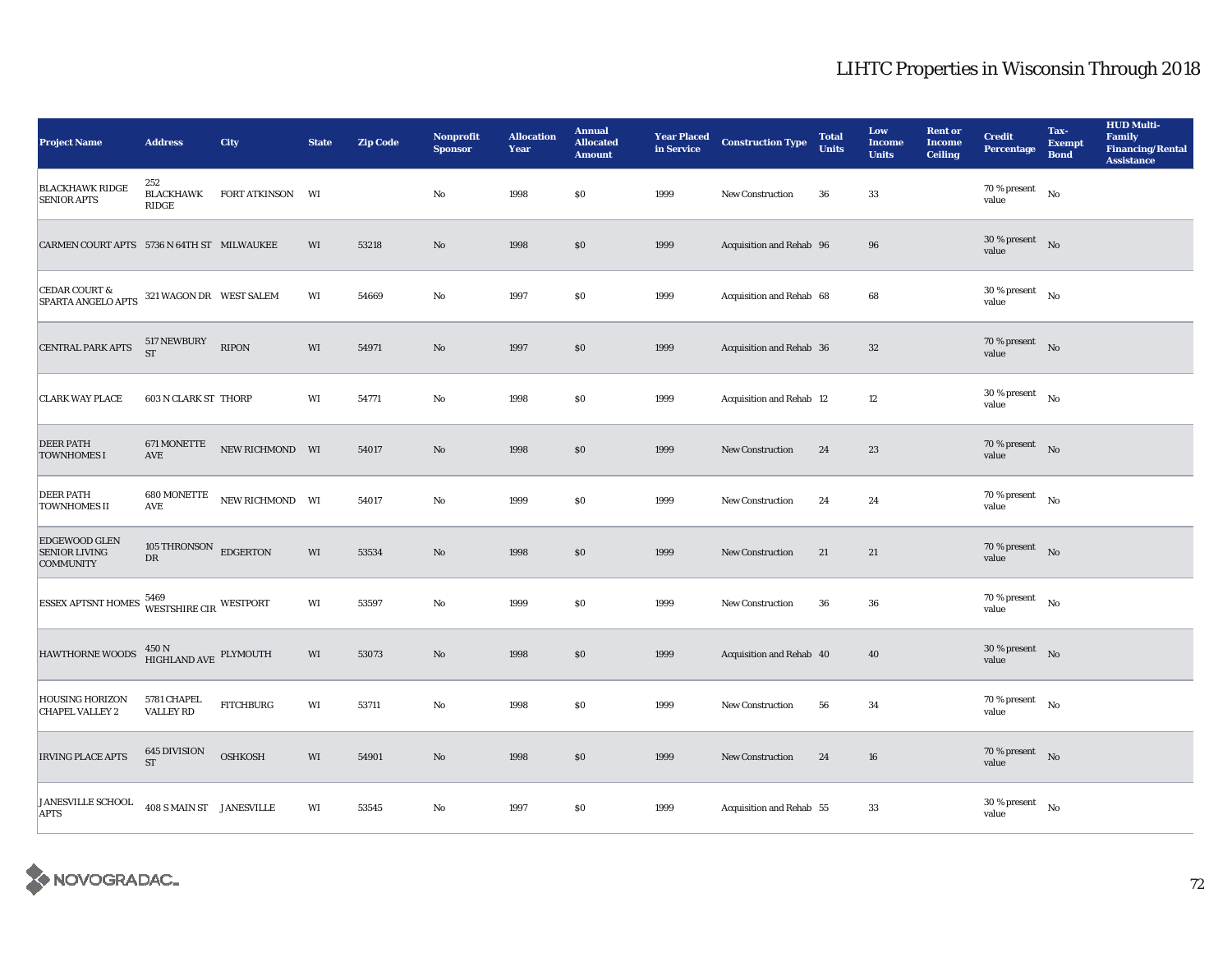| <b>Project Name</b>                                                                                                              | <b>Address</b>                              | City             | <b>State</b> | <b>Zip Code</b> | <b>Nonprofit</b><br><b>Sponsor</b> | <b>Allocation</b><br>Year | <b>Annual</b><br><b>Allocated</b><br><b>Amount</b> | <b>Year Placed<br/>in Service</b> | <b>Construction Type</b> | <b>Total</b><br><b>Units</b> | Low<br><b>Income</b><br><b>Units</b> | <b>Rent or</b><br><b>Income</b><br><b>Ceiling</b> | <b>Credit</b><br><b>Percentage</b>          | Tax-<br><b>Exempt</b><br><b>Bond</b> | <b>HUD Multi-</b><br>Family<br><b>Financing/Rental</b><br><b>Assistance</b> |
|----------------------------------------------------------------------------------------------------------------------------------|---------------------------------------------|------------------|--------------|-----------------|------------------------------------|---------------------------|----------------------------------------------------|-----------------------------------|--------------------------|------------------------------|--------------------------------------|---------------------------------------------------|---------------------------------------------|--------------------------------------|-----------------------------------------------------------------------------|
| <b>BLACKHAWK RIDGE</b><br><b>SENIOR APTS</b>                                                                                     | 252<br><b>BLACKHAWK</b><br>$\mathbf{RIDGE}$ | FORT ATKINSON    | WI           |                 | No                                 | 1998                      | \$0                                                | 1999                              | <b>New Construction</b>  | 36                           | 33                                   |                                                   | 70 % present<br>value                       | No                                   |                                                                             |
| CARMEN COURT APTS 5736 N 64TH ST MILWAUKEE                                                                                       |                                             |                  | WI           | 53218           | No                                 | 1998                      | \$0                                                | 1999                              | Acquisition and Rehab 96 |                              | 96                                   |                                                   | $30\%$ present No<br>value                  |                                      |                                                                             |
| CEDAR COURT & $$\tt SPARTA\!\!>\!\!NGELO\!\!>\!\!P4PTS\!\!>\!\!321\!\!>\!\!WAGON\!\!>\!\!DR\!\!>\!\!WEST\!\!>\!\!SALEM\!\!>\!\!$ |                                             |                  | WI           | 54669           | No                                 | 1997                      | $\$0$                                              | 1999                              | Acquisition and Rehab 68 |                              | 68                                   |                                                   | 30 % present<br>value                       | No                                   |                                                                             |
| <b>CENTRAL PARK APTS</b>                                                                                                         | 517 NEWBURY<br><b>ST</b>                    | <b>RIPON</b>     | WI           | 54971           | $\mathbf{No}$                      | 1997                      | \$0                                                | 1999                              | Acquisition and Rehab 36 |                              | $32\,$                               |                                                   | 70 % present $\qquad$ No<br>value           |                                      |                                                                             |
| <b>CLARK WAY PLACE</b>                                                                                                           | <b>603 N CLARK ST THORP</b>                 |                  | WI           | 54771           | No                                 | 1998                      | $\$0$                                              | 1999                              | Acquisition and Rehab 12 |                              | $12\,$                               |                                                   | $30$ % present $\quad$ $_{\rm No}$<br>value |                                      |                                                                             |
| <b>DEER PATH</b><br><b>TOWNHOMES I</b>                                                                                           | 671 MONETTE<br>$\operatorname{AVE}$         | NEW RICHMOND WI  |              | 54017           | No                                 | 1998                      | \$0                                                | 1999                              | <b>New Construction</b>  | 24                           | 23                                   |                                                   | $70\%$ present No<br>value                  |                                      |                                                                             |
| <b>DEER PATH</b><br><b>TOWNHOMES II</b>                                                                                          | 680 MONETTE<br>AVE                          | NEW RICHMOND WI  |              | 54017           | No                                 | 1999                      | $\$0$                                              | 1999                              | <b>New Construction</b>  | 24                           | 24                                   |                                                   | $70$ % present $\quad$ $_{\rm No}$<br>value |                                      |                                                                             |
| <b>EDGEWOOD GLEN</b><br><b>SENIOR LIVING</b><br><b>COMMUNITY</b>                                                                 | 105 THRONSON EDGERTON<br>$_{\rm DR}$        |                  | WI           | 53534           | $\mathbf{N}\mathbf{o}$             | 1998                      | $\$0$                                              | 1999                              | New Construction         | 21                           | $21\,$                               |                                                   | $70$ % present $\quad$ No<br>value          |                                      |                                                                             |
| $\big {\text{ESSEX\; APTSNT\;HOMES}\;\;\text{^{5469}}\atop \text{WESTSHIRE\;CIR}\;\text{WESTPORT}}$                              |                                             |                  | WI           | 53597           | No                                 | 1999                      | $\$0$                                              | 1999                              | <b>New Construction</b>  | 36                           | 36                                   |                                                   | $70$ % present $$N\rm o$$<br>value          |                                      |                                                                             |
| HAWTHORNE WOODS                                                                                                                  | $450\,\mathrm{N}$ HIGHLAND AVE PLYMOUTH     |                  | WI           | 53073           | No                                 | 1998                      | \$0                                                | 1999                              | Acquisition and Rehab 40 |                              | 40                                   |                                                   | $30\,\%$ present $$$ No $\,$<br>value       |                                      |                                                                             |
| <b>HOUSING HORIZON</b><br><b>CHAPEL VALLEY 2</b>                                                                                 | 5781 CHAPEL<br><b>VALLEY RD</b>             | <b>FITCHBURG</b> | WI           | 53711           | No                                 | 1998                      | $\$0$                                              | 1999                              | New Construction         | 56                           | 34                                   |                                                   | $70$ % present $$N{\rm o}$$<br>value        |                                      |                                                                             |
| <b>IRVING PLACE APTS</b>                                                                                                         | 645 DIVISION<br><b>ST</b>                   | <b>OSHKOSH</b>   | WI           | 54901           | $\mathbf{No}$                      | 1998                      | $\$0$                                              | 1999                              | New Construction         | 24                           | 16                                   |                                                   | $70$ % present $$\rm{No}$$<br>value         |                                      |                                                                             |
| <b>JANESVILLE SCHOOL</b><br><b>APTS</b>                                                                                          | 408 S MAIN ST JANESVILLE                    |                  | WI           | 53545           | No                                 | 1997                      | $\$0$                                              | 1999                              | Acquisition and Rehab 55 |                              | 33                                   |                                                   | 30 % present<br>value                       | No                                   |                                                                             |

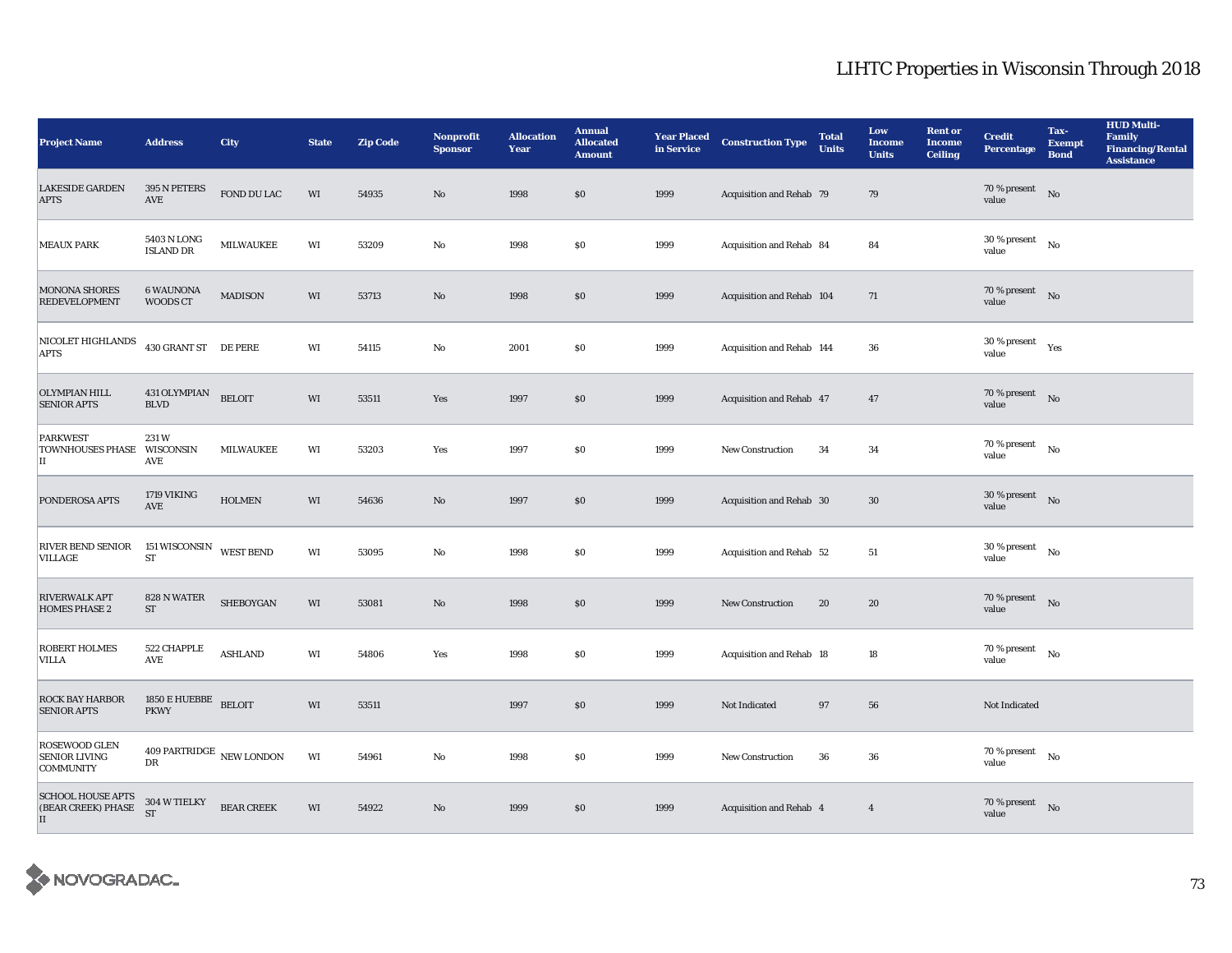| <b>Project Name</b>                                       | <b>Address</b>                               | City              | <b>State</b>           | <b>Zip Code</b> | <b>Nonprofit</b><br><b>Sponsor</b> | <b>Allocation</b><br>Year | <b>Annual</b><br><b>Allocated</b><br><b>Amount</b> | <b>Year Placed<br/>in Service</b> | <b>Construction Type</b>  | <b>Total</b><br><b>Units</b> | Low<br><b>Income</b><br><b>Units</b> | <b>Rent or</b><br><b>Income</b><br><b>Ceiling</b> | <b>Credit</b><br><b>Percentage</b>         | Tax-<br><b>Exempt</b><br><b>Bond</b> | <b>HUD Multi-</b><br>Family<br><b>Financing/Rental</b><br><b>Assistance</b> |
|-----------------------------------------------------------|----------------------------------------------|-------------------|------------------------|-----------------|------------------------------------|---------------------------|----------------------------------------------------|-----------------------------------|---------------------------|------------------------------|--------------------------------------|---------------------------------------------------|--------------------------------------------|--------------------------------------|-----------------------------------------------------------------------------|
| <b>LAKESIDE GARDEN</b><br><b>APTS</b>                     | 395 N PETERS<br>$\operatorname{AVE}$         | FOND DU LAC       | $\mathbf{W}\mathbf{I}$ | 54935           | $\rm No$                           | 1998                      | \$0                                                | 1999                              | Acquisition and Rehab 79  |                              | 79                                   |                                                   | $70\,\%$ present $\;$ No $\;$<br>value     |                                      |                                                                             |
| <b>MEAUX PARK</b>                                         | 5403 N LONG<br><b>ISLAND DR</b>              | MILWAUKEE         | WI                     | 53209           | No                                 | 1998                      | $\$0$                                              | 1999                              | Acquisition and Rehab 84  |                              | 84                                   |                                                   | $30$ % present $$\rm{No}$$<br>value        |                                      |                                                                             |
| <b>MONONA SHORES</b><br><b>REDEVELOPMENT</b>              | <b>6 WAUNONA</b><br>WOODS CT                 | <b>MADISON</b>    | WI                     | 53713           | No                                 | 1998                      | \$0                                                | 1999                              | Acquisition and Rehab 104 |                              | 71                                   |                                                   | 70 % present<br>value                      | No                                   |                                                                             |
| NICOLET HIGHLANDS<br><b>APTS</b>                          | 430 GRANT ST DE PERE                         |                   | WI                     | 54115           | No                                 | 2001                      | \$0                                                | 1999                              | Acquisition and Rehab 144 |                              | 36                                   |                                                   | 30 % present<br>value                      | Yes                                  |                                                                             |
| <b>OLYMPIAN HILL</b><br><b>SENIOR APTS</b>                | 431 OLYMPIAN BELOIT<br><b>BLVD</b>           |                   | WI                     | 53511           | Yes                                | 1997                      | \$0                                                | 1999                              | Acquisition and Rehab 47  |                              | 47                                   |                                                   | 70 % present $\qquad$ No<br>value          |                                      |                                                                             |
| <b>PARKWEST</b><br>TOWNHOUSES PHASE WISCONSIN<br>П        | 231W<br>AVE                                  | <b>MILWAUKEE</b>  | WI                     | 53203           | Yes                                | 1997                      | \$0                                                | 1999                              | New Construction          | 34                           | 34                                   |                                                   | 70 % present<br>value                      | No                                   |                                                                             |
| PONDEROSA APTS                                            | 1719 VIKING<br>AVE                           | <b>HOLMEN</b>     | $\mathbf{W}\mathbf{I}$ | 54636           | No                                 | 1997                      | $\$0$                                              | 1999                              | Acquisition and Rehab 30  |                              | $30\,$                               |                                                   | $30$ % present $$\rm{No}$$<br>value        |                                      |                                                                             |
| RIVER BEND SENIOR<br><b>VILLAGE</b>                       | 151 WISCONSIN WEST BEND<br>${\rm ST}$        |                   | WI                     | 53095           | No                                 | 1998                      | \$0                                                | 1999                              | Acquisition and Rehab 52  |                              | ${\bf 51}$                           |                                                   | 30 % present<br>value                      | $_{\rm No}$                          |                                                                             |
| <b>RIVERWALK APT</b><br><b>HOMES PHASE 2</b>              | 828 N WATER<br>${\rm ST}$                    | <b>SHEBOYGAN</b>  | WI                     | 53081           | No                                 | 1998                      | \$0                                                | 1999                              | <b>New Construction</b>   | 20                           | 20                                   |                                                   | 70 % present $\qquad$ No<br>value          |                                      |                                                                             |
| <b>ROBERT HOLMES</b><br><b>VILLA</b>                      | 522 CHAPPLE<br>$\operatorname{\mathsf{AVE}}$ | <b>ASHLAND</b>    | WI                     | 54806           | Yes                                | 1998                      | $\$0$                                              | 1999                              | Acquisition and Rehab 18  |                              | 18                                   |                                                   | $70$ % present $\quad$ No $\quad$<br>value |                                      |                                                                             |
| <b>ROCK BAY HARBOR</b><br><b>SENIOR APTS</b>              | 1850 E HUEBBE BELOIT<br><b>PKWY</b>          |                   | WI                     | 53511           |                                    | 1997                      | \$0                                                | 1999                              | Not Indicated             | 97                           | 56                                   |                                                   | Not Indicated                              |                                      |                                                                             |
| ROSEWOOD GLEN<br><b>SENIOR LIVING</b><br><b>COMMUNITY</b> | 409 PARTRIDGE $\,$ NEW LONDON<br>DR          |                   | WI                     | 54961           | No                                 | 1998                      | \$0                                                | 1999                              | <b>New Construction</b>   | 36                           | 36                                   |                                                   | $70$ % present<br>value                    | No                                   |                                                                             |
| SCHOOL HOUSE APTS<br>(BEAR CREEK) PHASE<br>$\vert$ II     | 304 W TIELKY<br><b>ST</b>                    | <b>BEAR CREEK</b> | WI                     | 54922           | No                                 | 1999                      | \$0                                                | 1999                              | Acquisition and Rehab 4   |                              | $\overline{4}$                       |                                                   | 70 % present $\qquad$ No<br>value          |                                      |                                                                             |

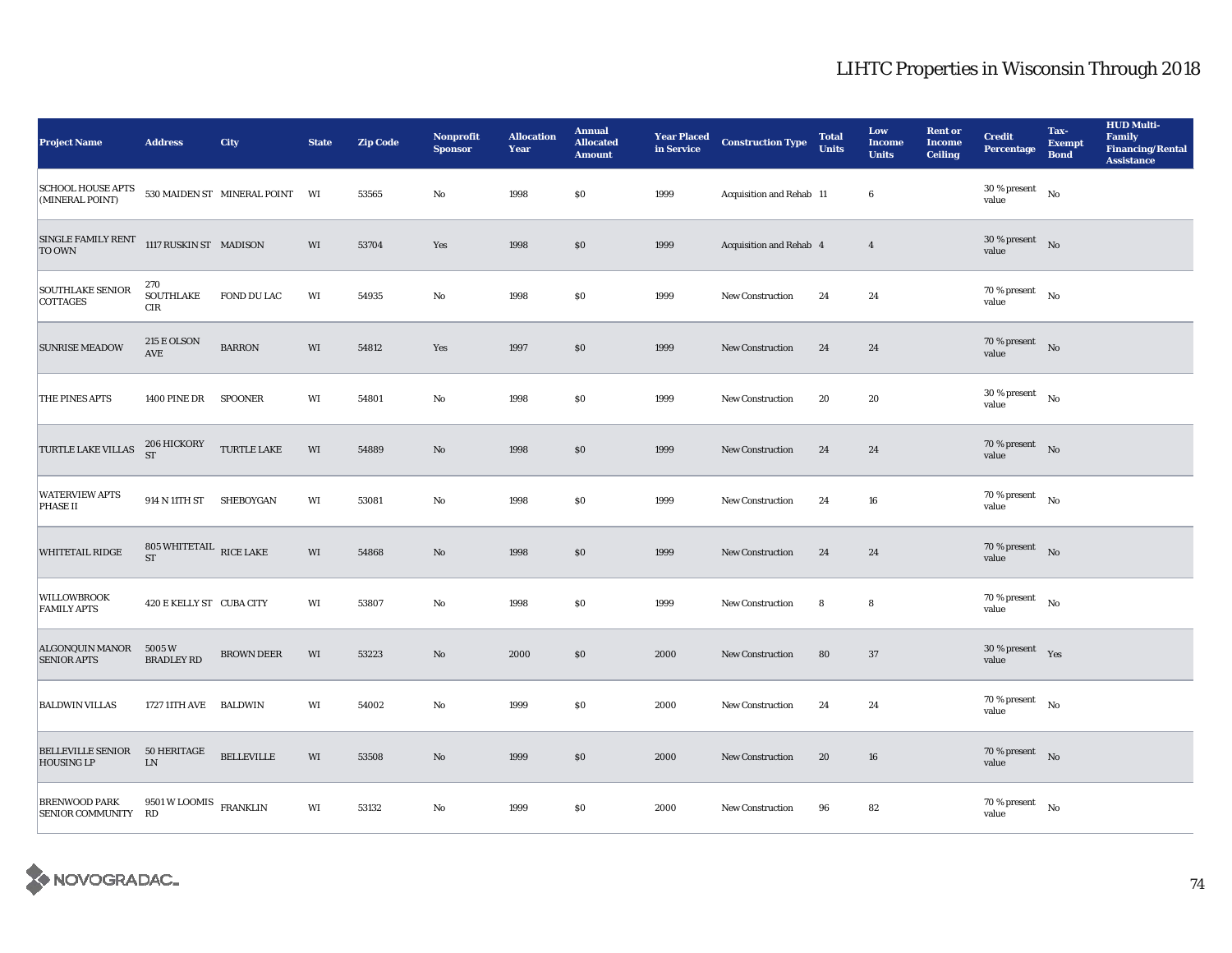| <b>Project Name</b>                           | <b>Address</b>                                                 | City                           | <b>State</b> | <b>Zip Code</b> | <b>Nonprofit</b><br><b>Sponsor</b> | <b>Allocation</b><br>Year | <b>Annual</b><br><b>Allocated</b><br><b>Amount</b> | <b>Year Placed<br/>in Service</b> | <b>Construction Type</b> | <b>Total</b><br><b>Units</b> | Low<br><b>Income</b><br><b>Units</b> | <b>Rent or</b><br><b>Income</b><br><b>Ceiling</b> | <b>Credit</b><br><b>Percentage</b>          | Tax-<br><b>Exempt</b><br><b>Bond</b> | <b>HUD Multi-</b><br>Family<br>Financing/Rental<br><b>Assistance</b> |
|-----------------------------------------------|----------------------------------------------------------------|--------------------------------|--------------|-----------------|------------------------------------|---------------------------|----------------------------------------------------|-----------------------------------|--------------------------|------------------------------|--------------------------------------|---------------------------------------------------|---------------------------------------------|--------------------------------------|----------------------------------------------------------------------|
| <b>SCHOOL HOUSE APTS</b><br>(MINERAL POINT)   |                                                                | 530 MAIDEN ST MINERAL POINT WI |              | 53565           | No                                 | 1998                      | \$0                                                | 1999                              | Acquisition and Rehab 11 |                              | 6                                    |                                                   | 30 % present<br>value                       | No                                   |                                                                      |
| $\operatorname{SINGLE}$ FAMILY RENT<br>TO OWN | 1117 RUSKIN ST MADISON                                         |                                | WI           | 53704           | Yes                                | 1998                      | \$0                                                | 1999                              | Acquisition and Rehab 4  |                              | $\overline{4}$                       |                                                   | $30\,\%$ present $$$ No $\,$<br>value       |                                      |                                                                      |
| <b>SOUTHLAKE SENIOR</b><br><b>COTTAGES</b>    | 270<br><b>SOUTHLAKE</b><br>CIR                                 | FOND DU LAC                    | WI           | 54935           | No                                 | 1998                      | $\$0$                                              | 1999                              | <b>New Construction</b>  | 24                           | 24                                   |                                                   | $70$ % present $$N{\rm o}$$<br>value        |                                      |                                                                      |
| <b>SUNRISE MEADOW</b>                         | $215\to {\rm OLSON}$<br>AVE                                    | <b>BARRON</b>                  | WI           | 54812           | Yes                                | 1997                      | \$0                                                | 1999                              | New Construction         | 24                           | 24                                   |                                                   | $70\%$ present No<br>value                  |                                      |                                                                      |
| <b>THE PINES APTS</b>                         | <b>1400 PINE DR</b>                                            | <b>SPOONER</b>                 | WI           | 54801           | No                                 | 1998                      | $\$0$                                              | 1999                              | New Construction         | 20                           | $\rm 20$                             |                                                   | $30$ % present $_{\rm ~No}$<br>value        |                                      |                                                                      |
| TURTLE LAKE VILLAS                            | $206\ \mathrm{HICKORY} \qquad \text{TURTLE LAKE}$<br><b>ST</b> |                                | WI           | 54889           | No                                 | 1998                      | \$0                                                | 1999                              | <b>New Construction</b>  | 24                           | 24                                   |                                                   | $70\%$ present No<br>value                  |                                      |                                                                      |
| <b>WATERVIEW APTS</b><br><b>PHASE II</b>      | 914 N 11TH ST SHEBOYGAN                                        |                                | WI           | 53081           | No                                 | 1998                      | $\$0$                                              | 1999                              | <b>New Construction</b>  | 24                           | 16                                   |                                                   | $70$ % present $\quad$ $_{\rm No}$<br>value |                                      |                                                                      |
| <b>WHITETAIL RIDGE</b>                        | 805 WHITETAIL RICE LAKE<br><b>ST</b>                           |                                | WI           | 54868           | $\mathbf{N}\mathbf{o}$             | 1998                      | $\$0$                                              | 1999                              | New Construction         | 24                           | 24                                   |                                                   | $70$ % present $\quad$ No<br>value          |                                      |                                                                      |
| <b>WILLOWBROOK</b><br><b>FAMILY APTS</b>      | 420 E KELLY ST CUBA CITY                                       |                                | WI           | 53807           | No                                 | 1998                      | \$0                                                | 1999                              | <b>New Construction</b>  | 8                            | 8                                    |                                                   | $70$ % present $$N\rm o$$<br>value          |                                      |                                                                      |
| <b>ALGONQUIN MANOR</b><br><b>SENIOR APTS</b>  | 5005 W<br><b>BRADLEY RD</b>                                    | <b>BROWN DEER</b>              | WI           | 53223           | No                                 | 2000                      | \$0                                                | 2000                              | New Construction         | 80                           | 37                                   |                                                   | 30 % present $Yes$<br>value                 |                                      |                                                                      |
| <b>BALDWIN VILLAS</b>                         | 1727 11TH AVE BALDWIN                                          |                                | WI           | 54002           | No                                 | 1999                      | $\$0$                                              | 2000                              | New Construction         | 24                           | 24                                   |                                                   | $70$ % present $\quad$ $_{\rm No}$<br>value |                                      |                                                                      |
| <b>BELLEVILLE SENIOR</b><br><b>HOUSING LP</b> | <b>50 HERITAGE</b><br>${\rm LN}$                               | <b>BELLEVILLE</b>              | WI           | 53508           | No                                 | 1999                      | $\$0$                                              | 2000                              | New Construction         | 20                           | ${\bf 16}$                           |                                                   | $70$ % present $$\rm{No}$$<br>value         |                                      |                                                                      |
| <b>BRENWOOD PARK</b><br>SENIOR COMMUNITY RD   | 9501 W LOOMIS $$\rm FRANKLIN$$                                 |                                | WI           | 53132           | No                                 | 1999                      | $\$0$                                              | 2000                              | <b>New Construction</b>  | 96                           | 82                                   |                                                   | $70$ % present $$\rm{No}$$<br>value         |                                      |                                                                      |

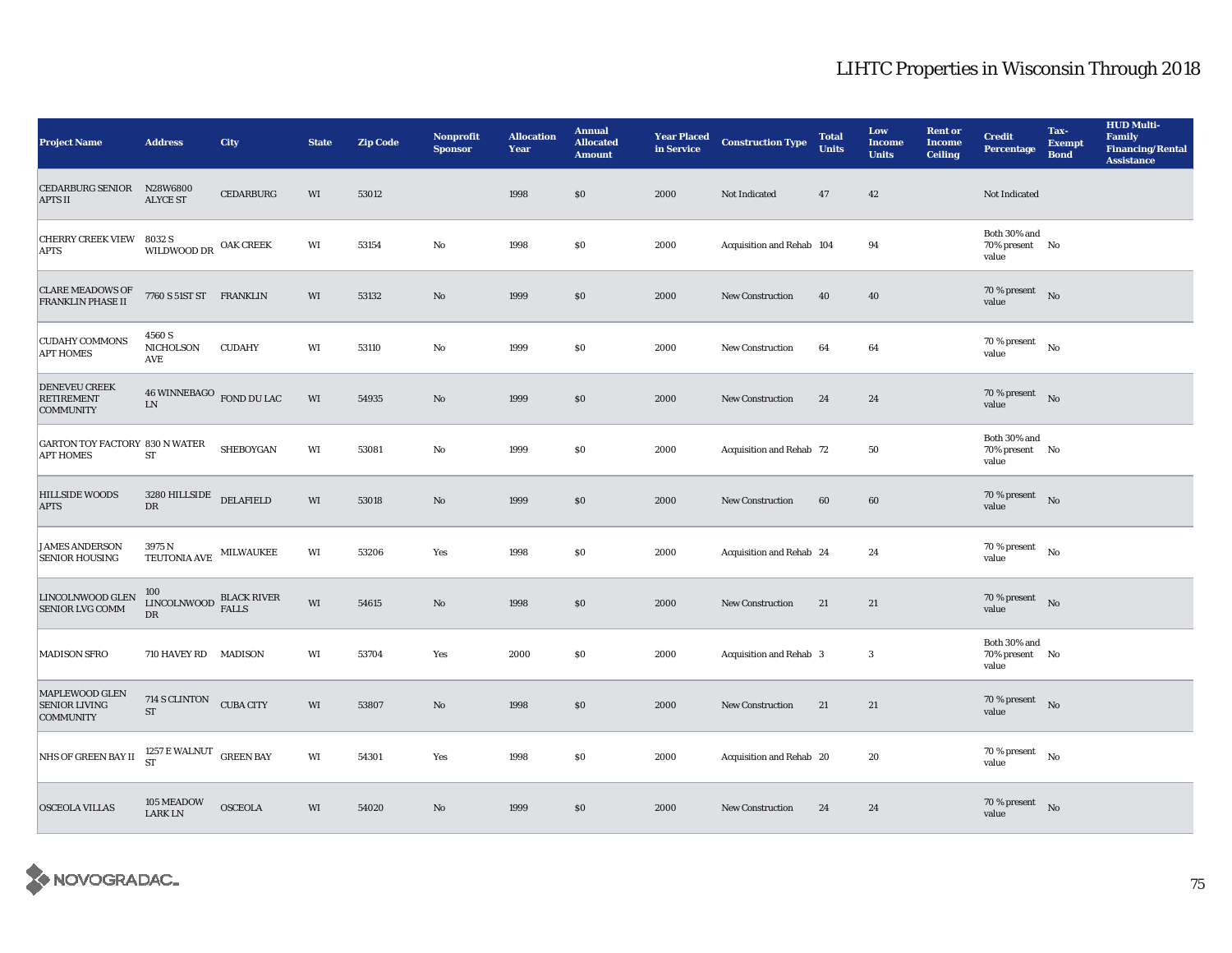| <b>Project Name</b>                                           | <b>Address</b>                                     | City             | <b>State</b> | <b>Zip Code</b> | Nonprofit<br><b>Sponsor</b> | <b>Allocation</b><br>Year | <b>Annual</b><br><b>Allocated</b><br><b>Amount</b> | <b>Year Placed</b><br>in Service | <b>Construction Type</b>  | <b>Total</b><br><b>Units</b> | Low<br><b>Income</b><br><b>Units</b> | <b>Rent or</b><br><b>Income</b><br><b>Ceiling</b> | <b>Credit</b><br><b>Percentage</b>          | Tax-<br><b>Exempt</b><br><b>Bond</b> | <b>HUD Multi-</b><br>Family<br><b>Financing/Rental</b><br><b>Assistance</b> |
|---------------------------------------------------------------|----------------------------------------------------|------------------|--------------|-----------------|-----------------------------|---------------------------|----------------------------------------------------|----------------------------------|---------------------------|------------------------------|--------------------------------------|---------------------------------------------------|---------------------------------------------|--------------------------------------|-----------------------------------------------------------------------------|
| CEDARBURG SENIOR N28W6800<br><b>APTS II</b>                   | <b>ALYCE ST</b>                                    | <b>CEDARBURG</b> | WI           | 53012           |                             | 1998                      | \$0                                                | 2000                             | Not Indicated             | 47                           | 42                                   |                                                   | Not Indicated                               |                                      |                                                                             |
| <b>CHERRY CREEK VIEW</b><br><b>APTS</b>                       | 8032 S<br>WILDWOOD DR                              | <b>OAK CREEK</b> | WI           | 53154           | No                          | 1998                      | \$0\$                                              | 2000                             | Acquisition and Rehab 104 |                              | 94                                   |                                                   | Both 30% and<br>70% present No<br>value     |                                      |                                                                             |
| <b>CLARE MEADOWS OF</b><br><b>FRANKLIN PHASE II</b>           | 7760 S 51ST ST FRANKLIN                            |                  | WI           | 53132           | $\mathbf{No}$               | 1999                      | \$0                                                | 2000                             | New Construction          | 40                           | 40                                   |                                                   | 70 % present<br>value                       | No                                   |                                                                             |
| <b>CUDAHY COMMONS</b><br><b>APT HOMES</b>                     | 4560 S<br>NICHOLSON<br>AVE                         | <b>CUDAHY</b>    | WI           | 53110           | No                          | 1999                      | $\$0$                                              | 2000                             | <b>New Construction</b>   | 64                           | 64                                   |                                                   | 70 % present<br>value                       | $\mathbf{N}\mathbf{o}$               |                                                                             |
| <b>DENEVEU CREEK</b><br><b>RETIREMENT</b><br><b>COMMUNITY</b> | $46$ WINNEBAGO $\,$ FOND DU LAC $\,$<br>${\rm LN}$ |                  | WI           | 54935           | No                          | 1999                      | \$0\$                                              | 2000                             | <b>New Construction</b>   | 24                           | 24                                   |                                                   | 70 % present $\qquad$ No<br>value           |                                      |                                                                             |
| GARTON TOY FACTORY 830 N WATER<br><b>APT HOMES</b>            | ST                                                 | SHEBOYGAN        | WI           | 53081           | No                          | 1999                      | \$0                                                | 2000                             | Acquisition and Rehab 72  |                              | 50                                   |                                                   | Both 30% and<br>70% present No<br>value     |                                      |                                                                             |
| <b>HILLSIDE WOODS</b><br><b>APTS</b>                          | 3280 HILLSIDE<br>DR                                | <b>DELAFIELD</b> | WI           | 53018           | No                          | 1999                      | $\$0$                                              | 2000                             | New Construction          | 60                           | 60                                   |                                                   | 70 % present $\qquad$ No<br>value           |                                      |                                                                             |
| <b>JAMES ANDERSON</b><br><b>SENIOR HOUSING</b>                | 3975 N<br>TEUTONIA AVE                             | <b>MILWAUKEE</b> | WI           | 53206           | Yes                         | 1998                      | \$0\$                                              | 2000                             | Acquisition and Rehab 24  |                              | 24                                   |                                                   | 70 % present<br>value                       | No                                   |                                                                             |
| LINCOLNWOOD GLEN<br><b>SENIOR LVG COMM</b>                    | 100<br>LINCOLNWOOD BLACK RIVER<br>DR               |                  | WI           | 54615           | No                          | 1998                      | \$0                                                | 2000                             | <b>New Construction</b>   | 21                           | 21                                   |                                                   | $70\%$ present No<br>value                  |                                      |                                                                             |
| <b>MADISON SFRO</b>                                           | 710 HAVEY RD MADISON                               |                  | WI           | 53704           | Yes                         | 2000                      | $\$0$                                              | 2000                             | Acquisition and Rehab 3   |                              | $\boldsymbol{3}$                     |                                                   | Both 30% and<br>70% present No<br>value     |                                      |                                                                             |
| MAPLEWOOD GLEN<br><b>SENIOR LIVING</b><br><b>COMMUNITY</b>    | 714 S CLINTON CUBA CITY<br>$\operatorname{ST}$     |                  | WI           | 53807           | No                          | 1998                      | \$0                                                | 2000                             | <b>New Construction</b>   | 21                           | 21                                   |                                                   | $70\%$ present No<br>value                  |                                      |                                                                             |
| NHS OF GREEN BAY II                                           | $1257$ E WALNUT $\,$ GREEN BAY ST                  |                  | WI           | 54301           | Yes                         | 1998                      | \$0                                                | 2000                             | Acquisition and Rehab 20  |                              | 20                                   |                                                   | $70$ % present $\quad$ $_{\rm No}$<br>value |                                      |                                                                             |
| <b>OSCEOLA VILLAS</b>                                         | 105 MEADOW<br><b>LARK LN</b>                       | <b>OSCEOLA</b>   | WI           | 54020           | No                          | 1999                      | \$0                                                | 2000                             | <b>New Construction</b>   | 24                           | 24                                   |                                                   | $70\%$ present No<br>value                  |                                      |                                                                             |

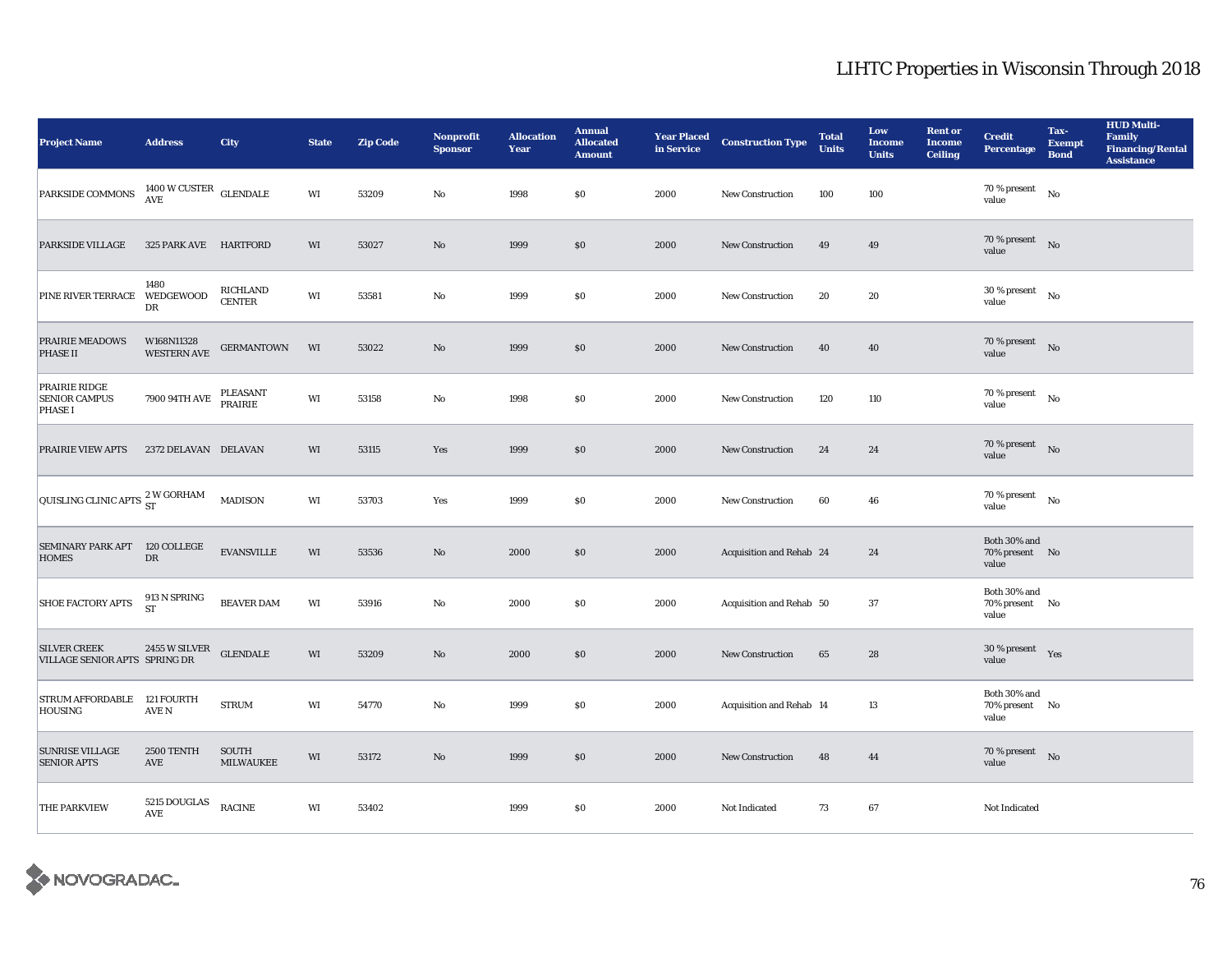| <b>Project Name</b>                                     | <b>Address</b>                                     | City                             | <b>State</b> | <b>Zip Code</b> | <b>Nonprofit</b><br><b>Sponsor</b> | <b>Allocation</b><br>Year | <b>Annual</b><br><b>Allocated</b><br><b>Amount</b> | <b>Year Placed<br/>in Service</b> | <b>Construction Type</b> | <b>Total</b><br><b>Units</b> | Low<br><b>Income</b><br><b>Units</b> | <b>Rent or</b><br><b>Income</b><br><b>Ceiling</b> | <b>Credit</b><br><b>Percentage</b>          | Tax-<br><b>Exempt</b><br><b>Bond</b> | <b>HUD Multi-</b><br>Family<br><b>Financing/Rental</b><br><b>Assistance</b> |
|---------------------------------------------------------|----------------------------------------------------|----------------------------------|--------------|-----------------|------------------------------------|---------------------------|----------------------------------------------------|-----------------------------------|--------------------------|------------------------------|--------------------------------------|---------------------------------------------------|---------------------------------------------|--------------------------------------|-----------------------------------------------------------------------------|
| PARKSIDE COMMONS                                        | $1400\,\rm{W}\,\rm{CUSTER}$ GLENDALE<br><b>AVE</b> |                                  | WI           | 53209           | No                                 | 1998                      | $\$0$                                              | 2000                              | <b>New Construction</b>  | 100                          | 100                                  |                                                   | 70 % present<br>value                       | No                                   |                                                                             |
| PARKSIDE VILLAGE                                        | 325 PARK AVE HARTFORD                              |                                  | WI           | 53027           | No                                 | 1999                      | \$0                                                | 2000                              | New Construction         | 49                           | 49                                   |                                                   | 70 % present $\qquad N$ o<br>value          |                                      |                                                                             |
| PINE RIVER TERRACE                                      | 1480<br>WEDGEWOOD<br>DR                            | <b>RICHLAND</b><br><b>CENTER</b> | WI           | 53581           | No                                 | 1999                      | $\$0$                                              | 2000                              | New Construction         | 20                           | $\rm 20$                             |                                                   | $30$ % present<br>value                     | No                                   |                                                                             |
| <b>PRAIRIE MEADOWS</b><br><b>PHASE II</b>               | W168N11328<br><b>WESTERN AVE</b>                   | <b>GERMANTOWN</b>                | WI           | 53022           | $\mathbf{No}$                      | 1999                      | \$0                                                | 2000                              | <b>New Construction</b>  | 40                           | 40                                   |                                                   | $70$ % present $$\rm{No}$$<br>value         |                                      |                                                                             |
| PRAIRIE RIDGE<br><b>SENIOR CAMPUS</b><br><b>PHASE I</b> | 7900 94TH AVE                                      | PLEASANT<br><b>PRAIRIE</b>       | WI           | 53158           | No                                 | 1998                      | $\$0$                                              | 2000                              | <b>New Construction</b>  | 120                          | 110                                  |                                                   | $70$ % present $\quad$ $_{\rm No}$<br>value |                                      |                                                                             |
| <b>PRAIRIE VIEW APTS</b>                                | 2372 DELAVAN DELAVAN                               |                                  | WI           | 53115           | Yes                                | 1999                      | \$0                                                | 2000                              | New Construction         | 24                           | 24                                   |                                                   | $70\%$ present No<br>value                  |                                      |                                                                             |
| QUISLING CLINIC APTS $\frac{2 \text{ W}$ GORHAM         |                                                    | $\mbox{MADISON}$                 | WI           | 53703           | Yes                                | 1999                      | $\$0$                                              | 2000                              | New Construction         | 60                           | 46                                   |                                                   | $70$ % present $$\rm{No}$$<br>value         |                                      |                                                                             |
| SEMINARY PARK APT 120 COLLEGE<br><b>HOMES</b>           | ${\rm DR}$                                         | <b>EVANSVILLE</b>                | WI           | 53536           | No                                 | 2000                      | \$0                                                | 2000                              | Acquisition and Rehab 24 |                              | 24                                   |                                                   | Both 30% and<br>70% present No<br>value     |                                      |                                                                             |
| <b>SHOE FACTORY APTS</b>                                | 913 N SPRING<br><b>ST</b>                          | <b>BEAVER DAM</b>                | WI           | 53916           | No                                 | 2000                      | \$0                                                | 2000                              | Acquisition and Rehab 50 |                              | $37\,$                               |                                                   | Both 30% and<br>70% present No<br>value     |                                      |                                                                             |
| <b>SILVER CREEK</b><br>VILLAGE SENIOR APTS SPRING DR    | 2455 W SILVER                                      | <b>GLENDALE</b>                  | WI           | 53209           | No                                 | 2000                      | \$0                                                | 2000                              | New Construction         | 65                           | 28                                   |                                                   | 30 % present $Yes$<br>value                 |                                      |                                                                             |
| STRUM AFFORDABLE 121 FOURTH<br><b>HOUSING</b>           | AVE N                                              | <b>STRUM</b>                     | WI           | 54770           | No                                 | 1999                      | $\$0$                                              | 2000                              | Acquisition and Rehab 14 |                              | 13                                   |                                                   | Both 30% and<br>70% present No<br>value     |                                      |                                                                             |
| <b>SUNRISE VILLAGE</b><br><b>SENIOR APTS</b>            | 2500 TENTH<br>AVE                                  | SOUTH<br><b>MILWAUKEE</b>        | WI           | 53172           | $\mathbf{No}$                      | 1999                      | \$0                                                | 2000                              | New Construction         | 48                           | 44                                   |                                                   | $70\%$ present No<br>value                  |                                      |                                                                             |
| <b>THE PARKVIEW</b>                                     | 5215 DOUGLAS<br>AVE                                | <b>RACINE</b>                    | WI           | 53402           |                                    | 1999                      | $\$0$                                              | 2000                              | Not Indicated            | 73                           | 67                                   |                                                   | Not Indicated                               |                                      |                                                                             |

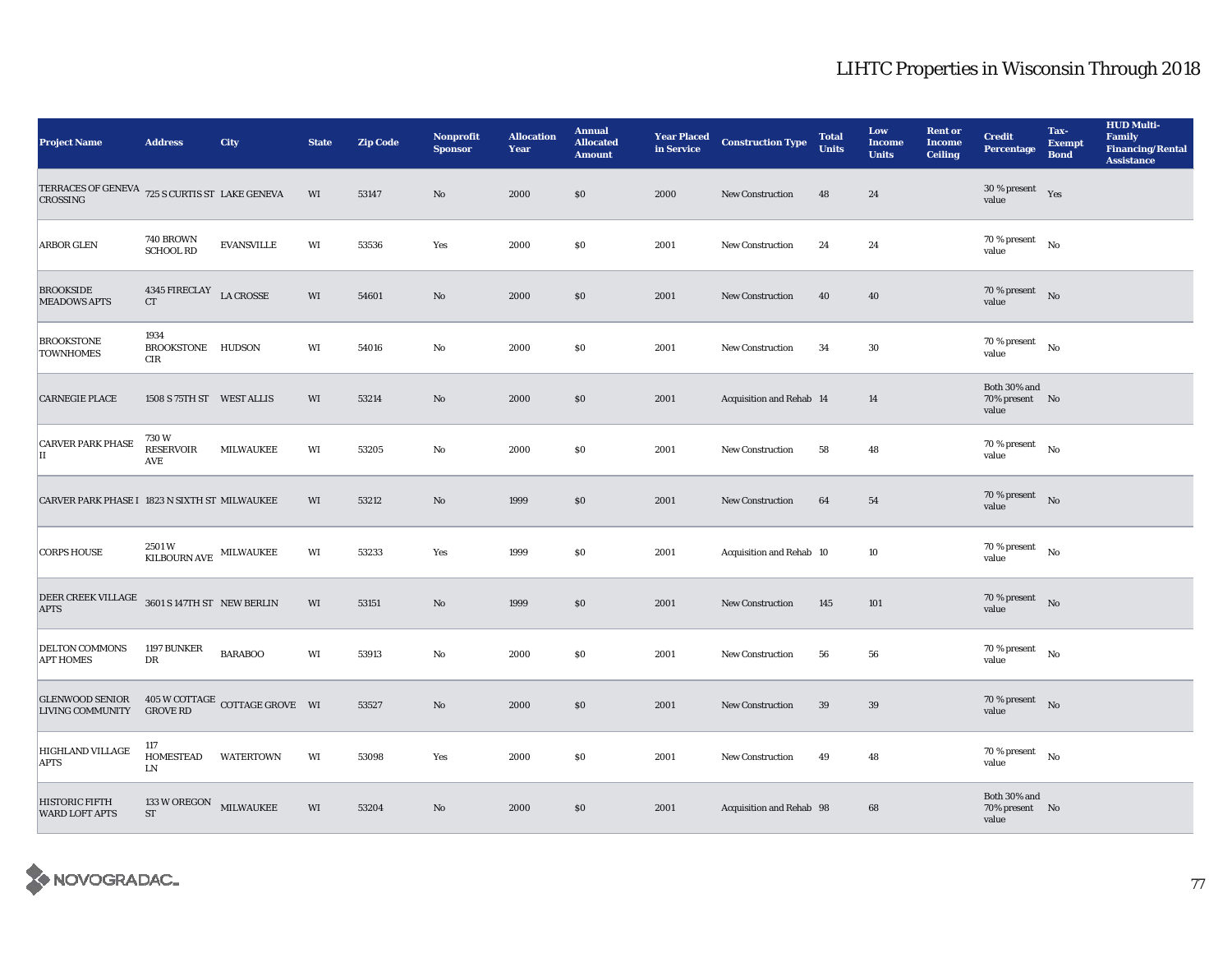| <b>Project Name</b>                                                | <b>Address</b>                                                                                                                                                                                                                           | City              | <b>State</b> | <b>Zip Code</b> | <b>Nonprofit</b><br><b>Sponsor</b> | <b>Allocation</b><br>Year | <b>Annual</b><br><b>Allocated</b><br><b>Amount</b> | <b>Year Placed<br/>in Service</b> | <b>Construction Type</b> | <b>Total</b><br><b>Units</b> | Low<br><b>Income</b><br><b>Units</b> | <b>Rent or</b><br><b>Income</b><br><b>Ceiling</b> | <b>Credit</b><br><b>Percentage</b>         | Tax-<br><b>Exempt</b><br><b>Bond</b> | <b>HUD Multi-</b><br>Family<br><b>Financing/Rental</b><br><b>Assistance</b> |
|--------------------------------------------------------------------|------------------------------------------------------------------------------------------------------------------------------------------------------------------------------------------------------------------------------------------|-------------------|--------------|-----------------|------------------------------------|---------------------------|----------------------------------------------------|-----------------------------------|--------------------------|------------------------------|--------------------------------------|---------------------------------------------------|--------------------------------------------|--------------------------------------|-----------------------------------------------------------------------------|
| TERRACES OF GENEVA 725 S CURTIS ST LAKE GENEVA<br><b>CROSSING</b>  |                                                                                                                                                                                                                                          |                   | WI           | 53147           | No                                 | 2000                      | $\$0$                                              | 2000                              | <b>New Construction</b>  | 48                           | 24                                   |                                                   | $30$ % present $\quad$ Yes<br>value        |                                      |                                                                             |
| <b>ARBOR GLEN</b>                                                  | <b>740 BROWN</b><br><b>SCHOOL RD</b>                                                                                                                                                                                                     | <b>EVANSVILLE</b> | WI           | 53536           | Yes                                | 2000                      | \$0                                                | 2001                              | <b>New Construction</b>  | 24                           | 24                                   |                                                   | $70$ % present $\quad$ No $\quad$<br>value |                                      |                                                                             |
| <b>BROOKSIDE</b><br><b>MEADOWS APTS</b>                            | 4345 FIRECLAY LA CROSSE<br>CT                                                                                                                                                                                                            |                   | WI           | 54601           | No                                 | 2000                      | \$0                                                | 2001                              | <b>New Construction</b>  | 40                           | 40                                   |                                                   | 70 % present<br>value                      | No                                   |                                                                             |
| <b>BROOKSTONE</b><br><b>TOWNHOMES</b>                              | 1934<br>BROOKSTONE HUDSON<br>CIR                                                                                                                                                                                                         |                   | WI           | 54016           | No                                 | 2000                      | $\$0$                                              | 2001                              | <b>New Construction</b>  | 34                           | $30\,$                               |                                                   | 70 % present<br>value                      | No                                   |                                                                             |
| <b>CARNEGIE PLACE</b>                                              | 1508 S 75TH ST WEST ALLIS                                                                                                                                                                                                                |                   | WI           | 53214           | No                                 | 2000                      | \$0                                                | 2001                              | Acquisition and Rehab 14 |                              | 14                                   |                                                   | Both 30% and<br>70% present No<br>value    |                                      |                                                                             |
| <b>CARVER PARK PHASE</b><br>II                                     | 730W<br><b>RESERVOIR</b><br>AVE                                                                                                                                                                                                          | <b>MILWAUKEE</b>  | WI           | 53205           | No                                 | 2000                      | $\$0$                                              | 2001                              | <b>New Construction</b>  | 58                           | 48                                   |                                                   | $70$ % present<br>value                    | $\rm No$                             |                                                                             |
| CARVER PARK PHASE I 1823 N SIXTH ST MILWAUKEE                      |                                                                                                                                                                                                                                          |                   | WI           | 53212           | No                                 | 1999                      | $\$0$                                              | 2001                              | New Construction         | 64                           | ${\bf 54}$                           |                                                   | $70$ % present $\quad$ No<br>value         |                                      |                                                                             |
| <b>CORPS HOUSE</b>                                                 | 2501W<br>$\begin{tabular}{ll} \multicolumn{2}{c}{\textbf{KILBOURN} \textbf{AVE}} & \multicolumn{2}{c}{\textbf{MILWAUKEE}}\\ \multicolumn{2}{c}{\textbf{KILBOURN} \textbf{AVE}} & \multicolumn{2}{c}{\textbf{MILWAUKEE}}\\ \end{tabular}$ |                   | WI           | 53233           | Yes                                | 1999                      | $\$0$                                              | 2001                              | Acquisition and Rehab 10 |                              | 10                                   |                                                   | $70$ % present<br>value                    | No                                   |                                                                             |
| DEER CREEK VILLAGE 3601 S 147TH ST NEW BERLIN<br><b>APTS</b>       |                                                                                                                                                                                                                                          |                   | WI           | 53151           | No                                 | 1999                      | \$0                                                | 2001                              | <b>New Construction</b>  | 145                          | 101                                  |                                                   | 70 % present<br>value                      | No                                   |                                                                             |
| <b>DELTON COMMONS</b><br><b>APT HOMES</b>                          | <b>1197 BUNKER</b><br>DR                                                                                                                                                                                                                 | <b>BARABOO</b>    | WI           | 53913           | No                                 | 2000                      | \$0                                                | 2001                              | <b>New Construction</b>  | 56                           | 56                                   |                                                   | 70 % present<br>value                      | No                                   |                                                                             |
| GLENWOOD SENIOR 405 W COTTAGE COTTAGE GROVE WI<br>LIVING COMMUNITY | <b>GROVE RD</b>                                                                                                                                                                                                                          |                   |              | 53527           | No                                 | 2000                      | \$0                                                | 2001                              | New Construction         | 39                           | 39                                   |                                                   | 70 % present $\qquad$ No<br>value          |                                      |                                                                             |
| HIGHLAND VILLAGE<br><b>APTS</b>                                    | 117<br>HOMESTEAD<br>LN                                                                                                                                                                                                                   | <b>WATERTOWN</b>  | WI           | 53098           | Yes                                | 2000                      | \$0                                                | 2001                              | <b>New Construction</b>  | 49                           | 48                                   |                                                   | $70\,\%$ present<br>value                  | No                                   |                                                                             |
| <b>HISTORIC FIFTH</b><br><b>WARD LOFT APTS</b>                     | $133$ W OREGON $$\tt MILWAUKEE$$<br><b>ST</b>                                                                                                                                                                                            |                   | WI           | 53204           | No                                 | 2000                      | \$0                                                | 2001                              | Acquisition and Rehab 98 |                              | 68                                   |                                                   | Both 30% and<br>70% present No<br>value    |                                      |                                                                             |

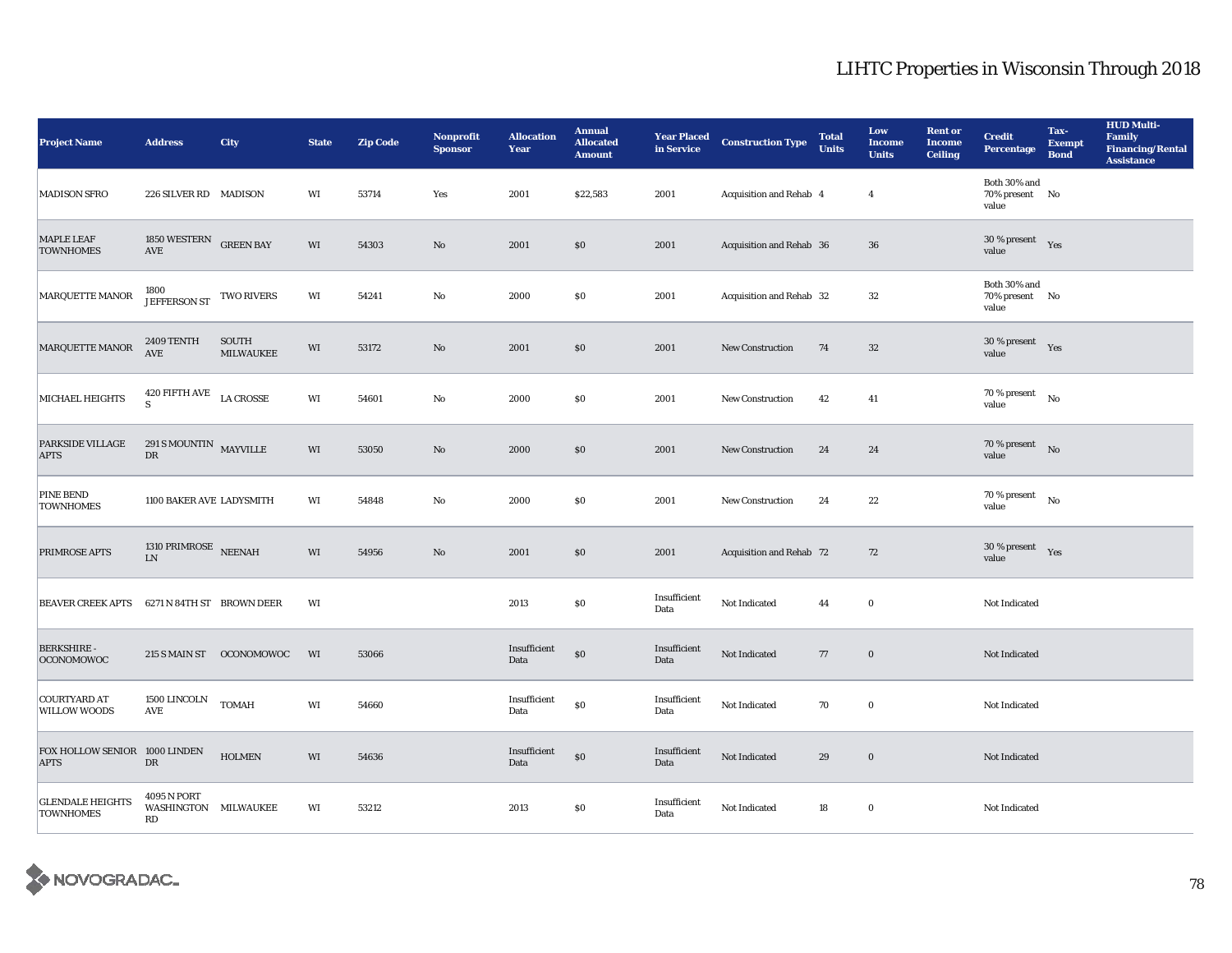| <b>Project Name</b>                          | <b>Address</b>                                                       | City                             | <b>State</b> | <b>Zip Code</b> | Nonprofit<br><b>Sponsor</b> | <b>Allocation</b><br>Year | <b>Annual</b><br><b>Allocated</b><br><b>Amount</b> | <b>Year Placed<br/>in Service</b> | <b>Construction Type</b> | <b>Total</b><br><b>Units</b> | Low<br><b>Income</b><br><b>Units</b> | <b>Rent or</b><br><b>Income</b><br><b>Ceiling</b> | <b>Credit</b><br><b>Percentage</b>         | Tax-<br><b>Exempt</b><br><b>Bond</b> | <b>HUD Multi-</b><br>Family<br><b>Financing/Rental</b><br><b>Assistance</b> |
|----------------------------------------------|----------------------------------------------------------------------|----------------------------------|--------------|-----------------|-----------------------------|---------------------------|----------------------------------------------------|-----------------------------------|--------------------------|------------------------------|--------------------------------------|---------------------------------------------------|--------------------------------------------|--------------------------------------|-----------------------------------------------------------------------------|
| <b>MADISON SFRO</b>                          | 226 SILVER RD MADISON                                                |                                  | WI           | 53714           | Yes                         | 2001                      | \$22,583                                           | 2001                              | Acquisition and Rehab 4  |                              | $\overline{4}$                       |                                                   | Both 30% and<br>70% present No<br>value    |                                      |                                                                             |
| <b>MAPLE LEAF</b><br><b>TOWNHOMES</b>        | 1850 WESTERN GREEN BAY<br>$\operatorname{AVE}$                       |                                  | WI           | 54303           | $\mathbf{No}$               | 2001                      | $\$0$                                              | 2001                              | Acquisition and Rehab 36 |                              | 36                                   |                                                   | 30 % present $Yes$<br>value                |                                      |                                                                             |
| MARQUETTE MANOR                              | 1800<br>JEFFERSON ST TWO RIVERS                                      |                                  | WI           | 54241           | No                          | 2000                      | \$0                                                | 2001                              | Acquisition and Rehab 32 |                              | $32\,$                               |                                                   | Both 30% and<br>70% present No<br>value    |                                      |                                                                             |
| <b>MARQUETTE MANOR</b>                       | 2409 TENTH<br>AVE                                                    | <b>SOUTH</b><br><b>MILWAUKEE</b> | WI           | 53172           | $\mathbf{No}$               | 2001                      | \$0\$                                              | 2001                              | <b>New Construction</b>  | 74                           | $32\,$                               |                                                   | $30\,\%$ present $\quad$ Yes<br>value      |                                      |                                                                             |
| MICHAEL HEIGHTS                              | $420$ FIFTH AVE $\;$ LA CROSSE<br>S                                  |                                  | WI           | 54601           | No                          | 2000                      | $\$0$                                              | 2001                              | <b>New Construction</b>  | 42                           | 41                                   |                                                   | $70\,\%$ present $\quad$ No<br>value       |                                      |                                                                             |
| PARKSIDE VILLAGE<br><b>APTS</b>              | 291 S MOUNTIN MAYVILLE<br>$\mathbf{D}\mathbf{R}$                     |                                  | WI           | 53050           | No                          | 2000                      | \$0\$                                              | 2001                              | <b>New Construction</b>  | 24                           | 24                                   |                                                   | $70\%$ present No<br>value                 |                                      |                                                                             |
| PINE BEND<br><b>TOWNHOMES</b>                | 1100 BAKER AVE LADYSMITH                                             |                                  | WI           | 54848           | No                          | 2000                      | \$0\$                                              | 2001                              | <b>New Construction</b>  | 24                           | 22                                   |                                                   | $70$ % present $\quad$ No $\quad$<br>value |                                      |                                                                             |
| PRIMROSE APTS                                | 1310 PRIMROSE $\,$ NEENAH<br><b>LN</b>                               |                                  | WI           | 54956           | No                          | 2001                      | \$0\$                                              | 2001                              | Acquisition and Rehab 72 |                              | 72                                   |                                                   | 30 % present $Yes$<br>value                |                                      |                                                                             |
| <b>BEAVER CREEK APTS</b>                     | 6271 N 84TH ST BROWN DEER                                            |                                  | WI           |                 |                             | 2013                      | \$0\$                                              | Insufficient<br>Data              | Not Indicated            | 44                           | $\bf{0}$                             |                                                   | Not Indicated                              |                                      |                                                                             |
| <b>BERKSHIRE-</b><br><b>OCONOMOWOC</b>       |                                                                      | 215 S MAIN ST OCONOMOWOC         | WI           | 53066           |                             | Insufficient<br>Data      | \$0                                                | Insufficient<br>Data              | Not Indicated            | 77                           | $\bf{0}$                             |                                                   | Not Indicated                              |                                      |                                                                             |
| <b>COURTYARD AT</b><br><b>WILLOW WOODS</b>   | 1500 LINCOLN<br>AVE                                                  | <b>TOMAH</b>                     | WI           | 54660           |                             | Insufficient<br>Data      | $\$0$                                              | Insufficient<br>Data              | Not Indicated            | 70                           | $\bf{0}$                             |                                                   | <b>Not Indicated</b>                       |                                      |                                                                             |
| FOX HOLLOW SENIOR 1000 LINDEN<br><b>APTS</b> | ${\rm D}{\rm R}$                                                     | <b>HOLMEN</b>                    | WI           | 54636           |                             | Insufficient<br>Data      | \$0                                                | Insufficient<br>Data              | Not Indicated            | 29                           | $\bf{0}$                             |                                                   | Not Indicated                              |                                      |                                                                             |
| <b>GLENDALE HEIGHTS</b><br><b>TOWNHOMES</b>  | <b>4095 N PORT</b><br>WASHINGTON MILWAUKEE<br>$\mathbb{R}\mathbb{D}$ |                                  | WI           | 53212           |                             | 2013                      | $\$0$                                              | Insufficient<br>Data              | Not Indicated            | 18                           | $\bf{0}$                             |                                                   | Not Indicated                              |                                      |                                                                             |

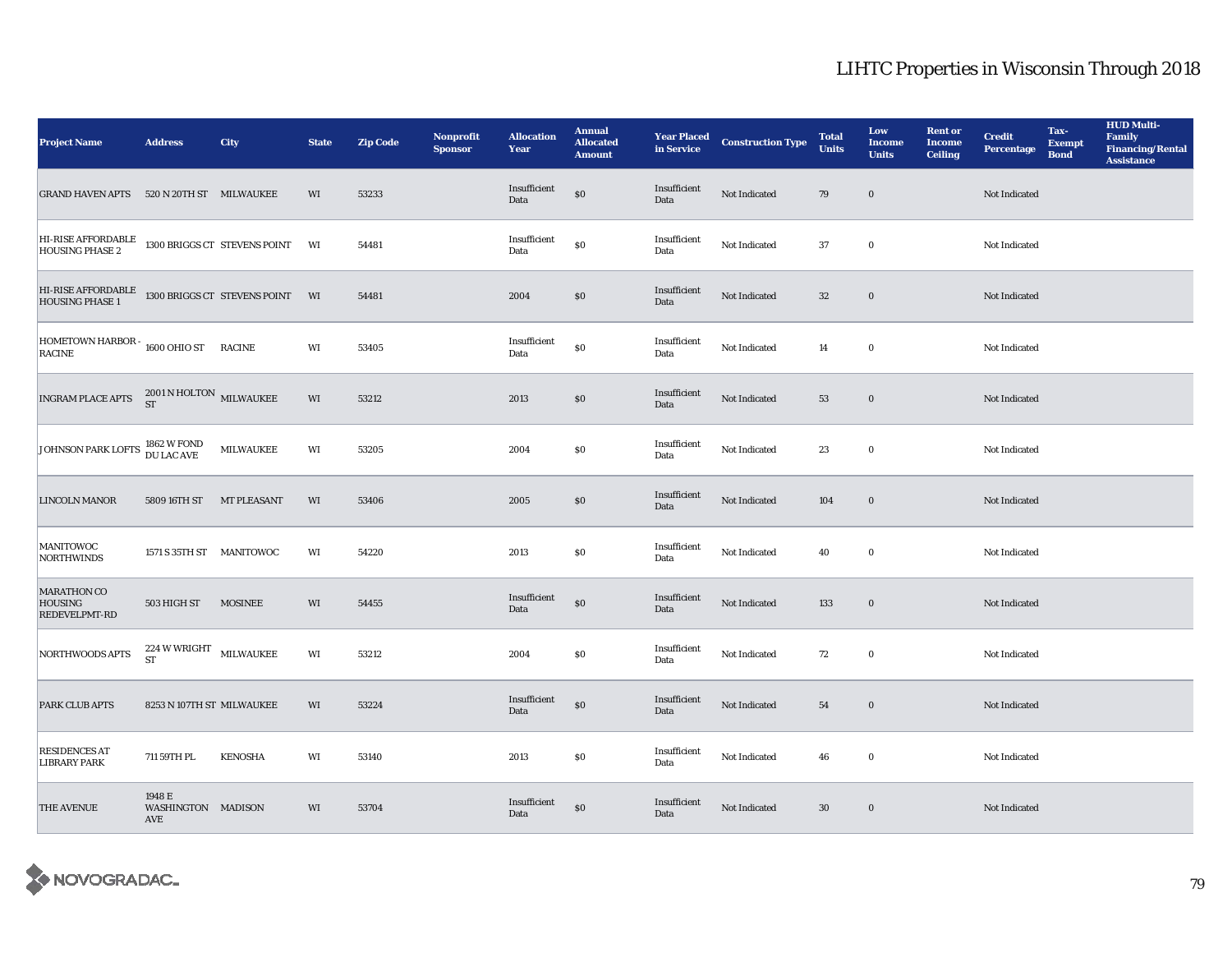| <b>Project Name</b>                                                | <b>Address</b>                                            | <b>City</b>        | <b>State</b> | <b>Zip Code</b> | Nonprofit<br><b>Sponsor</b> | <b>Allocation</b><br>Year | <b>Annual</b><br><b>Allocated</b><br><b>Amount</b> | <b>Year Placed<br/>in Service</b> | <b>Construction Type</b> | <b>Total</b><br><b>Units</b> | Low<br><b>Income</b><br><b>Units</b> | <b>Rent or</b><br><b>Income</b><br><b>Ceiling</b> | <b>Credit</b><br><b>Percentage</b> | Tax-<br><b>Exempt</b><br><b>Bond</b> | <b>HUD Multi-</b><br>Family<br><b>Financing/Rental</b><br><b>Assistance</b> |
|--------------------------------------------------------------------|-----------------------------------------------------------|--------------------|--------------|-----------------|-----------------------------|---------------------------|----------------------------------------------------|-----------------------------------|--------------------------|------------------------------|--------------------------------------|---------------------------------------------------|------------------------------------|--------------------------------------|-----------------------------------------------------------------------------|
| GRAND HAVEN APTS 520 N 20TH ST MILWAUKEE                           |                                                           |                    | WI           | 53233           |                             | Insufficient<br>Data      | $\$0$                                              | Insufficient<br>Data              | Not Indicated            | 79                           | $\bf{0}$                             |                                                   | Not Indicated                      |                                      |                                                                             |
| HI-RISE AFFORDABLE 1300 BRIGGS CT STEVENS POINT HOUSING PHASE 2    |                                                           |                    | WI           | 54481           |                             | Insufficient<br>Data      | $\$0$                                              | Insufficient<br>Data              | Not Indicated            | 37                           | $\bf{0}$                             |                                                   | Not Indicated                      |                                      |                                                                             |
| HI-RISE AFFORDABLE 1300 BRIGGS CT STEVENS POINT WI HOUSING PHASE 1 |                                                           |                    |              | 54481           |                             | 2004                      | \$0                                                | Insufficient<br>Data              | Not Indicated            | 32                           | $\bf{0}$                             |                                                   | Not Indicated                      |                                      |                                                                             |
| HOMETOWN HARBOR - 1600 OHIO ST RACINE<br><b>RACINE</b>             |                                                           |                    | WI           | 53405           |                             | Insufficient<br>Data      | $\$0$                                              | Insufficient<br>Data              | Not Indicated            | 14                           | $\bf{0}$                             |                                                   | Not Indicated                      |                                      |                                                                             |
| INGRAM PLACE APTS $^{2001}$ N HOLTON MILWAUKEE                     |                                                           |                    | WI           | 53212           |                             | 2013                      | \$0                                                | Insufficient<br>Data              | Not Indicated            | 53                           | $\bf{0}$                             |                                                   | Not Indicated                      |                                      |                                                                             |
| JOHNSON PARK LOFTS 1862 W FOND                                     |                                                           | MILWAUKEE          | WI           | 53205           |                             | 2004                      | \$0                                                | Insufficient<br>Data              | Not Indicated            | 23                           | $\bf{0}$                             |                                                   | Not Indicated                      |                                      |                                                                             |
| <b>LINCOLN MANOR</b>                                               | 5809 16TH ST                                              | <b>MT PLEASANT</b> | WI           | 53406           |                             | 2005                      | $\$0$                                              | Insufficient<br>Data              | Not Indicated            | 104                          | $\bf{0}$                             |                                                   | Not Indicated                      |                                      |                                                                             |
| <b>MANITOWOC</b><br><b>NORTHWINDS</b>                              | 1571 S 35TH ST MANITOWOC                                  |                    | WI           | 54220           |                             | 2013                      | $\$0$                                              | Insufficient<br>Data              | Not Indicated            | 40                           | 0                                    |                                                   | Not Indicated                      |                                      |                                                                             |
| <b>MARATHON CO</b><br><b>HOUSING</b><br><b>REDEVELPMT-RD</b>       | 503 HIGH ST                                               | <b>MOSINEE</b>     | WI           | 54455           |                             | Insufficient<br>Data      | $\$0$                                              | Insufficient<br>Data              | Not Indicated            | 133                          | $\bf{0}$                             |                                                   | Not Indicated                      |                                      |                                                                             |
| <b>NORTHWOODS APTS</b>                                             | $224\,\mathrm{W}\,\mathrm{WRIGHT}$ MILWAUKEE<br><b>ST</b> |                    | WI           | 53212           |                             | 2004                      | $\$0$                                              | Insufficient<br>Data              | Not Indicated            | 72                           | $\bf{0}$                             |                                                   | Not Indicated                      |                                      |                                                                             |
| PARK CLUB APTS                                                     | 8253 N 107TH ST MILWAUKEE                                 |                    | WI           | 53224           |                             | Insufficient<br>Data      | $\$0$                                              | Insufficient<br>Data              | Not Indicated            | 54                           | $\mathbf 0$                          |                                                   | Not Indicated                      |                                      |                                                                             |
| <b>RESIDENCES AT</b><br><b>LIBRARY PARK</b>                        | 711 59TH PL                                               | <b>KENOSHA</b>     | WI           | 53140           |                             | 2013                      | $\$0$                                              | Insufficient<br>Data              | Not Indicated            | 46                           | $\bf{0}$                             |                                                   | Not Indicated                      |                                      |                                                                             |
| <b>THE AVENUE</b>                                                  | 1948 E<br>WASHINGTON MADISON<br>AVE                       |                    | WI           | 53704           |                             | Insufficient<br>Data      | $\$0$                                              | Insufficient<br>Data              | Not Indicated            | 30                           | $\bf{0}$                             |                                                   | Not Indicated                      |                                      |                                                                             |

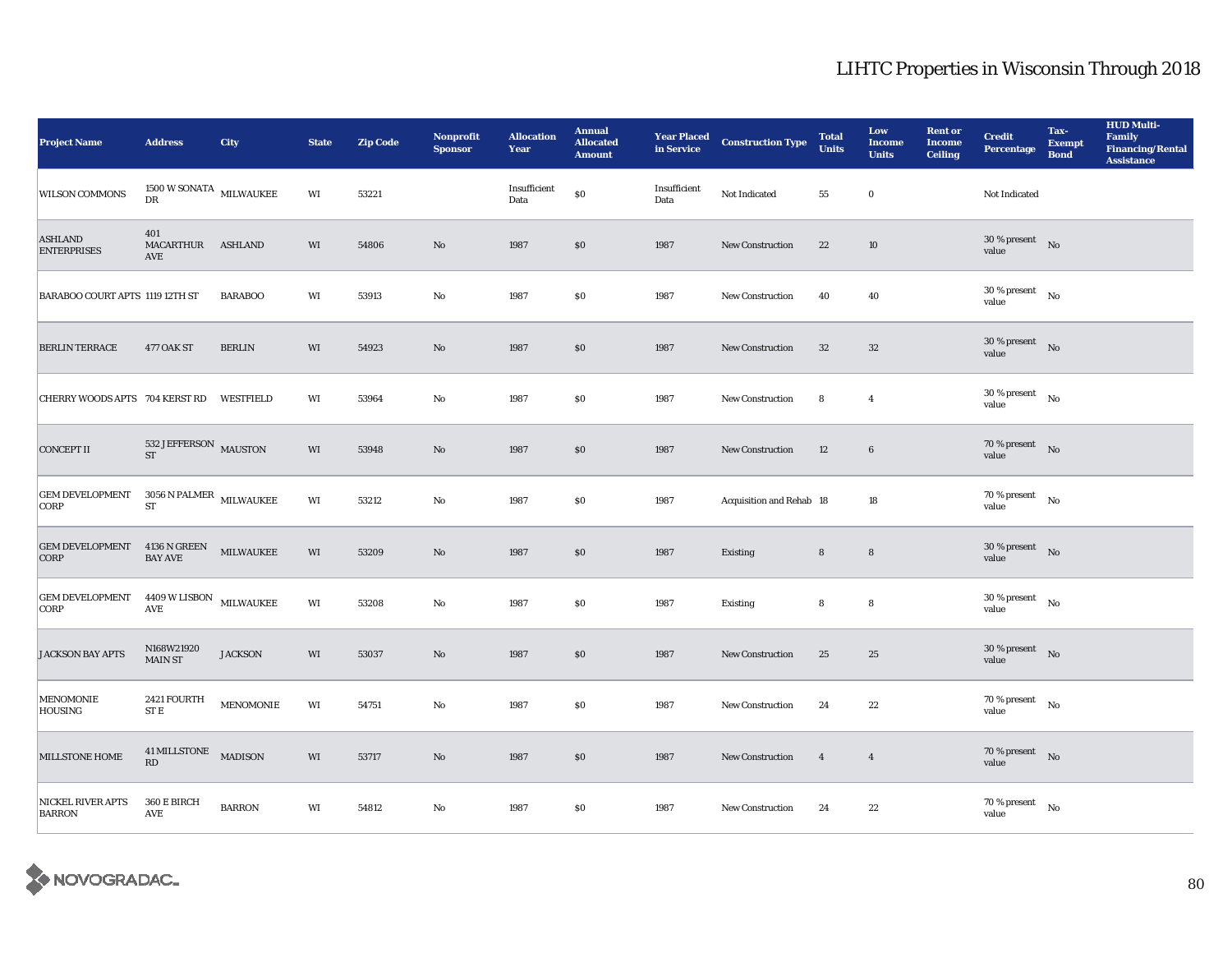| <b>Project Name</b>                                    | <b>Address</b>                                           | City               | <b>State</b> | <b>Zip Code</b> | Nonprofit<br><b>Sponsor</b> | <b>Allocation</b><br>Year | <b>Annual</b><br><b>Allocated</b><br><b>Amount</b> | <b>Year Placed<br/>in Service</b> | <b>Construction Type</b> | <b>Total</b><br><b>Units</b> | Low<br><b>Income</b><br><b>Units</b> | <b>Rent or</b><br><b>Income</b><br><b>Ceiling</b> | <b>Credit</b><br><b>Percentage</b>          | Tax-<br><b>Exempt</b><br><b>Bond</b> | <b>HUD Multi-</b><br>Family<br><b>Financing/Rental</b><br><b>Assistance</b> |
|--------------------------------------------------------|----------------------------------------------------------|--------------------|--------------|-----------------|-----------------------------|---------------------------|----------------------------------------------------|-----------------------------------|--------------------------|------------------------------|--------------------------------------|---------------------------------------------------|---------------------------------------------|--------------------------------------|-----------------------------------------------------------------------------|
| <b>WILSON COMMONS</b>                                  | $1500\,\rm{W}$ SONATA $\,$ MILWAUKEE<br>${\rm D}{\rm R}$ |                    | WI           | 53221           |                             | Insufficient<br>Data      | $\$0$                                              | Insufficient<br>Data              | Not Indicated            | 55                           | $\bf{0}$                             |                                                   | Not Indicated                               |                                      |                                                                             |
| <b>ASHLAND</b><br><b>ENTERPRISES</b>                   | 401<br>MACARTHUR ASHLAND<br>AVE                          |                    | WI           | 54806           | No                          | 1987                      | \$0                                                | 1987                              | <b>New Construction</b>  | 22                           | 10                                   |                                                   | $30$ % present $\hbox{~No}$<br>value        |                                      |                                                                             |
| BARABOO COURT APTS 1119 12TH ST                        |                                                          | <b>BARABOO</b>     | WI           | 53913           | No                          | 1987                      | \$0                                                | 1987                              | New Construction         | 40                           | 40                                   |                                                   | $30$ % present $$\rm{No}$$<br>value         |                                      |                                                                             |
| <b>BERLIN TERRACE</b>                                  | 477 OAK ST                                               | <b>BERLIN</b>      | WI           | 54923           | No                          | 1987                      | $\$0$                                              | 1987                              | New Construction         | $32\phantom{.0}$             | $32\,$                               |                                                   | $30$ % present $$\rm{No}$$<br>value         |                                      |                                                                             |
| CHERRY WOODS APTS 704 KERST RD WESTFIELD               |                                                          |                    | WI           | 53964           | No                          | 1987                      | \$0                                                | 1987                              | <b>New Construction</b>  | 8                            | $\overline{4}$                       |                                                   | $30$ % present $\quad$ No $\quad$<br>value  |                                      |                                                                             |
| <b>CONCEPT II</b>                                      | 532 JEFFERSON MAUSTON<br><b>ST</b>                       |                    | WI           | 53948           | No                          | 1987                      | \$0                                                | 1987                              | New Construction         | 12                           | $\bf 6$                              |                                                   | $70$ % present $$\rm{No}$$<br>value         |                                      |                                                                             |
| <b>GEM DEVELOPMENT</b><br><b>CORP</b>                  | $3056$ N PALMER $\quad$ MILWAUKEE<br>${\cal ST}$         |                    | WI           | 53212           | No                          | 1987                      | $\$0$                                              | 1987                              | Acquisition and Rehab 18 |                              | 18                                   |                                                   | $70$ % present $$\rm{No}$$<br>value         |                                      |                                                                             |
| GEM DEVELOPMENT 4136 N GREEN<br><b>CORP</b>            | <b>BAY AVE</b>                                           | $\text{MILWAUKEE}$ | WI           | 53209           | $\mathbf{N}\mathbf{o}$      | 1987                      | $\$0$                                              | 1987                              | Existing                 | $\bf 8$                      | $\bf 8$                              |                                                   | $30$ % present $\;\;$ No $\;\;$<br>value    |                                      |                                                                             |
| GEM DEVELOPMENT 4409 W LISBON MILWAUKEE<br><b>CORP</b> | $\operatorname{AVE}$                                     |                    | WI           | 53208           | No                          | 1987                      | $\$0$                                              | 1987                              | <b>Existing</b>          | 8                            | $\bf8$                               |                                                   | $30$ % present $\quad$ No $\quad$<br>value  |                                      |                                                                             |
| <b>JACKSON BAY APTS</b>                                | N168W21920<br><b>MAIN ST</b>                             | <b>JACKSON</b>     | WI           | 53037           | No                          | 1987                      | \$0                                                | 1987                              | <b>New Construction</b>  | 25                           | 25                                   |                                                   | $30$ % present $\hbox{~No}$<br>value        |                                      |                                                                             |
| <b>MENOMONIE</b><br><b>HOUSING</b>                     | 2421 FOURTH<br><b>STE</b>                                | MENOMONIE          | WI           | 54751           | No                          | 1987                      | $\$0$                                              | 1987                              | <b>New Construction</b>  | 24                           | 22                                   |                                                   | 70 % present $\qquad$ No<br>value           |                                      |                                                                             |
| MILLSTONE HOME                                         | 41 MILLSTONE MADISON<br>$\mathbf{R}\mathbf{D}$           |                    | WI           | 53717           | No                          | 1987                      | \$0                                                | 1987                              | New Construction         | $\overline{\mathbf{4}}$      | $\overline{4}$                       |                                                   | $70$ % present $$\rm{No}$$<br>value         |                                      |                                                                             |
| <b>NICKEL RIVER APTS</b><br><b>BARRON</b>              | 360 E BIRCH<br>AVE                                       | <b>BARRON</b>      | WI           | 54812           | No                          | 1987                      | $\$0$                                              | 1987                              | New Construction         | 24                           | 22                                   |                                                   | $70$ % present $\quad$ $_{\rm No}$<br>value |                                      |                                                                             |

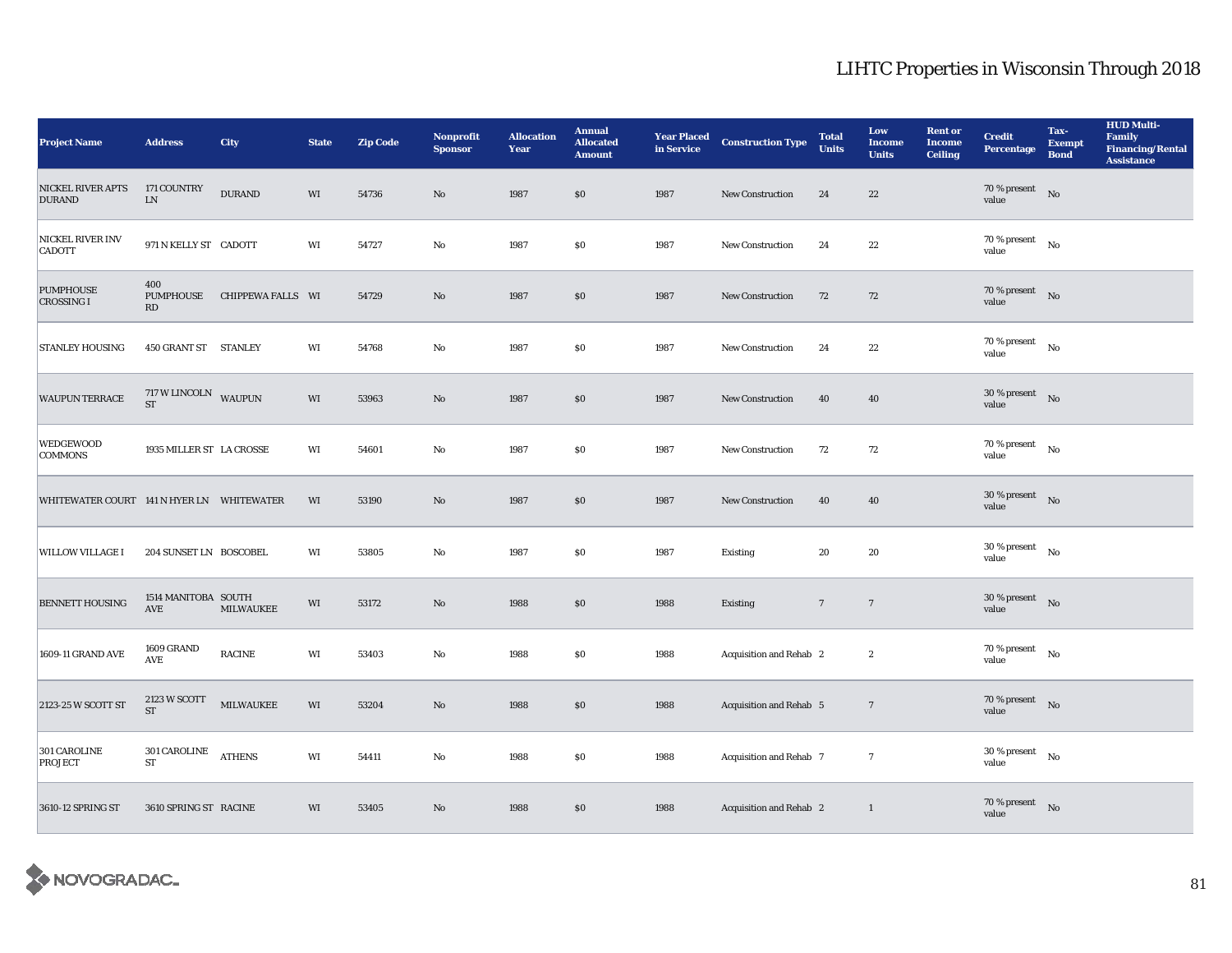| <b>Project Name</b>                       | <b>Address</b>                    | City              | <b>State</b> | <b>Zip Code</b> | <b>Nonprofit</b><br><b>Sponsor</b> | <b>Allocation</b><br>Year | <b>Annual</b><br><b>Allocated</b><br><b>Amount</b> | <b>Year Placed<br/>in Service</b> | <b>Construction Type</b> | <b>Total</b><br><b>Units</b> | Low<br><b>Income</b><br><b>Units</b> | <b>Rent or</b><br><b>Income</b><br><b>Ceiling</b> | <b>Credit</b><br><b>Percentage</b>         | Tax-<br><b>Exempt</b><br><b>Bond</b> | <b>HUD Multi-</b><br>Family<br><b>Financing/Rental</b><br><b>Assistance</b> |
|-------------------------------------------|-----------------------------------|-------------------|--------------|-----------------|------------------------------------|---------------------------|----------------------------------------------------|-----------------------------------|--------------------------|------------------------------|--------------------------------------|---------------------------------------------------|--------------------------------------------|--------------------------------------|-----------------------------------------------------------------------------|
| <b>NICKEL RIVER APTS</b><br><b>DURAND</b> | 171 COUNTRY<br>${\rm LN}$         | <b>DURAND</b>     | WI           | 54736           | No                                 | 1987                      | \$0                                                | 1987                              | <b>New Construction</b>  | 24                           | $22\,$                               |                                                   | $70\%$ present No<br>value                 |                                      |                                                                             |
| <b>NICKEL RIVER INV</b><br><b>CADOTT</b>  | 971 N KELLY ST CADOTT             |                   | WI           | 54727           | No                                 | 1987                      | \$0                                                | 1987                              | New Construction         | 24                           | 22                                   |                                                   | 70 % present $\qquad$ No<br>value          |                                      |                                                                             |
| <b>PUMPHOUSE</b><br><b>CROSSING I</b>     | 400<br>PUMPHOUSE<br>RD            | CHIPPEWA FALLS WI |              | 54729           | $\mathbf{No}$                      | 1987                      | $\$0$                                              | 1987                              | New Construction         | 72                           | 72                                   |                                                   | $70\%$ present No<br>value                 |                                      |                                                                             |
| <b>STANLEY HOUSING</b>                    | 450 GRANT ST STANLEY              |                   | WI           | 54768           | No                                 | 1987                      | \$0                                                | 1987                              | <b>New Construction</b>  | 24                           | $\bf{22}$                            |                                                   | 70 % present<br>value                      | No                                   |                                                                             |
| <b>WAUPUN TERRACE</b>                     | 717 W LINCOLN WAUPUN<br><b>ST</b> |                   | WI           | 53963           | No                                 | 1987                      | \$0                                                | 1987                              | <b>New Construction</b>  | 40                           | 40                                   |                                                   | $30$ % present $\;\;$ No $\;$<br>value     |                                      |                                                                             |
| <b>WEDGEWOOD</b><br><b>COMMONS</b>        | 1935 MILLER ST LA CROSSE          |                   | WI           | 54601           | No                                 | 1987                      | \$0                                                | 1987                              | <b>New Construction</b>  | 72                           | 72                                   |                                                   | 70 % present<br>value                      | No                                   |                                                                             |
| WHITEWATER COURT 141 N HYER LN WHITEWATER |                                   |                   | WI           | 53190           | $\mathbf{No}$                      | 1987                      | \$0                                                | 1987                              | <b>New Construction</b>  | 40                           | 40                                   |                                                   | $30$ % present $\;\;$ No $\;$<br>value     |                                      |                                                                             |
| <b>WILLOW VILLAGE I</b>                   | 204 SUNSET LN BOSCOBEL            |                   | WI           | 53805           | No                                 | 1987                      | \$0                                                | 1987                              | Existing                 | 20                           | 20                                   |                                                   | 30 % present<br>value                      | No                                   |                                                                             |
| <b>BENNETT HOUSING</b>                    | 1514 MANITOBA SOUTH<br>AVE        | MILWAUKEE         | WI           | 53172           | No                                 | 1988                      | \$0                                                | 1988                              | Existing                 | $7\phantom{.0}$              | $7\phantom{.0}$                      |                                                   | $30$ % present $$\rm{No}$$<br>value        |                                      |                                                                             |
| 1609-11 GRAND AVE                         | 1609 GRAND<br>AVE                 | <b>RACINE</b>     | WI           | 53403           | $\rm No$                           | 1988                      | \$0                                                | 1988                              | Acquisition and Rehab 2  |                              | $\boldsymbol{2}$                     |                                                   | 70 % present $$\rm{No}$$<br>value          |                                      |                                                                             |
| 2123-25 W SCOTT ST                        | 2123 W SCOTT<br><b>ST</b>         | MILWAUKEE         | WI           | 53204           | No                                 | 1988                      | $\$0$                                              | 1988                              | Acquisition and Rehab 5  |                              | $\overline{7}$                       |                                                   | $70$ % present $\quad$ No $\quad$<br>value |                                      |                                                                             |
| 301 CAROLINE<br><b>PROJECT</b>            | 301 CAROLINE<br>${\rm ST}$        | <b>ATHENS</b>     | WI           | 54411           | No                                 | 1988                      | \$0                                                | 1988                              | Acquisition and Rehab 7  |                              | $7\phantom{.0}$                      |                                                   | $30$ % present $$\rm{No}$$<br>value        |                                      |                                                                             |
| 3610-12 SPRING ST                         | 3610 SPRING ST RACINE             |                   | WI           | 53405           | No                                 | 1988                      | \$0                                                | 1988                              | Acquisition and Rehab 2  |                              | -1                                   |                                                   | $70$ % present $$\rm{No}$$<br>value        |                                      |                                                                             |

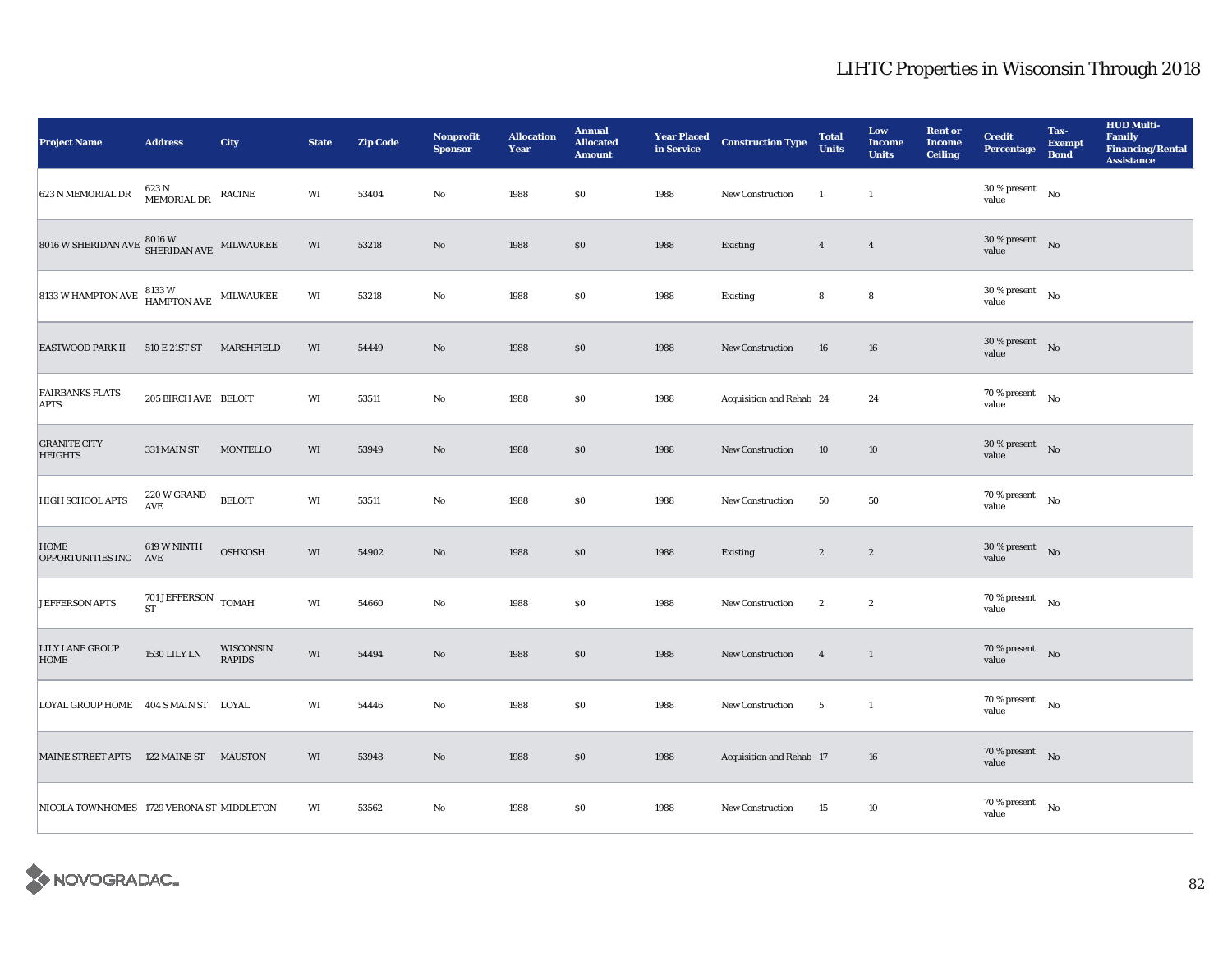| <b>Project Name</b>                                                                                                 | <b>Address</b>                           | City                       | <b>State</b>           | <b>Zip Code</b> | <b>Nonprofit</b><br><b>Sponsor</b> | <b>Allocation</b><br>Year | <b>Annual</b><br><b>Allocated</b><br><b>Amount</b> | <b>Year Placed<br/>in Service</b> | <b>Construction Type</b> | <b>Total</b><br><b>Units</b> | Low<br><b>Income</b><br><b>Units</b> | <b>Rent or</b><br><b>Income</b><br><b>Ceiling</b> | <b>Credit</b><br><b>Percentage</b>     | Tax-<br><b>Exempt</b><br><b>Bond</b> | <b>HUD Multi-</b><br>Family<br><b>Financing/Rental</b><br><b>Assistance</b> |
|---------------------------------------------------------------------------------------------------------------------|------------------------------------------|----------------------------|------------------------|-----------------|------------------------------------|---------------------------|----------------------------------------------------|-----------------------------------|--------------------------|------------------------------|--------------------------------------|---------------------------------------------------|----------------------------------------|--------------------------------------|-----------------------------------------------------------------------------|
| 623 N MEMORIAL DR                                                                                                   | 623 N<br>MEMORIAL DR                     | <b>RACINE</b>              | WI                     | 53404           | No                                 | 1988                      | \$0                                                | 1988                              | <b>New Construction</b>  | <sup>1</sup>                 | $\mathbf{1}$                         |                                                   | 30 % present<br>value                  | $\rm No$                             |                                                                             |
| $8016 \text{ W SHERIDAN AVE} \begin{array}{ll} 8016 \text{ W} \\ \text{SHERIDAN AVE} \end{array} \text{ MILWAUKEE}$ |                                          |                            | $\mathbf{W}\mathbf{I}$ | 53218           | No                                 | 1988                      | \$0                                                | 1988                              | Existing                 | $\overline{4}$               | $\overline{4}$                       |                                                   | $30$ % present $$\rm{No}$$<br>value    |                                      |                                                                             |
| 8133 W HAMPTON AVE $\frac{8133 \text{ W}}{\text{HAMPTON AVE}}$ MILWAUKEE                                            |                                          |                            | WI                     | 53218           | No                                 | 1988                      | $\$0$                                              | 1988                              | Existing                 | 8                            | 8                                    |                                                   | 30 % present<br>value                  | No                                   |                                                                             |
| <b>EASTWOOD PARK II</b>                                                                                             | 510 E 21ST ST                            | MARSHFIELD                 | WI                     | 54449           | No                                 | 1988                      | $\$0$                                              | 1988                              | New Construction         | 16                           | 16                                   |                                                   | $30$ % present $\;\;$ No $\;$<br>value |                                      |                                                                             |
| <b>FAIRBANKS FLATS</b><br><b>APTS</b>                                                                               | 205 BIRCH AVE BELOIT                     |                            | WI                     | 53511           | No                                 | 1988                      | $\$0$                                              | 1988                              | Acquisition and Rehab 24 |                              | 24                                   |                                                   | $70\,\%$ present<br>value              | No                                   |                                                                             |
| <b>GRANITE CITY</b><br><b>HEIGHTS</b>                                                                               | 331 MAIN ST                              | <b>MONTELLO</b>            | WI                     | 53949           | No                                 | 1988                      | $\$0$                                              | 1988                              | <b>New Construction</b>  | 10                           | 10                                   |                                                   | $30$ % present $$\rm{No}$$<br>value    |                                      |                                                                             |
| HIGH SCHOOL APTS                                                                                                    | 220 W GRAND<br><b>AVE</b>                | <b>BELOIT</b>              | WI                     | 53511           | No                                 | 1988                      | $\$0$                                              | 1988                              | <b>New Construction</b>  | 50                           | 50                                   |                                                   | 70 % present $$\rm{No}$$<br>value      |                                      |                                                                             |
| <b>HOME</b><br>OPPORTUNITIES INC AVE                                                                                | 619 W NINTH                              | <b>OSHKOSH</b>             | WI                     | 54902           | No                                 | 1988                      | $\$0$                                              | 1988                              | Existing                 | $\sqrt{2}$                   | $\boldsymbol{2}$                     |                                                   | $30$ % present $$\rm{No}$$<br>value    |                                      |                                                                             |
| <b>JEFFERSON APTS</b>                                                                                               | $701$ JEFFERSON $\,$ TOMAH<br>${\rm ST}$ |                            | WI                     | 54660           | No                                 | 1988                      | \$0                                                | 1988                              | New Construction         | $\boldsymbol{2}$             | $\boldsymbol{2}$                     |                                                   | 70 % present<br>value                  | No                                   |                                                                             |
| <b>LILY LANE GROUP</b><br><b>HOME</b>                                                                               | <b>1530 LILY LN</b>                      | WISCONSIN<br><b>RAPIDS</b> | WI                     | 54494           | No                                 | 1988                      | \$0                                                | 1988                              | <b>New Construction</b>  | $\overline{4}$               | $\mathbf{1}$                         |                                                   | 70 % present $\hbox{No}$<br>value      |                                      |                                                                             |
| LOYAL GROUP HOME 404 S MAIN ST LOYAL                                                                                |                                          |                            | WI                     | 54446           | No                                 | 1988                      | $\$0$                                              | 1988                              | New Construction         | $5\phantom{.0}$              | $\mathbf{1}$                         |                                                   | 70 % present<br>value                  | $_{\rm No}$                          |                                                                             |
| MAINE STREET APTS 122 MAINE ST MAUSTON                                                                              |                                          |                            | WI                     | 53948           | No                                 | 1988                      | $\$0$                                              | 1988                              | Acquisition and Rehab 17 |                              | $16\,$                               |                                                   | 70 % present $\qquad$ No<br>value      |                                      |                                                                             |
| NICOLA TOWNHOMES 1729 VERONA ST MIDDLETON                                                                           |                                          |                            | WI                     | 53562           | No                                 | 1988                      | \$0                                                | 1988                              | <b>New Construction</b>  | 15                           | 10                                   |                                                   | $70$ % present<br>value                | No                                   |                                                                             |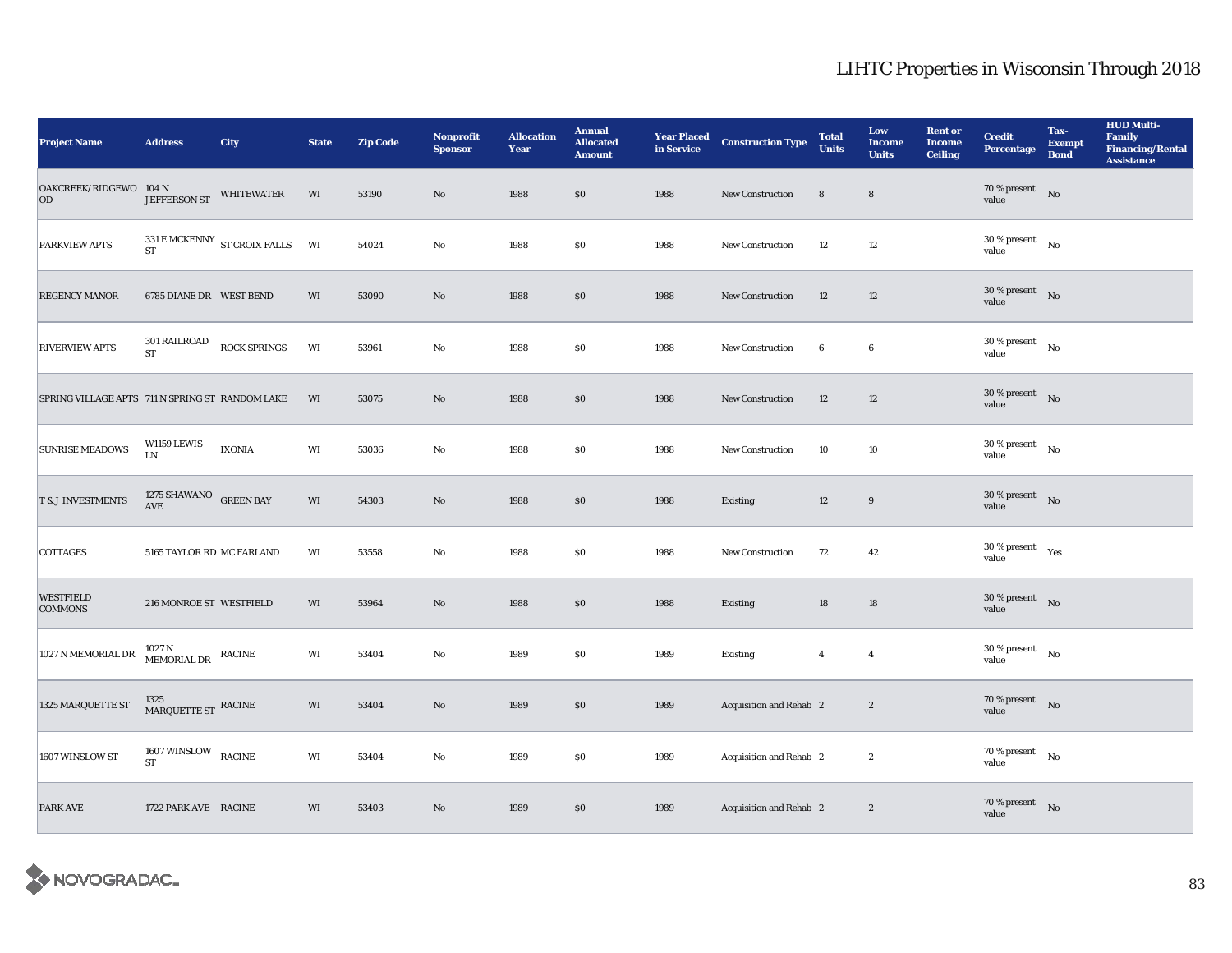| <b>Project Name</b>                             | <b>Address</b>                                | City                               | <b>State</b>           | <b>Zip Code</b> | <b>Nonprofit</b><br><b>Sponsor</b> | <b>Allocation</b><br>Year | <b>Annual</b><br><b>Allocated</b><br><b>Amount</b> | <b>Year Placed<br/>in Service</b> | <b>Construction Type</b> | <b>Total</b><br><b>Units</b> | Low<br><b>Income</b><br><b>Units</b> | <b>Rent or</b><br><b>Income</b><br><b>Ceiling</b> | <b>Credit</b><br><b>Percentage</b>     | Tax-<br><b>Exempt</b><br><b>Bond</b> | <b>HUD Multi-</b><br>Family<br><b>Financing/Rental</b><br><b>Assistance</b> |
|-------------------------------------------------|-----------------------------------------------|------------------------------------|------------------------|-----------------|------------------------------------|---------------------------|----------------------------------------------------|-----------------------------------|--------------------------|------------------------------|--------------------------------------|---------------------------------------------------|----------------------------------------|--------------------------------------|-----------------------------------------------------------------------------|
| OAKCREEK/RIDGEWO 104 N<br>OD                    | <b>JEFFERSON ST</b>                           | WHITEWATER                         | WI                     | 53190           | No                                 | 1988                      | \$0                                                | 1988                              | <b>New Construction</b>  | 8                            | 8                                    |                                                   | $70\,\%$ present No<br>value           |                                      |                                                                             |
| <b>PARKVIEW APTS</b>                            |                                               | 331 E MCKENNY ST CROIX FALLS WI ST |                        | 54024           | No                                 | 1988                      | \$0                                                | 1988                              | New Construction         | 12                           | 12                                   |                                                   | $30$ % present $$\rm{No}$$<br>value    |                                      |                                                                             |
| <b>REGENCY MANOR</b>                            | 6785 DIANE DR WEST BEND                       |                                    | WI                     | 53090           | $\mathbf{N}\mathbf{o}$             | 1988                      | $\$0$                                              | 1988                              | New Construction         | 12                           | 12                                   |                                                   | $30$ % present $$\rm{No}$$<br>value    |                                      |                                                                             |
| <b>RIVERVIEW APTS</b>                           | $301\,$ RAILROAD<br>$\operatorname{ST}$       | ROCK SPRINGS                       | WI                     | 53961           | No                                 | 1988                      | $\$0$                                              | 1988                              | New Construction         | 6                            | 6                                    |                                                   | $30$ % present $$\rm{No}$$<br>value    |                                      |                                                                             |
| SPRING VILLAGE APTS 711 N SPRING ST RANDOM LAKE |                                               |                                    | WI                     | 53075           | No                                 | 1988                      | \$0\$                                              | 1988                              | <b>New Construction</b>  | 12                           | 12                                   |                                                   | $30$ % present $\;\;$ No $\;$<br>value |                                      |                                                                             |
| <b>SUNRISE MEADOWS</b>                          | W1159 LEWIS<br>LN                             | <b>IXONIA</b>                      | WI                     | 53036           | No                                 | 1988                      | $\$0$                                              | 1988                              | New Construction         | 10                           | 10                                   |                                                   | $30$ % present $$\rm{No}$$<br>value    |                                      |                                                                             |
| T & J INVESTMENTS                               | $1275$ SHAWANO $${\rm GREEN}$ BAY $\;$        |                                    | WI                     | 54303           | No                                 | 1988                      | $\$0$                                              | 1988                              | Existing                 | 12                           | $\boldsymbol{9}$                     |                                                   | $30$ % present $$\rm{No}$$<br>value    |                                      |                                                                             |
| <b>COTTAGES</b>                                 | 5165 TAYLOR RD MC FARLAND                     |                                    | WI                     | 53558           | No                                 | 1988                      | $\$0$                                              | 1988                              | New Construction         | 72                           | 42                                   |                                                   | $30$ % present $\quad$ Yes<br>value    |                                      |                                                                             |
| <b>WESTFIELD</b><br><b>COMMONS</b>              | 216 MONROE ST WESTFIELD                       |                                    | WI                     | 53964           | No                                 | 1988                      | \$0                                                | 1988                              | Existing                 | 18                           | 18                                   |                                                   | $30\,\%$ present $$\rm{No}$$ value     |                                      |                                                                             |
| 1027 N MEMORIAL DR                              | $1027$ N $$\tt MEMORIAL\,DR$$ RACINE          |                                    | $\mathbf{W}\mathbf{I}$ | 53404           | No                                 | 1989                      | $\$0$                                              | 1989                              | Existing                 | $\overline{4}$               | $\overline{4}$                       |                                                   | $30$ % present $$\rm{No}$$<br>value    |                                      |                                                                             |
| 1325 MARQUETTE ST                               | $^{1325}_{\rm MARQUETTE\,ST}$ RACINE          |                                    | WI                     | 53404           | $\mathbf{N}\mathbf{o}$             | 1989                      | $\$0$                                              | 1989                              | Acquisition and Rehab 2  |                              | $\boldsymbol{2}$                     |                                                   | $70\,\%$ present $$\rm{No}$$ value     |                                      |                                                                             |
| 1607 WINSLOW ST                                 | $1607\,\mbox{WINSLOW} \quad \mbox{RACINE}$ ST |                                    | WI                     | 53404           | No                                 | 1989                      | $\$0$                                              | 1989                              | Acquisition and Rehab 2  |                              | $\mathbf{2}$                         |                                                   | 70 % present $\qquad$ No<br>value      |                                      |                                                                             |
| <b>PARK AVE</b>                                 | 1722 PARK AVE RACINE                          |                                    | WI                     | 53403           | No                                 | 1989                      | \$0                                                | 1989                              | Acquisition and Rehab 2  |                              | $\boldsymbol{2}$                     |                                                   | $70\,\%$ present $$\rm{No}$$ value     |                                      |                                                                             |

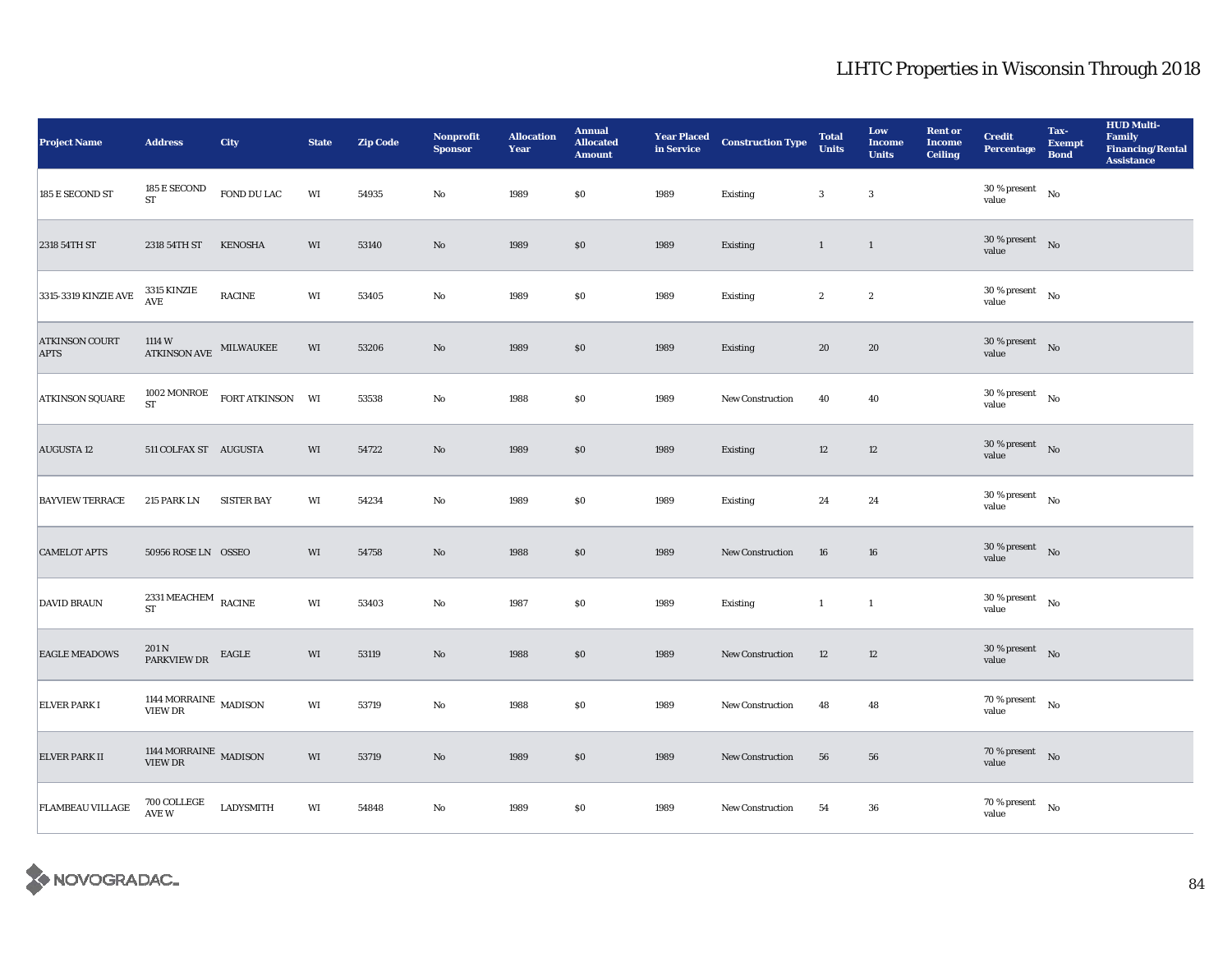| <b>Project Name</b>                  | <b>Address</b>                               | City                                                                                      | <b>State</b>           | <b>Zip Code</b> | Nonprofit<br><b>Sponsor</b> | <b>Allocation</b><br>Year | <b>Annual</b><br><b>Allocated</b><br><b>Amount</b> | <b>Year Placed<br/>in Service</b> | <b>Construction Type</b> | <b>Total</b><br><b>Units</b> | Low<br><b>Income</b><br><b>Units</b> | <b>Rent or</b><br><b>Income</b><br><b>Ceiling</b> | <b>Credit</b><br><b>Percentage</b>         | Tax-<br><b>Exempt</b><br><b>Bond</b> | <b>HUD Multi-</b><br>Family<br><b>Financing/Rental</b><br><b>Assistance</b> |
|--------------------------------------|----------------------------------------------|-------------------------------------------------------------------------------------------|------------------------|-----------------|-----------------------------|---------------------------|----------------------------------------------------|-----------------------------------|--------------------------|------------------------------|--------------------------------------|---------------------------------------------------|--------------------------------------------|--------------------------------------|-----------------------------------------------------------------------------|
| 185 E SECOND ST                      | 185 E SECOND<br><b>ST</b>                    | FOND DU LAC                                                                               | WI                     | 54935           | No                          | 1989                      | $\$0$                                              | 1989                              | Existing                 | $\sqrt{3}$                   | $\mathbf{3}$                         |                                                   | 30 % present<br>value                      | No                                   |                                                                             |
| 2318 54TH ST                         | 2318 54TH ST                                 | <b>KENOSHA</b>                                                                            | WI                     | 53140           | No                          | 1989                      | \$0                                                | 1989                              | Existing                 | $\mathbf{1}$                 | $\mathbf{1}$                         |                                                   | $30\%$ present No<br>value                 |                                      |                                                                             |
| 3315-3319 KINZIE AVE                 | 3315 KINZIE<br>AVE                           | <b>RACINE</b>                                                                             | $\mathbf{W}\mathbf{I}$ | 53405           | $\rm No$                    | 1989                      | $\$0$                                              | 1989                              | Existing                 | $\boldsymbol{2}$             | $\boldsymbol{2}$                     |                                                   | $30$ % present $$\rm{No}$$<br>value        |                                      |                                                                             |
| <b>ATKINSON COURT</b><br><b>APTS</b> | 1114 W<br>ATKINSON AVE MILWAUKEE             |                                                                                           | WI                     | 53206           | No                          | 1989                      | $\$0$                                              | 1989                              | Existing                 | ${\bf 20}$                   | 20                                   |                                                   | $30\,\%$ present $$$ No $\,$<br>value      |                                      |                                                                             |
| <b>ATKINSON SQUARE</b>               | <b>ST</b>                                    | $\begin{array}{lll} 1002\text{ MONROE} & \text{FORT ATKINSON} & \text{WI} \\ \end{array}$ |                        | 53538           | No                          | 1988                      | \$0                                                | 1989                              | <b>New Construction</b>  | 40                           | 40                                   |                                                   | $30$ % present $\hbox{~~No}$<br>value      |                                      |                                                                             |
| <b>AUGUSTA 12</b>                    | 511 COLFAX ST AUGUSTA                        |                                                                                           | WI                     | 54722           | No                          | 1989                      | \$0                                                | 1989                              | <b>Existing</b>          | 12                           | 12                                   |                                                   | $30\%$ present No<br>value                 |                                      |                                                                             |
| <b>BAYVIEW TERRACE</b>               | 215 PARK LN                                  | <b>SISTER BAY</b>                                                                         | WI                     | 54234           | No                          | 1989                      | $\$0$                                              | 1989                              | Existing                 | 24                           | 24                                   |                                                   | $30$ % present $$\rm{No}$$<br>value        |                                      |                                                                             |
| <b>CAMELOT APTS</b>                  | 50956 ROSE LN OSSEO                          |                                                                                           | WI                     | 54758           | $\mathbf{No}$               | 1988                      | $\$0$                                              | 1989                              | New Construction         | 16                           | 16                                   |                                                   | $30$ % present $\quad$ No $\quad$<br>value |                                      |                                                                             |
| <b>DAVID BRAUN</b>                   | $2331\,\mathrm{MEACHEM}$ RACINE<br><b>ST</b> |                                                                                           | WI                     | 53403           | No                          | 1987                      | $\$0$                                              | 1989                              | <b>Existing</b>          | $\overline{1}$               | $\mathbf{1}$                         |                                                   | $30$ % present $$\rm{No}$$<br>value        |                                      |                                                                             |
| <b>EAGLE MEADOWS</b>                 | 201 N<br>PARKVIEW DR                         | EAGLE                                                                                     | $\mathbf{W}\mathbf{I}$ | 53119           | $\mathbf{No}$               | 1988                      | $\$0$                                              | 1989                              | New Construction         | 12                           | $12\,$                               |                                                   | $30$ % present $\quad$ No $\quad$<br>value |                                      |                                                                             |
| <b>ELVER PARK I</b>                  | 1144 MORRAINE $\,$ MADISON VIEW DR           |                                                                                           | WI                     | 53719           | No                          | 1988                      | $\$0$                                              | 1989                              | <b>New Construction</b>  | 48                           | 48                                   |                                                   | $70\,\%$ present $$\rm{No}$$ value         |                                      |                                                                             |
| <b>ELVER PARK II</b>                 | $1144$ MORRAINE $\,$ MADISON VIEW DR         |                                                                                           | WI                     | 53719           | $\mathbf{No}$               | 1989                      | $\$0$                                              | 1989                              | New Construction         | 56                           | 56                                   |                                                   | $70$ % present $\quad$ No<br>value         |                                      |                                                                             |
| <b>FLAMBEAU VILLAGE</b>              | 700 COLLEGE<br>AVE W                         | <b>LADYSMITH</b>                                                                          | WI                     | 54848           | No                          | 1989                      | $\$0$                                              | 1989                              | <b>New Construction</b>  | 54                           | 36                                   |                                                   | $70\,\%$ present $$$ No value              |                                      |                                                                             |

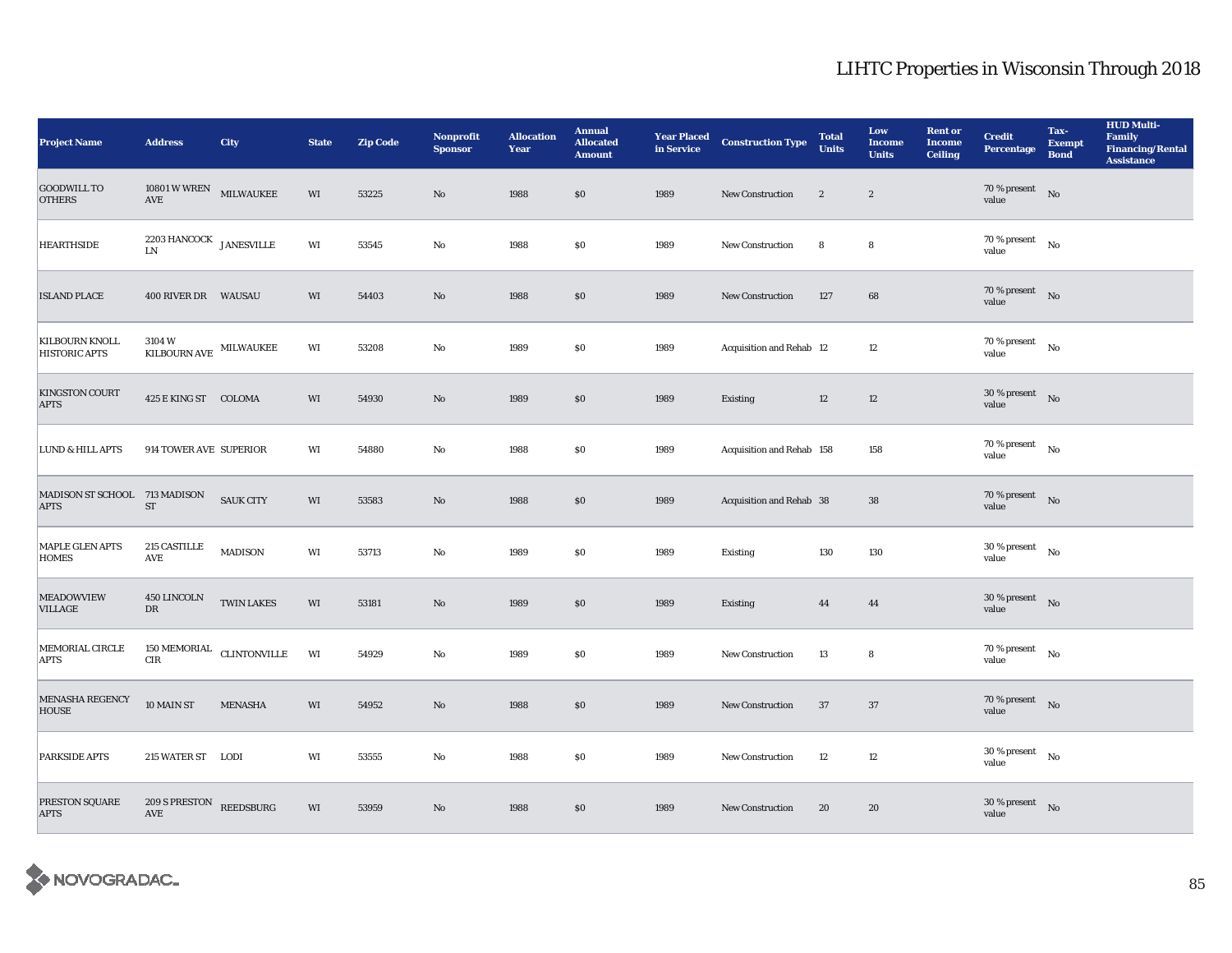| <b>Project Name</b>                           | <b>Address</b>                                                                      | City                                     | <b>State</b> | <b>Zip Code</b> | Nonprofit<br><b>Sponsor</b> | <b>Allocation</b><br>Year | <b>Annual</b><br><b>Allocated</b><br><b>Amount</b> | <b>Year Placed<br/>in Service</b> | <b>Construction Type</b>  | <b>Total</b><br><b>Units</b> | Low<br><b>Income</b><br><b>Units</b> | <b>Rent or</b><br><b>Income</b><br><b>Ceiling</b> | <b>Credit</b><br><b>Percentage</b>       | Tax-<br><b>Exempt</b><br><b>Bond</b> | <b>HUD Multi-</b><br>Family<br><b>Financing/Rental</b><br><b>Assistance</b> |
|-----------------------------------------------|-------------------------------------------------------------------------------------|------------------------------------------|--------------|-----------------|-----------------------------|---------------------------|----------------------------------------------------|-----------------------------------|---------------------------|------------------------------|--------------------------------------|---------------------------------------------------|------------------------------------------|--------------------------------------|-----------------------------------------------------------------------------|
| <b>GOODWILL TO</b><br><b>OTHERS</b>           | 10801 W WREN MILWAUKEE<br>$\operatorname{AVE}$                                      |                                          | WI           | 53225           | $\mathbf{No}$               | 1988                      | \$0                                                | 1989                              | <b>New Construction</b>   | $\boldsymbol{2}$             | $\boldsymbol{2}$                     |                                                   | $70\%$ present No<br>value               |                                      |                                                                             |
| <b>HEARTHSIDE</b>                             | $2203$ HANCOCK $$\tt JANESVILLE$$<br>LN                                             |                                          | WI           | 53545           | No                          | 1988                      | \$0                                                | 1989                              | New Construction          | 8                            | 8                                    |                                                   | 70 % present $\qquad$ No<br>value        |                                      |                                                                             |
| <b>ISLAND PLACE</b>                           | 400 RIVER DR WAUSAU                                                                 |                                          | WI           | 54403           | $\mathbf{No}$               | 1988                      | \$0                                                | 1989                              | New Construction          | 127                          | 68                                   |                                                   | 70 % present $\qquad$ No<br>value        |                                      |                                                                             |
| <b>KILBOURN KNOLL</b><br><b>HISTORIC APTS</b> | 3104W<br>$\begin{array}{ll} \textbf{KILBOURN AVE} & \textbf{MILWAUKEE} \end{array}$ |                                          | WI           | 53208           | No                          | 1989                      | $\$0$                                              | 1989                              | Acquisition and Rehab 12  |                              | $12\,$                               |                                                   | $70\,\%$ present $$N\rm o$$<br>value     |                                      |                                                                             |
| <b>KINGSTON COURT</b><br><b>APTS</b>          | 425 E KING ST COLOMA                                                                |                                          | WI           | 54930           | No                          | 1989                      | $\$0$                                              | 1989                              | Existing                  | 12                           | 12                                   |                                                   | $30$ % present $\hbox{~No}$<br>value     |                                      |                                                                             |
| <b>LUND &amp; HILL APTS</b>                   | 914 TOWER AVE SUPERIOR                                                              |                                          | WI           | 54880           | No                          | 1988                      | $\$0$                                              | 1989                              | Acquisition and Rehab 158 |                              | 158                                  |                                                   | 70 % present<br>value                    | No                                   |                                                                             |
| MADISON ST SCHOOL 713 MADISON<br><b>APTS</b>  | <b>ST</b>                                                                           | <b>SAUK CITY</b>                         | WI           | 53583           | No                          | 1988                      | $\$0$                                              | 1989                              | Acquisition and Rehab 38  |                              | ${\bf 38}$                           |                                                   | 70 % present $\qquad$ No<br>value        |                                      |                                                                             |
| <b>MAPLE GLEN APTS</b><br><b>HOMES</b>        | 215 CASTILLE<br>$\operatorname{AVE}$                                                | <b>MADISON</b>                           | WI           | 53713           | No                          | 1989                      | $\$0$                                              | 1989                              | Existing                  | 130                          | 130                                  |                                                   | 30 % present<br>value                    | No                                   |                                                                             |
| <b>MEADOWVIEW</b><br><b>VILLAGE</b>           | 450 LINCOLN<br>${\rm D}{\rm R}$                                                     | <b>TWIN LAKES</b>                        | WI           | 53181           | No                          | 1989                      | \$0                                                | 1989                              | Existing                  | 44                           | 44                                   |                                                   | $30$ % present $$\rm{No}$$<br>value      |                                      |                                                                             |
| MEMORIAL CIRCLE<br><b>APTS</b>                | CIR                                                                                 | $150$ MEMORIAL $\hbox{\tt CLINTONVILLE}$ | WI           | 54929           | No                          | 1989                      | $\$0$                                              | 1989                              | New Construction          | 13                           | 8                                    |                                                   | 70 % present $\qquad$ No<br>value        |                                      |                                                                             |
| <b>MENASHA REGENCY</b><br><b>HOUSE</b>        | 10 MAIN ST                                                                          | <b>MENASHA</b>                           | WI           | 54952           | $\mathbf{No}$               | 1988                      | $\$0$                                              | 1989                              | <b>New Construction</b>   | 37                           | 37                                   |                                                   | $70$ % present $\;\;$ No $\;\;$<br>value |                                      |                                                                             |
| <b>PARKSIDE APTS</b>                          | 215 WATER ST LODI                                                                   |                                          | WI           | 53555           | No                          | 1988                      | $\$0$                                              | 1989                              | New Construction          | 12                           | 12                                   |                                                   | $30$ % present $$\rm{No}$$<br>value      |                                      |                                                                             |
| PRESTON SQUARE<br><b>APTS</b>                 | 209 S PRESTON REEDSBURG<br>AVE                                                      |                                          | WI           | 53959           | No                          | 1988                      | \$0                                                | 1989                              | <b>New Construction</b>   | 20                           | 20                                   |                                                   | $30$ % present $$\rm{No}$$<br>value      |                                      |                                                                             |

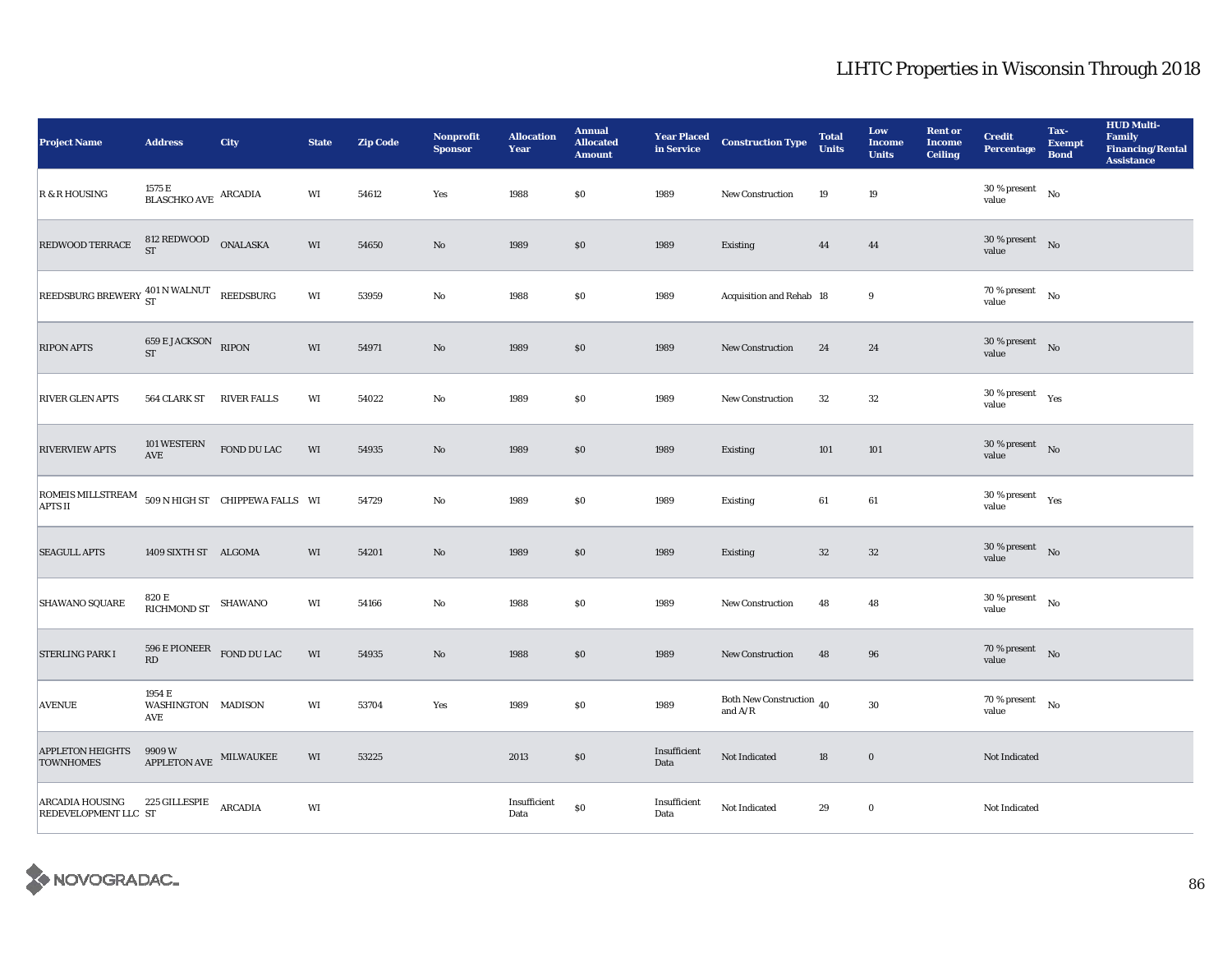| <b>Project Name</b>                                                 | <b>Address</b>                                                                                              | City           | <b>State</b> | <b>Zip Code</b> | Nonprofit<br><b>Sponsor</b> | <b>Allocation</b><br>Year | <b>Annual</b><br><b>Allocated</b><br><b>Amount</b> | <b>Year Placed<br/>in Service</b> | <b>Construction Type</b>               | <b>Total</b><br><b>Units</b> | Low<br><b>Income</b><br><b>Units</b> | <b>Rent or</b><br><b>Income</b><br>Ceiling | <b>Credit</b><br><b>Percentage</b>          | Tax-<br><b>Exempt</b><br><b>Bond</b> | <b>HUD Multi-</b><br>Family<br>Financing/Rental<br><b>Assistance</b> |
|---------------------------------------------------------------------|-------------------------------------------------------------------------------------------------------------|----------------|--------------|-----------------|-----------------------------|---------------------------|----------------------------------------------------|-----------------------------------|----------------------------------------|------------------------------|--------------------------------------|--------------------------------------------|---------------------------------------------|--------------------------------------|----------------------------------------------------------------------|
| R & R HOUSING                                                       | 1575 E<br>$\begin{array}{lll} \multicolumn{2}{l}{{\bf B}\text{LASCHKO AVE}} & & \text{ARCADIA} \end{array}$ |                | WI           | 54612           | Yes                         | 1988                      | $\$0$                                              | 1989                              | <b>New Construction</b>                | 19                           | 19                                   |                                            | $30$ % present<br>value                     | No                                   |                                                                      |
| REDWOOD TERRACE                                                     | $812$ REDWOOD $\quad$ ONALASKA ST                                                                           |                | WI           | 54650           | $\mathbf{No}$               | 1989                      | \$0                                                | 1989                              | Existing                               | 44                           | 44                                   |                                            | $30\,\%$ present $$$ No $\,$<br>value       |                                      |                                                                      |
| REEDSBURG BREWERY <sup>401</sup> N WALNUT REEDSBURG                 |                                                                                                             |                | WI           | 53959           | No                          | 1988                      | $\$0$                                              | 1989                              | Acquisition and Rehab 18               |                              | $9\phantom{.0}$                      |                                            | $70\,\%$ present $$\rm{No}$$ value          |                                      |                                                                      |
| <b>RIPON APTS</b>                                                   | <b>659 E JACKSON RIPON</b><br>ST                                                                            |                | WI           | 54971           | $\mathbf{No}$               | 1989                      | \$0                                                | 1989                              | New Construction                       | 24                           | 24                                   |                                            | 30 % present $N0$<br>value                  |                                      |                                                                      |
| <b>RIVER GLEN APTS</b>                                              | 564 CLARK ST RIVER FALLS                                                                                    |                | WI           | 54022           | No                          | 1989                      | $\$0$                                              | 1989                              | <b>New Construction</b>                | $32\,$                       | $32\,$                               |                                            | 30 % present $\gamma_{\rm{ES}}$<br>value    |                                      |                                                                      |
| <b>RIVERVIEW APTS</b>                                               | 101 WESTERN<br>AVE                                                                                          | FOND DU LAC    | WI           | 54935           | $\mathbf{No}$               | 1989                      | \$0                                                | 1989                              | Existing                               | 101                          | 101                                  |                                            | $30\,\%$ present $$$ No $\,$<br>value       |                                      |                                                                      |
| ROMEIS MILLSTREAM 509 N HIGH ST CHIPPEWA FALLS WI<br><b>APTS II</b> |                                                                                                             |                |              | 54729           | No                          | 1989                      | $\$0$                                              | 1989                              | Existing                               | 61                           | $\bf{61}$                            |                                            | $30$ % present $\quad$ Yes<br>value         |                                      |                                                                      |
| <b>SEAGULL APTS</b>                                                 | 1409 SIXTH ST ALGOMA                                                                                        |                | WI           | 54201           | $\mathbf{No}$               | 1989                      | \$0                                                | 1989                              | Existing                               | 32                           | $32\,$                               |                                            | $30$ % present $\quad$ No $\quad$<br>value  |                                      |                                                                      |
| <b>SHAWANO SQUARE</b>                                               | 820 E<br>$\,$ RICHMOND ST $\,$ SHAWANO $\,$                                                                 |                | WI           | 54166           | No                          | 1988                      | $\$0$                                              | 1989                              | <b>New Construction</b>                | 48                           | 48                                   |                                            | $30$ % present $$\rm{No}$$<br>value         |                                      |                                                                      |
| <b>STERLING PARK I</b>                                              | 596 E PIONEER FOND DU LAC<br>RD                                                                             |                | WI           | 54935           | $\mathbf{No}$               | 1988                      | $\$0$                                              | 1989                              | New Construction                       | 48                           | 96                                   |                                            | $70\%$ present No<br>value                  |                                      |                                                                      |
| <b>AVENUE</b>                                                       | 1954 E<br>WASHINGTON MADISON<br>AVE                                                                         |                | WI           | 53704           | Yes                         | 1989                      | $\$0$                                              | 1989                              | Both New Construction $$\,40$$ and A/R |                              | 30                                   |                                            | $70$ % present $\quad$ $_{\rm No}$<br>value |                                      |                                                                      |
| <b>APPLETON HEIGHTS</b><br><b>TOWNHOMES</b>                         | $9909\,\mathrm{W}$ MILWAUKEE APPLETON AVE $\,$ MILWAUKEE                                                    |                | WI           | 53225           |                             | 2013                      | $\$0$                                              | Insufficient<br>Data              | Not Indicated                          | 18                           | $\bf{0}$                             |                                            | Not Indicated                               |                                      |                                                                      |
| ARCADIA HOUSING<br>REDEVELOPMENT LLC ST                             | 225 GILLESPIE                                                                                               | <b>ARCADIA</b> | WI           |                 |                             | Insufficient<br>Data      | $\$0$                                              | Insufficient<br>Data              | Not Indicated                          | 29                           | $\bf{0}$                             |                                            | Not Indicated                               |                                      |                                                                      |